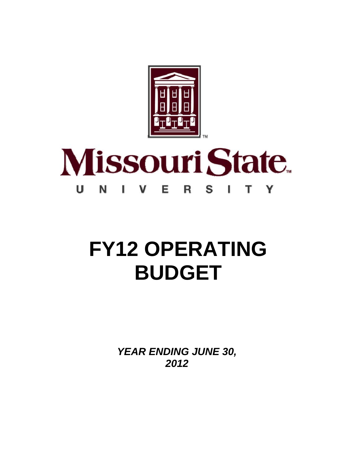

#### **Missouri State** U Е N S т Y V R L

# **FY12 OPERATING BUDGET**

*YEAR ENDING JUNE 30, 2012*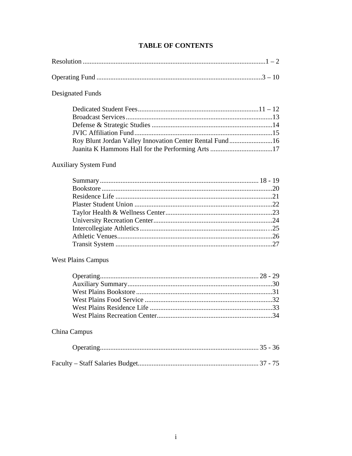# **TABLE OF CONTENTS**

| Designated Funds                                        |  |
|---------------------------------------------------------|--|
| Roy Blunt Jordan Valley Innovation Center Rental Fund16 |  |

### **Auxiliary System Fund**

### **West Plains Campus**

## China Campus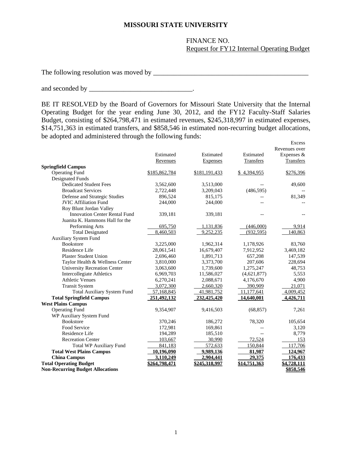#### **MISSOURI STATE UNIVERSITY**

 FINANCE NO. Request for FY12 Internal Operating Budget

The following resolution was moved by \_\_\_\_\_\_\_\_\_\_\_\_\_\_\_\_\_\_\_\_\_\_\_\_\_\_\_\_\_\_\_\_\_\_\_\_\_\_\_\_\_\_\_\_\_

and seconded by \_\_\_\_\_\_\_\_\_\_\_\_\_\_\_\_\_\_\_\_\_\_\_\_\_\_\_\_\_\_.

BE IT RESOLVED by the Board of Governors for Missouri State University that the Internal Operating Budget for the year ending June 30, 2012, and the FY12 Faculty-Staff Salaries Budget, consisting of \$264,798,471 in estimated revenues, \$245,318,997 in estimated expenses, \$14,751,363 in estimated transfers, and \$858,546 in estimated non-recurring budget allocations, be adopted and administered through the following funds:

|                                         |               |               |              | Excess        |
|-----------------------------------------|---------------|---------------|--------------|---------------|
|                                         |               |               |              | Revenues over |
|                                         | Estimated     | Estimated     | Estimated    | Expenses &    |
|                                         | Revenues      | Expenses      | Transfers    | Transfers     |
| <b>Springfield Campus</b>               |               |               |              |               |
| <b>Operating Fund</b>                   | \$185,862,784 | \$181,191,433 | \$4,394,955  | \$276,396     |
| <b>Designated Funds</b>                 |               |               |              |               |
| <b>Dedicated Student Fees</b>           | 3,562,600     | 3,513,000     |              | 49,600        |
| <b>Broadcast Services</b>               | 2,722,448     | 3,209,043     | (486, 595)   |               |
| Defense and Strategic Studies           | 896,524       | 815,175       |              | 81,349        |
| <b>JVIC Affiliation Fund</b>            | 244,000       | 244,000       |              |               |
| Roy Blunt Jordan Valley                 |               |               |              |               |
| <b>Innovation Center Rental Fund</b>    | 339,181       | 339,181       |              |               |
| Juanita K. Hammons Hall for the         |               |               |              |               |
| Performing Arts                         | 695,750       | 1,131,836     | (446,000)    | 9,914         |
| <b>Total Designated</b>                 | 8,460,503     | 9,252,235     | (932.595)    | 140,863       |
| <b>Auxiliary System Fund</b>            |               |               |              |               |
| <b>Bookstore</b>                        | 3,225,000     | 1,962,314     | 1,178,926    | 83,760        |
| Residence Life                          | 28,061,541    | 16,679,407    | 7,912,952    | 3,469,182     |
| <b>Plaster Student Union</b>            | 2,696,460     | 1,891,713     | 657,208      | 147,539       |
| Taylor Health & Wellness Center         | 3,810,000     | 3,373,700     | 207,606      | 228,694       |
| <b>University Recreation Center</b>     | 3,063,600     | 1,739,600     | 1,275,247    | 48,753        |
| Intercollegiate Athletics               | 6,969,703     | 11,586,027    | (4,621,877)  | 5,553         |
| <b>Athletic Venues</b>                  | 6,270,241     | 2,088,671     | 4,176,670    | 4,900         |
| <b>Transit System</b>                   | 3,072,300     | 2,660,320     | 390,909      | 21,071        |
| <b>Total Auxiliary System Fund</b>      | 57,168,845    | 41,981,752    | 11,177,641   | 4,009,452     |
| <b>Total Springfield Campus</b>         | 251,492,132   | 232,425,420   | 14,640,001   | 4,426,711     |
| <b>West Plains Campus</b>               |               |               |              |               |
| <b>Operating Fund</b>                   | 9,354,907     | 9,416,503     | (68, 857)    | 7,261         |
| WP Auxiliary System Fund                |               |               |              |               |
| <b>Bookstore</b>                        | 370,246       | 186,272       | 78,320       | 105,654       |
| Food Service                            | 172,981       | 169,861       |              | 3,120         |
| Residence Life                          | 194,289       | 185,510       |              | 8,779         |
| <b>Recreation Center</b>                | 103,667       | 30,990        | 72,524       | 153           |
| <b>Total WP Auxiliary Fund</b>          | 841,183       | 572,633       | 150,844      | 117,706       |
| <b>Total West Plains Campus</b>         | 10,196,090    | 9,989,136     | 81,987       | 124,967       |
| <b>China Campus</b>                     | 3,110,249     | 2,904,441     | 29,375       | 176,433       |
| <b>Total Operating Budget</b>           | \$264,798,471 | \$245,318,997 | \$14,751,363 | \$4,728,111   |
| <b>Non-Recurring Budget Allocations</b> |               |               |              | \$858,546     |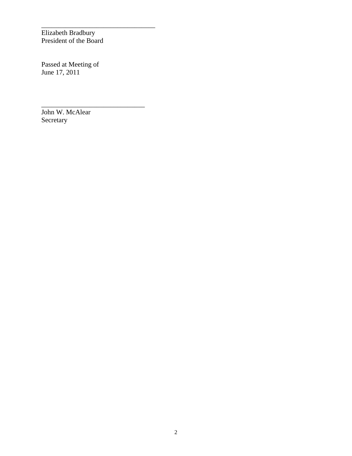Elizabeth Bradbury President of the Board

\_\_\_\_\_\_\_\_\_\_\_\_\_\_\_\_\_\_\_\_\_\_\_\_\_\_\_\_\_\_\_\_\_

\_\_\_\_\_\_\_\_\_\_\_\_\_\_\_\_\_\_\_\_\_\_\_\_\_\_\_\_\_\_

Passed at Meeting of June 17, 2011

John W. McAlear Secretary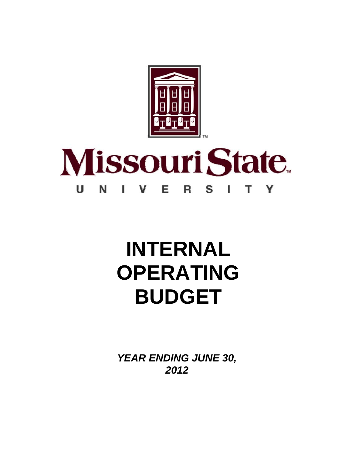

#### **Missouri State** U Е N V S т Y ı R

# **INTERNAL OPERATING BUDGET**

*YEAR ENDING JUNE 30, 2012*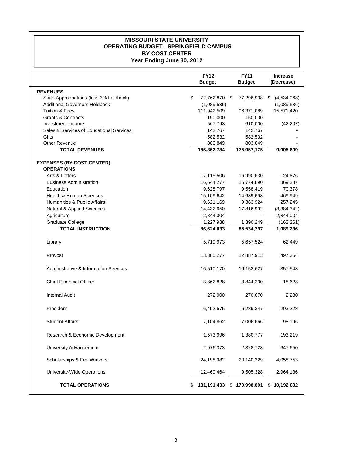#### **MISSOURI STATE UNIVERSITY OPERATING BUDGET - SPRINGFIELD CAMPUS BY COST CENTER Year Ending June 30, 2012**

|                                                       | <b>FY12</b><br><b>Budget</b> | <b>FY11</b><br><b>Budget</b> | <b>Increase</b><br>(Decrease) |
|-------------------------------------------------------|------------------------------|------------------------------|-------------------------------|
| <b>REVENUES</b>                                       |                              |                              |                               |
| State Appropriations (less 3% holdback)               | \$<br>72,762,870             | 77,296,938<br>\$             | (4,534,068)<br>\$             |
| <b>Additional Governors Holdback</b>                  | (1,089,536)                  |                              | (1,089,536)                   |
| <b>Tuition &amp; Fees</b>                             | 111,942,509                  | 96,371,089                   | 15,571,420                    |
| <b>Grants &amp; Contracts</b>                         | 150,000                      | 150,000                      |                               |
| Investment Income                                     | 567,793                      | 610,000                      | (42, 207)                     |
| Sales & Services of Educational Services              | 142,767                      | 142,767                      |                               |
| Gifts                                                 | 582,532                      | 582,532                      |                               |
| <b>Other Revenue</b><br><b>TOTAL REVENUES</b>         | 803,849<br>185,862,784       | 803,849<br>175,957,175       | 9,905,609                     |
| <b>EXPENSES (BY COST CENTER)</b><br><b>OPERATIONS</b> |                              |                              |                               |
| Arts & Letters                                        | 17,115,506                   | 16,990,630                   | 124,876                       |
| <b>Business Administration</b>                        | 16,644,277                   | 15,774,890                   | 869,387                       |
| Education                                             | 9,628,797                    | 9,558,419                    | 70,378                        |
| <b>Health &amp; Human Sciences</b>                    | 15,109,642                   | 14,639,693                   | 469,949                       |
| Humanities & Public Affairs                           | 9,621,169                    | 9,363,924                    | 257,245                       |
| Natural & Applied Sciences                            | 14,432,650                   | 17,816,992                   | (3, 384, 342)                 |
| Agriculture                                           | 2,844,004                    |                              | 2,844,004                     |
| Graduate College                                      | 1,227,988                    | 1,390,249                    | (162, 261)                    |
| <b>TOTAL INSTRUCTION</b>                              | 86,624,033                   | 85,534,797                   | 1,089,236                     |
| Library                                               | 5,719,973                    | 5,657,524                    | 62,449                        |
| Provost                                               | 13,385,277                   | 12,887,913                   | 497,364                       |
| <b>Administrative &amp; Information Services</b>      | 16,510,170                   | 16,152,627                   | 357,543                       |
| <b>Chief Financial Officer</b>                        | 3,862,828                    | 3,844,200                    | 18,628                        |
| <b>Internal Audit</b>                                 | 272,900                      | 270,670                      | 2,230                         |
| President                                             | 6,492,575                    | 6,289,347                    | 203,228                       |
| <b>Student Affairs</b>                                | 7,104,862                    | 7,006,666                    | 98,196                        |
| Research & Economic Development                       | 1,573,996                    | 1,380,777                    | 193,219                       |
| University Advancement                                | 2,976,373                    | 2,328,723                    | 647,650                       |
| Scholarships & Fee Waivers                            | 24,198,982                   | 20,140,229                   | 4,058,753                     |
| University-Wide Operations                            | 12,469,464                   | 9,505,328                    | 2,964,136                     |
| <b>TOTAL OPERATIONS</b>                               | 181,191,433                  | 170,998,801<br>\$            | 10,192,632<br>\$              |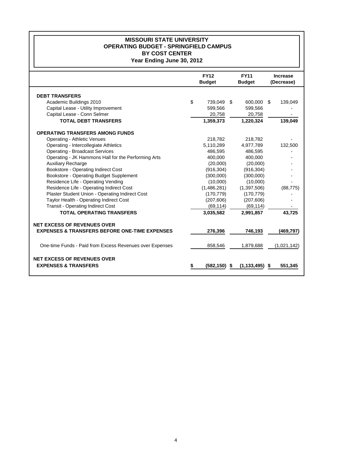#### **MISSOURI STATE UNIVERSITY OPERATING BUDGET - SPRINGFIELD CAMPUS BY COST CENTER Year Ending June 30, 2012**

|                                                          | <b>FY12</b>   | <b>FY11</b>         | <b>Increase</b> |
|----------------------------------------------------------|---------------|---------------------|-----------------|
|                                                          | <b>Budget</b> | <b>Budget</b>       | (Decrease)      |
|                                                          |               |                     |                 |
| <b>DEBT TRANSFERS</b>                                    |               |                     |                 |
| Academic Buildings 2010                                  | \$<br>739.049 | \$<br>600.000       | -\$<br>139,049  |
| Capital Lease - Utility Improvement                      | 599,566       | 599,566             |                 |
| Capital Lease - Conn Selmer                              | 20,758        | 20,758              |                 |
| <b>TOTAL DEBT TRANSFERS</b>                              | 1,359,373     | 1,220,324           | 139.049         |
| <b>OPERATING TRANSFERS AMONG FUNDS</b>                   |               |                     |                 |
| <b>Operating - Athletic Venues</b>                       | 218,782       | 218,782             |                 |
| Operating - Intercollegiate Athletics                    | 5,110,289     | 4,977,789           | 132,500         |
| <b>Operating - Broadcast Services</b>                    | 486.595       | 486.595             |                 |
| Operating - JK Hammons Hall for the Performing Arts      | 400,000       | 400,000             |                 |
| Auxiliary Recharge                                       | (20,000)      | (20,000)            |                 |
| Bookstore - Operating Indirect Cost                      | (916, 304)    | (916, 304)          |                 |
| Bookstore - Operating Budget Supplement                  | (300,000)     | (300,000)           |                 |
| Residence Life - Operating Vending                       | (10,000)      | (10,000)            |                 |
| Residence Life - Operating Indirect Cost                 | (1,486,281)   | (1,397,506)         | (88, 775)       |
| Plaster Student Union - Operating Indirect Cost          | (170, 779)    | (170, 779)          |                 |
| Taylor Health - Operating Indirect Cost                  | (207, 606)    | (207, 606)          |                 |
| <b>Transit - Operating Indirect Cost</b>                 | (69, 114)     | (69, 114)           |                 |
| <b>TOTAL OPERATING TRANSFERS</b>                         | 3,035,582     | 2,991,857           | 43,725          |
| <b>NET EXCESS OF REVENUES OVER</b>                       |               |                     |                 |
| <b>EXPENSES &amp; TRANSFERS BEFORE ONE-TIME EXPENSES</b> | 276,396       | 746,193             | (469, 797)      |
|                                                          |               |                     |                 |
| One-time Funds - Paid from Excess Revenues over Expenses | 858.546       | 1,879,688           | (1,021,142)     |
| <b>NET EXCESS OF REVENUES OVER</b>                       |               |                     |                 |
| <b>EXPENSES &amp; TRANSFERS</b>                          | (582,150)     | (1, 133, 495)<br>\$ | 551,345<br>\$   |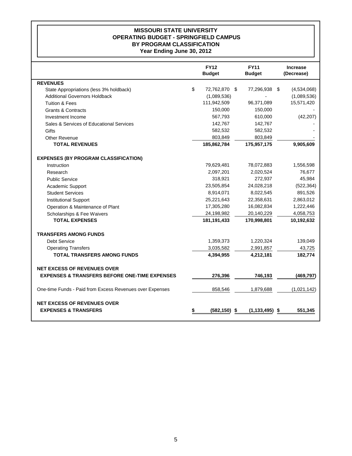#### **MISSOURI STATE UNIVERSITY OPERATING BUDGET - SPRINGFIELD CAMPUS BY PROGRAM CLASSIFICATION Year Ending June 30, 2012**

|                                                          | <b>FY12</b><br><b>Budget</b> | <b>FY11</b><br><b>Budget</b> | <b>Increase</b><br>(Decrease) |
|----------------------------------------------------------|------------------------------|------------------------------|-------------------------------|
| <b>REVENUES</b>                                          |                              |                              |                               |
| State Appropriations (less 3% holdback)                  | \$<br>72,762,870 \$          | 77,296,938 \$                | (4,534,068)                   |
| <b>Additional Governors Holdback</b>                     | (1,089,536)                  |                              | (1,089,536)                   |
| <b>Tuition &amp; Fees</b>                                | 111,942,509                  | 96,371,089                   | 15,571,420                    |
| <b>Grants &amp; Contracts</b>                            | 150,000                      | 150,000                      |                               |
| Investment Income                                        | 567,793                      | 610,000                      | (42, 207)                     |
| Sales & Services of Educational Services                 | 142,767                      | 142,767                      |                               |
| Gifts                                                    | 582,532                      | 582,532                      |                               |
| Other Revenue                                            | 803,849                      | 803,849                      |                               |
| <b>TOTAL REVENUES</b>                                    | 185,862,784                  | 175,957,175                  | 9,905,609                     |
| <b>EXPENSES (BY PROGRAM CLASSIFICATION)</b>              |                              |                              |                               |
| Instruction                                              | 79,629,481                   | 78,072,883                   | 1,556,598                     |
| Research                                                 | 2,097,201                    | 2,020,524                    | 76,677                        |
| <b>Public Service</b>                                    | 318,921                      | 272,937                      | 45,984                        |
| Academic Support                                         | 23,505,854                   | 24,028,218                   | (522, 364)                    |
| <b>Student Services</b>                                  | 8,914,071                    | 8,022,545                    | 891,526                       |
| <b>Institutional Support</b>                             | 25,221,643                   | 22,358,631                   | 2,863,012                     |
| Operation & Maintenance of Plant                         | 17,305,280                   | 16,082,834                   | 1,222,446                     |
| Scholarships & Fee Waivers                               | 24,198,982                   | 20,140,229                   | 4,058,753                     |
| <b>TOTAL EXPENSES</b>                                    | 181, 191, 433                | 170,998,801                  | 10,192,632                    |
| <b>TRANSFERS AMONG FUNDS</b>                             |                              |                              |                               |
| <b>Debt Service</b>                                      | 1,359,373                    | 1,220,324                    | 139,049                       |
| <b>Operating Transfers</b>                               | 3,035,582                    | 2,991,857                    | 43,725                        |
| <b>TOTAL TRANSFERS AMONG FUNDS</b>                       | 4,394,955                    | 4,212,181                    | 182,774                       |
| <b>NET EXCESS OF REVENUES OVER</b>                       |                              |                              |                               |
| <b>EXPENSES &amp; TRANSFERS BEFORE ONE-TIME EXPENSES</b> | 276,396                      | 746,193                      | (469, 797)                    |
| One-time Funds - Paid from Excess Revenues over Expenses | 858,546                      | 1,879,688                    | (1,021,142)                   |
| <b>NET EXCESS OF REVENUES OVER</b>                       |                              |                              |                               |
| <b>EXPENSES &amp; TRANSFERS</b>                          | (582, 150)                   | \$<br>(1, 133, 495)          | \$<br>551,345                 |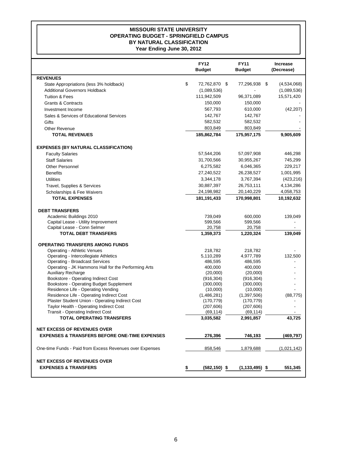#### **MISSOURI STATE UNIVERSITY OPERATING BUDGET - SPRINGFIELD CAMPUS BY NATURAL CLASSIFICATION Year Ending June 30, 2012**

|                                                                               | <b>FY12</b><br><b>Budget</b> | <b>FY11</b><br><b>Budget</b> | Increase<br>(Decrease) |  |
|-------------------------------------------------------------------------------|------------------------------|------------------------------|------------------------|--|
| <b>REVENUES</b>                                                               |                              |                              |                        |  |
| State Appropriations (less 3% holdback)                                       | \$<br>72,762,870<br>\$       | 77,296,938                   | \$<br>(4,534,068)      |  |
| <b>Additional Governors Holdback</b>                                          | (1,089,536)                  |                              | (1,089,536)            |  |
| <b>Tuition &amp; Fees</b>                                                     | 111,942,509                  | 96,371,089                   | 15,571,420             |  |
| <b>Grants &amp; Contracts</b>                                                 | 150,000                      | 150,000                      |                        |  |
| Investment Income                                                             | 567,793                      | 610,000                      | (42, 207)              |  |
| Sales & Services of Educational Services                                      | 142,767                      | 142,767                      |                        |  |
| Gifts                                                                         | 582,532                      | 582,532                      |                        |  |
| <b>Other Revenue</b>                                                          | 803,849                      | 803,849                      |                        |  |
| <b>TOTAL REVENUES</b>                                                         | 185,862,784                  | 175,957,175                  | 9,905,609              |  |
| <b>EXPENSES (BY NATURAL CLASSIFICATION)</b>                                   |                              |                              |                        |  |
| <b>Faculty Salaries</b>                                                       | 57,544,206                   | 57,097,908                   | 446,298                |  |
| <b>Staff Salaries</b>                                                         | 31,700,566                   | 30,955,267                   | 745,299                |  |
| <b>Other Personnel</b>                                                        | 6,275,582                    | 6,046,365                    | 229,217                |  |
| <b>Benefits</b>                                                               | 27,240,522                   | 26,238,527                   | 1,001,995              |  |
| <b>Utilities</b>                                                              | 3,344,178                    | 3,767,394                    | (423, 216)             |  |
| Travel, Supplies & Services                                                   | 30,887,397                   | 26,753,111                   | 4,134,286              |  |
| Scholarships & Fee Waivers                                                    | 24,198,982                   | 20,140,229                   | 4,058,753              |  |
| <b>TOTAL EXPENSES</b>                                                         | 181, 191, 433                | 170,998,801                  | 10,192,632             |  |
| <b>DEBT TRANSFERS</b>                                                         |                              |                              |                        |  |
| Academic Buildings 2010                                                       | 739,049                      | 600,000                      | 139,049                |  |
| Capital Lease - Utility Improvement                                           | 599,566                      | 599,566                      |                        |  |
| Capital Lease - Conn Selmer                                                   | 20,758                       | 20,758                       |                        |  |
| <b>TOTAL DEBT TRANSFERS</b>                                                   | 1,359,373                    | 1,220,324                    | 139,049                |  |
| <b>OPERATING TRANSFERS AMONG FUNDS</b>                                        |                              |                              |                        |  |
| <b>Operating - Athletic Venues</b>                                            | 218,782                      | 218,782                      |                        |  |
| Operating - Intercollegiate Athletics                                         | 5,110,289                    | 4,977,789                    | 132,500                |  |
| <b>Operating - Broadcast Services</b>                                         | 486,595                      | 486,595                      |                        |  |
| Operating - JK Hammons Hall for the Performing Arts                           | 400,000                      | 400,000                      |                        |  |
| <b>Auxiliary Recharge</b>                                                     | (20,000)                     | (20,000)                     |                        |  |
| Bookstore - Operating Indirect Cost                                           | (916, 304)                   | (916, 304)                   |                        |  |
| Bookstore - Operating Budget Supplement<br>Residence Life - Operating Vending | (300,000)<br>(10,000)        | (300,000)<br>(10,000)        |                        |  |
| Residence Life - Operating Indirect Cost                                      | (1,486,281)                  | (1,397,506)                  | (88, 775)              |  |
| Plaster Student Union - Operating Indirect Cost                               | (170, 779)                   | (170, 779)                   |                        |  |
| Taylor Health - Operating Indirect Cost                                       | (207, 606)                   | (207, 606)                   |                        |  |
| <b>Transit - Operating Indirect Cost</b>                                      | (69, 114)                    | (69, 114)                    |                        |  |
| <b>TOTAL OPERATING TRANSFERS</b>                                              | 3,035,582                    | 2,991,857                    | 43,725                 |  |
| <b>NET EXCESS OF REVENUES OVER</b>                                            |                              |                              |                        |  |
| <b>EXPENSES &amp; TRANSFERS BEFORE ONE-TIME EXPENSES</b>                      | 276,396                      | 746,193                      | (469, 797)             |  |
| One-time Funds - Paid from Excess Revenues over Expenses                      | 858,546                      | 1,879,688                    | (1,021,142)            |  |
| <b>NET EXCESS OF REVENUES OVER</b>                                            |                              |                              |                        |  |
| <b>EXPENSES &amp; TRANSFERS</b>                                               | \$<br>$(582, 150)$ \$        | $(1, 133, 495)$ \$           | 551,345                |  |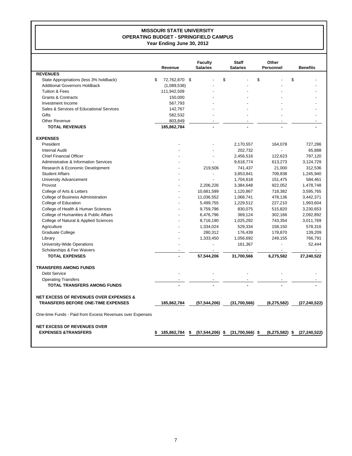#### **MISSOURI STATE UNIVERSITY OPERATING BUDGET - SPRINGFIELD CAMPUS Year Ending June 30, 2012**

|                                                          | Revenue             | <b>Faculty</b><br><b>Salaries</b> | <b>Staff</b><br><b>Salaries</b> | Other<br><b>Personnel</b> | <b>Benefits</b> |
|----------------------------------------------------------|---------------------|-----------------------------------|---------------------------------|---------------------------|-----------------|
| <b>REVENUES</b>                                          |                     |                                   |                                 |                           |                 |
| State Appropriations (less 3% holdback)                  | \$<br>72,762,870 \$ |                                   | \$                              | \$<br>\$                  |                 |
| <b>Additional Governors Holdback</b>                     | (1,089,536)         |                                   |                                 |                           |                 |
| <b>Tuition &amp; Fees</b>                                | 111,942,509         |                                   |                                 |                           |                 |
| <b>Grants &amp; Contracts</b>                            | 150,000             |                                   |                                 |                           |                 |
| Investment Income                                        | 567,793             |                                   |                                 |                           |                 |
| Sales & Services of Educational Services                 | 142,767             |                                   |                                 |                           |                 |
| Gifts                                                    | 582,532             |                                   |                                 |                           |                 |
| Other Revenue                                            | 803,849             |                                   |                                 |                           |                 |
| <b>TOTAL REVENUES</b>                                    | 185,862,784         |                                   |                                 |                           |                 |
| <b>EXPENSES</b>                                          |                     |                                   |                                 |                           |                 |
| President                                                |                     |                                   | 2,170,557                       | 164,078                   | 727,286         |
| <b>Internal Audit</b>                                    |                     |                                   | 202,732                         |                           | 65,888          |
| <b>Chief Financial Officer</b>                           |                     |                                   | 2,456,516                       | 122,623                   | 797,120         |
| Administrative & Information Services                    |                     |                                   | 9,618,774                       | 613,273                   | 3,124,729       |
| Research & Economic Development                          |                     | 219,506                           | 741,437                         | 21,000                    | 312,536         |
| <b>Student Affairs</b>                                   |                     |                                   | 3,853,841                       | 709,838                   | 1,245,940       |
| University Advancement                                   |                     |                                   | 1,704,618                       | 151,475                   | 584,461         |
| Provost                                                  |                     | 2,206,226                         | 3,384,648                       | 922,052                   | 1,478,748       |
| College of Arts & Letters                                |                     | 10,681,599                        | 1,120,867                       | 718,382                   | 3,595,765       |
| College of Business Administration                       |                     | 11,036,552                        | 1,068,741                       | 478,136                   | 3,442,371       |
| College of Education                                     |                     | 5,499,755                         | 1,229,512                       | 227,210                   | 1,993,604       |
| College of Health & Human Sciences                       |                     | 9,759,796                         | 830,075                         | 515,820                   | 3,230,653       |
| College of Humanities & Public Affairs                   |                     | 6,476,796                         | 369,124                         | 302,166                   | 2,092,892       |
| College of Natural & Applied Sciences                    |                     | 8,716,190                         | 1,025,292                       | 743,354                   | 3,011,769       |
| Agriculture                                              |                     | 1,334,024                         | 529,334                         | 158,150                   | 578,316         |
| Graduate College                                         |                     | 280,312                           | 176,439                         | 178,870                   | 139,209         |
| Library                                                  |                     | 1,333,450                         | 1,056,692                       | 249,155                   | 766,791         |
| University-Wide Operations                               |                     |                                   | 161,367                         | $\overline{a}$            | 52,444          |
| Scholarships & Fee Waivers                               |                     |                                   |                                 |                           |                 |
| <b>TOTAL EXPENSES</b>                                    |                     | 57,544,206                        | 31,700,566                      | 6,275,582                 | 27,240,522      |
| <b>TRANSFERS AMONG FUNDS</b>                             |                     |                                   |                                 |                           |                 |
| <b>Debt Service</b>                                      |                     |                                   |                                 |                           |                 |
| <b>Operating Transfers</b>                               |                     |                                   |                                 |                           |                 |
| <b>TOTAL TRANSFERS AMONG FUNDS</b>                       |                     |                                   |                                 |                           |                 |
| <b>NET EXCESS OF REVENUES OVER EXPENSES &amp;</b>        |                     |                                   |                                 |                           |                 |
| <b>TRANSFERS BEFORE ONE-TIME EXPENSES</b>                | 185,862,784         | (57, 544, 206)                    | (31,700,566)                    | (6, 275, 582)             | (27, 240, 522)  |
| One-time Funds - Paid from Excess Revenues over Expenses |                     |                                   |                                 |                           |                 |
| NET EXCESS OF REVENUES OVER                              |                     |                                   |                                 |                           |                 |
| <b>EXPENSES &amp;TRANSFERS</b>                           | 185,862,784         | \$<br>$(57, 544, 206)$ \$         | $(31,700,566)$ \$               | (6, 275, 582)<br>\$       | (27, 240, 522)  |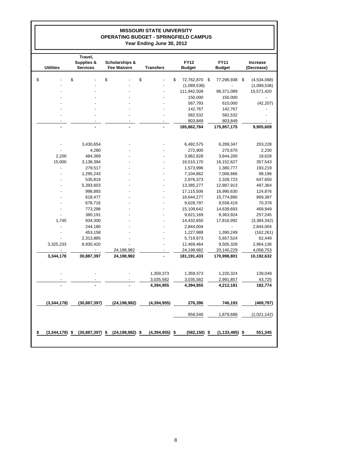#### **MISSOURI STATE UNIVERSITY OPERATING BUDGET - SPRINGFIELD CAMPUS Year Ending June 30, 2012**

| <b>Utilities</b>  | Travel,<br>Supplies &<br><b>Services</b> | Scholarships &<br><b>Fee Waivers</b> | <b>Transfers</b>  | <b>FY12</b><br><b>Budget</b> | <b>FY11</b><br><b>Budget</b> | Increase<br>(Decrease) |
|-------------------|------------------------------------------|--------------------------------------|-------------------|------------------------------|------------------------------|------------------------|
| \$                | \$                                       | \$                                   | \$                | \$<br>72,762,870             | -\$<br>77,296,938            | \$<br>(4,534,068)      |
|                   |                                          |                                      |                   | (1,089,536)                  |                              | (1,089,536)            |
|                   |                                          |                                      |                   | 111,942,509                  | 96,371,089                   | 15,571,420             |
|                   |                                          |                                      |                   | 150,000                      | 150,000                      |                        |
|                   |                                          |                                      |                   | 567,793                      | 610,000                      | (42, 207)              |
|                   |                                          |                                      |                   | 142,767                      | 142,767                      |                        |
|                   |                                          |                                      |                   | 582,532                      | 582,532                      |                        |
|                   |                                          |                                      |                   | 803,849                      | 803,849                      |                        |
|                   |                                          |                                      |                   | 185,862,784                  | 175,957,175                  | 9,905,609              |
|                   |                                          |                                      |                   |                              |                              |                        |
|                   | 3,430,654                                |                                      |                   | 6,492,575                    | 6,289,347                    | 203,228                |
|                   | 4,280                                    |                                      |                   | 272,900                      | 270,670                      | 2,230                  |
| 2,200             | 484,369                                  |                                      |                   | 3,862,828                    | 3,844,200                    | 18,628                 |
| 15,000            | 3,138,394                                |                                      |                   | 16,510,170                   | 16,152,627                   | 357,543                |
|                   | 279,517                                  |                                      |                   | 1,573,996                    | 1,380,777                    | 193,219                |
|                   | 1,295,243                                |                                      |                   | 7,104,862                    | 7,006,666                    | 98,196                 |
|                   | 535,819                                  |                                      |                   | 2,976,373                    | 2,328,723                    | 647,650                |
|                   | 5,393,603                                |                                      |                   | 13,385,277                   | 12,887,913                   | 497,364                |
|                   | 998,893                                  |                                      |                   | 17,115,506                   | 16,990,630                   | 124,876                |
|                   | 618,477                                  |                                      |                   | 16,644,277                   | 15,774,890                   | 869,387                |
|                   | 678,716                                  |                                      |                   | 9,628,797                    | 9,558,419                    | 70,378                 |
|                   | 773,298                                  |                                      |                   | 15,109,642                   | 14,639,693                   | 469,949                |
|                   | 380,191                                  |                                      |                   | 9,621,169                    | 9,363,924                    | 257,245                |
| 1,745             | 934,300                                  |                                      |                   | 14,432,650                   | 17,816,992                   | (3,384,342)            |
| $\overline{a}$    | 244,180                                  |                                      |                   | 2,844,004                    |                              | 2,844,004              |
|                   | 453,158                                  |                                      |                   | 1,227,988                    | 1,390,249                    | (162, 261)             |
|                   | 2,313,885                                |                                      |                   | 5,719,973                    | 5,657,524                    | 62,449                 |
| 3,325,233         | 8,930,420                                |                                      |                   | 12,469,464                   | 9,505,328                    | 2,964,136              |
|                   | $\overline{\phantom{a}}$                 | 24,198,982                           | $\overline{a}$    | 24,198,982                   | 20,140,229                   | 4,058,753              |
| 3,344,178         | 30,887,397                               | 24,198,982                           |                   | 181,191,433                  | 170,998,801                  | 10,192,632             |
|                   |                                          |                                      | 1,359,373         | 1,359,373                    | 1,220,324                    | 139,049                |
|                   |                                          |                                      | 3,035,582         | 3,035,582                    | 2,991,857                    | 43,725                 |
|                   |                                          |                                      | 4,394,955         | 4,394,955                    | 4,212,181                    | 182,774                |
|                   |                                          |                                      |                   |                              |                              |                        |
| (3,344,178)       | (30, 887, 397)                           | (24, 198, 982)                       | (4, 394, 955)     | 276,396                      | 746,193                      | (469, 797)             |
|                   |                                          |                                      |                   | 858,546                      | 1,879,688                    | (1,021,142)            |
| \$<br>(3,344,178) | \$<br>(30, 887, 397)                     | \$<br>(24, 198, 982)                 | \$<br>(4,394,955) | \$<br>(582, 150)             | \$<br>(1, 133, 495)          | \$<br>551,345          |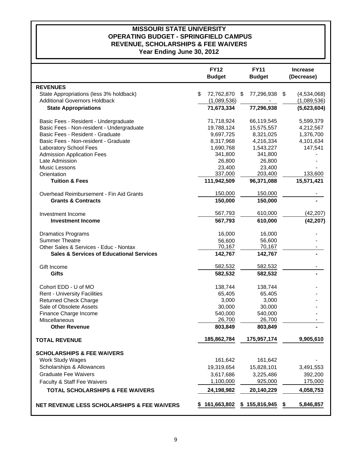# **MISSOURI STATE UNIVERSITY REVENUE, SCHOLARSHIPS & FEE WAIVERS OPERATING BUDGET - SPRINGFIELD CAMPUS**

**Year Ending June 30, 2012**

|                                                        | <b>FY12</b><br><b>Budget</b> | <b>FY11</b><br><b>Budget</b> | <b>Increase</b><br>(Decrease) |
|--------------------------------------------------------|------------------------------|------------------------------|-------------------------------|
| <b>REVENUES</b>                                        |                              |                              |                               |
| State Appropriations (less 3% holdback)                | \$<br>72,762,870             | 77,296,938<br>S              | (4,534,068)<br>\$             |
| <b>Additional Governors Holdback</b>                   | (1,089,536)                  |                              | (1,089,536)                   |
| <b>State Appropriations</b>                            | 71,673,334                   | 77,296,938                   | (5,623,604)                   |
| Basic Fees - Resident - Undergraduate                  | 71,718,924                   | 66,119,545                   | 5,599,379                     |
| Basic Fees - Non-resident - Undergraduate              | 19,788,124                   | 15,575,557                   | 4,212,567                     |
| Basic Fees - Resident - Graduate                       | 9,697,725                    | 8,321,025                    | 1,376,700                     |
| Basic Fees - Non-resident - Graduate                   | 8,317,968                    | 4,216,334                    | 4,101,634                     |
| Laboratory School Fees                                 | 1,690,768                    | 1,543,227                    | 147,541                       |
| <b>Admission Application Fees</b>                      | 341,800                      | 341,800                      |                               |
| Late Admission                                         | 26,800                       | 26,800                       |                               |
| Music Lessons                                          | 23,400                       | 23,400                       |                               |
| Orientation                                            | 337,000                      | 203,400                      | 133,600                       |
| <b>Tuition &amp; Fees</b>                              | 111,942,509                  | 96,371,088                   | 15,571,421                    |
| Overhead Reimbursement - Fin Aid Grants                | 150,000                      | 150,000                      |                               |
| <b>Grants &amp; Contracts</b>                          | 150,000                      | 150,000                      |                               |
|                                                        |                              |                              |                               |
| Investment Income                                      | 567,793                      | 610,000                      | (42, 207)                     |
| <b>Investment Income</b>                               | 567,793                      | 610,000                      | (42, 207)                     |
| <b>Dramatics Programs</b>                              | 16,000                       | 16,000                       |                               |
| <b>Summer Theatre</b>                                  | 56,600                       | 56,600                       |                               |
| Other Sales & Services - Educ - Nontax                 | 70,167                       | 70,167                       |                               |
| <b>Sales &amp; Services of Educational Services</b>    | 142,767                      | 142,767                      |                               |
| Gift Income                                            | 582,532                      | 582,532                      |                               |
| <b>Gifts</b>                                           | 582,532                      | 582,532                      |                               |
| Cohort EDD - U of MO                                   | 138,744                      | 138,744                      |                               |
| <b>Rent - University Facilities</b>                    | 65,405                       | 65,405                       |                               |
| <b>Returned Check Charge</b>                           | 3,000                        | 3,000                        |                               |
| Sale of Obsolete Assets                                | 30,000                       | 30,000                       |                               |
| Finance Charge Income                                  | 540,000                      | 540,000                      |                               |
| Miscellaneous                                          | 26,700                       | 26,700                       |                               |
| <b>Other Revenue</b>                                   | 803,849                      | 803,849                      |                               |
| <b>TOTAL REVENUE</b>                                   | 185,862,784                  | 175,957,174                  | 9,905,610                     |
| <b>SCHOLARSHIPS &amp; FEE WAIVERS</b>                  |                              |                              |                               |
| <b>Work Study Wages</b>                                | 161,642                      | 161,642                      |                               |
| Scholarships & Allowances                              | 19,319,654                   | 15,828,101                   | 3,491,553                     |
| <b>Graduate Fee Waivers</b>                            |                              |                              |                               |
|                                                        | 3,617,686                    | 3,225,486                    | 392,200                       |
| Faculty & Staff Fee Waivers                            | 1,100,000                    | 925,000                      | 175,000                       |
| <b>TOTAL SCHOLARSHIPS &amp; FEE WAIVERS</b>            | 24,198,982                   | 20,140,229                   | 4,058,753                     |
| <b>NET REVENUE LESS SCHOLARSHIPS &amp; FEE WAIVERS</b> | 161,663,802                  | \$155,816,945                | 5,846,857<br>\$               |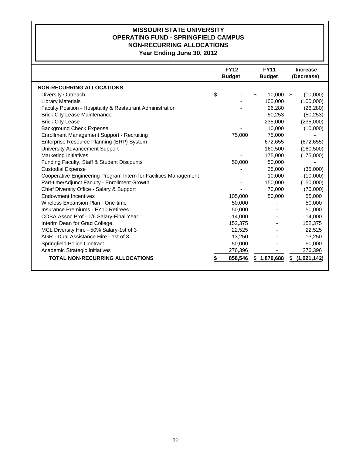#### **MISSOURI STATE UNIVERSITY OPERATING FUND - SPRINGFIELD CAMPUS NON-RECURRING ALLOCATIONS Year Ending June 30, 2012**

|                                                                  | <b>FY12</b><br><b>Budget</b> | <b>FY11</b><br><b>Budget</b> |    | <b>Increase</b><br>(Decrease) |
|------------------------------------------------------------------|------------------------------|------------------------------|----|-------------------------------|
| <b>NON-RECURRING ALLOCATIONS</b>                                 |                              |                              |    |                               |
| <b>Diversity Outreach</b>                                        | \$                           | \$<br>10,000                 | \$ | (10,000)                      |
| <b>Library Materials</b>                                         |                              | 100,000                      |    | (100,000)                     |
| Faculty Position - Hospitality & Restaurant Administration       |                              | 26,280                       |    | (26, 280)                     |
| <b>Brick City Lease Maintenance</b>                              |                              | 50,253                       |    | (50, 253)                     |
| <b>Brick City Lease</b>                                          |                              | 235,000                      |    | (235,000)                     |
| <b>Background Check Expense</b>                                  |                              | 10,000                       |    | (10,000)                      |
| <b>Enrollment Management Support - Recruiting</b>                | 75,000                       | 75,000                       |    |                               |
| Enterprise Resource Planning (ERP) System                        |                              | 672,655                      |    | (672, 655)                    |
| University Advancement Support                                   |                              | 160,500                      |    | (160, 500)                    |
| <b>Marketing Initiatives</b>                                     |                              | 175,000                      |    | (175,000)                     |
| Funding Faculty, Staff & Student Discounts                       | 50,000                       | 50,000                       |    |                               |
| <b>Custodial Expense</b>                                         |                              | 35,000                       |    | (35,000)                      |
| Cooperative Engineering Program Intern for Facilities Management |                              | 10,000                       |    | (10,000)                      |
| Part-time/Adjunct Faculty - Enrollment Growth                    |                              | 150,000                      |    | (150,000)                     |
| Chief Diversity Office - Salary & Support                        |                              | 70.000                       |    | (70,000)                      |
| <b>Endowment Incentives</b>                                      | 105,000                      | 50,000                       |    | 55,000                        |
| Wireless Expansion Plan - One-time                               | 50,000                       |                              |    | 50,000                        |
| Insurance Premiums - FY10 Retirees                               | 50,000                       |                              |    | 50,000                        |
| COBA Assoc Prof - 1/6 Salary-Final Year                          | 14,000                       |                              |    | 14,000                        |
| Interim Dean for Grad College                                    | 152,375                      |                              |    | 152,375                       |
| MCL Diversity Hire - 50% Salary-1st of 3                         | 22,525                       |                              |    | 22,525                        |
| AGR - Dual Assistance Hire - 1st of 3                            | 13,250                       |                              |    | 13,250                        |
| <b>Springfield Police Contract</b>                               | 50,000                       |                              |    | 50,000                        |
| Academic Strategic Initiatives                                   | 276,396                      |                              |    | 276,396                       |
| <b>TOTAL NON-RECURRING ALLOCATIONS</b>                           | 858,546                      | \$1,879,688                  | S. | (1,021,142)                   |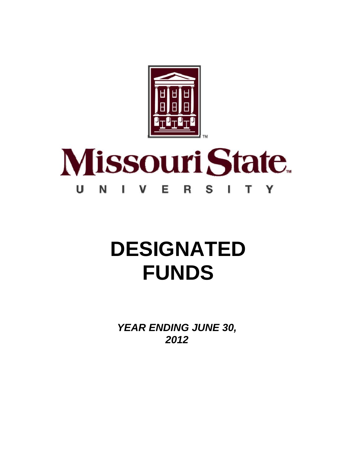

#### **Missouri State** U N Е V S т Y R ı

# **DESIGNATED FUNDS**

*YEAR ENDING JUNE 30, 2012*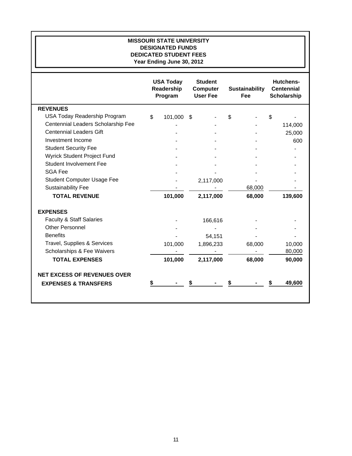| <b>MISSOURI STATE UNIVERSITY</b><br><b>DESIGNATED FUNDS</b><br><b>DEDICATED STUDENT FEES</b><br>Year Ending June 30, 2012 |                                           |                                                      |                              |                                                      |  |  |  |  |  |  |  |
|---------------------------------------------------------------------------------------------------------------------------|-------------------------------------------|------------------------------------------------------|------------------------------|------------------------------------------------------|--|--|--|--|--|--|--|
|                                                                                                                           | <b>USA Today</b><br>Readership<br>Program | <b>Student</b><br><b>Computer</b><br><b>User Fee</b> | <b>Sustainability</b><br>Fee | <b>Hutchens-</b><br><b>Centennial</b><br>Scholarship |  |  |  |  |  |  |  |
| <b>REVENUES</b>                                                                                                           |                                           |                                                      |                              |                                                      |  |  |  |  |  |  |  |
| USA Today Readership Program                                                                                              | 101,000<br>\$                             | \$                                                   | \$                           | S                                                    |  |  |  |  |  |  |  |
| Centennial Leaders Scholarship Fee                                                                                        |                                           |                                                      |                              | 114,000                                              |  |  |  |  |  |  |  |
| <b>Centennial Leaders Gift</b>                                                                                            |                                           |                                                      |                              | 25,000                                               |  |  |  |  |  |  |  |
| Investment Income                                                                                                         |                                           |                                                      |                              | 600                                                  |  |  |  |  |  |  |  |
| <b>Student Security Fee</b>                                                                                               |                                           |                                                      |                              |                                                      |  |  |  |  |  |  |  |
| Wyrick Student Project Fund                                                                                               |                                           |                                                      |                              |                                                      |  |  |  |  |  |  |  |
| <b>Student Involvement Fee</b>                                                                                            |                                           |                                                      |                              |                                                      |  |  |  |  |  |  |  |
| <b>SGA Fee</b>                                                                                                            |                                           |                                                      |                              |                                                      |  |  |  |  |  |  |  |
| Student Computer Usage Fee                                                                                                |                                           | 2,117,000                                            |                              |                                                      |  |  |  |  |  |  |  |
| <b>Sustainability Fee</b>                                                                                                 |                                           |                                                      | 68,000                       |                                                      |  |  |  |  |  |  |  |
| <b>TOTAL REVENUE</b>                                                                                                      | 101,000                                   | 2,117,000                                            | 68,000                       | 139,600                                              |  |  |  |  |  |  |  |
| <b>EXPENSES</b>                                                                                                           |                                           |                                                      |                              |                                                      |  |  |  |  |  |  |  |
| <b>Faculty &amp; Staff Salaries</b>                                                                                       |                                           | 166,616                                              |                              |                                                      |  |  |  |  |  |  |  |
| <b>Other Personnel</b>                                                                                                    |                                           |                                                      |                              |                                                      |  |  |  |  |  |  |  |
| <b>Benefits</b>                                                                                                           |                                           | 54,151                                               |                              |                                                      |  |  |  |  |  |  |  |
| Travel, Supplies & Services                                                                                               | 101,000                                   | 1,896,233                                            | 68,000                       | 10,000                                               |  |  |  |  |  |  |  |
| Scholarships & Fee Waivers                                                                                                |                                           |                                                      |                              | 80,000                                               |  |  |  |  |  |  |  |
| <b>TOTAL EXPENSES</b>                                                                                                     | 101,000                                   | 2,117,000                                            | 68,000                       | 90,000                                               |  |  |  |  |  |  |  |
| <b>NET EXCESS OF REVENUES OVER</b>                                                                                        |                                           |                                                      |                              |                                                      |  |  |  |  |  |  |  |
| <b>EXPENSES &amp; TRANSFERS</b>                                                                                           |                                           |                                                      |                              | 49,600                                               |  |  |  |  |  |  |  |
|                                                                                                                           |                                           |                                                      |                              |                                                      |  |  |  |  |  |  |  |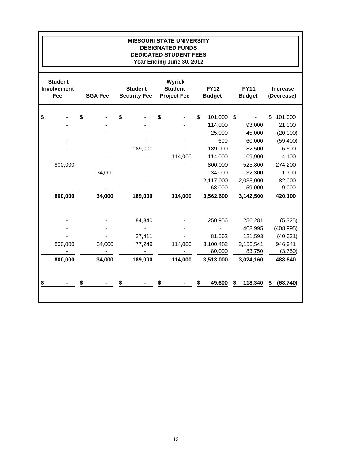| <b>MISSOURI STATE UNIVERSITY</b><br><b>DESIGNATED FUNDS</b><br><b>DEDICATED STUDENT FEES</b><br>Year Ending June 30, 2012 |                                             |    |                |                                       |                                                       |                              |           |                              |                               |  |  |  |
|---------------------------------------------------------------------------------------------------------------------------|---------------------------------------------|----|----------------|---------------------------------------|-------------------------------------------------------|------------------------------|-----------|------------------------------|-------------------------------|--|--|--|
|                                                                                                                           | <b>Student</b><br>Involvement<br><b>Fee</b> |    | <b>SGA Fee</b> | <b>Student</b><br><b>Security Fee</b> | <b>Wyrick</b><br><b>Student</b><br><b>Project Fee</b> | <b>FY12</b><br><b>Budget</b> |           | <b>FY11</b><br><b>Budget</b> | <b>Increase</b><br>(Decrease) |  |  |  |
| \$                                                                                                                        |                                             | \$ |                | \$                                    | \$                                                    | \$                           | 101,000   | \$                           | \$<br>101,000                 |  |  |  |
|                                                                                                                           |                                             |    |                |                                       |                                                       |                              | 114,000   | 93,000                       | 21,000                        |  |  |  |
|                                                                                                                           |                                             |    |                |                                       |                                                       |                              | 25,000    | 45,000                       | (20,000)                      |  |  |  |
|                                                                                                                           |                                             |    |                |                                       |                                                       |                              | 600       | 60,000                       | (59, 400)                     |  |  |  |
|                                                                                                                           |                                             |    |                | 189,000                               |                                                       |                              | 189,000   | 182,500                      | 6,500                         |  |  |  |
|                                                                                                                           |                                             |    |                |                                       | 114,000                                               |                              | 114,000   | 109,900                      | 4,100                         |  |  |  |
|                                                                                                                           | 800,000                                     |    |                |                                       |                                                       |                              | 800,000   | 525,800                      | 274,200                       |  |  |  |
|                                                                                                                           |                                             |    | 34,000         |                                       |                                                       |                              | 34,000    | 32,300                       | 1,700                         |  |  |  |
|                                                                                                                           |                                             |    |                |                                       |                                                       |                              | 2,117,000 | 2,035,000                    | 82,000                        |  |  |  |
|                                                                                                                           |                                             |    |                |                                       |                                                       |                              | 68,000    | 59,000                       | 9,000                         |  |  |  |
|                                                                                                                           | 800,000                                     |    | 34,000         | 189,000                               | 114,000                                               |                              | 3,562,600 | 3,142,500                    | 420,100                       |  |  |  |
|                                                                                                                           |                                             |    |                | 84,340                                |                                                       |                              | 250,956   | 256,281                      | (5, 325)                      |  |  |  |
|                                                                                                                           |                                             |    |                |                                       |                                                       |                              |           | 408,995                      | (408, 995)                    |  |  |  |
|                                                                                                                           |                                             |    |                | 27,411                                |                                                       |                              | 81,562    | 121,593                      | (40, 031)                     |  |  |  |
|                                                                                                                           | 800,000                                     |    | 34,000         | 77,249                                | 114,000                                               |                              | 3,100,482 | 2,153,541                    | 946,941                       |  |  |  |
|                                                                                                                           |                                             |    |                |                                       |                                                       |                              | 80,000    | 83,750                       | (3,750)                       |  |  |  |
|                                                                                                                           | 800,000                                     |    | 34,000         | 189,000                               | 114,000                                               |                              | 3,513,000 | 3,024,160                    | 488,840                       |  |  |  |
| \$                                                                                                                        |                                             |    |                | \$                                    |                                                       |                              | 49,600    | 118,340<br>\$                | (68, 740)<br>\$               |  |  |  |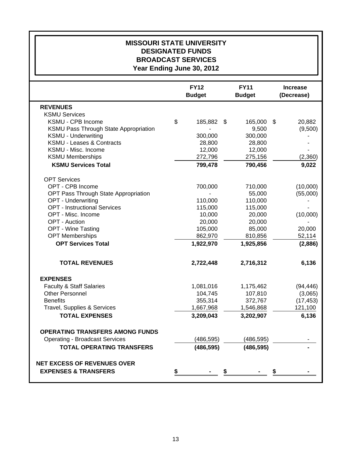## **MISSOURI STATE UNIVERSITY DESIGNATED FUNDS BROADCAST SERVICES Year Ending June 30, 2012**

|                                        | <b>FY12</b><br><b>Budget</b> | <b>FY11</b><br><b>Budget</b> |                           | <b>Increase</b><br>(Decrease) |
|----------------------------------------|------------------------------|------------------------------|---------------------------|-------------------------------|
| <b>REVENUES</b>                        |                              |                              |                           |                               |
| <b>KSMU Services</b>                   |                              |                              |                           |                               |
| KSMU - CPB Income                      | \$<br>185,882 \$             | 165,000                      | $\boldsymbol{\mathsf{S}}$ | 20,882                        |
| KSMU Pass Through State Appropriation  |                              | 9,500                        |                           | (9,500)                       |
| <b>KSMU - Underwriting</b>             | 300,000                      | 300,000                      |                           |                               |
| <b>KSMU - Leases &amp; Contracts</b>   | 28,800                       | 28,800                       |                           |                               |
| KSMU - Misc. Income                    | 12,000                       | 12,000                       |                           |                               |
| <b>KSMU Memberships</b>                | 272,796                      | 275,156                      |                           | (2,360)                       |
| <b>KSMU Services Total</b>             | 799,478                      | 790,456                      |                           | 9,022                         |
| <b>OPT Services</b>                    |                              |                              |                           |                               |
| OPT - CPB Income                       | 700,000                      | 710,000                      |                           | (10,000)                      |
| OPT Pass Through State Appropriation   |                              | 55,000                       |                           | (55,000)                      |
| <b>OPT - Underwriting</b>              | 110,000                      | 110,000                      |                           |                               |
| <b>OPT</b> - Instructional Services    | 115,000                      | 115,000                      |                           |                               |
| OPT - Misc. Income                     | 10,000                       | 20,000                       |                           | (10,000)                      |
| <b>OPT</b> - Auction                   | 20,000                       | 20,000                       |                           |                               |
| <b>OPT - Wine Tasting</b>              | 105,000                      | 85,000                       |                           | 20,000                        |
| <b>OPT Memberships</b>                 | 862,970                      | 810,856                      |                           | 52,114                        |
| <b>OPT Services Total</b>              | 1,922,970                    | 1,925,856                    |                           | (2,886)                       |
| <b>TOTAL REVENUES</b>                  | 2,722,448                    | 2,716,312                    |                           | 6,136                         |
| <b>EXPENSES</b>                        |                              |                              |                           |                               |
| <b>Faculty &amp; Staff Salaries</b>    | 1,081,016                    | 1,175,462                    |                           | (94, 446)                     |
| <b>Other Personnel</b>                 | 104,745                      | 107,810                      |                           | (3,065)                       |
| <b>Benefits</b>                        | 355,314                      | 372,767                      |                           | (17, 453)                     |
| Travel, Supplies & Services            | 1,667,968                    | 1,546,868                    |                           | 121,100                       |
| <b>TOTAL EXPENSES</b>                  | 3,209,043                    | 3,202,907                    |                           | 6,136                         |
| <b>OPERATING TRANSFERS AMONG FUNDS</b> |                              |                              |                           |                               |
| <b>Operating - Broadcast Services</b>  | (486, 595)                   | (486, 595)                   |                           |                               |
| <b>TOTAL OPERATING TRANSFERS</b>       | (486, 595)                   | (486, 595)                   |                           |                               |
| <b>NET EXCESS OF REVENUES OVER</b>     |                              |                              |                           |                               |
| <b>EXPENSES &amp; TRANSFERS</b>        | \$                           |                              |                           |                               |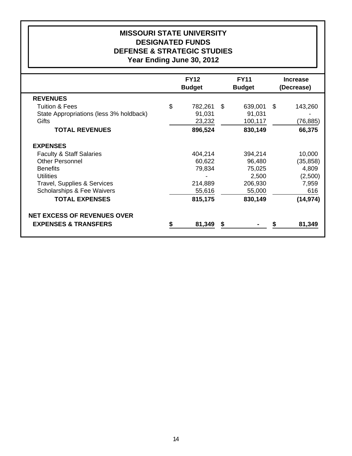# **Year Ending June 30, 2012 DEFENSE & STRATEGIC STUDIES DESIGNATED FUNDS MISSOURI STATE UNIVERSITY**

|                                         | <b>FY12</b>   |    | <b>FY11</b>   |            | <b>Increase</b> |  |
|-----------------------------------------|---------------|----|---------------|------------|-----------------|--|
|                                         | <b>Budget</b> |    | <b>Budget</b> | (Decrease) |                 |  |
| <b>REVENUES</b>                         |               |    |               |            |                 |  |
| <b>Tuition &amp; Fees</b>               | \$<br>782,261 | \$ | 639,001       | \$         | 143,260         |  |
| State Appropriations (less 3% holdback) | 91,031        |    | 91,031        |            |                 |  |
| Gifts                                   | 23,232        |    | 100,117       |            | (76, 885)       |  |
| <b>TOTAL REVENUES</b>                   | 896,524       |    | 830,149       |            | 66,375          |  |
| <b>EXPENSES</b>                         |               |    |               |            |                 |  |
| <b>Faculty &amp; Staff Salaries</b>     | 404,214       |    | 394,214       |            | 10,000          |  |
| <b>Other Personnel</b>                  | 60,622        |    | 96,480        |            | (35, 858)       |  |
| <b>Benefits</b>                         | 79,834        |    | 75,025        |            | 4,809           |  |
| Utilities                               |               |    | 2,500         |            | (2,500)         |  |
| <b>Travel, Supplies &amp; Services</b>  | 214,889       |    | 206,930       |            | 7,959           |  |
| <b>Scholarships &amp; Fee Waivers</b>   | 55,616        |    | 55,000        |            | 616             |  |
| <b>TOTAL EXPENSES</b>                   | 815,175       |    | 830,149       |            | (14, 974)       |  |
| <b>NET EXCESS OF REVENUES OVER</b>      |               |    |               |            |                 |  |
| <b>EXPENSES &amp; TRANSFERS</b>         | 81,349        | S  |               |            | 81,349          |  |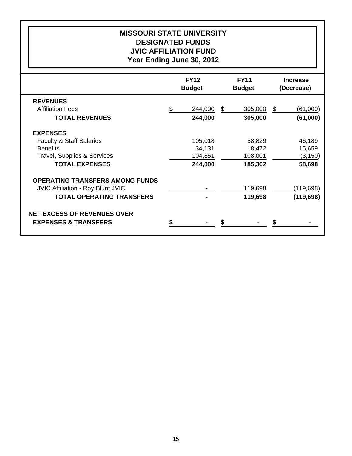# **Year Ending June 30, 2012 JVIC AFFILIATION FUND DESIGNATED FUNDS MISSOURI STATE UNIVERSITY**

|                                          | <b>FY12</b><br><b>Budget</b> | <b>FY11</b><br><b>Budget</b> | <b>Increase</b><br>(Decrease) |
|------------------------------------------|------------------------------|------------------------------|-------------------------------|
| <b>REVENUES</b>                          |                              |                              |                               |
| <b>Affiliation Fees</b>                  | \$<br>244,000                | \$<br>305,000                | \$<br>(61,000)                |
| <b>TOTAL REVENUES</b>                    | 244,000                      | 305,000                      | (61,000)                      |
| <b>EXPENSES</b>                          |                              |                              |                               |
| <b>Faculty &amp; Staff Salaries</b>      | 105,018                      | 58,829                       | 46,189                        |
| <b>Benefits</b>                          | 34,131                       | 18,472                       | 15,659                        |
| <b>Travel, Supplies &amp; Services</b>   | 104,851                      | 108,001                      | (3, 150)                      |
| <b>TOTAL EXPENSES</b>                    | 244,000                      | 185,302                      | 58,698                        |
| <b>OPERATING TRANSFERS AMONG FUNDS</b>   |                              |                              |                               |
| <b>JVIC Affiliation - Roy Blunt JVIC</b> |                              | 119,698                      | (119,698)                     |
| <b>TOTAL OPERATING TRANSFERS</b>         |                              | 119,698                      | (119, 698)                    |
| <b>NET EXCESS OF REVENUES OVER</b>       |                              |                              |                               |
| <b>EXPENSES &amp; TRANSFERS</b>          |                              |                              |                               |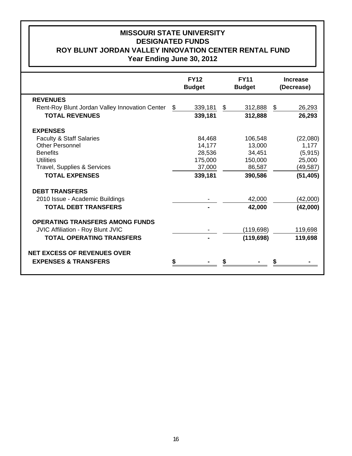# **MISSOURI STATE UNIVERSITY Year Ending June 30, 2012 ROY BLUNT JORDAN VALLEY INNOVATION CENTER RENTAL FUND DESIGNATED FUNDS**

|                                                | <b>FY12</b><br><b>Budget</b> | <b>FY11</b><br><b>Budget</b> | <b>Increase</b><br>(Decrease) |
|------------------------------------------------|------------------------------|------------------------------|-------------------------------|
| <b>REVENUES</b>                                |                              |                              |                               |
| Rent-Roy Blunt Jordan Valley Innovation Center | \$<br>339,181                | \$<br>312,888                | \$<br>26,293                  |
| <b>TOTAL REVENUES</b>                          | 339,181                      | 312,888                      | 26,293                        |
| <b>EXPENSES</b>                                |                              |                              |                               |
| <b>Faculty &amp; Staff Salaries</b>            | 84,468                       | 106,548                      | (22,080)                      |
| <b>Other Personnel</b>                         | 14,177                       | 13,000                       | 1,177                         |
| <b>Benefits</b>                                | 28,536                       | 34,451                       | (5, 915)                      |
| <b>Utilities</b>                               | 175,000                      | 150,000                      | 25,000                        |
| Travel, Supplies & Services                    | 37,000                       | 86,587                       | (49,587)                      |
| <b>TOTAL EXPENSES</b>                          | 339,181                      | 390,586                      | (51, 405)                     |
| <b>DEBT TRANSFERS</b>                          |                              |                              |                               |
| 2010 Issue - Academic Buildings                |                              | 42,000                       | (42,000)                      |
| <b>TOTAL DEBT TRANSFERS</b>                    |                              | 42,000                       | (42,000)                      |
| <b>OPERATING TRANSFERS AMONG FUNDS</b>         |                              |                              |                               |
| JVIC Affiliation - Roy Blunt JVIC              |                              | (119, 698)                   | 119,698                       |
| <b>TOTAL OPERATING TRANSFERS</b>               |                              | (119, 698)                   | 119,698                       |
| <b>NET EXCESS OF REVENUES OVER</b>             |                              |                              |                               |
| <b>EXPENSES &amp; TRANSFERS</b>                |                              |                              |                               |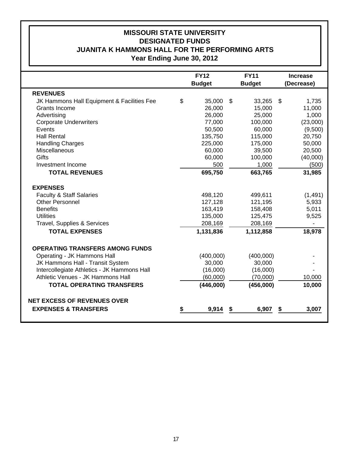## **Year Ending June 30, 2012 JUANITA K HAMMONS HALL FOR THE PERFORMING ARTS DESIGNATED FUNDS MISSOURI STATE UNIVERSITY**

|                                             |    | <b>FY12</b>   |    | <b>FY11</b>   |    | <b>Increase</b> |
|---------------------------------------------|----|---------------|----|---------------|----|-----------------|
|                                             |    | <b>Budget</b> |    | <b>Budget</b> |    | (Decrease)      |
| <b>REVENUES</b>                             |    |               |    |               |    |                 |
| JK Hammons Hall Equipment & Facilities Fee  | \$ | 35,000        | \$ | 33,265        | \$ | 1,735           |
| Grants Income                               |    | 26,000        |    | 15,000        |    | 11,000          |
| Advertising                                 |    | 26,000        |    | 25,000        |    | 1,000           |
| <b>Corporate Underwriters</b>               |    | 77,000        |    | 100,000       |    | (23,000)        |
| Events                                      |    | 50,500        |    | 60,000        |    | (9,500)         |
| <b>Hall Rental</b>                          |    | 135,750       |    | 115,000       |    | 20,750          |
| <b>Handling Charges</b>                     |    | 225,000       |    | 175,000       |    | 50,000          |
| Miscellaneous                               |    | 60,000        |    | 39,500        |    | 20,500          |
| Gifts                                       |    | 60,000        |    | 100,000       |    | (40,000)        |
| Investment Income                           |    | 500           |    | 1,000         |    | (500)           |
| <b>TOTAL REVENUES</b>                       |    | 695,750       |    | 663,765       |    | 31,985          |
| <b>EXPENSES</b>                             |    |               |    |               |    |                 |
| <b>Faculty &amp; Staff Salaries</b>         |    | 498,120       |    | 499,611       |    | (1,491)         |
| <b>Other Personnel</b>                      |    | 127,128       |    | 121,195       |    | 5,933           |
| <b>Benefits</b>                             |    | 163,419       |    | 158,408       |    | 5,011           |
| <b>Utilities</b>                            |    | 135,000       |    | 125,475       |    | 9,525           |
| Travel, Supplies & Services                 |    | 208,169       |    | 208,169       |    |                 |
| <b>TOTAL EXPENSES</b>                       |    | 1,131,836     |    | 1,112,858     |    | 18,978          |
| <b>OPERATING TRANSFERS AMONG FUNDS</b>      |    |               |    |               |    |                 |
| Operating - JK Hammons Hall                 |    | (400,000)     |    | (400,000)     |    |                 |
| JK Hammons Hall - Transit System            |    | 30,000        |    | 30,000        |    |                 |
| Intercollegiate Athletics - JK Hammons Hall |    | (16,000)      |    | (16,000)      |    |                 |
| Athletic Venues - JK Hammons Hall           |    | (60,000)      |    | (70,000)      |    | 10,000          |
| <b>TOTAL OPERATING TRANSFERS</b>            |    | (446,000)     |    | (456,000)     |    | 10,000          |
| <b>NET EXCESS OF REVENUES OVER</b>          |    |               |    |               |    |                 |
| <b>EXPENSES &amp; TRANSFERS</b>             | S  | 9,914         | S  | 6,907         | S  | 3,007           |
|                                             |    |               |    |               |    |                 |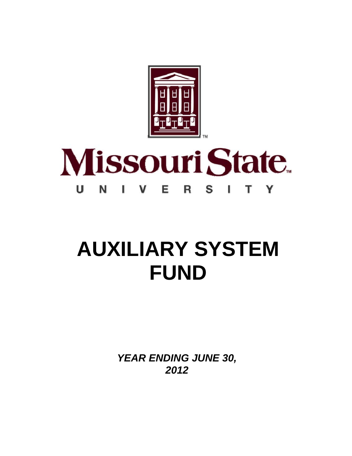

#### **Missouri State** U Е N S I т Y V R

# **AUXILIARY SYSTEM FUND**

*YEAR ENDING JUNE 30, 2012*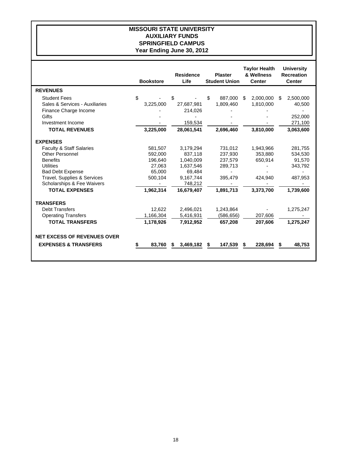#### **MISSOURI STATE UNIVERSITY AUXILIARY FUNDS SPRINGFIELD CAMPUS Year Ending June 30, 2012**

|                                    | <b>Bookstore</b> |    | <b>Residence</b><br>Life |    | <b>Plaster</b><br><b>Student Union</b> |    | <b>Taylor Health</b><br>& Wellness<br><b>Center</b> |     | <b>University</b><br><b>Recreation</b><br><b>Center</b> |
|------------------------------------|------------------|----|--------------------------|----|----------------------------------------|----|-----------------------------------------------------|-----|---------------------------------------------------------|
| <b>REVENUES</b>                    |                  |    |                          |    |                                        |    |                                                     |     |                                                         |
| <b>Student Fees</b>                | \$               | \$ |                          | \$ | 887.000                                | \$ | 2.000.000                                           | \$. | 2,500,000                                               |
| Sales & Services - Auxiliaries     | 3,225,000        |    | 27,687,981               |    | 1,809,460                              |    | 1,810,000                                           |     | 40,500                                                  |
| Finance Charge Income              |                  |    | 214,026                  |    |                                        |    |                                                     |     |                                                         |
| Gifts                              |                  |    |                          |    |                                        |    |                                                     |     | 252.000                                                 |
| Investment Income                  |                  |    | 159,534                  |    |                                        |    |                                                     |     | 271,100                                                 |
| <b>TOTAL REVENUES</b>              | 3,225,000        |    | 28,061,541               |    | 2,696,460                              |    | 3,810,000                                           |     | 3,063,600                                               |
| <b>EXPENSES</b>                    |                  |    |                          |    |                                        |    |                                                     |     |                                                         |
| Faculty & Staff Salaries           | 581.507          |    | 3.179.294                |    | 731.012                                |    | 1,943,966                                           |     | 281.755                                                 |
| <b>Other Personnel</b>             | 592.000          |    | 837.118                  |    | 237,930                                |    | 353.880                                             |     | 534,530                                                 |
| <b>Benefits</b>                    | 196,640          |    | 1,040,009                |    | 237,579                                |    | 650,914                                             |     | 91,570                                                  |
| Utilities                          | 27,063           |    | 1,637,546                |    | 289,713                                |    |                                                     |     | 343,792                                                 |
| <b>Bad Debt Expense</b>            | 65,000           |    | 69,484                   |    |                                        |    |                                                     |     |                                                         |
| Travel, Supplies & Services        | 500,104          |    | 9,167,744                |    | 395,479                                |    | 424,940                                             |     | 487,953                                                 |
| Scholarships & Fee Waivers         |                  |    | 748.212                  |    |                                        |    |                                                     |     |                                                         |
| <b>TOTAL EXPENSES</b>              | 1,962,314        |    | 16,679,407               |    | 1,891,713                              |    | 3,373,700                                           |     | 1,739,600                                               |
| <b>TRANSFERS</b>                   |                  |    |                          |    |                                        |    |                                                     |     |                                                         |
| <b>Debt Transfers</b>              | 12,622           |    | 2,496,021                |    | 1,243,864                              |    |                                                     |     | 1,275,247                                               |
| <b>Operating Transfers</b>         | 1,166,304        |    | 5,416,931                |    | (586,656)                              |    | 207,606                                             |     |                                                         |
| <b>TOTAL TRANSFERS</b>             | 1,178,926        |    | 7,912,952                |    | 657,208                                |    | 207,606                                             |     | 1,275,247                                               |
| <b>NET EXCESS OF REVENUES OVER</b> |                  |    |                          |    |                                        |    |                                                     |     |                                                         |
|                                    |                  |    |                          |    |                                        |    |                                                     |     |                                                         |
| <b>EXPENSES &amp; TRANSFERS</b>    | 83,760           | S  | 3,469,182                | S  | 147,539                                | S  | 228,694                                             | S   | 48,753                                                  |
|                                    |                  |    |                          |    |                                        |    |                                                     |     |                                                         |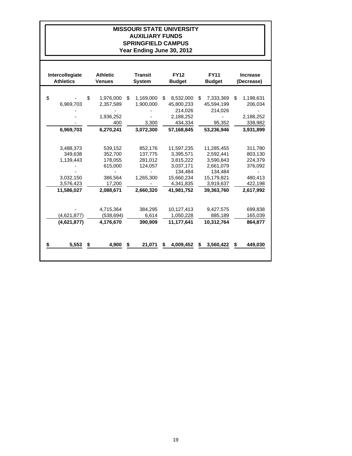#### **MISSOURI STATE UNIVERSITY AUXILIARY FUNDS SPRINGFIELD CAMPUS Year Ending June 30, 2012**

| Intercollegiate<br><b>Athletics</b> | <b>Athletic</b><br><b>Venues</b> | <b>Transit</b><br><b>System</b> |    | <b>FY12</b><br><b>Budget</b> | <b>FY11</b><br><b>Budget</b> |            | <b>Increase</b><br>(Decrease) |
|-------------------------------------|----------------------------------|---------------------------------|----|------------------------------|------------------------------|------------|-------------------------------|
|                                     |                                  |                                 |    |                              |                              |            |                               |
| \$                                  | \$<br>1,976,000                  | \$<br>1,169,000                 | \$ | 8,532,000                    | \$                           | 7,333,369  | \$<br>1,198,631               |
| 6.969.703                           | 2,357,589                        | 1.900.000                       |    | 45,800,233                   |                              | 45,594,199 | 206,034                       |
|                                     |                                  |                                 |    | 214.026                      |                              | 214,026    |                               |
|                                     | 1,936,252                        |                                 |    | 2,188,252                    |                              |            | 2,188,252                     |
|                                     | 400                              | 3,300                           |    | 434,334                      |                              | 95,352     | 338,982                       |
| 6,969,703                           | 6,270,241                        | 3,072,300                       |    | 57.168.845                   |                              | 53,236,946 | 3,931,899                     |
|                                     |                                  |                                 |    |                              |                              |            |                               |
| 3.488.373                           | 539,152                          | 852,176                         |    | 11,597,235                   |                              | 11,285,455 | 311,780                       |
| 349,638                             | 352,700                          | 137,775                         |    | 3,395,571                    |                              | 2,592,441  | 803,130                       |
| 1,139,443                           | 178,055                          | 281,012                         |    | 3,815,222                    |                              | 3,590,843  | 224,379                       |
|                                     | 615,000                          | 124,057                         |    | 3,037,171                    |                              | 2,661,079  | 376,092                       |
|                                     |                                  |                                 |    | 134,484                      |                              | 134,484    |                               |
| 3,032,150                           | 386,564                          | 1,265,300                       |    | 15,660,234                   |                              | 15,179,821 | 480,413                       |
| 3,576,423                           | 17,200                           |                                 |    | 4,341,835                    |                              | 3,919,637  | 422,198                       |
| 11,586,027                          | 2,088,671                        | 2,660,320                       |    | 41.981.752                   |                              | 39,363,760 | 2,617,992                     |
|                                     | 4,715,364                        | 384.295                         |    | 10,127,413                   |                              | 9,427,575  | 699,838                       |
| (4,621,877)                         | (538, 694)                       | 6,614                           |    | 1,050,228                    |                              | 885,189    | 165,039                       |
| (4,621,877)                         | 4,176,670                        | 390,909                         |    | 11.177.641                   |                              | 10,312,764 | 864,877                       |
| 5,553                               | \$<br>4,900                      | \$<br>21,071                    | S  | 4,009,452                    | \$                           | 3,560,422  | \$<br>449,030                 |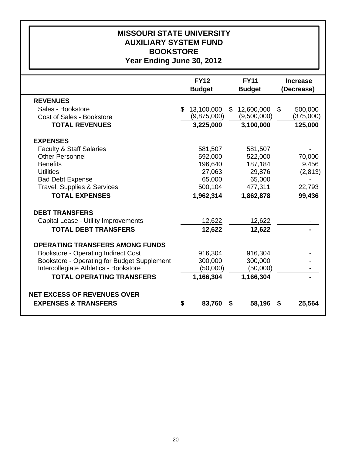| <b>MISSOURI STATE UNIVERSITY</b><br><b>AUXILIARY SYSTEM FUND</b><br><b>BOOKSTORE</b><br>Year Ending June 30, 2012                                                                                                     |    |                                                                           |    |                                                                           |                |                                                |  |  |  |  |  |  |
|-----------------------------------------------------------------------------------------------------------------------------------------------------------------------------------------------------------------------|----|---------------------------------------------------------------------------|----|---------------------------------------------------------------------------|----------------|------------------------------------------------|--|--|--|--|--|--|
|                                                                                                                                                                                                                       |    | <b>FY12</b><br><b>Budget</b>                                              |    | <b>FY11</b><br><b>Budget</b>                                              |                | <b>Increase</b><br>(Decrease)                  |  |  |  |  |  |  |
| <b>REVENUES</b><br>Sales - Bookstore<br>Cost of Sales - Bookstore<br><b>TOTAL REVENUES</b>                                                                                                                            |    | \$13,100,000<br>(9,875,000)<br>3,225,000                                  | \$ | 12,600,000<br>(9,500,000)<br>3,100,000                                    | $\mathfrak{S}$ | 500,000<br>(375,000)<br>125,000                |  |  |  |  |  |  |
| <b>EXPENSES</b><br><b>Faculty &amp; Staff Salaries</b><br><b>Other Personnel</b><br><b>Benefits</b><br><b>Utilities</b><br><b>Bad Debt Expense</b><br><b>Travel, Supplies &amp; Services</b><br><b>TOTAL EXPENSES</b> |    | 581,507<br>592,000<br>196,640<br>27,063<br>65,000<br>500,104<br>1,962,314 |    | 581,507<br>522,000<br>187,184<br>29,876<br>65,000<br>477,311<br>1,862,878 |                | 70,000<br>9,456<br>(2,813)<br>22,793<br>99,436 |  |  |  |  |  |  |
| <b>DEBT TRANSFERS</b><br>Capital Lease - Utility Improvements<br><b>TOTAL DEBT TRANSFERS</b>                                                                                                                          |    | 12,622<br>12,622                                                          |    | 12,622<br>12,622                                                          |                |                                                |  |  |  |  |  |  |
| <b>OPERATING TRANSFERS AMONG FUNDS</b><br><b>Bookstore - Operating Indirect Cost</b><br>Bookstore - Operating for Budget Supplement<br>Intercollegiate Athletics - Bookstore<br><b>TOTAL OPERATING TRANSFERS</b>      |    | 916,304<br>300,000<br>(50,000)<br>1,166,304                               |    | 916,304<br>300,000<br>(50,000)<br>1,166,304                               |                |                                                |  |  |  |  |  |  |
| <b>NET EXCESS OF REVENUES OVER</b><br><b>EXPENSES &amp; TRANSFERS</b>                                                                                                                                                 | \$ | 83,760                                                                    | \$ | 58,196                                                                    | \$             | 25,564                                         |  |  |  |  |  |  |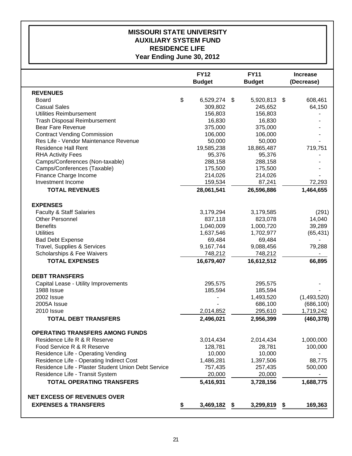### **Year Ending June 30, 2012 RESIDENCE LIFE AUXILIARY SYSTEM FUND MISSOURI STATE UNIVERSITY**

|                                                     | <b>FY12</b><br><b>Budget</b> | <b>FY11</b><br><b>Budget</b> |      | <b>Increase</b><br>(Decrease) |
|-----------------------------------------------------|------------------------------|------------------------------|------|-------------------------------|
| <b>REVENUES</b>                                     |                              |                              |      |                               |
| <b>Board</b>                                        | \$<br>6,529,274 \$           | 5,920,813                    | - \$ | 608,461                       |
| <b>Casual Sales</b>                                 | 309,802                      | 245,652                      |      | 64,150                        |
| Utilities Reimbursement                             | 156,803                      | 156,803                      |      |                               |
| <b>Trash Disposal Reimbursement</b>                 | 16,830                       | 16,830                       |      |                               |
| <b>Bear Fare Revenue</b>                            | 375,000                      | 375,000                      |      |                               |
| <b>Contract Vending Commission</b>                  | 106,000                      | 106,000                      |      |                               |
| Res Life - Vendor Maintenance Revenue               | 50,000                       | 50,000                       |      |                               |
| <b>Residence Hall Rent</b>                          | 19,585,238                   | 18,865,487                   |      | 719,751                       |
| <b>RHA Activity Fees</b>                            | 95,376                       | 95,376                       |      |                               |
| Camps/Conferences (Non-taxable)                     | 288,158                      | 288,158                      |      |                               |
| Camps/Conferences (Taxable)                         | 175,500                      | 175,500                      |      |                               |
| Finance Charge Income                               | 214,026                      | 214,026                      |      |                               |
| Investment Income                                   | 159,534                      | 87,241                       |      | 72,293                        |
| <b>TOTAL REVENUES</b>                               | 28,061,541                   | 26,596,886                   |      | 1,464,655                     |
| <b>EXPENSES</b>                                     |                              |                              |      |                               |
| <b>Faculty &amp; Staff Salaries</b>                 | 3,179,294                    | 3,179,585                    |      | (291)                         |
| <b>Other Personnel</b>                              | 837,118                      | 823,078                      |      | 14,040                        |
| <b>Benefits</b>                                     | 1,040,009                    | 1,000,720                    |      | 39,289                        |
| <b>Utilities</b>                                    | 1,637,546                    | 1,702,977                    |      | (65, 431)                     |
| <b>Bad Debt Expense</b>                             | 69,484                       | 69,484                       |      |                               |
| Travel, Supplies & Services                         | 9,167,744                    | 9,088,456                    |      | 79,288                        |
| Scholarships & Fee Waivers                          | 748,212                      | 748,212                      |      |                               |
| <b>TOTAL EXPENSES</b>                               | 16,679,407                   | 16,612,512                   |      | 66,895                        |
| <b>DEBT TRANSFERS</b>                               |                              |                              |      |                               |
| Capital Lease - Utility Improvements                | 295,575                      | 295,575                      |      |                               |
| 1988 Issue                                          | 185,594                      | 185,594                      |      |                               |
| 2002 Issue                                          |                              | 1,493,520                    |      | (1,493,520)                   |
| 2005A Issue                                         |                              | 686,100                      |      | (686, 100)                    |
| <b>2010 Issue</b>                                   | 2,014,852                    | 295,610                      |      | 1,719,242                     |
| <b>TOTAL DEBT TRANSFERS</b>                         | 2,496,021                    | 2,956,399                    |      | (460, 378)                    |
| <b>OPERATING TRANSFERS AMONG FUNDS</b>              |                              |                              |      |                               |
| Residence Life R & R Reserve                        | 3,014,434                    | 2,014,434                    |      | 1,000,000                     |
| Food Service R & R Reserve                          | 128,781                      | 28,781                       |      | 100,000                       |
| Residence Life - Operating Vending                  | 10,000                       | 10,000                       |      |                               |
| Residence Life - Operating Indirect Cost            | 1,486,281                    | 1,397,506                    |      | 88,775                        |
| Residence Life - Plaster Student Union Debt Service | 757,435                      | 257,435                      |      | 500,000                       |
| Residence Life - Transit System                     | 20,000                       | 20,000                       |      |                               |
| <b>TOTAL OPERATING TRANSFERS</b>                    | 5,416,931                    | 3,728,156                    |      | 1,688,775                     |
| <b>NET EXCESS OF REVENUES OVER</b>                  |                              |                              |      |                               |
| <b>EXPENSES &amp; TRANSFERS</b>                     | \$<br>3,469,182              | \$<br>3,299,819              | \$   | 169,363                       |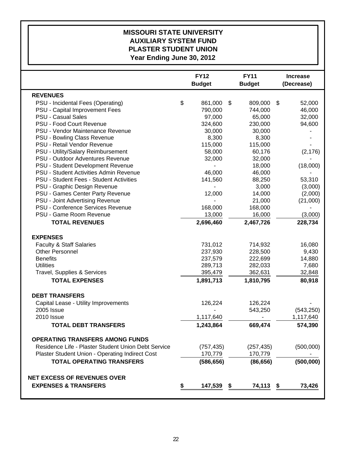## **Year Ending June 30, 2012 PLASTER STUDENT UNION AUXILIARY SYSTEM FUND MISSOURI STATE UNIVERSITY**

|                                                     | <b>FY12</b><br><b>Budget</b> |            | <b>FY11</b><br><b>Budget</b> |            | <b>Increase</b><br>(Decrease) |            |
|-----------------------------------------------------|------------------------------|------------|------------------------------|------------|-------------------------------|------------|
| <b>REVENUES</b>                                     |                              |            |                              |            |                               |            |
| PSU - Incidental Fees (Operating)                   | \$                           | 861,000    | \$                           | 809,000    | \$                            | 52,000     |
| PSU - Capital Improvement Fees                      |                              | 790,000    |                              | 744,000    |                               | 46,000     |
| <b>PSU - Casual Sales</b>                           |                              | 97,000     |                              | 65,000     |                               | 32,000     |
| PSU - Food Court Revenue                            |                              | 324,600    |                              | 230,000    |                               | 94,600     |
| PSU - Vendor Maintenance Revenue                    |                              | 30,000     |                              | 30,000     |                               |            |
| PSU - Bowling Class Revenue                         |                              | 8,300      |                              | 8,300      |                               |            |
| PSU - Retail Vendor Revenue                         |                              | 115,000    |                              | 115,000    |                               |            |
| PSU - Utility/Salary Reimbursement                  |                              | 58,000     |                              | 60,176     |                               | (2, 176)   |
| PSU - Outdoor Adventures Revenue                    |                              | 32,000     |                              | 32,000     |                               |            |
| PSU - Student Development Revenue                   |                              |            |                              | 18,000     |                               | (18,000)   |
| PSU - Student Activities Admin Revenue              |                              | 46,000     |                              | 46,000     |                               |            |
| PSU - Student Fees - Student Activities             |                              | 141,560    |                              | 88,250     |                               | 53,310     |
| PSU - Graphic Design Revenue                        |                              |            |                              | 3,000      |                               | (3,000)    |
| PSU - Games Center Party Revenue                    |                              | 12,000     |                              | 14,000     |                               | (2,000)    |
| PSU - Joint Advertising Revenue                     |                              |            |                              | 21,000     |                               | (21,000)   |
| PSU - Conference Services Revenue                   |                              | 168,000    |                              | 168,000    |                               |            |
| PSU - Game Room Revenue                             |                              | 13,000     |                              | 16,000     |                               | (3,000)    |
| <b>TOTAL REVENUES</b>                               |                              | 2,696,460  |                              | 2,467,726  |                               | 228,734    |
| <b>EXPENSES</b>                                     |                              |            |                              |            |                               |            |
| <b>Faculty &amp; Staff Salaries</b>                 |                              | 731,012    |                              | 714,932    |                               | 16,080     |
| <b>Other Personnel</b>                              |                              | 237,930    |                              | 228,500    |                               | 9,430      |
| <b>Benefits</b>                                     |                              | 237,579    |                              | 222,699    |                               | 14,880     |
| <b>Utilities</b>                                    |                              | 289,713    |                              | 282,033    |                               | 7,680      |
| Travel, Supplies & Services                         |                              | 395,479    |                              | 362,631    |                               | 32,848     |
| <b>TOTAL EXPENSES</b>                               |                              | 1,891,713  |                              | 1,810,795  |                               | 80,918     |
| <b>DEBT TRANSFERS</b>                               |                              |            |                              |            |                               |            |
| Capital Lease - Utility Improvements                |                              | 126,224    |                              | 126,224    |                               |            |
| 2005 Issue                                          |                              |            |                              | 543,250    |                               | (543, 250) |
| 2010 Issue                                          |                              | 1,117,640  |                              |            |                               | 1,117,640  |
| <b>TOTAL DEBT TRANSFERS</b>                         |                              | 1,243,864  |                              | 669,474    |                               | 574,390    |
| <b>OPERATING TRANSFERS AMONG FUNDS</b>              |                              |            |                              |            |                               |            |
| Residence Life - Plaster Student Union Debt Service |                              | (757, 435) |                              | (257, 435) |                               | (500,000)  |
| Plaster Student Union - Operating Indirect Cost     |                              | 170,779    |                              | 170,779    |                               |            |
| <b>TOTAL OPERATING TRANSFERS</b>                    |                              | (586, 656) |                              | (86, 656)  |                               | (500,000)  |
|                                                     |                              |            |                              |            |                               |            |
| <b>NET EXCESS OF REVENUES OVER</b>                  |                              |            |                              |            |                               |            |
| <b>EXPENSES &amp; TRANSFERS</b>                     | \$                           | 147,539    | \$                           | 74,113     | -\$                           | 73,426     |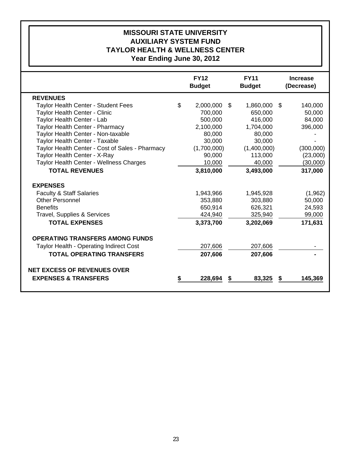# **Year Ending June 30, 2012 TAYLOR HEALTH & WELLNESS CENTER AUXILIARY SYSTEM FUND MISSOURI STATE UNIVERSITY**

|    | <b>FY12</b><br><b>Budget</b> | <b>FY11</b><br><b>Budget</b>                                     |             | <b>Increase</b><br>(Decrease)                                    |           |
|----|------------------------------|------------------------------------------------------------------|-------------|------------------------------------------------------------------|-----------|
|    |                              |                                                                  |             |                                                                  |           |
| \$ | 2,000,000                    | \$                                                               | 1,860,000   | -S                                                               | 140,000   |
|    | 700,000                      |                                                                  | 650,000     |                                                                  | 50,000    |
|    | 500,000                      |                                                                  | 416,000     |                                                                  | 84,000    |
|    | 2,100,000                    |                                                                  | 1,704,000   |                                                                  | 396,000   |
|    | 80,000                       |                                                                  | 80,000      |                                                                  |           |
|    | 30,000                       |                                                                  | 30,000      |                                                                  |           |
|    | (1,700,000)                  |                                                                  | (1,400,000) |                                                                  | (300,000) |
|    | 90,000                       |                                                                  | 113,000     |                                                                  | (23,000)  |
|    | 10,000                       |                                                                  | 40,000      |                                                                  | (30,000)  |
|    | 3,810,000                    |                                                                  | 3,493,000   |                                                                  | 317,000   |
|    |                              |                                                                  |             |                                                                  |           |
|    |                              |                                                                  |             |                                                                  | (1,962)   |
|    |                              |                                                                  |             |                                                                  | 50,000    |
|    |                              |                                                                  |             |                                                                  | 24,593    |
|    |                              |                                                                  |             |                                                                  | 99,000    |
|    | 3,373,700                    |                                                                  | 3,202,069   |                                                                  | 171,631   |
|    |                              |                                                                  |             |                                                                  |           |
|    |                              |                                                                  |             |                                                                  |           |
|    |                              |                                                                  |             |                                                                  |           |
|    |                              |                                                                  |             |                                                                  |           |
|    |                              |                                                                  |             |                                                                  |           |
| S  | 228,694                      | \$                                                               | 83,325      |                                                                  | 145,369   |
|    |                              | 1,943,966<br>353,880<br>650,914<br>424,940<br>207,606<br>207,606 |             | 1,945,928<br>303,880<br>626,321<br>325,940<br>207,606<br>207,606 |           |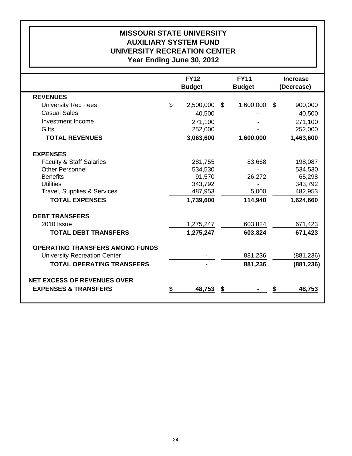# **Year Ending June 30, 2012 UNIVERSITY RECREATION CENTER AUXILIARY SYSTEM FUND MISSOURI STATE UNIVERSITY**

|                                        | <b>FY12</b><br><b>Budget</b> | <b>FY11</b><br><b>Budget</b> | <b>Increase</b><br>(Decrease) |            |  |
|----------------------------------------|------------------------------|------------------------------|-------------------------------|------------|--|
| <b>REVENUES</b>                        |                              |                              |                               |            |  |
| <b>University Rec Fees</b>             | \$<br>2,500,000              | \$<br>1,600,000              | \$                            | 900,000    |  |
| <b>Casual Sales</b>                    | 40,500                       |                              |                               | 40,500     |  |
| Investment Income                      | 271,100                      |                              |                               | 271,100    |  |
| Gifts                                  | 252,000                      |                              |                               | 252,000    |  |
| <b>TOTAL REVENUES</b>                  | 3,063,600                    | 1,600,000                    |                               | 1,463,600  |  |
| <b>EXPENSES</b>                        |                              |                              |                               |            |  |
| <b>Faculty &amp; Staff Salaries</b>    | 281,755                      | 83,668                       |                               | 198,087    |  |
| <b>Other Personnel</b>                 | 534,530                      |                              |                               | 534,530    |  |
| <b>Benefits</b>                        | 91,570                       | 26,272                       |                               | 65,298     |  |
| <b>Utilities</b>                       | 343,792                      |                              |                               | 343,792    |  |
| Travel, Supplies & Services            | 487,953                      | 5,000                        |                               | 482,953    |  |
| <b>TOTAL EXPENSES</b>                  | 1,739,600                    | 114,940                      |                               | 1,624,660  |  |
| <b>DEBT TRANSFERS</b>                  |                              |                              |                               |            |  |
| 2010 Issue                             | 1,275,247                    | 603,824                      |                               | 671,423    |  |
| <b>TOTAL DEBT TRANSFERS</b>            | 1,275,247                    | 603,824                      |                               | 671,423    |  |
| <b>OPERATING TRANSFERS AMONG FUNDS</b> |                              |                              |                               |            |  |
| <b>University Recreation Center</b>    |                              | 881,236                      |                               | (881, 236) |  |
| <b>TOTAL OPERATING TRANSFERS</b>       |                              | 881,236                      |                               | (881, 236) |  |
| <b>NET EXCESS OF REVENUES OVER</b>     |                              |                              |                               |            |  |
| <b>EXPENSES &amp; TRANSFERS</b>        | \$<br>48,753                 | \$                           |                               | 48,753     |  |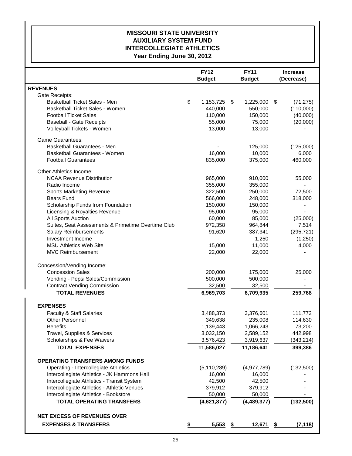### **MISSOURI STATE UNIVERSITY AUXILIARY SYSTEM FUND INTERCOLLEGIATE ATHLETICS Year Ending June 30, 2012**

|                                                    |    | <b>FY12</b><br><b>Budget</b> |    | <b>FY11</b><br><b>Budget</b> | <b>Increase</b><br>(Decrease) |            |
|----------------------------------------------------|----|------------------------------|----|------------------------------|-------------------------------|------------|
| <b>REVENUES</b>                                    |    |                              |    |                              |                               |            |
| Gate Receipts:                                     |    |                              |    |                              |                               |            |
| <b>Basketball Ticket Sales - Men</b>               | \$ | 1,153,725                    | S. | 1,225,000                    | \$                            | (71, 275)  |
| Basketball Ticket Sales - Women                    |    | 440,000                      |    | 550,000                      |                               | (110,000)  |
| <b>Football Ticket Sales</b>                       |    | 110,000                      |    | 150,000                      |                               | (40,000)   |
| <b>Baseball - Gate Receipts</b>                    |    | 55,000                       |    | 75,000                       |                               | (20,000)   |
| Volleyball Tickets - Women                         |    | 13,000                       |    | 13,000                       |                               |            |
| <b>Game Guarantees:</b>                            |    |                              |    |                              |                               |            |
| Basketball Guarantees - Men                        |    |                              |    | 125,000                      |                               | (125,000)  |
| Basketball Guarantees - Women                      |    | 16,000                       |    | 10,000                       |                               | 6,000      |
| <b>Football Guarantees</b>                         |    | 835,000                      |    | 375,000                      |                               | 460,000    |
| Other Athletics Income:                            |    |                              |    |                              |                               |            |
| <b>NCAA Revenue Distribution</b>                   |    | 965,000                      |    | 910,000                      |                               | 55,000     |
| Radio Income                                       |    | 355,000                      |    | 355,000                      |                               |            |
| <b>Sports Marketing Revenue</b>                    |    | 322,500                      |    | 250,000                      |                               | 72,500     |
| <b>Bears Fund</b>                                  |    | 566,000                      |    | 248,000                      |                               | 318,000    |
| Scholarship Funds from Foundation                  |    | 150,000                      |    | 150,000                      |                               |            |
| Licensing & Royalties Revenue                      |    | 95,000                       |    | 95,000                       |                               |            |
| All Sports Auction                                 |    | 60,000                       |    | 85,000                       |                               | (25,000)   |
| Suites, Seat Assessments & Primetime Overtime Club |    | 972,358                      |    | 964,844                      |                               | 7,514      |
| <b>Salary Reimbursements</b>                       |    | 91,620                       |    | 387,341                      |                               | (295, 721) |
| Investment Income                                  |    | $\qquad \qquad \blacksquare$ |    | 1,250                        |                               | (1,250)    |
| <b>MSU Athletics Web Site</b>                      |    | 15,000                       |    | 11,000                       |                               | 4,000      |
| <b>MVC Reimbursement</b>                           |    | 22,000                       |    | 22,000                       |                               |            |
| Concession/Vending Income:                         |    |                              |    |                              |                               |            |
| <b>Concession Sales</b>                            |    | 200,000                      |    | 175,000                      |                               | 25,000     |
| Vending - Pepsi Sales/Commission                   |    | 500,000                      |    | 500,000                      |                               |            |
| <b>Contract Vending Commission</b>                 |    | 32,500                       |    | 32,500                       |                               |            |
| <b>TOTAL REVENUES</b>                              |    | 6,969,703                    |    | 6,709,935                    |                               | 259,768    |
| <b>EXPENSES</b>                                    |    |                              |    |                              |                               |            |
| <b>Faculty &amp; Staff Salaries</b>                |    | 3,488,373                    |    | 3,376,601                    |                               | 111,772    |
| <b>Other Personnel</b>                             |    | 349,638                      |    | 235,008                      |                               | 114,630    |
| <b>Benefits</b>                                    |    | 1,139,443                    |    | 1,066,243                    |                               | 73,200     |
| Travel, Supplies & Services                        |    | 3,032,150                    |    | 2,589,152                    |                               | 442,998    |
| Scholarships & Fee Waivers                         |    | 3,576,423                    |    | 3,919,637                    |                               | (343, 214) |
| <b>TOTAL EXPENSES</b>                              |    | 11,586,027                   |    | 11,186,641                   |                               | 399,386    |
| <b>OPERATING TRANSFERS AMONG FUNDS</b>             |    |                              |    |                              |                               |            |
| Operating - Intercollegiate Athletics              |    | (5, 110, 289)                |    | (4,977,789)                  |                               | (132,500)  |
| Intercollegiate Athletics - JK Hammons Hall        |    | 16,000                       |    | 16,000                       |                               |            |
| Intercollegiate Athletics - Transit System         |    | 42,500                       |    | 42,500                       |                               |            |
| Intercollegiate Athletics - Athletic Venues        |    | 379,912                      |    | 379,912                      |                               |            |
| Intercollegiate Athletics - Bookstore              |    | 50,000                       |    | 50,000                       |                               |            |
| <b>TOTAL OPERATING TRANSFERS</b>                   |    | (4,621,877)                  |    | (4,489,377)                  |                               | (132, 500) |
|                                                    |    |                              |    |                              |                               |            |
| <b>NET EXCESS OF REVENUES OVER</b>                 |    |                              |    |                              |                               |            |
| <b>EXPENSES &amp; TRANSFERS</b>                    | \$ | 5,553                        | \$ | 12,671                       | \$                            | (7, 118)   |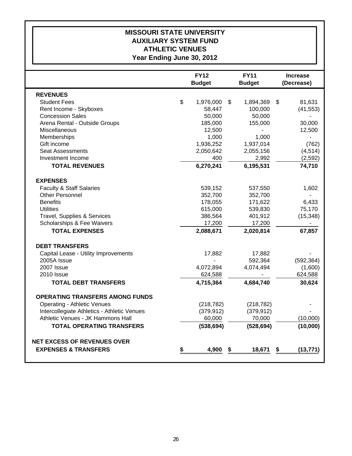## **MISSOURI STATE UNIVERSITY AUXILIARY SYSTEM FUND ATHLETIC VENUES Year Ending June 30, 2012**

|                                             | <b>FY12</b><br><b>FY11</b><br><b>Budget</b><br><b>Budget</b> |    |            | <b>Increase</b><br>(Decrease) |            |  |
|---------------------------------------------|--------------------------------------------------------------|----|------------|-------------------------------|------------|--|
| <b>REVENUES</b>                             |                                                              |    |            |                               |            |  |
| <b>Student Fees</b>                         | \$<br>1,976,000                                              | \$ | 1,894,369  | \$                            | 81,631     |  |
| Rent Income - Skyboxes                      | 58,447                                                       |    | 100,000    |                               | (41, 553)  |  |
| <b>Concession Sales</b>                     | 50,000                                                       |    | 50,000     |                               |            |  |
| Arena Rental - Outside Groups               | 185,000                                                      |    | 155,000    |                               | 30,000     |  |
| Miscellaneous                               | 12,500                                                       |    |            |                               | 12,500     |  |
| Memberships                                 | 1,000                                                        |    | 1,000      |                               |            |  |
| Gift income                                 | 1,936,252                                                    |    | 1,937,014  |                               | (762)      |  |
| <b>Seat Assessments</b>                     | 2,050,642                                                    |    | 2,055,156  |                               | (4, 514)   |  |
| Investment Income                           | 400                                                          |    | 2,992      |                               | (2, 592)   |  |
| <b>TOTAL REVENUES</b>                       | 6,270,241                                                    |    | 6,195,531  |                               | 74,710     |  |
| <b>EXPENSES</b>                             |                                                              |    |            |                               |            |  |
| <b>Faculty &amp; Staff Salaries</b>         | 539,152                                                      |    | 537,550    |                               | 1,602      |  |
| <b>Other Personnel</b>                      | 352,700                                                      |    | 352,700    |                               |            |  |
| <b>Benefits</b>                             | 178,055                                                      |    | 171,622    |                               | 6,433      |  |
| <b>Utilities</b>                            | 615,000                                                      |    | 539,830    |                               | 75,170     |  |
| Travel, Supplies & Services                 | 386,564                                                      |    | 401,912    |                               | (15, 348)  |  |
| Scholarships & Fee Waivers                  | 17,200                                                       |    | 17,200     |                               |            |  |
| <b>TOTAL EXPENSES</b>                       | 2,088,671                                                    |    | 2,020,814  |                               | 67,857     |  |
| <b>DEBT TRANSFERS</b>                       |                                                              |    |            |                               |            |  |
| Capital Lease - Utility Improvements        | 17,882                                                       |    | 17,882     |                               |            |  |
| 2005A Issue                                 |                                                              |    | 592,364    |                               | (592, 364) |  |
| 2007 Issue                                  | 4,072,894                                                    |    | 4,074,494  |                               | (1,600)    |  |
| 2010 Issue                                  | 624,588                                                      |    |            |                               | 624,588    |  |
| <b>TOTAL DEBT TRANSFERS</b>                 | 4,715,364                                                    |    | 4,684,740  |                               | 30,624     |  |
| <b>OPERATING TRANSFERS AMONG FUNDS</b>      |                                                              |    |            |                               |            |  |
| <b>Operating - Athletic Venues</b>          | (218, 782)                                                   |    | (218, 782) |                               |            |  |
| Intercollegiate Athletics - Athletic Venues | (379, 912)                                                   |    | (379, 912) |                               |            |  |
| Athletic Venues - JK Hammons Hall           | 60,000                                                       |    | 70,000     |                               | (10,000)   |  |
| <b>TOTAL OPERATING TRANSFERS</b>            | (538, 694)                                                   |    | (528, 694) |                               | (10,000)   |  |
| <b>NET EXCESS OF REVENUES OVER</b>          |                                                              |    |            |                               |            |  |
| <b>EXPENSES &amp; TRANSFERS</b>             | 4,900                                                        |    |            |                               |            |  |
|                                             |                                                              | \$ | 18,671     | \$                            | (13, 771)  |  |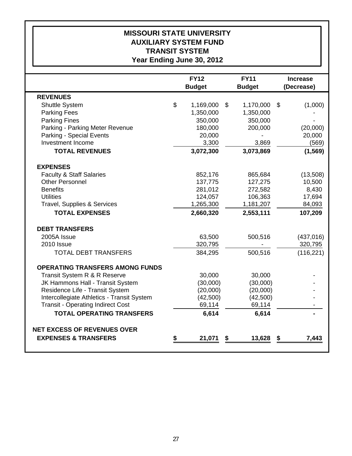# **Year Ending June 30, 2012 TRANSIT SYSTEM AUXILIARY SYSTEM FUND MISSOURI STATE UNIVERSITY**

|                                            |                | <b>FY12</b>   | <b>FY11</b>                | <b>Increase</b> |    |            |
|--------------------------------------------|----------------|---------------|----------------------------|-----------------|----|------------|
|                                            |                | <b>Budget</b> |                            | <b>Budget</b>   |    | (Decrease) |
| <b>REVENUES</b>                            |                |               |                            |                 |    |            |
| <b>Shuttle System</b>                      | $\mathfrak{S}$ | 1,169,000     | $\boldsymbol{\mathcal{S}}$ | 1,170,000       | \$ | (1,000)    |
| <b>Parking Fees</b>                        |                | 1,350,000     |                            | 1,350,000       |    |            |
| <b>Parking Fines</b>                       |                | 350,000       |                            | 350,000         |    |            |
| Parking - Parking Meter Revenue            |                | 180,000       |                            | 200,000         |    | (20,000)   |
| Parking - Special Events                   |                | 20,000        |                            |                 |    | 20,000     |
| Investment Income                          |                | 3,300         |                            | 3,869           |    | (569)      |
| <b>TOTAL REVENUES</b>                      |                | 3,072,300     |                            | 3,073,869       |    | (1, 569)   |
| <b>EXPENSES</b>                            |                |               |                            |                 |    |            |
| <b>Faculty &amp; Staff Salaries</b>        |                | 852,176       |                            | 865,684         |    | (13,508)   |
| <b>Other Personnel</b>                     |                | 137,775       |                            | 127,275         |    | 10,500     |
| <b>Benefits</b>                            |                | 281,012       |                            | 272,582         |    | 8,430      |
| <b>Utilities</b>                           |                | 124,057       |                            | 106,363         |    | 17,694     |
| Travel, Supplies & Services                |                | 1,265,300     |                            | 1,181,207       |    | 84,093     |
| <b>TOTAL EXPENSES</b>                      |                | 2,660,320     |                            | 2,553,111       |    | 107,209    |
| <b>DEBT TRANSFERS</b>                      |                |               |                            |                 |    |            |
| 2005A Issue                                |                | 63,500        |                            | 500,516         |    | (437, 016) |
| 2010 Issue                                 |                | 320,795       |                            |                 |    | 320,795    |
| <b>TOTAL DEBT TRANSFERS</b>                |                | 384,295       |                            | 500,516         |    | (116, 221) |
| <b>OPERATING TRANSFERS AMONG FUNDS</b>     |                |               |                            |                 |    |            |
| Transit System R & R Reserve               |                | 30,000        |                            | 30,000          |    |            |
| JK Hammons Hall - Transit System           |                | (30,000)      |                            | (30,000)        |    |            |
| Residence Life - Transit System            |                | (20,000)      |                            | (20,000)        |    |            |
| Intercollegiate Athletics - Transit System |                | (42,500)      |                            | (42,500)        |    |            |
| <b>Transit - Operating Indirect Cost</b>   |                | 69,114        |                            | 69,114          |    |            |
| <b>TOTAL OPERATING TRANSFERS</b>           |                | 6,614         |                            | 6,614           |    |            |
| <b>NET EXCESS OF REVENUES OVER</b>         |                |               |                            |                 |    |            |
| <b>EXPENSES &amp; TRANSFERS</b>            | \$             | 21,071        | \$                         | 13,628          | \$ | 7,443      |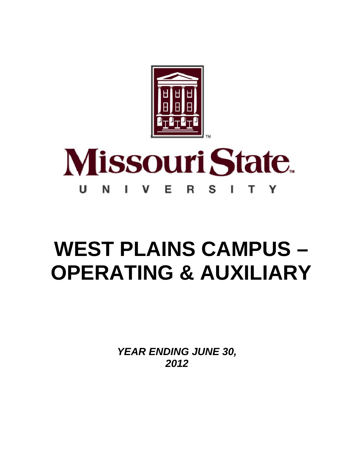

#### **Missouri State** U V Е S N Y R I.

# **WEST PLAINS CAMPUS – OPERATING & AUXILIARY**

*YEAR ENDING JUNE 30, 2012*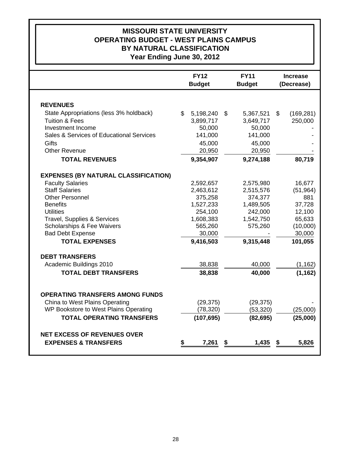## **MISSOURI STATE UNIVERSITY OPERATING BUDGET - WEST PLAINS CAMPUS BY NATURAL CLASSIFICATION Year Ending June 30, 2012**

|                                             | <b>FY12</b><br><b>Budget</b> |            | <b>FY11</b><br><b>Budget</b> | <b>Increase</b><br>(Decrease) |            |
|---------------------------------------------|------------------------------|------------|------------------------------|-------------------------------|------------|
|                                             |                              |            |                              |                               |            |
| <b>REVENUES</b>                             |                              |            |                              |                               |            |
| State Appropriations (less 3% holdback)     | \$                           | 5,198,240  | \$<br>5,367,521              | \$                            | (169, 281) |
| <b>Tuition &amp; Fees</b>                   |                              | 3,899,717  | 3,649,717                    |                               | 250,000    |
| Investment Income                           |                              | 50,000     | 50,000                       |                               |            |
| Sales & Services of Educational Services    |                              | 141,000    | 141,000                      |                               |            |
| <b>Gifts</b>                                |                              | 45,000     | 45,000                       |                               |            |
| <b>Other Revenue</b>                        |                              | 20,950     | 20,950                       |                               |            |
| <b>TOTAL REVENUES</b>                       |                              | 9,354,907  | 9,274,188                    |                               | 80,719     |
| <b>EXPENSES (BY NATURAL CLASSIFICATION)</b> |                              |            |                              |                               |            |
| <b>Faculty Salaries</b>                     |                              | 2,592,657  | 2,575,980                    |                               | 16,677     |
| <b>Staff Salaries</b>                       |                              | 2,463,612  | 2,515,576                    |                               | (51, 964)  |
| <b>Other Personnel</b>                      |                              | 375,258    | 374,377                      |                               | 881        |
| <b>Benefits</b>                             |                              | 1,527,233  | 1,489,505                    |                               | 37,728     |
| <b>Utilities</b>                            |                              | 254,100    | 242,000                      |                               | 12,100     |
| <b>Travel, Supplies &amp; Services</b>      |                              | 1,608,383  | 1,542,750                    |                               | 65,633     |
| Scholarships & Fee Waivers                  |                              | 565,260    | 575,260                      |                               | (10,000)   |
| <b>Bad Debt Expense</b>                     |                              | 30,000     |                              |                               | 30,000     |
| <b>TOTAL EXPENSES</b>                       |                              | 9,416,503  | 9,315,448                    |                               | 101,055    |
| <b>DEBT TRANSFERS</b>                       |                              |            |                              |                               |            |
| Academic Buildings 2010                     |                              | 38,838     | 40,000                       |                               | (1, 162)   |
| <b>TOTAL DEBT TRANSFERS</b>                 |                              | 38,838     | 40,000                       |                               | (1, 162)   |
|                                             |                              |            |                              |                               |            |
| <b>OPERATING TRANSFERS AMONG FUNDS</b>      |                              |            |                              |                               |            |
| China to West Plains Operating              |                              | (29, 375)  | (29, 375)                    |                               |            |
| WP Bookstore to West Plains Operating       |                              | (78, 320)  | (53, 320)                    |                               | (25,000)   |
| <b>TOTAL OPERATING TRANSFERS</b>            |                              | (107, 695) | (82, 695)                    |                               | (25,000)   |
| <b>NET EXCESS OF REVENUES OVER</b>          |                              |            |                              |                               |            |
| <b>EXPENSES &amp; TRANSFERS</b>             | \$                           | 7,261      | \$<br>1,435                  | \$                            | 5,826      |
|                                             |                              |            |                              |                               |            |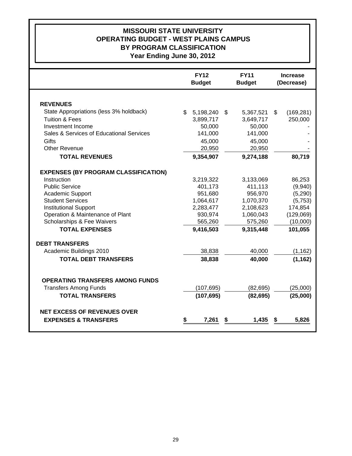## **MISSOURI STATE UNIVERSITY OPERATING BUDGET - WEST PLAINS CAMPUS BY PROGRAM CLASSIFICATION Year Ending June 30, 2012**

|                                             | <b>FY12</b><br><b>Budget</b> |            |    | <b>FY11</b><br><b>Budget</b> |    | <b>Increase</b><br>(Decrease) |
|---------------------------------------------|------------------------------|------------|----|------------------------------|----|-------------------------------|
|                                             |                              |            |    |                              |    |                               |
| <b>REVENUES</b>                             |                              |            |    |                              |    |                               |
| State Appropriations (less 3% holdback)     | $\mathbb{S}$                 | 5,198,240  | \$ | 5,367,521                    | \$ | (169, 281)                    |
| <b>Tuition &amp; Fees</b>                   |                              | 3,899,717  |    | 3,649,717                    |    | 250,000                       |
| Investment Income                           |                              | 50,000     |    | 50,000                       |    |                               |
| Sales & Services of Educational Services    |                              | 141,000    |    | 141,000                      |    |                               |
| <b>Gifts</b>                                |                              | 45,000     |    | 45,000                       |    |                               |
| <b>Other Revenue</b>                        |                              | 20,950     |    | 20,950                       |    |                               |
| <b>TOTAL REVENUES</b>                       |                              | 9,354,907  |    | 9,274,188                    |    | 80,719                        |
| <b>EXPENSES (BY PROGRAM CLASSIFICATION)</b> |                              |            |    |                              |    |                               |
| Instruction                                 |                              | 3,219,322  |    | 3,133,069                    |    | 86,253                        |
| <b>Public Service</b>                       |                              | 401,173    |    | 411,113                      |    | (9,940)                       |
| Academic Support                            |                              | 951,680    |    | 956,970                      |    | (5, 290)                      |
| <b>Student Services</b>                     |                              | 1,064,617  |    | 1,070,370                    |    | (5,753)                       |
| <b>Institutional Support</b>                |                              | 2,283,477  |    | 2,108,623                    |    | 174,854                       |
| Operation & Maintenance of Plant            |                              | 930,974    |    | 1,060,043                    |    | (129,069)                     |
| Scholarships & Fee Waivers                  |                              | 565,260    |    | 575,260                      |    | (10,000)                      |
| <b>TOTAL EXPENSES</b>                       |                              | 9,416,503  |    | 9,315,448                    |    | 101,055                       |
| <b>DEBT TRANSFERS</b>                       |                              |            |    |                              |    |                               |
| Academic Buildings 2010                     |                              | 38,838     |    | 40,000                       |    | (1, 162)                      |
| <b>TOTAL DEBT TRANSFERS</b>                 |                              | 38,838     |    | 40,000                       |    | (1, 162)                      |
|                                             |                              |            |    |                              |    |                               |
| <b>OPERATING TRANSFERS AMONG FUNDS</b>      |                              |            |    |                              |    |                               |
| <b>Transfers Among Funds</b>                |                              | (107, 695) |    | (82, 695)                    |    | (25,000)                      |
| <b>TOTAL TRANSFERS</b>                      |                              | (107, 695) |    | (82, 695)                    |    | (25,000)                      |
| <b>NET EXCESS OF REVENUES OVER</b>          |                              |            |    |                              |    |                               |
| <b>EXPENSES &amp; TRANSFERS</b>             | \$                           | 7,261      | S  | 1,435                        | S  | 5,826                         |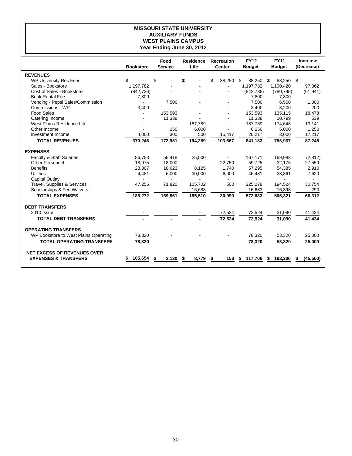### **MISSOURI STATE UNIVERSITY AUXILIARY FUNDS WEST PLAINS CAMPUS Year Ending June 30, 2012**

|                                       |                          | Food                     | <b>Residence</b> | <b>Recreation</b> | <b>FY12</b>    | <b>FY11</b>    | <b>Increase</b> |
|---------------------------------------|--------------------------|--------------------------|------------------|-------------------|----------------|----------------|-----------------|
|                                       | <b>Bookstore</b>         | <b>Service</b>           | Life             | <b>Center</b>     | <b>Budget</b>  | <b>Budget</b>  | (Decrease)      |
| <b>REVENUES</b>                       |                          |                          |                  |                   |                |                |                 |
| <b>WP University Rec Fees</b>         | \$                       | \$                       | \$               | \$<br>88.250      | \$<br>88.250   | \$<br>88.250   | \$              |
| Sales - Bookstore                     | 1,197,782                |                          |                  |                   | 1,197,782      | 1,100,420      | 97,362          |
| Cost of Sales - Bookstore             | (842, 736)               |                          |                  |                   | (842, 736)     | (780, 795)     | (61, 941)       |
| <b>Book Rental Fee</b>                | 7,800                    |                          |                  |                   | 7,800          | 7,800          |                 |
| Vending - Pepsi Sales/Commission      | $\blacksquare$           | 7,500                    |                  |                   | 7,500          | 6,500          | 1,000           |
| Commissions - WP                      | 3,400                    |                          |                  |                   | 3,400          | 3,200          | 200             |
| <b>Food Sales</b>                     |                          | 153,593                  |                  |                   | 153,593        | 135,115        | 18.478          |
| Catering Income                       |                          | 11,338                   |                  |                   | 11,338         | 10.799         | 539             |
| West Plains Residence Life            |                          | $\blacksquare$           | 187,789          |                   | 187,789        | 174,648        | 13,141          |
| Other Income                          |                          | 250                      | 6,000            |                   | 6,250          | 5,000          | 1,250           |
| Investment Income                     | 4,000                    | 300                      | 500              | 15,417            | 20,217         | 3,000          | 17,217          |
| <b>TOTAL REVENUES</b>                 | 370,246                  | 172,981                  | 194,289          | 103,667           | 841,183        | 753,937        | 87,246          |
| <b>EXPENSES</b>                       |                          |                          |                  |                   |                |                |                 |
| <b>Faculty &amp; Staff Salaries</b>   | 86.753                   | 55,418                   | 25,000           |                   | 167,171        | 169,983        | (2,812)         |
| <b>Other Personnel</b>                | 18,975                   | 18,000                   | $\sim$           | 22,750            | 59.725         | 32.175         | 27,550          |
| <b>Benefits</b>                       | 28,807                   | 18,623                   | 8,125            | 1,740             | 57,295         | 54,385         | 2,910           |
| <b>Utilities</b>                      | 4,481                    | 6,000                    | 30,000           | 6,000             | 46,481         | 38,861         | 7,620           |
| Capital Outlay                        | $\blacksquare$           | $\blacksquare$           | ÷                | $\blacksquare$    | $\blacksquare$ | $\blacksquare$ | $\blacksquare$  |
| Travel, Supplies & Services           | 47,256                   | 71,820                   | 105,702          | 500               | 225,278        | 194,524        | 30,754          |
| Scholarships & Fee Waivers            | $\overline{\phantom{a}}$ | $\overline{\phantom{a}}$ | 16,683           | $\sim$            | 16,683         | 16,393         | 290             |
| <b>TOTAL EXPENSES</b>                 | 186,272                  | 169.861                  | 185,510          | 30.990            | 572.633        | 506.321        | 66,312          |
| <b>DEBT TRANSFERS</b>                 |                          |                          |                  |                   |                |                |                 |
| 2010 Issue                            |                          |                          |                  | 72,524            | 72,524         | 31,090         | 41,434          |
| <b>TOTAL DEBT TRANSFERS</b>           |                          |                          |                  | 72,524            | 72,524         | 31,090         | 41,434          |
| <b>OPERATING TRANSFERS</b>            |                          |                          |                  |                   |                |                |                 |
| WP Bookstore to West Plains Operating | 78,320                   |                          |                  |                   | 78,320         | 53,320         | 25,000          |
| <b>TOTAL OPERATING TRANSFERS</b>      | 78,320                   |                          |                  |                   | 78,320         | 53,320         | 25,000          |
| <b>NET EXCESS OF REVENUES OVER</b>    |                          |                          |                  |                   |                |                |                 |
| <b>EXPENSES &amp; TRANSFERS</b>       | 105,654                  | 3,120<br>\$              | 8,779<br>\$      | 153<br>\$         | 117,706<br>\$  | 163,206<br>\$  | (45,500)<br>\$  |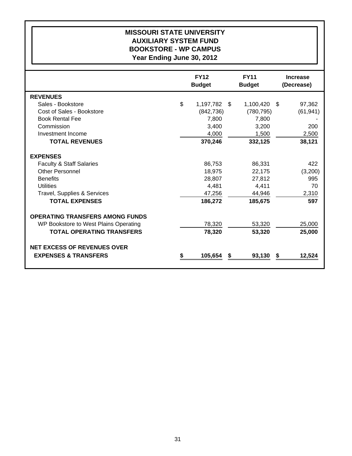### **MISSOURI STATE UNIVERSITY AUXILIARY SYSTEM FUND BOOKSTORE - WP CAMPUS Year Ending June 30, 2012**

|                                        | <b>FY12</b><br><b>Budget</b> |    | <b>FY11</b><br><b>Budget</b> |    | <b>Increase</b><br>(Decrease) |
|----------------------------------------|------------------------------|----|------------------------------|----|-------------------------------|
| <b>REVENUES</b>                        |                              |    |                              |    |                               |
| Sales - Bookstore                      | \$<br>1,197,782              | S. | 1,100,420                    | -S | 97,362                        |
| Cost of Sales - Bookstore              | (842, 736)                   |    | (780, 795)                   |    | (61, 941)                     |
| <b>Book Rental Fee</b>                 | 7,800                        |    | 7,800                        |    |                               |
| Commission                             | 3,400                        |    | 3,200                        |    | 200                           |
| Investment Income                      | 4,000                        |    | 1,500                        |    | 2,500                         |
| <b>TOTAL REVENUES</b>                  | 370,246                      |    | 332,125                      |    | 38,121                        |
| <b>EXPENSES</b>                        |                              |    |                              |    |                               |
| <b>Faculty &amp; Staff Salaries</b>    | 86,753                       |    | 86,331                       |    | 422                           |
| <b>Other Personnel</b>                 | 18,975                       |    | 22,175                       |    | (3,200)                       |
| <b>Benefits</b>                        | 28,807                       |    | 27,812                       |    | 995                           |
| <b>Utilities</b>                       | 4,481                        |    | 4,411                        |    | 70                            |
| Travel, Supplies & Services            | 47,256                       |    | 44,946                       |    | 2,310                         |
| <b>TOTAL EXPENSES</b>                  | 186,272                      |    | 185,675                      |    | 597                           |
| <b>OPERATING TRANSFERS AMONG FUNDS</b> |                              |    |                              |    |                               |
| WP Bookstore to West Plains Operating  | 78,320                       |    | 53,320                       |    | 25,000                        |
| <b>TOTAL OPERATING TRANSFERS</b>       | 78,320                       |    | 53,320                       |    | 25,000                        |
| <b>NET EXCESS OF REVENUES OVER</b>     |                              |    |                              |    |                               |
| <b>EXPENSES &amp; TRANSFERS</b>        | 105,654                      | S  | 93,130                       | S  | 12,524                        |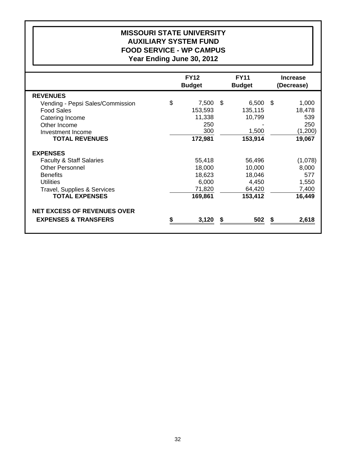## **MISSOURI STATE UNIVERSITY AUXILIARY SYSTEM FUND FOOD SERVICE - WP CAMPUS Year Ending June 30, 2012**

|                                     | <b>FY12</b><br><b>Budget</b> |      | <b>FY11</b><br><b>Budget</b> |    | <b>Increase</b><br>(Decrease) |
|-------------------------------------|------------------------------|------|------------------------------|----|-------------------------------|
| <b>REVENUES</b>                     |                              |      |                              |    |                               |
| Vending - Pepsi Sales/Commission    | \$<br>7,500                  | - \$ | 6,500                        | -S | 1,000                         |
| <b>Food Sales</b>                   | 153,593                      |      | 135,115                      |    | 18,478                        |
| Catering Income                     | 11,338                       |      | 10,799                       |    | 539                           |
| Other Income                        | 250                          |      |                              |    | 250                           |
| Investment Income                   | 300                          |      | 1,500                        |    | (1,200)                       |
| <b>TOTAL REVENUES</b>               | 172,981                      |      | 153,914                      |    | 19,067                        |
| <b>EXPENSES</b>                     |                              |      |                              |    |                               |
| <b>Faculty &amp; Staff Salaries</b> | 55,418                       |      | 56,496                       |    | (1,078)                       |
| <b>Other Personnel</b>              | 18,000                       |      | 10,000                       |    | 8,000                         |
| <b>Benefits</b>                     | 18,623                       |      | 18,046                       |    | 577                           |
| <b>Utilities</b>                    | 6,000                        |      | 4,450                        |    | 1,550                         |
| Travel, Supplies & Services         | 71,820                       |      | 64,420                       |    | 7,400                         |
| <b>TOTAL EXPENSES</b>               | 169,861                      |      | 153,412                      |    | 16,449                        |
| <b>NET EXCESS OF REVENUES OVER</b>  |                              |      |                              |    |                               |
| <b>EXPENSES &amp; TRANSFERS</b>     | 3,120                        | \$   | 502                          | 5  | 2,618                         |
|                                     |                              |      |                              |    |                               |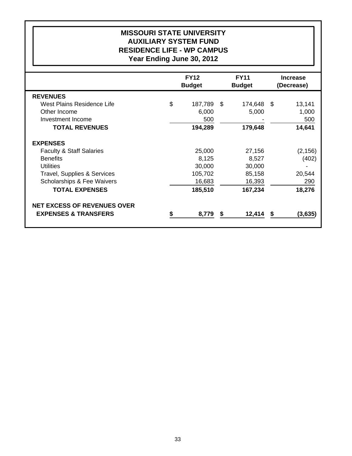## **MISSOURI STATE UNIVERSITY AUXILIARY SYSTEM FUND RESIDENCE LIFE - WP CAMPUS Year Ending June 30, 2012**

|                                     | <b>FY12</b>   |     | <b>FY11</b>   |      | <b>Increase</b> |
|-------------------------------------|---------------|-----|---------------|------|-----------------|
|                                     | <b>Budget</b> |     | <b>Budget</b> |      | (Decrease)      |
| <b>REVENUES</b>                     |               |     |               |      |                 |
| West Plains Residence Life          | \$<br>187,789 | -SS | 174,648       | - \$ | 13,141          |
| Other Income                        | 6,000         |     | 5,000         |      | 1,000           |
| Investment Income                   | 500           |     |               |      | 500             |
| <b>TOTAL REVENUES</b>               | 194,289       |     | 179,648       |      | 14,641          |
| <b>EXPENSES</b>                     |               |     |               |      |                 |
| <b>Faculty &amp; Staff Salaries</b> | 25,000        |     | 27,156        |      | (2, 156)        |
| <b>Benefits</b>                     | 8,125         |     | 8,527         |      | (402)           |
| <b>Utilities</b>                    | 30,000        |     | 30,000        |      |                 |
| Travel, Supplies & Services         | 105,702       |     | 85,158        |      | 20,544          |
| Scholarships & Fee Waivers          | 16,683        |     | 16,393        |      | 290             |
| <b>TOTAL EXPENSES</b>               | 185,510       |     | 167,234       |      | 18,276          |
| <b>NET EXCESS OF REVENUES OVER</b>  |               |     |               |      |                 |
| <b>EXPENSES &amp; TRANSFERS</b>     | 8,779         | S   | 12,414        | S    | (3,635)         |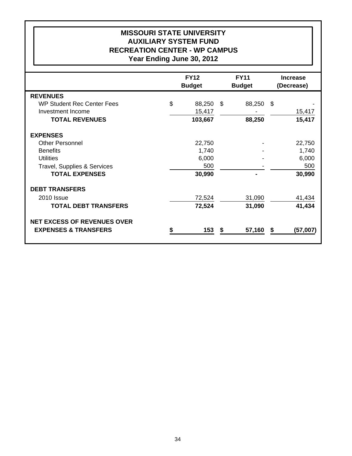## **MISSOURI STATE UNIVERSITY AUXILIARY SYSTEM FUND RECREATION CENTER - WP CAMPUS Year Ending June 30, 2012**

|                                    | <b>FY12</b>   | <b>FY11</b>       | <b>Increase</b> |
|------------------------------------|---------------|-------------------|-----------------|
|                                    | <b>Budget</b> | <b>Budget</b>     | (Decrease)      |
| <b>REVENUES</b>                    |               |                   |                 |
| <b>WP Student Rec Center Fees</b>  | \$<br>88,250  | 88,250 \$<br>- \$ |                 |
| Investment Income                  | 15,417        |                   | 15,417          |
| <b>TOTAL REVENUES</b>              | 103,667       | 88,250            | 15,417          |
| <b>EXPENSES</b>                    |               |                   |                 |
| <b>Other Personnel</b>             | 22,750        |                   | 22,750          |
| <b>Benefits</b>                    | 1,740         |                   | 1,740           |
| <b>Utilities</b>                   | 6,000         |                   | 6,000           |
| Travel, Supplies & Services        | 500           |                   | 500             |
| <b>TOTAL EXPENSES</b>              | 30,990        |                   | 30,990          |
| <b>DEBT TRANSFERS</b>              |               |                   |                 |
| 2010 Issue                         | 72,524        | 31,090            | 41,434          |
| <b>TOTAL DEBT TRANSFERS</b>        | 72,524        | 31,090            | 41,434          |
| <b>NET EXCESS OF REVENUES OVER</b> |               |                   |                 |
| <b>EXPENSES &amp; TRANSFERS</b>    | 153           | 57,160<br>- 5     | (57,007)<br>\$  |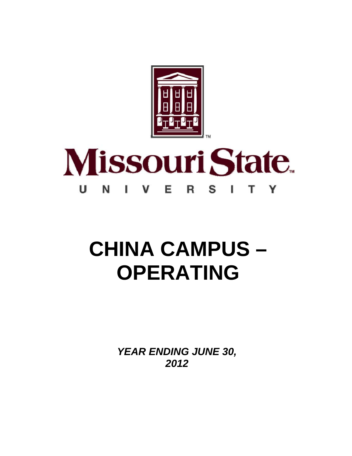

#### **Missouri State**  $\mathbf{U}$ N Е S V. L т Y R

# **CHINA CAMPUS – OPERATING**

*YEAR ENDING JUNE 30, 2012*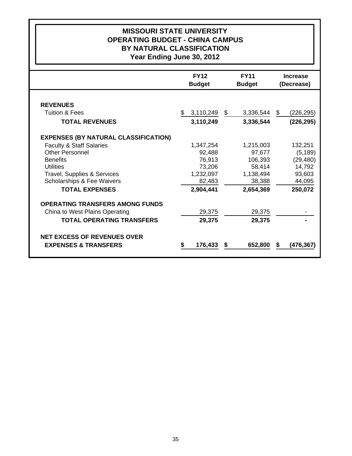## **MISSOURI STATE UNIVERSITY OPERATING BUDGET - CHINA CAMPUS BY NATURAL CLASSIFICATION Year Ending June 30, 2012**

|                                             | <b>FY12</b>           | <b>FY11</b>   | <b>Increase</b>  |
|---------------------------------------------|-----------------------|---------------|------------------|
|                                             | <b>Budget</b>         | <b>Budget</b> | (Decrease)       |
|                                             |                       |               |                  |
| <b>REVENUES</b>                             |                       |               |                  |
| <b>Tuition &amp; Fees</b>                   | 3,110,249<br>\$<br>\$ | 3,336,544     | \$<br>(226, 295) |
| <b>TOTAL REVENUES</b>                       | 3,110,249             | 3,336,544     | (226, 295)       |
| <b>EXPENSES (BY NATURAL CLASSIFICATION)</b> |                       |               |                  |
| <b>Faculty &amp; Staff Salaries</b>         | 1,347,254             | 1,215,003     | 132,251          |
| <b>Other Personnel</b>                      | 92,488                | 97,677        | (5, 189)         |
| <b>Benefits</b>                             | 76,913                | 106,393       | (29, 480)        |
| <b>Utilities</b>                            | 73,206                | 58,414        | 14,792           |
| Travel, Supplies & Services                 | 1,232,097             | 1,138,494     | 93,603           |
| <b>Scholarships &amp; Fee Waivers</b>       | 82,483                | 38,388        | 44,095           |
| <b>TOTAL EXPENSES</b>                       | 2,904,441             | 2,654,369     | 250,072          |
| <b>OPERATING TRANSFERS AMONG FUNDS</b>      |                       |               |                  |
| China to West Plains Operating              | 29,375                | 29,375        |                  |
| <b>TOTAL OPERATING TRANSFERS</b>            | 29,375                | 29,375        |                  |
| <b>NET EXCESS OF REVENUES OVER</b>          |                       |               |                  |
| <b>EXPENSES &amp; TRANSFERS</b>             | 176,433<br>S          | 652,800       | (476,367)        |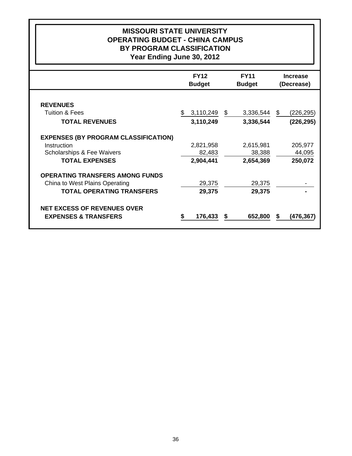## **MISSOURI STATE UNIVERSITY OPERATING BUDGET - CHINA CAMPUS BY PROGRAM CLASSIFICATION Year Ending June 30, 2012**

|                                             | <b>FY12</b><br><b>Budget</b> | <b>FY11</b><br><b>Budget</b> | <b>Increase</b><br>(Decrease) |
|---------------------------------------------|------------------------------|------------------------------|-------------------------------|
|                                             |                              |                              |                               |
| <b>REVENUES</b>                             |                              |                              |                               |
| <b>Tuition &amp; Fees</b>                   | 3,110,249                    | \$<br>3,336,544              | \$<br>(226, 295)              |
| <b>TOTAL REVENUES</b>                       | 3,110,249                    | 3,336,544                    | (226, 295)                    |
| <b>EXPENSES (BY PROGRAM CLASSIFICATION)</b> |                              |                              |                               |
| Instruction                                 | 2,821,958                    | 2,615,981                    | 205,977                       |
| Scholarships & Fee Waivers                  | 82,483                       | 38,388                       | 44,095                        |
| <b>TOTAL EXPENSES</b>                       | 2,904,441                    | 2,654,369                    | 250,072                       |
| <b>OPERATING TRANSFERS AMONG FUNDS</b>      |                              |                              |                               |
| China to West Plains Operating              | 29,375                       | 29,375                       |                               |
| <b>TOTAL OPERATING TRANSFERS</b>            | 29,375                       | 29,375                       |                               |
| <b>NET EXCESS OF REVENUES OVER</b>          |                              |                              |                               |
| <b>EXPENSES &amp; TRANSFERS</b>             | 176,433                      | 652,800                      | (476,367                      |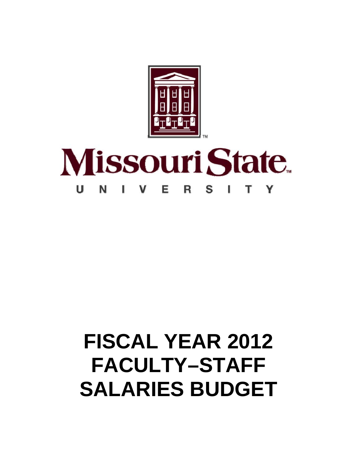

### **Missouri State** Е U S N Y R

# **FISCAL YEAR 2012 FACULTY–STAFF SALARIES BUDGET**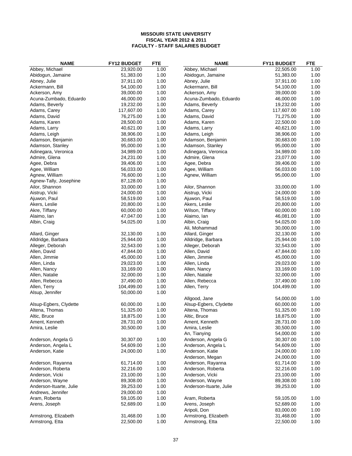| <b>NAME</b>             | FY12 BUDGET | <b>FTE</b> | <b>NAME</b>             | FY11 BUDGET | <b>FTE</b> |
|-------------------------|-------------|------------|-------------------------|-------------|------------|
| Abbey, Michael          | 23,920.00   | 1.00       | Abbey, Michael          | 22,505.00   | 1.00       |
| Abidogun, Jamaine       | 51,383.00   | 1.00       | Abidogun, Jamaine       | 51,383.00   | 1.00       |
| Abney, Julie            | 37,911.00   | 1.00       | Abney, Julie            | 37,911.00   | 1.00       |
| Ackermann, Bill         | 54,100.00   | 1.00       | Ackermann, Bill         | 54,100.00   | 1.00       |
| Ackerson, Amy           | 39,000.00   | 1.00       | Ackerson, Amy           | 39,000.00   | 1.00       |
| Acuna-Zumbado, Eduardo  | 46,000.00   | 1.00       | Acuna-Zumbado, Eduardo  | 46,000.00   | 1.00       |
| Adams, Beverly          | 19,232.00   | 1.00       | Adams, Beverly          | 19,232.00   | 1.00       |
| Adams, Carey            | 117,607.00  | 1.00       | Adams, Carey            | 117,607.00  | 1.00       |
| Adams, David            | 76,275.00   | 1.00       | Adams, David            | 71,275.00   | 1.00       |
| Adams, Karen            | 28,500.00   | 1.00       | Adams, Karen            | 22,500.00   | 1.00       |
| Adams, Larry            | 40,621.00   | 1.00       | Adams, Larry            | 40,621.00   | 1.00       |
| Adams, Leigh            | 38,906.00   | 1.00       | Adams, Leigh            | 38,906.00   | 1.00       |
| Adamson, Benjamin       | 30,683.00   | 1.00       | Adamson, Benjamin       | 30,683.00   | 1.00       |
| Adamson, Stanley        | 95,000.00   | 1.00       | Adamson, Stanley        | 95,000.00   | 1.00       |
| Adinegara, Veronica     | 34,989.00   | 1.00       | Adinegara, Veronica     | 34,989.00   | 1.00       |
| Admire, Glena           | 24,231.00   | 1.00       | Admire, Glena           | 23,077.00   | 1.00       |
| Agee, Debra             | 39,406.00   | 1.00       | Agee, Debra             | 39,406.00   | 1.00       |
|                         | 56,033.00   | 1.00       |                         | 56,033.00   | 1.00       |
| Agee, William           |             |            | Agee, William           |             |            |
| Agnew, William          | 76,600.00   | 1.00       | Agnew, William          | 95,000.00   | 1.00       |
| Agnew-Tally, Josephine  | 87,128.00   | 1.00       |                         |             |            |
| Ailor, Shannon          | 33,000.00   | 1.00       | Ailor, Shannon          | 33,000.00   | 1.00       |
| Aistrup, Vicki          | 24,000.00   | 1.00       | Aistrup, Vicki          | 24,000.00   | 1.00       |
| Ajuwon, Paul            | 58,519.00   | 1.00       | Ajuwon, Paul            | 58,519.00   | 1.00       |
| Akers, Leslie           | 20,800.00   | 1.00       | Akers, Leslie           | 20,800.00   | 1.00       |
| Akre, Tiffany           | 60,000.00   | 1.00       | Wilson, Tiffany         | 60,000.00   | 1.00       |
| Alaimo, Ian             | 47,047.00   | 1.00       | Alaimo, lan             | 46,081.00   | 1.00       |
| Albin, Craig            | 54,025.00   | 1.00       | Albin, Craig            | 54,025.00   | 1.00       |
|                         |             |            | Ali, Mohammad           | 30,000.00   | 1.00       |
| Allard, Ginger          | 32,130.00   | 1.00       | Allard, Ginger          | 32,130.00   | 1.00       |
| Alldridge, Barbara      | 25,944.00   | 1.00       | Alldridge, Barbara      | 25,944.00   | 1.00       |
| Alleger, Deborah        | 32,543.00   | 1.00       | Alleger, Deborah        | 32,543.00   | 1.00       |
| Allen, David            | 47,844.00   | 1.00       | Allen, David            | 47,844.00   | 1.00       |
| Allen, Jimmie           | 45,000.00   | 1.00       | Allen, Jimmie           | 45,000.00   | 1.00       |
| Allen, Linda            | 29,023.00   | 1.00       | Allen, Linda            | 29,023.00   | 1.00       |
| Allen, Nancy            | 33,169.00   | 1.00       | Allen, Nancy            | 33,169.00   | 1.00       |
| Allen, Natalie          | 32,000.00   | 1.00       | Allen, Natalie          | 32,000.00   | 1.00       |
| Allen, Rebecca          | 37,490.00   | 1.00       | Allen, Rebecca          | 37,490.00   | 1.00       |
| Allen, Terry            | 104,499.00  | 1.00       | Allen, Terry            | 104,499.00  | 1.00       |
| Alsup, Jennifer         | 50,000.00   | 1.00       |                         |             |            |
|                         |             |            | Allgood, Jane           | 54,000.00   | 1.00       |
| Alsup-Egbers, Clydette  | 60,000.00   | 1.00       | Alsup-Egbers, Clydette  | 60,000.00   | 1.00       |
| Altena, Thomas          | 51,325.00   | 1.00       | Altena, Thomas          | 51,325.00   | 1.00       |
| Altic, Bruce            | 18,875.00   | 1.00       | Altic, Bruce            | 18,875.00   | 1.00       |
| Ament, Kenneth          | 28,731.00   | 1.00       | Ament, Kenneth          | 28,731.00   | 1.00       |
| Amira, Leslie           | 30,500.00   | 1.00       | Amira, Leslie           | 30,500.00   | 1.00       |
|                         |             |            | An, Tianying            | 54,000.00   | 1.00       |
| Anderson, Angela G      | 30,307.00   | 1.00       | Anderson, Angela G      | 30,307.00   | 1.00       |
| Anderson, Angela L      | 54,609.00   | 1.00       | Anderson, Angela L      | 54,609.00   | 1.00       |
| Anderson, Katie         | 24,000.00   | 1.00       | Anderson, Katie         | 24,000.00   | 1.00       |
|                         |             |            | Anderson, Megan         | 24,000.00   | 1.00       |
| Anderson, Rayanna       | 61,714.00   | 1.00       | Anderson, Rayanna       | 61,714.00   | 1.00       |
| Anderson, Roberta       | 32,216.00   | 1.00       | Anderson, Roberta       | 32,216.00   | 1.00       |
|                         |             | 1.00       |                         | 23,100.00   | 1.00       |
| Anderson, Vicki         | 23,100.00   |            | Anderson, Vicki         |             |            |
| Anderson, Wayne         | 89,308.00   | 1.00       | Anderson, Wayne         | 89,308.00   | 1.00       |
| Anderson-Ituarte, Julie | 39,253.00   | 1.00       | Anderson-Ituarte, Julie | 39,253.00   | 1.00       |
| Andrews, Jennifer       | 29,000.00   | 1.00       |                         |             |            |
| Aram, Roberta           | 59,105.00   | 1.00       | Aram, Roberta           | 59,105.00   | 1.00       |
| Arens, Joseph           | 52,689.00   | 1.00       | Arens, Joseph           | 52,689.00   | 1.00       |
|                         |             |            | Aripoli, Don            | 83,000.00   | 1.00       |
| Armstrong, Elizabeth    | 31,468.00   | 1.00       | Armstrong, Elizabeth    | 31,468.00   | 1.00       |
| Armstrong, Etta         | 22,500.00   | 1.00       | Armstrong, Etta         | 22,500.00   | 1.00       |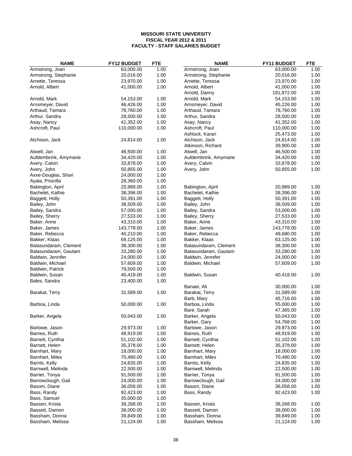| <b>NAME</b>           | <b>FY12 BUDGET</b> | <b>FTE</b> | <b>NAME</b>           | FY11 BUDGET | <b>FTE</b> |
|-----------------------|--------------------|------------|-----------------------|-------------|------------|
| Armstrong, Joan       | 63,000.00          | 1.00       | Armstrong, Joan       | 63,000.00   | 1.00       |
| Armstrong, Stephanie  | 20,016.00          | 1.00       | Armstrong, Stephanie  | 20,016.00   | 1.00       |
| Arnette, Teressa      | 23,970.00          | 1.00       | Arnette, Teressa      | 23,970.00   | 1.00       |
| Arnold, Albert        | 41,000.00          | 1.00       | Arnold, Albert        | 41,000.00   | 1.00       |
|                       |                    |            | Arnold, Danny         | 191,872.00  | 1.00       |
| Arnold, Mark          | 54,153.00          | 1.00       | Arnold, Mark          | 54,153.00   | 1.00       |
| Arnsmeyer, David      | 46,426.00          | 1.00       | Arnsmeyer, David      | 45,226.00   | 1.00       |
| Arthaud, Tamara       | 78,760.00          | 1.00       | Arthaud, Tamara       | 78,760.00   | 1.00       |
| Arthur, Sandra        | 28,500.00          | 1.00       | Arthur, Sandra        | 28,500.00   | 1.00       |
| Asay, Nancy           | 41,352.00          | 1.00       | Asay, Nancy           | 41,352.00   | 1.00       |
| Ashcroft, Paul        | 110,000.00         | 1.00       | Ashcroft, Paul        | 110,000.00  | 1.00       |
|                       |                    |            | Ashlock, Karan        | 25,473.00   | 1.00       |
| Atchison, Jack        | 24,814.00          | 1.00       | Atchison, Jack        | 24,814.00   | 1.00       |
|                       |                    |            | Atkinson, Richard     | 39,900.00   | 1.00       |
| Atwell, Jan           | 46,500.00          | 1.00       | Atwell, Jan           | 46,500.00   | 1.00       |
| Aufdembrink, Amymarie | 34,420.00          | 1.00       | Aufdembrink, Amymarie | 34,420.00   | 1.00       |
| Avery, Calvin         | 33,878.00          | 1.00       | Avery, Calvin         | 33,878.00   | 1.00       |
| Avery, John           | 50,855.00          | 1.00       | Avery, John           | 50,855.00   | 1.00       |
| Axxe-Douglas, Shari   | 24,000.00          | 1.00       |                       |             |            |
| Ayala, Priscilla      | 28,360.00          | 1.00       |                       |             |            |
| Babington, April      | 20,989.00          | 1.00       | Babington, April      | 20,989.00   | 1.00       |
| Bachelet, Kathie      |                    | 1.00       | Bachelet, Kathie      | 38,396.00   | 1.00       |
|                       | 38,396.00          | 1.00       |                       | 50,391.00   | 1.00       |
| Baggett, Holly        | 50,391.00          |            | Baggett, Holly        |             |            |
| Bailey, John          | 38,509.00          | 1.00       | Bailey, John          | 38,509.00   | 1.00       |
| Bailey, Sandra        | 57,000.00          | 1.00       | Bailey, Sandra        | 53,000.00   | 1.00       |
| Bailey, Sherry        | 27,533.00          | 1.00       | Bailey, Sherry        | 27,533.00   | 1.00       |
| Baker, Anne           | 43,310.00          | 1.00       | Baker, Anne           | 43,310.00   | 1.00       |
| Baker, James          | 143,778.00         | 1.00       | Baker, James          | 143,778.00  | 1.00       |
| Baker, Rebecca        | 40,210.00          | 1.00       | Baker, Rebecca        | 49,680.00   | 1.00       |
| Bakker, Klaas         | 69,125.00          | 1.00       | Bakker, Klaas         | 63,125.00   | 1.00       |
| Balasundaram, Clement | 38,300.00          | 1.00       | Balasundaram, Clement | 38,300.00   | 1.00       |
| Balasundaram, Gautam  | 33,280.00          | 1.00       | Balasundaram, Gautam  | 33,280.00   | 1.00       |
| Baldwin, Jennifer     | 24,000.00          | 1.00       | Baldwin, Jennifer     | 24,000.00   | 1.00       |
| Baldwin, Michael      | 57,609.00          | 1.00       | Baldwin, Michael      | 57,609.00   | 1.00       |
| Baldwin, Patrick      | 79,500.00          | 1.00       |                       |             |            |
| Baldwin, Susan        | 40,418.00          | 1.00       | Baldwin, Susan        | 40,418.00   | 1.00       |
| Bales, Sandra         | 23,400.00          | 1.00       |                       |             |            |
|                       |                    |            | Banaei, Ali           | 30,000.00   | 1.00       |
| Barakat, Terry        | 31,589.00          | 1.00       | Barakat, Terry        | 31,589.00   | 1.00       |
|                       |                    |            | Barb, Mary            | 45,716.00   | 1.00       |
| Barboa, Linda         | 50,000.00          | 1.00       | Barboa, Linda         | 55,000.00   | 1.00       |
|                       |                    |            | Bare, Sarah           | 47,365.00   | 1.00       |
| Barker, Angela        | 50,043.00          | 1.00       | Barker, Angela        | 50,043.00   | 1.00       |
|                       |                    |            | Barker, Gary          | 54,768.00   | 1.00       |
| Barlowe, Jason        | 29,973.00          | 1.00       | Barlowe, Jason        | 29,973.00   | 1.00       |
| Barnes, Ruth          | 48,919.00          | 1.00       | Barnes, Ruth          | 48,919.00   | 1.00       |
| Barnett, Cynthia      | 51,102.00          | 1.00       | Barnett, Cynthia      | 51,102.00   | 1.00       |
| Barnett, Helen        | 35,378.00          | 1.00       | Barnett, Helen        | 35,378.00   | 1.00       |
| Barnhart, Mary        | 18,000.00          | 1.00       | Barnhart, Mary        | 18,000.00   | 1.00       |
| Barnhart, Miles       | 70,480.00          | 1.00       | Barnhart, Miles       | 70,480.00   | 1.00       |
| Barnts, Kelly         | 24,835.00          | 1.00       | Barnts, Kelly         | 24,835.00   | 1.00       |
| Barnwell, Melinda     | 22,500.00          | 1.00       | Barnwell, Melinda     | 22,500.00   | 1.00       |
| Barrier, Tonya        | 91,500.00          | 1.00       | Barrier, Tonya        | 91,500.00   | 1.00       |
| Barrowclough, Gail    | 24,000.00          | 1.00       | Barrowclough, Gail    | 24,000.00   | 1.00       |
|                       |                    |            | Basom, Diane          |             |            |
| Basom, Diane          | 36,058.00          | 1.00       |                       | 36,058.00   | 1.00       |
| Bass, Randy           | 92,423.00          | 1.00       | Bass, Randy           | 92,423.00   | 1.00       |
| Bass, Samuel          | 35,000.00          | 1.00       |                       |             |            |
| Bassen, Krista        | 38,268.00          | 1.00       | Bassen, Krista        | 38,268.00   | 1.00       |
| Bassett, Damon        | 38,000.00          | 1.00       | Bassett, Damon        | 38,000.00   | 1.00       |
| Bassham, Donna        | 39,849.00          | 1.00       | Bassham, Donna        | 39,849.00   | 1.00       |
| Bassham, Melissa      | 21,124.00          | 1.00       | Bassham, Melissa      | 21,124.00   | 1.00       |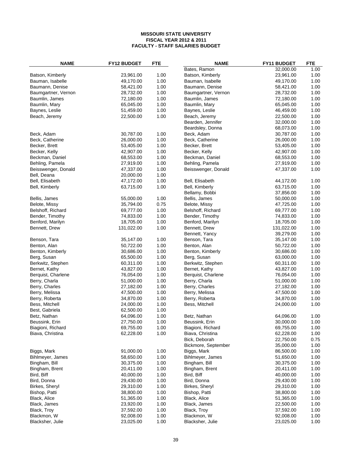| <b>NAME</b>         | FY12 BUDGET | <b>FTE</b> | <b>NAME</b>         | FY11 BUDGET | <b>FTE</b> |
|---------------------|-------------|------------|---------------------|-------------|------------|
|                     |             |            | Bates, Ramon        | 32,000.00   | 1.00       |
| Batson, Kimberly    | 23,961.00   | 1.00       | Batson, Kimberly    | 23,961.00   | 1.00       |
| Bauman, Isabelle    | 49,170.00   | 1.00       | Bauman, Isabelle    | 49,170.00   | 1.00       |
| Baumann, Denise     | 58,421.00   | 1.00       | Baumann, Denise     | 58,421.00   | 1.00       |
| Baumgartner, Vernon | 28,732.00   | 1.00       | Baumgartner, Vernon | 28,732.00   | 1.00       |
| Baumlin, James      | 72,180.00   | 1.00       | Baumlin, James      | 72,180.00   | 1.00       |
| Baumlin, Mary       | 65,045.00   | 1.00       | Baumlin, Mary       | 65,045.00   | 1.00       |
| Baynes, Leslie      | 51,459.00   | 1.00       | Baynes, Leslie      | 46,459.00   | 1.00       |
| Beach, Jeremy       | 22,500.00   | 1.00       | Beach, Jeremy       | 22,500.00   | 1.00       |
|                     |             |            | Bearden, Jennifer   | 32,000.00   | 1.00       |
|                     |             |            | Beardsley, Donna    | 68,073.00   | 1.00       |
| Beck, Adam          | 30,787.00   | 1.00       | Beck, Adam          | 30,787.00   | 1.00       |
| Beck, Catherine     | 26,000.00   | 1.00       | Beck, Catherine     | 26,000.00   | 1.00       |
| Becker, Brett       | 53,405.00   | 1.00       | Becker, Brett       | 53,405.00   | 1.00       |
| Becker, Kelly       | 42,907.00   | 1.00       | Becker, Kelly       | 42,907.00   | 1.00       |
| Beckman, Daniel     | 68,553.00   | 1.00       | Beckman, Daniel     | 68,553.00   | 1.00       |
| Behling, Pamela     | 27,919.00   | 1.00       | Behling, Pamela     | 27,919.00   | 1.00       |
| Beisswenger, Donald | 47,337.00   | 1.00       | Beisswenger, Donald | 47,337.00   | 1.00       |
| Bell, Deana         | 20,000.00   | 1.00       |                     |             |            |
| Bell, Elisabeth     | 47,172.00   | 1.00       | Bell, Elisabeth     | 44,172.00   | 1.00       |
| Bell, Kimberly      | 63,715.00   | 1.00       | Bell, Kimberly      | 63,715.00   | 1.00       |
|                     |             |            | Bellamy, Bobbi      | 37,856.00   | 1.00       |
| Bellis, James       | 55,000.00   | 1.00       | Bellis, James       | 50,000.00   | 1.00       |
| Belote, Missy       | 35,794.00   | 0.75       | Belote, Missy       | 47,725.00   | 1.00       |
| Belshoff, Richard   | 69,777.00   | 1.00       | Belshoff, Richard   | 69,777.00   | 1.00       |
| Bender, Timothy     | 74,833.00   | 1.00       | Bender, Timothy     | 74,833.00   | 1.00       |
| Benford, Marilyn    | 18,705.00   | 1.00       | Benford, Marilyn    | 18,705.00   | 1.00       |
| Bennett, Drew       | 131,022.00  | 1.00       | Bennett, Drew       | 131,022.00  | 1.00       |
|                     |             |            | Bennett, Yancy      | 39,279.00   | 1.00       |
| Benson, Tara        | 35,147.00   | 1.00       | Benson, Tara        | 35,147.00   | 1.00       |
| Benton, Alan        | 50,722.00   | 1.00       | Benton, Alan        | 50,722.00   | 1.00       |
| Benton, Kimberly    | 30,686.00   | 1.00       | Benton, Kimberly    | 30,686.00   | 1.00       |
| Berg, Susan         | 65,500.00   | 1.00       | Berg, Susan         | 63,000.00   | 1.00       |
| Berkwitz, Stephen   | 60,311.00   | 1.00       | Berkwitz, Stephen   | 60,311.00   | 1.00       |
| Bernet, Kathy       | 43,827.00   | 1.00       | Bernet, Kathy       | 43,827.00   | 1.00       |
| Berquist, Charlene  | 76,054.00   | 1.00       | Berquist, Charlene  | 76,054.00   | 1.00       |
| Berry, Charla       | 51,000.00   | 1.00       | Berry, Charla       | 51,000.00   | 1.00       |
| Berry, Charles      | 27,182.00   | 1.00       | Berry, Charles      | 27,182.00   | 1.00       |
| Berry, Melissa      | 47,500.00   | 1.00       | Berry, Melissa      | 47,500.00   | 1.00       |
| Berry, Roberta      | 34,870.00   | 1.00       | Berry, Roberta      | 34,870.00   | 1.00       |
| Bess, Mitchell      | 24,000.00   | 1.00       | Bess, Mitchell      | 24,000.00   | 1.00       |
| Best, Gabriela      | 62,500.00   | 1.00       |                     |             |            |
| Betz, Nathan        | 64,096.00   | 1.00       | Betz, Nathan        | 64,096.00   | 1.00       |
| Beussink, Erin      | 27,750.00   | 1.00       | Beussink, Erin      | 30,000.00   | 1.00       |
| Biagioni, Richard   | 69,755.00   | 1.00       | Biagioni, Richard   | 69,755.00   | 1.00       |
| Biava, Christina    | 62,228.00   | 1.00       | Biava, Christina    | 62,228.00   | 1.00       |
|                     |             |            | Bick, Deborah       | 22,750.00   | 0.75       |
|                     |             |            | Bickmore, September | 35,000.00   | 1.00       |
| Biggs, Mark         | 91,000.00   | 1.00       | Biggs, Mark         | 86,500.00   | 1.00       |
| Bihlmeyer, James    | 58,650.00   | 1.00       | Bihlmeyer, James    | 51,650.00   | 1.00       |
| Bingham, Bill       | 30,375.00   | 1.00       | Bingham, Bill       | 30,375.00   | 1.00       |
| Bingham, Brent      | 20,411.00   | 1.00       | Bingham, Brent      | 20,411.00   | 1.00       |
| Bird, Biff          | 40,000.00   | 1.00       | Bird, Biff          | 40,000.00   | 1.00       |
| Bird, Donna         | 29,430.00   | 1.00       | Bird, Donna         | 29,430.00   | 1.00       |
| Birkes, Sheryl      | 29,310.00   | 1.00       | Birkes, Sheryl      | 29,310.00   | 1.00       |
| Bishop, Patti       | 38,800.00   | 1.00       | Bishop, Patti       | 38,800.00   | 1.00       |
| Black, Alice        | 51,365.00   | 1.00       | Black, Alice        | 51,365.00   | 1.00       |
| Black, James        | 23,920.00   | 1.00       | Black, James        | 22,500.00   | 1.00       |
| Black, Troy         | 37,592.00   | 1.00       | Black, Troy         | 37,592.00   | 1.00       |
| Blackmon, W         | 92,008.00   | 1.00       | Blackmon, W         | 92,008.00   | 1.00       |
| Blacksher, Julie    | 23,025.00   | 1.00       | Blacksher, Julie    | 23,025.00   | 1.00       |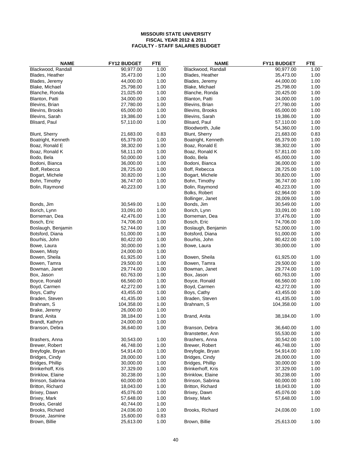| <b>NAME</b>        | <b>FY12 BUDGET</b> | <b>FTE</b> | <b>NAME</b>        | FY11 BUDGET | <b>FTE</b> |
|--------------------|--------------------|------------|--------------------|-------------|------------|
| Blackwood, Randall | 90,977.00          | 1.00       | Blackwood, Randall | 90,977.00   | 1.00       |
| Blades, Heather    | 35,473.00          | 1.00       | Blades, Heather    | 35,473.00   | 1.00       |
| Blades, Jeremy     | 44,000.00          | 1.00       | Blades, Jeremy     | 44,000.00   | 1.00       |
| Blake, Michael     | 25,798.00          | 1.00       | Blake, Michael     | 25,798.00   | 1.00       |
| Blanche, Ronda     | 21,025.00          | 1.00       | Blanche, Ronda     | 20,425.00   | 1.00       |
| Blanton, Patti     | 34,000.00          | 1.00       | Blanton, Patti     | 34,000.00   | 1.00       |
| Blevins, Brian     | 27,780.00          | 1.00       | Blevins, Brian     | 27,780.00   | 1.00       |
| Blevins, Brooks    | 65,000.00          | 1.00       | Blevins, Brooks    | 65,000.00   | 1.00       |
| Blevins, Sarah     | 19,386.00          | 1.00       | Blevins, Sarah     | 19,386.00   | 1.00       |
| Blisard, Paul      | 57,110.00          | 1.00       | Blisard, Paul      | 57,110.00   | 1.00       |
|                    |                    |            | Bloodworth, Julie  | 54,360.00   | 1.00       |
| Blunt, Sherry      | 21,683.00          | 0.83       | Blunt, Sherry      | 21,683.00   | 0.83       |
| Boatright, Kenneth | 65,379.00          | 1.00       | Boatright, Kenneth | 65,379.00   | 1.00       |
| Boaz, Ronald E     | 38,302.00          | 1.00       | Boaz, Ronald E     | 38,302.00   | 1.00       |
| Boaz, Ronald K     | 58,111.00          | 1.00       | Boaz, Ronald K     | 57,811.00   | 1.00       |
| Bodo, Bela         | 50,000.00          | 1.00       | Bodo, Bela         | 45,000.00   | 1.00       |
| Bodoni, Bianca     | 36,000.00          | 1.00       | Bodoni, Bianca     | 36,000.00   | 1.00       |
| Boff, Rebecca      | 28,725.00          | 1.00       | Boff, Rebecca      | 28,725.00   | 1.00       |
| Bogart, Michele    | 30,820.00          | 1.00       | Bogart, Michele    | 30,820.00   | 1.00       |
| Bohn, Timothy      | 36,747.00          | 1.00       | Bohn, Timothy      | 36,747.00   | 1.00       |
| Bolin, Raymond     | 40,223.00          | 1.00       | Bolin, Raymond     | 40,223.00   | 1.00       |
|                    |                    |            | Bolks, Robert      | 62,964.00   | 1.00       |
|                    |                    |            | Bollinger, Janet   | 28,009.00   | 1.00       |
| Bonds, Jim         | 30,549.00          | 1.00       | Bonds, Jim         | 30,549.00   | 1.00       |
| Borich, Lynn       | 33,091.00          | 1.00       | Borich, Lynn       | 33,091.00   | 1.00       |
| Borneman, Dea      | 42,476.00          | 1.00       | Borneman, Dea      | 37,476.00   | 1.00       |
| Bosch, Eric        | 74,706.00          | 1.00       | Bosch, Eric        | 74,706.00   | 1.00       |
| Boslaugh, Benjamin | 52,744.00          | 1.00       | Boslaugh, Benjamin | 52,000.00   | 1.00       |
| Botsford, Diana    | 51,000.00          | 1.00       | Botsford, Diana    | 51,000.00   | 1.00       |
| Bourhis, John      | 80,422.00          | 1.00       | Bourhis, John      | 80,422.00   | 1.00       |
|                    | 30,000.00          | 1.00       |                    | 30,000.00   | 1.00       |
| Bowe, Laura        |                    |            | Bowe, Laura        |             |            |
| Bowen, Misty       | 24,000.00          | 1.00       |                    |             |            |
| Bowen, Sheila      | 61,925.00          | 1.00       | Bowen, Sheila      | 61,925.00   | 1.00       |
| Bowen, Tamra       | 29,500.00          | 1.00       | Bowen, Tamra       | 29,500.00   | 1.00       |
| Bowman, Janet      | 29,774.00          | 1.00       | Bowman, Janet      | 29,774.00   | 1.00       |
| Box, Jason         | 60,763.00          | 1.00       | Box, Jason         | 60,763.00   | 1.00       |
| Boyce, Ronald      | 66,560.00          | 1.00       | Boyce, Ronald      | 66,560.00   | 1.00       |
| Boyd, Carmen       | 42,272.00          | 1.00       | Boyd, Carmen       | 42,272.00   | 1.00       |
| Boys, Cathy        | 43,455.00          | 1.00       | Boys, Cathy        | 43,455.00   | 1.00       |
| Braden, Steven     | 41,435.00          | 1.00       | Braden, Steven     | 41,435.00   | 1.00       |
| Brahnam, S         | 104,358.00         | 1.00       | Brahnam, S         | 104,358.00  | 1.00       |
| Brake, Jeremy      | 26,000.00          | 1.00       |                    |             |            |
| Brand, Anita       | 38,184.00          | 1.00       | Brand, Anita       | 38,184.00   | 1.00       |
| Brandt, Kathryn    | 24,000.00          | 1.00       |                    |             |            |
| Branson, Debra     | 36,640.00          | 1.00       | Branson, Debra     | 36,640.00   | 1.00       |
|                    |                    |            | Branstetter, Ann   | 55,530.00   | 1.00       |
| Brashers, Anna     | 30,543.00          | 1.00       | Brashers, Anna     | 30,542.00   | 1.00       |
| Brewer, Robert     | 46,748.00          | 1.00       | Brewer, Robert     | 46,748.00   | 1.00       |
| Breyfogle, Bryan   | 54,914.00          | 1.00       | Breyfogle, Bryan   | 54,914.00   | 1.00       |
| Bridges, Cindy     | 28,000.00          | 1.00       | Bridges, Cindy     | 28,000.00   | 1.00       |
| Bridges, Phillip   | 30,000.00          | 1.00       | Bridges, Phillip   | 30,000.00   | 1.00       |
| Brinkerhoff, Kris  | 37,329.00          | 1.00       | Brinkerhoff, Kris  | 37,329.00   | 1.00       |
| Brinklow, Elaine   | 30,238.00          | 1.00       | Brinklow, Elaine   | 30,238.00   | 1.00       |
| Brinson, Sabrina   | 60,000.00          | 1.00       | Brinson, Sabrina   | 60,000.00   | 1.00       |
| Britton, Richard   | 18,043.00          | 1.00       | Britton, Richard   | 18,043.00   | 1.00       |
| Brixey, Dawn       | 45,076.00          | 1.00       | Brixey, Dawn       | 45,076.00   | 1.00       |
| Brixey, Mark       | 57,648.00          | 1.00       | Brixey, Mark       | 57,648.00   | 1.00       |
| Brooks, Gerald     | 40,744.00          | 1.00       |                    |             |            |
| Brooks, Richard    | 24,036.00          | 1.00       | Brooks, Richard    | 24,036.00   | 1.00       |
| Brouse, Jasmine    | 15,600.00          | 0.83       |                    |             |            |
| Brown, Billie      | 25,613.00          | 1.00       | Brown, Billie      | 25,613.00   | 1.00       |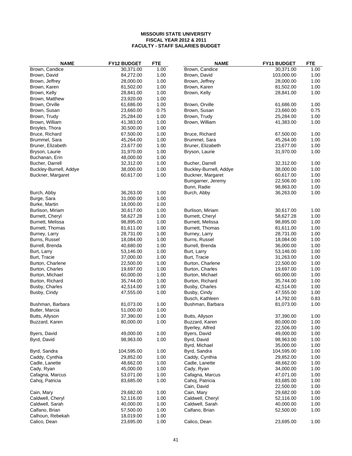| <b>NAME</b>            | FY12 BUDGET | <b>FTE</b> | <b>NAME</b>            | FY11 BUDGET | <b>FTE</b> |
|------------------------|-------------|------------|------------------------|-------------|------------|
| Brown, Candice         | 30,371.00   | 1.00       | Brown, Candice         | 30,371.00   | 1.00       |
| Brown, David           | 84,272.00   | 1.00       | Brown, David           | 103,000.00  | 1.00       |
| Brown, Jeffrey         | 28,000.00   | 1.00       | Brown, Jeffrey         | 28,000.00   | 1.00       |
| Brown, Karen           | 81,502.00   | 1.00       | Brown, Karen           | 81,502.00   | 1.00       |
| Brown, Kelly           | 28,841.00   | 1.00       | Brown, Kelly           | 28,841.00   | 1.00       |
| Brown, Matthew         | 23,920.00   | 1.00       |                        |             |            |
| Brown, Orville         | 61,686.00   | 1.00       | Brown, Orville         | 61,686.00   | 1.00       |
| Brown, Susan           | 23,660.00   | 0.75       | Brown, Susan           | 23,660.00   | 0.75       |
| Brown, Trudy           | 25,284.00   | 1.00       | Brown, Trudy           | 25,284.00   | 1.00       |
| Brown, William         | 41,383.00   | 1.00       | Brown, William         | 41,383.00   | 1.00       |
| Broyles, Thora         | 30,500.00   | 1.00       |                        |             |            |
| Bruce, Richard         | 67,500.00   | 1.00       | Bruce, Richard         | 67,500.00   | 1.00       |
| Brummel, Sara          | 45,264.00   | 1.00       | Brummel, Sara          | 45,264.00   | 1.00       |
| Bruner, Elizabeth      | 23,677.00   | 1.00       | Bruner, Elizabeth      | 23,677.00   | 1.00       |
| Bryson, Laurie         | 31,970.00   | 1.00       | Bryson, Laurie         | 31,970.00   | 1.00       |
| Buchanan, Erin         | 48,000.00   | 1.00       |                        |             |            |
| Bucher, Darrell        | 32,312.00   | 1.00       | Bucher, Darrell        | 32,312.00   | 1.00       |
| Buckley-Burnell, Addye | 38,000.00   | 1.00       | Buckley-Burnell, Addye | 38,000.00   | 1.00       |
| Buckner, Margaret      | 60,617.00   | 1.00       | Buckner, Margaret      | 60,617.00   | 1.00       |
|                        |             |            | Bumgarner, Jeremy      | 22,506.00   | 1.00       |
|                        |             |            | Bunn, Radie            | 98,863.00   | 1.00       |
| Burch, Abby            | 36,263.00   | 1.00       | Burch, Abby            | 36,263.00   | 1.00       |
| Burge, Sara            | 31,000.00   | 1.00       |                        |             |            |
| Burke, Martin          | 18,000.00   | 1.00       |                        |             |            |
| Burlison, Miriam       | 30,617.00   | 1.00       | Burlison, Miriam       | 30,617.00   | 1.00       |
| Burnett, Cheryl        | 58,627.28   | 1.00       | Burnett, Cheryl        | 58,627.28   | 1.00       |
| Burnett, Melissa       | 98,895.00   | 1.00       | Burnett, Melissa       | 98,895.00   | 1.00       |
| Burnett, Thomas        | 81,611.00   | 1.00       | Burnett, Thomas        | 81,611.00   | 1.00       |
| Burney, Larry          | 28,731.00   | 1.00       | Burney, Larry          | 28,731.00   | 1.00       |
| Burns, Russel          | 18,084.00   | 1.00       | Burns, Russel          | 18,084.00   | 1.00       |
| Burrell, Brenda        | 40,680.00   | 1.00       | Burrell, Brenda        | 36,000.00   | 1.00       |
| Burt, Larry            | 53,146.00   | 1.00       | Burt, Larry            | 53,146.00   | 1.00       |
| Burt, Tracie           | 37,000.00   | 1.00       | Burt, Tracie           | 31,263.00   | 1.00       |
| Burton, Charlene       | 22,500.00   | 1.00       | Burton, Charlene       | 22,500.00   | 1.00       |
| Burton, Charles        | 19,697.00   | 1.00       | Burton, Charles        | 19,697.00   | 1.00       |
| Burton, Michael        | 60,000.00   | 1.00       | Burton, Michael        | 60,000.00   | 1.00       |
| Burton, Richard        | 35,744.00   | 1.00       | Burton, Richard        | 35,744.00   | 1.00       |
| Busby, Charles         | 42,514.00   | 1.00       | Busby, Charles         | 42,514.00   | 1.00       |
| Busby, Cindy           | 47,555.00   | 1.00       | Busby, Cindy           | 47,555.00   | 1.00       |
|                        |             |            | Busch, Kathleen        | 14,792.00   | 0.83       |
| Bushman, Barbara       | 81,073.00   | 1.00       | Bushman, Barbara       | 81,073.00   | 1.00       |
| Butler, Marcia         | 51,000.00   | 1.00       |                        |             |            |
| Butts, Allyson         | 37,390.00   | 1.00       | Butts, Allyson         | 37,390.00   | 1.00       |
| Buzzard, Karen         | 80,000.00   | 1.00       | Buzzard, Karen         | 80,000.00   | 1.00       |
|                        |             |            | Byerley, Alfred        | 22,506.00   | 1.00       |
| Byers, David           | 49,000.00   | 1.00       | Byers, David           | 49,000.00   | 1.00       |
| Byrd, David            | 98,963.00   | 1.00       | Byrd, David            | 98,963.00   | 1.00       |
|                        |             |            | Byrd, Michael          | 35,000.00   | 1.00       |
| Byrd, Sandra           | 104,595.00  | 1.00       | Byrd, Sandra           | 104,595.00  | 1.00       |
| Caddy, Cynthia         | 29,852.00   | 1.00       | Caddy, Cynthia         | 29,852.00   | 1.00       |
| Cadle, Lanette         | 48,662.00   | 1.00       | Cadle, Lanette         | 48,662.00   | 1.00       |
| Cady, Ryan             | 45,000.00   | 1.00       | Cady, Ryan             | 34,000.00   | 1.00       |
| Cafagna, Marcus        | 53,071.00   | 1.00       | Cafagna, Marcus        | 47,071.00   | 1.00       |
| Cahoj, Patricia        | 83,685.00   | 1.00       | Cahoj, Patricia        | 83,685.00   | 1.00       |
|                        |             |            | Cain, David            | 22,500.00   | 1.00       |
| Cain, Mary             | 29,682.00   | 1.00       | Cain, Mary             | 29,682.00   | 1.00       |
| Caldwell, Cheryl       | 52,116.00   | 1.00       | Caldwell, Cheryl       | 52,116.00   | 1.00       |
| Caldwell, Sarah        | 40,000.00   | 1.00       | Caldwell, Sarah        | 40,000.00   | 1.00       |
| Calfano, Brian         | 57,500.00   | 1.00       | Calfano, Brian         | 52,500.00   | 1.00       |
| Calhoun, Rebekah       | 18,019.00   | 1.00       |                        |             |            |
| Calico, Dean           | 23,695.00   | 1.00       | Calico, Dean           | 23,695.00   | 1.00       |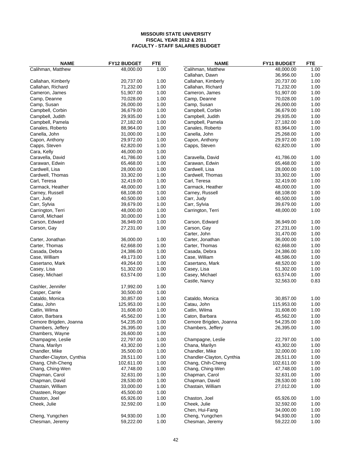| <b>NAME</b>               | FY12 BUDGET | <b>FTE</b> | <b>NAME</b>               | FY11 BUDGET            | <b>FTE</b> |
|---------------------------|-------------|------------|---------------------------|------------------------|------------|
| Calihman, Matthew         | 48,000.00   | 1.00       | Calihman, Matthew         | 48,000.00              | 1.00       |
|                           |             |            | Callahan, Dawn            | 36,956.00              | 1.00       |
| Callahan, Kimberly        | 20,737.00   | 1.00       | Callahan, Kimberly        | 20,737.00              | 1.00       |
| Callahan, Richard         | 71,232.00   | 1.00       | Callahan, Richard         | 71,232.00              | 1.00       |
| Cameron, James            | 51,907.00   | 1.00       | Cameron, James            | 51,907.00              | 1.00       |
| Camp, Deanne              | 70,028.00   | 1.00       | Camp, Deanne              | 70,028.00              | 1.00       |
| Camp, Susan               | 26,000.00   | 1.00       | Camp, Susan               | 26,000.00              | 1.00       |
| Campbell, Corbin          | 36,679.00   | 1.00       | Campbell, Corbin          | 36,679.00              | 1.00       |
| Campbell, Judith          | 29,935.00   | 1.00       | Campbell, Judith          | 29,935.00              | 1.00       |
| Campbell, Pamela          | 27,182.00   | 1.00       | Campbell, Pamela          | 27,182.00              | 1.00       |
| Canales, Roberto          | 88,964.00   | 1.00       | Canales, Roberto          | 83,964.00              | 1.00       |
| Canella, John             | 31,000.00   | $1.00\,$   | Canella, John             | 25,268.00              | 1.00       |
| Capon, Anthony            | 29,972.00   | 1.00       | Capon, Anthony            | 29,972.00              | 1.00       |
| Capps, Steven             | 62,820.00   | 1.00       | Capps, Steven             | 62,820.00              | 1.00       |
| Cara, Kelly               | 46,000.00   | 1.00       |                           |                        |            |
| Caravella, David          | 41,786.00   | 1.00       | Caravella, David          | 41,786.00              | 1.00       |
| Carawan, Edwin            | 65,468.00   | 1.00       | Carawan, Edwin            | 65,468.00              | 1.00       |
| Cardwell, Lisa            | 28,000.00   | 1.00       | Cardwell, Lisa            | 28,000.00              | 1.00       |
| Cardwell, Thomas          | 33,302.00   | 1.00       | Cardwell, Thomas          | 33,302.00              | 1.00       |
| Carl, Teresa              | 32,419.00   | 1.00       | Carl, Teresa              | 32,419.00              | 1.00       |
| Carmack, Heather          | 48,000.00   | 1.00       | Carmack, Heather          | 48,000.00              | 1.00       |
| Carney, Russell           | 68,108.00   | 1.00       | Carney, Russell           | 68,108.00              | 1.00       |
| Carr, Judy                | 40,500.00   | 1.00       | Carr, Judy                | 40,500.00              | 1.00       |
| Carr, Sylvia              | 39,679.00   | 1.00       | Carr, Sylvia              | 39,679.00              | 1.00       |
| Carrington, Terri         | 48,000.00   | 1.00       | Carrington, Terri         | 48,000.00              | 1.00       |
| Carroll, Michael          | 30,000.00   | 1.00       |                           |                        |            |
| Carson, Edward            | 36,949.00   | 1.00       | Carson, Edward            | 36,949.00              | 1.00       |
| Carson, Gay               | 27,231.00   | 1.00       | Carson, Gay               | 27,231.00              | 1.00       |
|                           |             |            | Carter, John              | 31,470.00              | 1.00       |
| Carter, Jonathan          | 36,000.00   | 1.00       | Carter, Jonathan          | 36,000.00              | 1.00       |
| Carter, Thomas            | 62,668.00   | 1.00       | Carter, Thomas            | 62,668.00              | 1.00       |
| Casada, Debra             |             | 1.00       |                           |                        | 1.00       |
|                           | 24,386.00   | 1.00       | Casada, Debra             | 24,386.00<br>48,586.00 | 1.00       |
| Case, William             | 49,173.00   |            | Case, William             |                        |            |
| Casertano, Mark           | 49,264.00   | 1.00       | Casertano, Mark           | 48,520.00              | 1.00       |
| Casey, Lisa               | 51,302.00   | 1.00       | Casey, Lisa               | 51,302.00              | 1.00       |
| Casey, Michael            | 63,574.00   | 1.00       | Casey, Michael            | 63,574.00              | 1.00       |
|                           |             |            | Castle, Nancy             | 32,563.00              | 0.83       |
| Cashler, Jennifer         | 17,992.00   | 1.00       |                           |                        |            |
| Casper, Carrie            | 30,500.00   | 1.00       |                           |                        |            |
| Cataldo, Monica           | 30,857.00   | 1.00       | Cataldo, Monica           | 30,857.00              | 1.00       |
| Catau, John               | 125,953.00  | 1.00       | Catau, John               | 115,953.00             | 1.00       |
| Catlin, Wilma             | 31,608.00   | 1.00       | Catlin, Wilma             | 31,608.00              | 1.00       |
| Caton, Barbara            | 45,562.00   | 1.00       | Caton, Barbara            | 45,562.00              | 1.00       |
| Cemore Brigden, Joanna    | 54,235.00   | 1.00       | Cemore Brigden, Joanna    | 54,235.00              | 1.00       |
| Chambers, Jeffery         | 26,395.00   | 1.00       | Chambers, Jeffery         | 26,395.00              | 1.00       |
| Chambers, Wayne           | 26,600.00   | 1.00       |                           |                        |            |
| Champagne, Leslie         | 22,797.00   | 1.00       | Champagne, Leslie         | 22,797.00              | 1.00       |
| Chana, Marilyn            | 43,302.00   | 1.00       | Chana, Marilyn            | 43,302.00              | 1.00       |
| Chandler, Mike            | 35,500.00   | 1.00       | Chandler, Mike            | 32,000.00              | 1.00       |
| Chandler-Clayton, Cynthia | 28,511.00   | 1.00       | Chandler-Clayton, Cynthia | 28,511.00              | 1.00       |
| Chang, Chih-Cheng         | 102,611.00  | 1.00       | Chang, Chih-Cheng         | 102,611.00             | 1.00       |
| Chang, Ching-Wen          | 47,748.00   | 1.00       | Chang, Ching-Wen          | 47,748.00              | 1.00       |
| Chapman, Carol            | 32,631.00   | 1.00       | Chapman, Carol            | 32,631.00              | 1.00       |
| Chapman, David            | 28,530.00   | 1.00       | Chapman, David            | 28,530.00              | 1.00       |
| Chastain, William         | 33,000.00   | 1.00       | Chastain, William         | 27,012.00              | 1.00       |
| Chasteen, Roger           | 45,500.00   | 1.00       |                           |                        |            |
| Chaston, Joel             | 65,926.00   | 1.00       | Chaston, Joel             | 65,926.00              | 1.00       |
| Cheek, Julie              | 32,592.00   | 1.00       | Cheek, Julie              | 32,592.00              | 1.00       |
|                           |             |            | Chen, Hui-Fang            | 34,000.00              | 1.00       |
| Cheng, Yungchen           | 94,930.00   | 1.00       | Cheng, Yungchen           | 94,930.00              | 1.00       |
| Chesman, Jeremy           | 59,222.00   | 1.00       | Chesman, Jeremy           | 59,222.00              | 1.00       |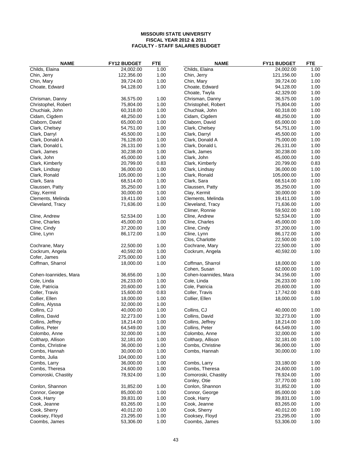| <b>NAME</b>           | FY12 BUDGET | <b>FTE</b> | <b>NAME</b>                     | FY11 BUDGET | <b>FTE</b> |
|-----------------------|-------------|------------|---------------------------------|-------------|------------|
| Childs, Elaina        | 24,002.00   | 1.00       | Childs, Elaina                  | 24,002.00   | 1.00       |
| Chin, Jerry           | 122,356.00  | 1.00       | Chin, Jerry                     | 121,156.00  | 1.00       |
| Chin, Mary            | 39,724.00   | 1.00       | Chin, Mary                      | 39,724.00   | 1.00       |
| Choate, Edward        | 94,128.00   | 1.00       | Choate, Edward                  | 94,128.00   | 1.00       |
|                       |             |            | Choate, Twyla                   | 42,329.00   | 1.00       |
| Chrisman, Danny       | 36,575.00   | 1.00       | Chrisman, Danny                 | 36,575.00   | 1.00       |
| Christophel, Robert   | 75,804.00   | 1.00       | Christophel, Robert             | 75,804.00   | 1.00       |
| Chuchiak, John        | 60,318.00   | 1.00       | Chuchiak, John                  | 60,318.00   | 1.00       |
| Cidam, Cigdem         | 48,250.00   | 1.00       | Cidam, Cigdem                   | 48,250.00   | 1.00       |
| Claborn, David        | 65,000.00   | 1.00       | Claborn, David                  | 65,000.00   | 1.00       |
| Clark, Chelsey        | 54,751.00   | 1.00       | Clark, Chelsey                  | 54,751.00   | 1.00       |
| Clark, Darryl         | 45,500.00   | 1.00       | Clark, Darryl                   | 45,500.00   | 1.00       |
| Clark, Donald A       | 76,128.00   | 1.00       | Clark, Donald A                 | 75,000.00   | 1.00       |
| Clark, Donald L       | 26,131.00   | 1.00       | Clark, Donald L                 | 26,131.00   | 1.00       |
| Clark, James          | 30,238.00   | 1.00       | Clark, James                    | 30,238.00   | 1.00       |
| Clark, John           | 45,000.00   | 1.00       | Clark, John                     | 45,000.00   | 1.00       |
| Clark, Kimberly       | 20,799.00   | 0.83       | Clark, Kimberly                 | 20,799.00   | 0.83       |
| Clark, Lindsay        | 36,000.00   | 1.00       | Clark, Lindsay                  | 36,000.00   | 1.00       |
| Clark, Ronald         | 105,000.00  | 1.00       | Clark, Ronald                   | 105,000.00  | 1.00       |
| Clark, Sara           | 68,514.00   | 1.00       | Clark, Sara                     | 68,514.00   | 1.00       |
| Claussen, Patty       | 35,250.00   | 1.00       |                                 | 35,250.00   | 1.00       |
|                       | 30,000.00   | 1.00       | Claussen, Patty<br>Clay, Kermit | 30,000.00   | 1.00       |
| Clay, Kermit          |             | 1.00       |                                 |             |            |
| Clements, Melinda     | 19,411.00   |            | Clements, Melinda               | 19,411.00   | 1.00       |
| Cleveland, Tracy      | 71,636.00   | 1.00       | Cleveland, Tracy                | 71,636.00   | 1.00       |
|                       |             |            | Climer, Ronnie                  | 59,502.00   | 1.00       |
| Cline, Andrew         | 52,534.00   | 1.00       | Cline, Andrew                   | 52,534.00   | 1.00       |
| Cline, Charles        | 45,000.00   | 1.00       | Cline, Charles                  | 45,000.00   | 1.00       |
| Cline, Cindy          | 37,200.00   | 1.00       | Cline, Cindy                    | 37,200.00   | 1.00       |
| Cline, Lynn           | 86,172.00   | 1.00       | Cline, Lynn                     | 86,172.00   | 1.00       |
|                       |             |            | Clos, Charlotte                 | 22,500.00   | 1.00       |
| Cochrane, Mary        | 22,500.00   | 1.00       | Cochrane, Mary                  | 22,500.00   | 1.00       |
| Cockrum, Angela       | 40,592.00   | 1.00       | Cockrum, Angela                 | 40,592.00   | 1.00       |
| Cofer, James          | 275,000.00  | 1.00       |                                 |             |            |
| Coffman, Sharrol      | 18,000.00   | 1.00       | Coffman, Sharrol                | 18,000.00   | 1.00       |
|                       |             |            | Cohen, Susan                    | 62,000.00   | 1.00       |
| Cohen-Ioannides, Mara | 36,656.00   | 1.00       | Cohen-Ioannides, Mara           | 34,156.00   | 1.00       |
| Cole, Linda           | 26,233.00   | 1.00       | Cole, Linda                     | 26,233.00   | 1.00       |
| Cole, Patricia        | 20,600.00   | 1.00       | Cole, Patricia                  | 20,600.00   | 1.00       |
| Coller, Travis        | 15,600.00   | 0.83       | Coller, Travis                  | 17,742.00   | 0.83       |
| Collier, Ellen        | 18,000.00   | 1.00       | Collier, Ellen                  | 18,000.00   | 1.00       |
| Collins, Alyssa       | 32,000.00   | 1.00       |                                 |             |            |
| Collins, CJ           | 40,000.00   | 1.00       | Collins, CJ                     | 40,000.00   | 1.00       |
| Collins, David        | 32,273.00   | 1.00       | Collins, David                  | 32,273.00   | 1.00       |
| Collins, Jeffrey      | 18,214.00   | 1.00       | Collins, Jeffrey                | 18,214.00   | 1.00       |
| Collins, Peter        | 64,549.00   | 1.00       | Collins, Peter                  | 64,549.00   | 1.00       |
| Colombo, Anne         | 32,000.00   | 1.00       | Colombo, Anne                   | 32,000.00   | 1.00       |
| Coltharp, Allison     | 32,181.00   | 1.00       | Coltharp, Allison               | 32,181.00   | 1.00       |
| Combs, Christine      | 36,000.00   | 1.00       | Combs, Christine                | 36,000.00   | 1.00       |
| Combs, Hannah         | 30,000.00   | 1.00       | Combs, Hannah                   | 30,000.00   | 1.00       |
| Combs, Julia          | 104,000.00  | 1.00       |                                 |             |            |
| Combs, Larry          | 36,000.00   | 1.00       | Combs, Larry                    | 33,180.00   | 1.00       |
| Combs, Theresa        | 24,600.00   | 1.00       | Combs, Theresa                  | 24,600.00   | 1.00       |
| Comoroski, Chastity   | 78,924.00   | 1.00       | Comoroski, Chastity             | 78,924.00   | 1.00       |
|                       |             |            | Conley, Otie                    | 37,770.00   | 1.00       |
| Conlon, Shannon       | 31,852.00   | 1.00       | Conlon, Shannon                 | 31,852.00   | 1.00       |
| Connor, George        | 85,000.00   | 1.00       | Connor, George                  | 85,000.00   | 1.00       |
| Cook, Harry           | 39,831.00   | 1.00       | Cook, Harry                     | 39,831.00   | 1.00       |
| Cook, Jeanne          | 83,265.00   | 1.00       | Cook, Jeanne                    | 83,265.00   | 1.00       |
|                       |             |            |                                 |             |            |
| Cook, Sherry          | 40,012.00   | 1.00       | Cook, Sherry                    | 40,012.00   | 1.00       |
| Cooksey, Floyd        | 23,295.00   | 1.00       | Cooksey, Floyd                  | 23,295.00   | 1.00       |
| Coombs, James         | 53,306.00   | 1.00       | Coombs, James                   | 53,306.00   | 1.00       |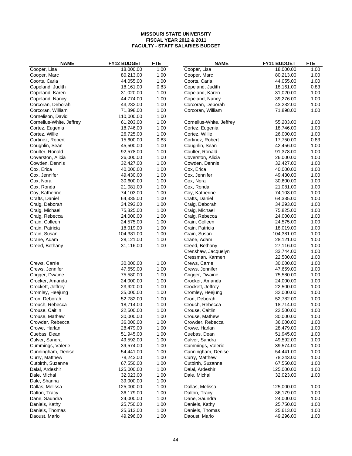| <b>NAME</b>              | <b>FY12 BUDGET</b> | <b>FTE</b> | <b>NAME</b>              | FY11 BUDGET            | <b>FTE</b> |
|--------------------------|--------------------|------------|--------------------------|------------------------|------------|
| Cooper, Lisa             | 18,000.00          | 1.00       | Cooper, Lisa             | 18,000.00              | 1.00       |
| Cooper, Marc             | 80,213.00          | 1.00       | Cooper, Marc             | 80,213.00              | 1.00       |
| Coorts, Carla            | 44,055.00          | 1.00       | Coorts, Carla            | 44,055.00              | 1.00       |
| Copeland, Judith         | 18,161.00          | 0.83       | Copeland, Judith         | 18,161.00              | 0.83       |
| Copeland, Karen          | 31,020.00          | 1.00       | Copeland, Karen          | 31,020.00              | 1.00       |
| Copeland, Nancy          | 44,774.00          | 1.00       | Copeland, Nancy          | 39,276.00              | 1.00       |
| Corcoran, Deborah        | 43,232.00          | 1.00       | Corcoran, Deborah        | 43,232.00              | 1.00       |
| Corcoran, William        | 71,898.00          | 1.00       | Corcoran, William        | 71,898.00              | 1.00       |
| Cornelison, David        | 110,000.00         | 1.00       |                          |                        |            |
| Cornelius-White, Jeffrey | 61,203.00          | 1.00       | Cornelius-White, Jeffrey | 55,203.00              | 1.00       |
| Cortez, Eugenia          | 18,746.00          | 1.00       | Cortez, Eugenia          | 18,746.00              | 1.00       |
| Cortez, Willie           | 26,725.00          | 1.00       | Cortez, Willie           | 26,000.00              | 1.00       |
| Cortinez, Robert         | 15,600.00          | 0.83       | Cortinez, Robert         | 17,750.00              | 0.83       |
| Coughlin, Sean           | 45,500.00          | 1.00       | Coughlin, Sean           | 42,456.00              | 1.00       |
| Coulter, Ronald          | 92,578.00          | 1.00       | Coulter, Ronald          | 91,378.00              | 1.00       |
| Coverston, Alicia        | 26,000.00          | 1.00       | Coverston, Alicia        | 26,000.00              | 1.00       |
| Cowden, Dennis           | 32,427.00          | 1.00       | Cowden, Dennis           | 32,427.00              | 1.00       |
| Cox, Erica               | 40,000.00          | 1.00       | Cox, Erica               | 40,000.00              | 1.00       |
| Cox, Jennifer            | 49,430.00          | 1.00       | Cox, Jennifer            | 49,430.00              | 1.00       |
| Cox, Nora                | 30,600.00          | 1.00       | Cox, Nora                | 30,600.00              | 1.00       |
| Cox, Ronda               | 21,081.00          | 1.00       | Cox, Ronda               | 21,081.00              | 1.00       |
| Coy, Katherine           | 74,103.00          | 1.00       | Coy, Katherine           | 74,103.00              | 1.00       |
| Crafts, Daniel           | 64,335.00          | 1.00       | Crafts, Daniel           | 64,335.00              | 1.00       |
| Craig, Deborah           | 34,293.00          | 1.00       | Craig, Deborah           | 34,293.00              | 1.00       |
| Craig, Michael           | 75,825.00          | 1.00       | Craig, Michael           | 75,825.00              | 1.00       |
| Craig, Rebecca           | 24,000.00          | 1.00       | Craig, Rebecca           | 24,000.00              | 1.00       |
| Crain, Colleen           | 24,575.00          | 1.00       | Crain, Colleen           | 24,575.00              | 1.00       |
| Crain, Patricia          | 18,019.00          | 1.00       | Crain, Patricia          | 18,019.00              | 1.00       |
| Crain, Susan             | 104,381.00         | 1.00       | Crain, Susan             | 104,381.00             | 1.00       |
| Crane, Adam              | 28,121.00          | 1.00       | Crane, Adam              | 28,121.00              | 1.00       |
| Creed, Bethany           | 31,116.00          | 1.00       | Creed, Bethany           | 27,116.00              | 1.00       |
|                          |                    |            | Crenshaw, Jacquelyn      | 33,744.00              | 1.00       |
|                          |                    |            | Cressman, Karmen         | 22,500.00              | 1.00       |
| Crews, Carrie            | 30,000.00          | 1.00       | Crews, Carrie            | 30,000.00              | 1.00       |
| Crews, Jennifer          | 47,659.00          | 1.00       |                          | 47,659.00              | 1.00       |
|                          | 75,580.00          | 1.00       | Crews, Jennifer          | 75,580.00              | 1.00       |
| Crigger, Dwaine          | 24,000.00          | 1.00       | Crigger, Dwaine          | 24,000.00              | 1.00       |
| Crocker, Amanda          |                    | 1.00       | Crocker, Amanda          |                        | 1.00       |
| Crockett, Jeffrey        | 23,920.00          |            | Crockett, Jeffrey        | 22,500.00              |            |
| Cromley, Heejung         | 35,000.00          | 1.00       | Cromley, Heejung         | 32,000.00<br>52,782.00 | 1.00       |
| Cron, Deborah            | 52,782.00          | 1.00       | Cron, Deborah            |                        | 1.00       |
| Crouch, Rebecca          | 18,714.00          | 1.00       | Crouch, Rebecca          | 18,714.00              | 1.00       |
| Crouse, Caitlin          | 22,500.00          | 1.00       | Crouse, Caitlin          | 22,500.00              | 1.00       |
| Crouse, Mathew           | 30,000.00          | 1.00       | Crouse, Mathew           | 30,000.00              | 1.00       |
| Crowder, Rebecca         | 36,000.00          | 1.00       | Crowder, Rebecca         | 36,000.00              | 1.00       |
| Crowe, Harlan            | 28,479.00          | 1.00       | Crowe, Harlan            | 28,479.00              | 1.00       |
| Cuebas, Dean             | 51,945.00          | 1.00       | Cuebas, Dean             | 51,945.00              | 1.00       |
| Culver, Sandra           | 49,592.00          | 1.00       | Culver, Sandra           | 49,592.00              | 1.00       |
| Cummings, Valerie        | 39,574.00          | 1.00       | Cummings, Valerie        | 39,574.00              | 1.00       |
| Cunningham, Denise       | 54,441.00          | 1.00       | Cunningham, Denise       | 54,441.00              | 1.00       |
| Curry, Matthew           | 78,243.00          | 1.00       | Curry, Matthew           | 78,243.00              | 1.00       |
| Cutbirth, Suzanne        | 67,550.00          | 1.00       | Cutbirth, Suzanne        | 67,550.00              | 1.00       |
| Dalal, Ardeshir          | 125,000.00         | 1.00       | Dalal, Ardeshir          | 125,000.00             | 1.00       |
| Dale, Michal             | 32,023.00          | 1.00       | Dale, Michal             | 32,023.00              | 1.00       |
| Dale, Shanna             | 39,000.00          | 1.00       |                          |                        |            |
| Dallas, Melissa          | 125,000.00         | 1.00       | Dallas, Melissa          | 125,000.00             | 1.00       |
| Dalton, Tracy            | 36,179.00          | 1.00       | Dalton, Tracy            | 36,179.00              | 1.00       |
| Dane, Saundra            | 24,000.00          | 1.00       | Dane, Saundra            | 24,000.00              | 1.00       |
| Daniels, Kathy           | 25,750.00          | 1.00       | Daniels, Kathy           | 25,750.00              | 1.00       |
| Daniels, Thomas          | 25,613.00          | 1.00       | Daniels, Thomas          | 25,613.00              | 1.00       |
| Daoust, Mario            | 49,296.00          | 1.00       | Daoust, Mario            | 49,296.00              | 1.00       |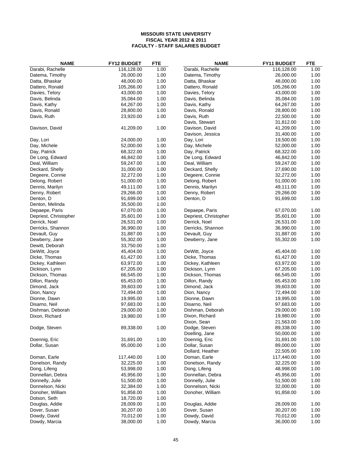| <b>NAME</b>                       | FY12 BUDGET            | <b>FTE</b>   | <b>NAME</b>                      | FY11 BUDGET            | <b>FTE</b>   |
|-----------------------------------|------------------------|--------------|----------------------------------|------------------------|--------------|
| Darabi, Rachelle                  | 116,128.00             | 1.00         | Darabi, Rachelle                 | 116,128.00             | 1.00         |
| Datema, Timothy                   | 26,000.00              | 1.00         | Datema, Timothy                  | 26,000.00              | 1.00         |
| Datta, Bhaskar                    | 48,000.00              | 1.00         | Datta, Bhaskar                   | 48,000.00              | 1.00         |
| Dattero, Ronald                   | 105,266.00             | 1.00         | Dattero, Ronald                  | 105,266.00             | 1.00         |
| Davies, Telory                    | 43,000.00              | 1.00         | Davies, Telory                   | 43,000.00              | 1.00         |
| Davis, Belinda                    | 35,084.00              | 1.00         | Davis, Belinda                   | 35,084.00              | 1.00         |
| Davis, Kathy                      | 64,267.00              | 1.00         | Davis, Kathy                     | 64,267.00              | 1.00         |
| Davis, Ronald                     | 28,800.00              | 1.00         | Davis, Ronald                    | 28,800.00              | 1.00         |
| Davis, Ruth                       | 23,920.00              | 1.00         | Davis, Ruth                      | 22,500.00              | 1.00         |
|                                   |                        |              | Davis, Stewart                   | 31,812.00              | 1.00         |
| Davison, David                    | 41,209.00              | 1.00         | Davison, David                   | 41,209.00              | 1.00         |
|                                   |                        |              | Davison, Jessica                 | 31,400.00              | 1.00         |
| Day, Lori                         | 24,000.00              | 1.00         | Day, Lori                        | 19,500.00              | 1.00         |
| Day, Michele                      | 52,000.00              | 1.00         | Day, Michele                     | 52,000.00              | 1.00         |
| Day, Patrick                      | 68,322.00              | 1.00         | Day, Patrick                     | 68,322.00              | 1.00         |
| De Long, Edward                   | 46,842.00              | 1.00         | De Long, Edward                  | 46,842.00              | 1.00         |
| Deal, William                     | 59,247.00              | 1.00         | Deal, William                    | 59,247.00              | 1.00         |
| Deckard, Shelly                   | 31,000.00              | 1.00         | Deckard, Shelly                  | 27,690.00              | 1.00         |
| Degeere, Connie                   | 32,272.00              | 1.00         | Degeere, Connie                  | 32,272.00              | 1.00         |
| Delong, Robert                    | 51,000.00              | 1.00         | Delong, Robert                   | 51,000.00              | 1.00         |
| Dennis, Marilyn                   | 49,111.00              | 1.00         | Dennis, Marilyn                  | 49,111.00              | 1.00         |
| Denny, Robert                     | 29,266.00              | 1.00         | Denny, Robert                    | 29,266.00              | 1.00         |
| Denton, D                         | 91,699.00              | 1.00         | Denton, D                        | 91,699.00              | 1.00         |
| Denton, Melinda                   | 35,500.00              | 1.00         |                                  |                        |              |
| Depaepe, Paris                    | 67,070.00              | 1.00         | Depaepe, Paris                   | 67,070.00              | 1.00         |
| Depriest, Christopher             | 35,601.00              | 1.00         | Depriest, Christopher            | 35,601.00              | 1.00         |
| Derrick, Noel                     | 26,531.00              | 1.00         | Derrick, Noel                    | 26,531.00              | 1.00         |
| Derricks, Shannon                 | 36,990.00              | 1.00         | Derricks, Shannon                | 36,990.00              | 1.00         |
| Devault, Guy                      | 31,887.00              | 1.00         | Devault, Guy                     | 31,887.00              | 1.00         |
| Dewberry, Jane                    | 55,302.00              | 1.00         | Dewberry, Jane                   | 55,302.00              | 1.00         |
| Dewitt, Deborah                   | 33,750.00              | 1.00         |                                  |                        |              |
| DeWitt, Joyce                     | 45,404.00              | 1.00         | DeWitt, Joyce                    | 45,404.00              | 1.00         |
| Dicke, Thomas                     | 61,427.00              | 1.00         | Dicke, Thomas                    | 61,427.00              | 1.00         |
| Dickey, Kathleen                  | 63,972.00              | 1.00         | Dickey, Kathleen                 | 63,972.00              | 1.00         |
| Dickison, Lynn<br>Dickson, Thomas | 67,205.00              | 1.00<br>1.00 | Dickison, Lynn                   | 67,205.00<br>66,545.00 | 1.00<br>1.00 |
| Dillon, Randy                     | 66,545.00<br>65,453.00 | 1.00         | Dickson, Thomas<br>Dillon, Randy | 65,453.00              | 1.00         |
| Dimond, Jack                      | 39,603.00              | 1.00         | Dimond, Jack                     | 39,603.00              | 1.00         |
| Dion, Nancy                       | 72,494.00              | 1.00         | Dion, Nancy                      | 72,494.00              | 1.00         |
| Dionne, Dawn                      | 19,995.00              | 1.00         | Dionne, Dawn                     | 19,995.00              | 1.00         |
| Disarno, Neil                     | 97,683.00              | 1.00         | Disarno, Neil                    | 97,683.00              | 1.00         |
| Dishman, Deborah                  | 29,000.00              | 1.00         | Dishman, Deborah                 | 29,000.00              | 1.00         |
| Dixon, Richard                    | 19,980.00              | 1.00         | Dixon, Richard                   | 19,980.00              | 1.00         |
|                                   |                        |              | Dixon, Sean                      | 21,563.00              | 1.00         |
| Dodge, Steven                     | 89,338.00              | 1.00         | Dodge, Steven                    | 89,338.00              | 1.00         |
|                                   |                        |              | Doelling, Jane                   | 50,000.00              | 1.00         |
| Doennig, Eric                     | 31,691.00              | 1.00         | Doennig, Eric                    | 31,691.00              | 1.00         |
| Dollar, Susan                     | 95,000.00              | 1.00         | Dollar, Susan                    | 89,000.00              | 1.00         |
|                                   |                        |              | Dollard, Heather                 | 22,505.00              | 1.00         |
| Doman, Earle                      | 117,440.00             | 1.00         | Doman, Earle                     | 117,440.00             | 1.00         |
| Donelson, Randy                   | 32,225.00              | 1.00         | Donelson, Randy                  | 32,225.00              | 1.00         |
| Dong, Lifeng                      | 53,998.00              | 1.00         | Dong, Lifeng                     | 48,998.00              | 1.00         |
| Donnellan, Debra                  | 45,956.00              | 1.00         | Donnellan, Debra                 | 45,956.00              | 1.00         |
| Donnelly, Julie                   | 51,500.00              | 1.00         | Donnelly, Julie                  | 51,500.00              | 1.00         |
| Donnelson, Nicki                  | 32,384.00              | 1.00         | Donnelson, Nicki                 | 32,000.00              | 1.00         |
| Donoher, William                  | 91,858.00              | 1.00         | Donoher, William                 | 91,858.00              | 1.00         |
| Dotson, Seth                      | 18,720.00              | 1.00         |                                  |                        |              |
| Douglas, Addie                    | 28,009.00              | 1.00         | Douglas, Addie                   | 28,009.00              | 1.00         |
| Dover, Susan                      | 30,207.00              | 1.00         | Dover, Susan                     | 30,207.00              | 1.00         |
| Dowdy, David                      | 70,012.00              | 1.00         | Dowdy, David                     | 70,012.00              | 1.00         |
| Dowdy, Marcia                     | 38,000.00              | 1.00         | Dowdy, Marcia                    | 36,000.00              | 1.00         |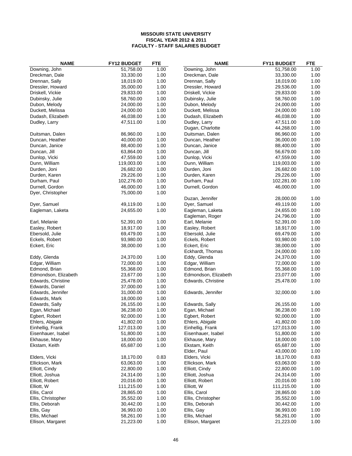| <b>NAME</b>          | FY12 BUDGET | <b>FTE</b> | <b>NAME</b>          | FY11 BUDGET | <b>FTE</b> |
|----------------------|-------------|------------|----------------------|-------------|------------|
| Downing, John        | 51,758.00   | 1.00       | Downing, John        | 51,758.00   | 1.00       |
| Dreckman, Dale       | 33,330.00   | 1.00       | Dreckman, Dale       | 33,330.00   | 1.00       |
| Drennan, Sally       | 18,019.00   | 1.00       | Drennan, Sally       | 18,019.00   | 1.00       |
| Dressler, Howard     | 35,000.00   | 1.00       | Dressler, Howard     | 29,536.00   | 1.00       |
| Driskell, Vickie     | 29,833.00   | 1.00       | Driskell, Vickie     | 29,833.00   | 1.00       |
| Dubinsky, Julie      | 58,760.00   | 1.00       | Dubinsky, Julie      | 58,760.00   | 1.00       |
| Dubon, Melody        | 24,000.00   | 1.00       | Dubon, Melody        | 24,000.00   | 1.00       |
| Duckett, Melissa     | 24,000.00   | 1.00       | Duckett, Melissa     | 24,000.00   | 1.00       |
| Dudash, Elizabeth    | 46,038.00   | 1.00       | Dudash, Elizabeth    | 46,038.00   | 1.00       |
| Dudley, Larry        | 47,511.00   | 1.00       | Dudley, Larry        | 47,511.00   | 1.00       |
|                      |             |            | Dugan, Charlotte     | 44,268.00   | 1.00       |
| Duitsman, Dalen      | 86,960.00   | 1.00       | Duitsman, Dalen      | 86,960.00   | 1.00       |
| Duncan, Heather      | 40,000.00   | 1.00       | Duncan, Heather      | 36,000.00   | 1.00       |
| Duncan, Janice       | 88,400.00   | 1.00       | Duncan, Janice       | 88,400.00   | 1.00       |
| Duncan, Jill         | 63,864.00   | 1.00       | Duncan, Jill         | 56,679.00   | 1.00       |
| Dunlop, Vicki        | 47,559.00   | 1.00       | Dunlop, Vicki        | 47,559.00   | 1.00       |
| Dunn, William        | 119,003.00  | 1.00       | Dunn, William        | 119,003.00  | 1.00       |
| Durden, Joni         | 26,682.00   | 1.00       | Durden, Joni         | 26,682.00   | 1.00       |
| Durden, Karen        | 29,226.00   | 1.00       | Durden, Karen        | 29,226.00   | 1.00       |
| Durham, Paul         | 102,276.00  | 1.00       | Durham, Paul         | 102,281.00  | 1.00       |
| Durnell, Gordon      | 46,000.00   | 1.00       |                      | 46,000.00   | 1.00       |
|                      |             |            | Durnell, Gordon      |             |            |
| Dyer, Christopher    | 75,000.00   | 1.00       |                      |             |            |
|                      |             |            | Duzan, Jennifer      | 28,000.00   | 1.00       |
| Dyer, Samuel         | 49,119.00   | 1.00       | Dyer, Samuel         | 49,119.00   | 1.00       |
| Eagleman, Laketa     | 24,655.00   | 1.00       | Eagleman, Laketa     | 24,655.00   | 1.00       |
|                      |             |            | Eagleman, Roger      | 24,796.00   | 1.00       |
| Earl, Melanie        | 52,391.00   | 1.00       | Earl, Melanie        | 52,391.00   | 1.00       |
| Easley, Robert       | 18,917.00   | 1.00       | Easley, Robert       | 18,917.00   | 1.00       |
| Ebersold, Julie      | 69,479.00   | 1.00       | Ebersold, Julie      | 69,479.00   | 1.00       |
| Eckels, Robert       | 93,980.00   | 1.00       | Eckels, Robert       | 93,980.00   | 1.00       |
| Eckert, Eric         | 38,000.00   | 1.00       | Eckert, Eric         | 38,000.00   | 1.00       |
|                      |             |            | Eckhardt, Thomas     | 24,000.00   | 1.00       |
| Eddy, Glenda         | 24,370.00   | 1.00       | Eddy, Glenda         | 24,370.00   | 1.00       |
| Edgar, William       | 72,000.00   | 1.00       | Edgar, William       | 72,000.00   | 1.00       |
| Edmond, Brian        | 55,368.00   | 1.00       | Edmond, Brian        | 55,368.00   | 1.00       |
| Edmondson, Elizabeth | 23,677.00   | 1.00       | Edmondson, Elizabeth | 23,077.00   | 1.00       |
| Edwards, Christine   | 25,478.00   | 1.00       | Edwards, Christine   | 25,478.00   | 1.00       |
| Edwards, Daniel      | 37,000.00   | 1.00       |                      |             |            |
| Edwards, Jennifer    | 31,000.00   | 1.00       | Edwards, Jennifer    | 32,000.00   | 1.00       |
| Edwards, Mark        | 18,000.00   | 1.00       |                      |             |            |
| Edwards, Sally       | 26,155.00   | 1.00       | Edwards, Sally       | 26,155.00   | 1.00       |
| Egan, Michael        | 36,238.00   | 1.00       | Egan, Michael        | 36,238.00   | 1.00       |
| Egbert, Robert       | 92,000.00   | 1.00       | Egbert, Robert       | 92,000.00   | 1.00       |
| Ehlers, Abigale      | 41,802.00   | 1.00       | Ehlers, Abigale      | 41,802.00   | 1.00       |
| Einhellig, Frank     | 127,013.00  | 1.00       | Einhellig, Frank     | 127,013.00  | 1.00       |
| Eisenhauer, Isabel   | 51,800.00   | 1.00       | Eisenhauer, Isabel   | 51,800.00   | 1.00       |
| Ekhause, Mary        | 18,000.00   | 1.00       | Ekhause, Mary        | 18,000.00   | 1.00       |
| Ekstam, Keith        | 65,687.00   | 1.00       | Ekstam, Keith        | 65,687.00   | 1.00       |
|                      |             |            | Elder, Paul          | 43,000.00   | 1.00       |
| Elders, Vicki        | 18,170.00   | 0.83       | Elders, Vicki        | 18,170.00   | 0.83       |
| Ellickson, Mark      | 63,063.00   | 1.00       | Ellickson, Mark      | 63,063.00   | 1.00       |
| Elliott, Cindy       | 22,800.00   | 1.00       | Elliott, Cindy       | 22,800.00   | 1.00       |
| Elliott, Joshua      | 24,314.00   | 1.00       | Elliott, Joshua      | 24,314.00   | 1.00       |
| Elliott, Robert      | 20,016.00   | 1.00       | Elliott, Robert      | 20,016.00   | 1.00       |
| Elliott, W           | 111,215.00  | 1.00       | Elliott, W           | 111,215.00  | 1.00       |
| Ellis, Carol         | 28,865.00   | 1.00       | Ellis, Carol         | 28,865.00   | 1.00       |
| Ellis, Christopher   | 35,552.00   | 1.00       | Ellis, Christopher   | 35,552.00   | 1.00       |
| Ellis, Deborah       | 30,442.00   | 1.00       | Ellis, Deborah       | 30,442.00   | 1.00       |
|                      |             | 1.00       |                      |             |            |
| Ellis, Gay           | 36,993.00   |            | Ellis, Gay           | 36,993.00   | 1.00       |
| Ellis, Michael       | 58,261.00   | 1.00       | Ellis, Michael       | 58,261.00   | 1.00       |
| Ellison, Margaret    | 21,223.00   | 1.00       | Ellison, Margaret    | 21,223.00   | 1.00       |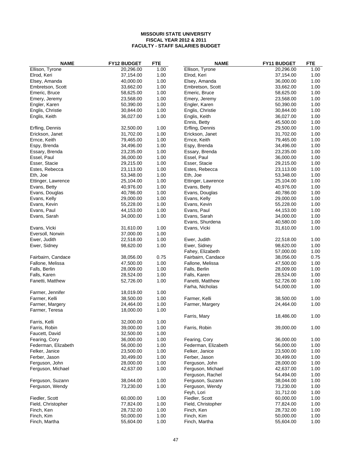| <b>NAME</b>         | <b>FY12 BUDGET</b> | <b>FTE</b> | <b>NAME</b>         | FY11 BUDGET | <b>FTE</b> |
|---------------------|--------------------|------------|---------------------|-------------|------------|
| Ellison, Tyrone     | 20,296.00          | 1.00       | Ellison, Tyrone     | 20,296.00   | 1.00       |
| Elrod, Keri         | 37,154.00          | 1.00       | Elrod, Keri         | 37,154.00   | 1.00       |
| Elsey, Amanda       | 40,000.00          | 1.00       | Elsey, Amanda       | 36,000.00   | 1.00       |
| Embretson, Scott    | 33,662.00          | 1.00       | Embretson, Scott    | 33,662.00   | 1.00       |
| Emeric, Bruce       | 58,625.00          | 1.00       | Emeric, Bruce       | 58,625.00   | 1.00       |
| Emery, Jeremy       | 23,568.00          | 1.00       | Emery, Jeremy       | 23,568.00   | 1.00       |
| Engler, Karen       | 50,390.00          | 1.00       | Engler, Karen       | 50,390.00   | 1.00       |
| Englis, Christie    | 30,844.00          | 1.00       | Englis, Christie    | 30,844.00   | 1.00       |
| Englis, Keith       | 36,027.00          | 1.00       | Englis, Keith       | 36,027.00   | 1.00       |
|                     |                    |            | Ennis, Betty        | 45,500.00   | 1.00       |
| Erfling, Dennis     | 32,500.00          | 1.00       | Erfling, Dennis     | 29,500.00   | 1.00       |
| Erickson, Janet     | 31,702.00          | 1.00       | Erickson, Janet     | 31,702.00   | 1.00       |
| Ernce, Keith        | 79,465.00          | 1.00       | Ernce, Keith        | 79,465.00   | 1.00       |
| Espy, Brenda        | 34,496.00          | 1.00       | Espy, Brenda        | 34,496.00   | 1.00       |
| Essary, Brenda      | 23,235.00          | 1.00       | Essary, Brenda      | 23,235.00   | 1.00       |
| Essel, Paul         | 36,000.00          | 1.00       | Essel, Paul         | 36,000.00   | 1.00       |
| Esser, Stacie       | 29,215.00          | 1.00       | Esser, Stacie       | 29,215.00   | 1.00       |
| Estes, Rebecca      | 23,113.00          | 1.00       | Estes, Rebecca      | 23,113.00   | 1.00       |
| Eth, Joe            | 53,348.00          | 1.00       | Eth, Joe            | 53,348.00   | 1.00       |
| Ettinger, Lawrence  | 25,104.00          | 1.00       |                     | 25,104.00   | 1.00       |
|                     |                    |            | Ettinger, Lawrence  | 40,976.00   |            |
| Evans, Betty        | 40,976.00          | 1.00       | Evans, Betty        |             | 1.00       |
| Evans, Douglas      | 40,786.00          | 1.00       | Evans, Douglas      | 40,786.00   | 1.00       |
| Evans, Kelly        | 29,000.00          | 1.00       | Evans, Kelly        | 29,000.00   | 1.00       |
| Evans, Kevin        | 55,228.00          | 1.00       | Evans, Kevin        | 55,228.00   | 1.00       |
| Evans, Paul         | 44,153.00          | 1.00       | Evans, Paul         | 44,153.00   | 1.00       |
| Evans, Sarah        | 34,000.00          | 1.00       | Evans, Sarah        | 34,000.00   | 1.00       |
|                     |                    |            | Evans, Shurdena     | 40,580.00   | 1.00       |
| Evans, Vicki        | 31,610.00          | 1.00       | Evans, Vicki        | 31,610.00   | 1.00       |
| Eversoll, Norwin    | 37,000.00          | 1.00       |                     |             |            |
| Ewer, Judith        | 22,518.00          | 1.00       | Ewer, Judith        | 22,518.00   | 1.00       |
| Ewer, Sidney        | 98,620.00          | 1.00       | Ewer, Sidney        | 98,620.00   | 1.00       |
|                     |                    |            | Fahey, Elizabeth    | 57,000.00   | 1.00       |
| Fairbairn, Candace  | 38,056.00          | 0.75       | Fairbairn, Candace  | 38,056.00   | 0.75       |
| Fallone, Melissa    | 47,500.00          | 1.00       | Fallone, Melissa    | 47,500.00   | 1.00       |
| Falls, Berlin       | 28,009.00          | 1.00       | Falls, Berlin       | 28,009.00   | 1.00       |
| Falls, Karen        | 28,524.00          | 1.00       | Falls, Karen        | 28,524.00   | 1.00       |
| Fanetti, Matthew    | 52,726.00          | 1.00       | Fanetti, Matthew    | 52,726.00   | 1.00       |
|                     |                    |            | Farha, Nicholas     | 54,000.00   | 1.00       |
| Farmer, Jennifer    | 18,019.00          | 1.00       |                     |             |            |
| Farmer, Kelli       | 38,500.00          | 1.00       | Farmer, Kelli       | 38,500.00   | 1.00       |
| Farmer, Margery     | 24,464.00          | 1.00       | Farmer, Margery     | 24,464.00   | 1.00       |
| Farmer, Teresa      | 18,000.00          | 1.00       |                     |             |            |
|                     |                    |            | Farris, Mary        | 18,486.00   | 1.00       |
| Farris, Kelli       | 32,000.00          | 1.00       |                     |             |            |
| Farris, Robin       | 39,000.00          | 1.00       | Farris, Robin       | 39,000.00   | 1.00       |
| Faucett, David      | 32,500.00          | 1.00       |                     |             |            |
| Fearing, Cory       | 36,000.00          | 1.00       | Fearing, Cory       | 36,000.00   | 1.00       |
| Federman, Elizabeth | 56,000.00          | 1.00       | Federman, Elizabeth | 56,000.00   | 1.00       |
| Felker, Janice      | 23,500.00          | 1.00       | Felker, Janice      | 23,500.00   | 1.00       |
| Ferber, Jason       | 30,499.00          | 1.00       | Ferber, Jason       | 30,499.00   | 1.00       |
| Ferguson, John      | 28,000.00          | 1.00       | Ferguson, John      | 28,000.00   | 1.00       |
| Ferguson, Michael   | 42,637.00          | 1.00       | Ferguson, Michael   | 42,637.00   | 1.00       |
|                     |                    |            | Ferguson, Rachel    | 54,494.00   | 1.00       |
|                     |                    |            |                     |             |            |
| Ferguson, Suzann    | 38,044.00          | 1.00       | Ferguson, Suzann    | 38,044.00   | 1.00       |
| Ferguson, Wendy     | 73,230.00          | 1.00       | Ferguson, Wendy     | 73,230.00   | 1.00       |
|                     |                    |            | Feyh, Lori          | 31,712.00   | 1.00       |
| Fiedler, Scott      | 60,000.00          | 1.00       | Fiedler, Scott      | 60,000.00   | 1.00       |
| Field, Christopher  | 77,824.00          | 1.00       | Field, Christopher  | 77,824.00   | 1.00       |
| Finch, Ken          | 28,732.00          | 1.00       | Finch, Ken          | 28,732.00   | 1.00       |
| Finch, Kim          | 50,000.00          | 1.00       | Finch, Kim          | 50,000.00   | 1.00       |
| Finch, Martha       | 55,604.00          | 1.00       | Finch, Martha       | 55,604.00   | 1.00       |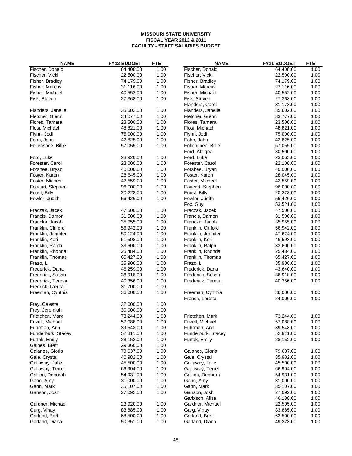| <b>NAME</b>        | FY12 BUDGET | <b>FTE</b>   | <b>NAME</b>                       | FY11 BUDGET            | <b>FTE</b>   |
|--------------------|-------------|--------------|-----------------------------------|------------------------|--------------|
| Fischer, Donald    | 64,408.00   | 1.00         | Fischer, Donald                   | 64,408.00              | 1.00         |
| Fischer, Vicki     | 22,500.00   | 1.00         | Fischer, Vicki                    | 22,500.00              | 1.00         |
| Fisher, Bradley    | 74,179.00   | 1.00         | Fisher, Bradley                   | 74,179.00              | 1.00         |
| Fisher, Marcus     | 31,116.00   | 1.00         | Fisher, Marcus                    | 27,116.00              | 1.00         |
| Fisher, Michael    | 40,552.00   | 1.00         | Fisher, Michael                   | 40,552.00              | 1.00         |
| Fisk, Steven       | 27,368.00   | 1.00         | Fisk, Steven                      | 27,368.00              | 1.00         |
|                    |             |              | Flanders, Carol                   | 31,173.00              | 1.00         |
| Flanders, Janelle  | 35,602.00   | 1.00         | Flanders, Janelle                 | 35,602.00              | 1.00         |
| Fletcher, Glenn    | 34,077.00   | 1.00         | Fletcher, Glenn                   | 33,777.00              | 1.00         |
| Flores, Tamara     | 23,500.00   | 1.00         | Flores, Tamara                    | 23,500.00              | 1.00         |
| Flosi, Michael     | 48,821.00   | 1.00         | Flosi, Michael                    | 48,821.00              | 1.00         |
| Flynn, Jodi        | 75,000.00   | 1.00         | Flynn, Jodi                       | 75,000.00              | 1.00         |
| Fohn, John         | 42,825.00   | 1.00         | Fohn, John                        | 42,825.00              | 1.00         |
| Follensbee, Billie | 57,055.00   | 1.00         | Follensbee, Billie                | 57,055.00              | 1.00         |
| Ford, Luke         | 23,920.00   |              | Ford, Aleigha<br>Ford, Luke       | 30,500.00<br>23,063.00 | 1.00<br>1.00 |
| Forester, Carol    | 23,000.00   | 1.00<br>1.00 |                                   | 22,108.00              | 1.00         |
| Forshee, Bryan     | 40,000.00   | 1.00         | Forester, Carol<br>Forshee, Bryan | 40,000.00              | 1.00         |
| Foster, Karen      | 28,645.00   | 1.00         | Foster, Karen                     | 28,045.00              | 1.00         |
| Foster, Micheal    | 42,559.00   | 1.00         | Foster, Micheal                   | 42,559.00              | 1.00         |
| Foucart, Stephen   | 96,000.00   | 1.00         | Foucart, Stephen                  | 96,000.00              | 1.00         |
| Foust, Billy       | 20,228.00   | 1.00         | Foust, Billy                      | 20,228.00              | 1.00         |
| Fowler, Judith     | 56,426.00   | 1.00         | Fowler, Judith                    | 56,426.00              | 1.00         |
|                    |             |              | Fox, Guy                          | 53,521.00              | 1.00         |
| Fraczak, Jacek     | 47,500.00   | 1.00         | Fraczak, Jacek                    | 47,500.00              | 1.00         |
| Francis, Damon     | 31,500.00   | 1.00         | Francis, Damon                    | 31,500.00              | 1.00         |
| Francka, Jacob     | 35,955.00   | 1.00         | Francka, Jacob                    | 35,955.00              | 1.00         |
| Franklin, Clifford | 56,942.00   | 1.00         | Franklin, Clifford                | 56,942.00              | 1.00         |
| Franklin, Jennifer | 50,124.00   | 1.00         | Franklin, Jennifer                | 47,624.00              | 1.00         |
| Franklin, Keri     | 51,598.00   | 1.00         | Franklin, Keri                    | 46,598.00              | 1.00         |
| Franklin, Ralph    | 33,600.00   | 1.00         | Franklin, Ralph                   | 33,600.00              | 1.00         |
| Franklin, Rhonda   | 25,484.00   | 1.00         | Franklin, Rhonda                  | 25,484.00              | 1.00         |
| Franklin, Thomas   | 65,427.00   | 1.00         | Franklin, Thomas                  | 65,427.00              | 1.00         |
| Frazo, L           | 35,906.00   | 1.00         | Frazo, L                          | 35,906.00              | 1.00         |
| Frederick, Dana    | 46,259.00   | 1.00         | Frederick, Dana                   | 43,640.00              | 1.00         |
| Frederick, Susan   | 36,918.00   | 1.00         | Frederick, Susan                  | 36,918.00              | 1.00         |
| Frederick, Teresa  | 40,356.00   | 1.00         | Frederick, Teresa                 | 40,356.00              | 1.00         |
| Fredrick, LaRita   | 31,700.00   | 1.00         |                                   |                        |              |
| Freeman, Cynthia   | 36,000.00   | 1.00         | Freeman, Cynthia                  | 36,000.00              | 1.00         |
| Frey, Celeste      | 32,000.00   | 1.00         | French, Loretta                   | 24,000.00              | 1.00         |
| Frey, Jeremiah     | 30,000.00   | 1.00         |                                   |                        |              |
| Frietchen, Mark    | 73,244.00   | 1.00         | Frietchen, Mark                   | 73,244.00              | 1.00         |
| Frizell, Michael   | 57,088.00   | 1.00         | Frizell, Michael                  | 57,088.00              | 1.00         |
| Fuhrman, Ann       | 39,543.00   | 1.00         | Fuhrman, Ann                      | 39,543.00              | 1.00         |
| Funderburk, Stacey | 52,811.00   | 1.00         | Funderburk, Stacey                | 52,811.00              | 1.00         |
| Furtak, Emily      | 28,152.00   | 1.00         | Furtak, Emily                     | 28,152.00              | 1.00         |
| Gaines, Brett      | 29,360.00   | 1.00         |                                   |                        |              |
| Galanes, Gloria    | 79,637.00   | 1.00         | Galanes, Gloria                   | 79,637.00              | 1.00         |
| Gale, Crystal      | 40,982.00   | 1.00         | Gale, Crystal                     | 35,982.00              | 1.00         |
| Gallaway, Julie    | 45,500.00   | 1.00         | Gallaway, Julie                   | 45,500.00              | 1.00         |
| Gallaway, Terrel   | 66,904.00   | 1.00         | Gallaway, Terrel                  | 66,904.00              | 1.00         |
| Gallion, Deborah   | 54,931.00   | 1.00         | Gallion, Deborah                  | 54,931.00              | 1.00         |
| Gann, Amy          | 31,000.00   | 1.00         | Gann, Amy                         | 31,000.00              | 1.00         |
| Gann, Mark         | 35,107.00   | 1.00         | Gann, Mark                        | 35,107.00              | 1.00         |
| Ganson, Josh       | 27,092.00   | 1.00         | Ganson, Josh                      | 27,092.00              | 1.00         |
|                    |             |              | Garbisch, Alisa                   | 46,188.00              | 1.00         |
| Gardner, Michael   | 23,920.00   | 1.00         | Gardner, Michael                  | 22,505.00              | 1.00         |
| Garg, Vinay        | 83,885.00   | 1.00         | Garg, Vinay                       | 83,885.00              | 1.00         |
| Garland, Brett     | 68,500.00   | 1.00         | Garland, Brett                    | 63,500.00              | 1.00         |
| Garland, Diana     | 50,351.00   | 1.00         | Garland, Diana                    | 49,223.00              | 1.00         |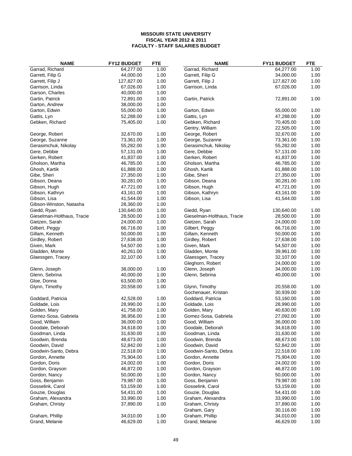| <b>NAME</b>                | FY12 BUDGET | <b>FTE</b> | <b>NAME</b>                | FY11 BUDGET | <b>FTE</b> |
|----------------------------|-------------|------------|----------------------------|-------------|------------|
| Garrad, Richard            | 64,277.00   | 1.00       | Garrad, Richard            | 64,277.00   | 1.00       |
| Garrett, Filip G           | 44,000.00   | 1.00       | Garrett, Filip G           | 34,000.00   | 1.00       |
| Garrett, Filip J           | 127,827.00  | 1.00       | Garrett, Filip J           | 127,827.00  | 1.00       |
| Garrison, Linda            | 67,026.00   | 1.00       | Garrison, Linda            | 67,026.00   | 1.00       |
| Garson, Charles            | 40,000.00   | 1.00       |                            |             |            |
| Gartin, Patrick            | 72,891.00   | 1.00       | Gartin, Patrick            | 72,891.00   | 1.00       |
| Garton, Andrew             | 38,000.00   | 1.00       |                            |             |            |
| Garton, Edwin              | 55,000.00   | 1.00       | Garton, Edwin              | 55,000.00   | 1.00       |
| Gattis, Lyn                | 52,288.00   | 1.00       | Gattis, Lyn                | 47,288.00   | 1.00       |
| Gebken, Richard            | 75,405.00   | 1.00       | Gebken, Richard            | 70,405.00   | 1.00       |
|                            |             |            | Gentry, William            | 22,505.00   | 1.00       |
| George, Robert             | 32,670.00   | 1.00       | George, Robert             | 32,670.00   | 1.00       |
| George, Suzanne            | 73,361.00   | 1.00       | George, Suzanne            | 73,361.00   | 1.00       |
| Gerasimchuk, Nikolay       | 55,282.00   | 1.00       | Gerasimchuk, Nikolay       | 55,282.00   | 1.00       |
| Gere, Debbie               | 57,131.00   | 1.00       | Gere, Debbie               | 57,131.00   | 1.00       |
| Gerken, Robert             | 41,837.00   | 1.00       | Gerken, Robert             | 41,837.00   | 1.00       |
| Gholson, Martha            | 46,785.00   | 1.00       | Gholson, Martha            | 46,785.00   | 1.00       |
| Ghosh, Kartik              | 61,888.00   | 1.00       | Ghosh, Kartik              | 61,888.00   | 1.00       |
|                            |             |            |                            | 27,350.00   |            |
| Gibe, Sheri                | 27,350.00   | 1.00       | Gibe, Sheri                |             | 1.00       |
| Gibson, Deana              | 30,281.00   | 1.00       | Gibson, Deana              | 30,281.00   | 1.00       |
| Gibson, Hugh               | 47,721.00   | 1.00       | Gibson, Hugh               | 47,721.00   | 1.00       |
| Gibson, Kathryn            | 43,161.00   | 1.00       | Gibson, Kathryn            | 43,161.00   | 1.00       |
| Gibson, Lisa               | 41,544.00   | 1.00       | Gibson, Lisa               | 41,544.00   | 1.00       |
| Gibson-Winston, Natasha    | 28,360.00   | 1.00       |                            |             |            |
| Giedd, Ryan                | 130,640.00  | 1.00       | Giedd, Ryan                | 130,640.00  | 1.00       |
| Gieselman-Holthaus, Tracie | 28,500.00   | 1.00       | Gieselman-Holthaus, Tracie | 28,500.00   | 1.00       |
| Gietzen, Sarah             | 24,000.00   | 1.00       | Gietzen, Sarah             | 24,000.00   | 1.00       |
| Gilbert, Peggy             | 66,716.00   | 1.00       | Gilbert, Peggy             | 66,716.00   | 1.00       |
| Gillam, Kenneth            | 50,000.00   | 1.00       | Gillam, Kenneth            | 50,000.00   | 1.00       |
| Girdley, Robert            | 27,638.00   | 1.00       | Girdley, Robert            | 27,638.00   | 1.00       |
| Given, Mark                | 54,507.00   | 1.00       | Given, Mark                | 54,507.00   | 1.00       |
| Gladden, Monte             | 40,261.00   | 1.00       | Gladden, Monte             | 39,961.00   | 1.00       |
| Glaessgen, Tracey          | 32,107.00   | 1.00       | Glaessgen, Tracey          | 32,107.00   | 1.00       |
|                            |             |            | Gleghorn, Robert           | 24,000.00   | 1.00       |
| Glenn, Joseph              | 38,000.00   | 1.00       | Glenn, Joseph              | 34,000.00   | 1.00       |
| Glenn, Sebrina             | 40,000.00   | 1.00       | Glenn, Sebrina             | 40,000.00   | 1.00       |
| Gloe, Donna                | 63,500.00   | 1.00       |                            |             |            |
| Glynn, Timothy             | 20,558.00   | 1.00       | Glynn, Timothy             | 20,558.00   | 1.00       |
|                            |             |            | Gochenauer, Kristan        | 30,939.00   | 1.00       |
| Goddard, Patricia          | 42,528.00   | 1.00       | Goddard, Patricia          | 53,160.00   | 1.00       |
| Goldade, Lois              | 28,990.00   | 1.00       | Goldade, Lois              | 28,990.00   | 1.00       |
| Golden, Mary               | 41,758.00   | 1.00       | Golden, Mary               | 40,630.00   | 1.00       |
| Gomez-Sosa, Gabriela       | 36,956.00   | 1.00       | Gomez-Sosa, Gabriela       | 27,092.00   | 1.00       |
| Good, William              | 36,000.00   | 1.00       | Good, William              | 36,000.00   | 1.00       |
| Goodale, Deborah           | 34,618.00   | 1.00       | Goodale, Deborah           | 34,618.00   | 1.00       |
| Goodman, Linda             | 31,630.00   | 1.00       | Goodman, Linda             | 31,630.00   | 1.00       |
| Goodwin, Brenda            | 48,673.00   | 1.00       | Goodwin, Brenda            | 48,673.00   | 1.00       |
| Goodwin, David             | 52,842.00   | 1.00       | Goodwin, David             | 52,842.00   | 1.00       |
| Goodwin-Santo, Debra       | 22,518.00   | 1.00       | Goodwin-Santo, Debra       | 22,518.00   | 1.00       |
| Gordon, Annette            | 75,904.00   | 1.00       | Gordon, Annette            | 75,904.00   | 1.00       |
| Gordon, Doris              | 24,002.00   | 1.00       | Gordon, Doris              | 24,002.00   | 1.00       |
| Gordon, Grayson            | 46,872.00   | 1.00       | Gordon, Grayson            | 46,872.00   | 1.00       |
| Gordon, Nancy              | 50,000.00   | 1.00       | Gordon, Nancy              | 50,000.00   | 1.00       |
| Goss, Benjamin             | 79,987.00   | 1.00       | Goss, Benjamin             | 79,987.00   | 1.00       |
| Gosselink, Carol           | 53,159.00   | 1.00       | Gosselink, Carol           | 53,159.00   | 1.00       |
| Gouzie, Douglas            | 54,431.00   | 1.00       | Gouzie, Douglas            | 54,431.00   | 1.00       |
| Graham, Alexandra          | 33,990.00   | 1.00       | Graham, Alexandra          | 33,990.00   | 1.00       |
| Graham, Christy            | 37,890.00   | 1.00       | Graham, Christy            | 37,890.00   | 1.00       |
|                            |             |            | Graham, Gary               | 30,116.00   |            |
|                            |             |            |                            |             | 1.00       |
| Graham, Phillip            | 34,010.00   | 1.00       | Graham, Phillip            | 34,010.00   | 1.00       |
| Grand, Melanie             | 46,629.00   | 1.00       | Grand, Melanie             | 46,629.00   | 1.00       |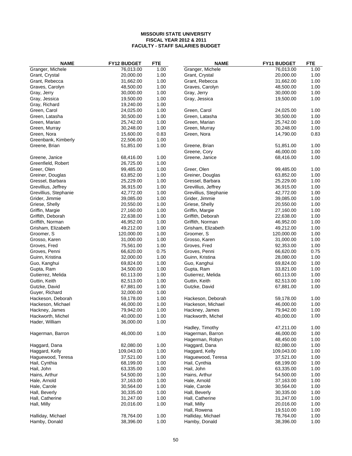| <b>NAME</b>                      | <b>FY12 BUDGET</b>     | <b>FTE</b>   | <b>NAME</b>                      | FY11 BUDGET            | <b>FTE</b>   |
|----------------------------------|------------------------|--------------|----------------------------------|------------------------|--------------|
| Granger, Michele                 | 76,013.00              | 1.00         | Granger, Michele                 | 76,013.00              | 1.00         |
| Grant, Crystal                   | 20,000.00              | 1.00         | Grant, Crystal                   | 20,000.00              | 1.00         |
| Grant, Rebecca                   | 31,662.00              | 1.00         | Grant, Rebecca                   | 31,662.00              | 1.00         |
| Graves, Carolyn                  | 48,500.00              | 1.00         | Graves, Carolyn                  | 48,500.00              | 1.00         |
| Gray, Jerry                      | 30,000.00              | 1.00         | Gray, Jerry                      | 30,000.00              | 1.00         |
| Gray, Jessica                    | 19,500.00              | 1.00         | Gray, Jessica                    | 19,500.00              | 1.00         |
| Gray, Richard                    | 19,240.00              | 1.00         |                                  |                        |              |
| Green, Carol                     | 24,025.00              | 1.00         | Green, Carol                     | 24,025.00              | 1.00         |
| Green, Latasha                   | 30,500.00              | 1.00         | Green, Latasha                   | 30,500.00              | 1.00         |
| Green, Marian                    | 25,742.00              | 1.00         | Green, Marian                    | 25,742.00              | 1.00         |
| Green, Murray                    | 30,248.00              | 1.00         | Green, Murray                    | 30,248.00              | 1.00         |
| Green, Nora                      | 15,600.00              | 0.83         | Green, Nora                      | 14,790.00              | 0.83         |
| Greenbank, Kimberly              | 22,506.00              | 1.00         |                                  |                        |              |
| Greene, Brian                    | 51,851.00              | 1.00         | Greene, Brian                    | 51,851.00              | 1.00         |
|                                  |                        |              | Greene, Cory                     | 46,000.00              | 1.00         |
| Greene, Janice                   | 68,416.00              | 1.00         | Greene, Janice                   | 68,416.00              | 1.00         |
| Greenfield, Robert               | 26,725.00              | 1.00         |                                  |                        |              |
| Greer, Olen                      | 99,485.00              | 1.00         | Greer, Olen                      | 99,485.00              | 1.00         |
| Greiner, Douglas                 | 63,852.00              | 1.00         | Greiner, Douglas                 | 63,852.00              | 1.00         |
| Gressel, Barbara                 | 25,229.00              | 1.00         | Gressel, Barbara                 | 25,229.00              | 1.00         |
| Grevillius, Jeffrey              | 36,915.00              | 1.00         | Grevillius, Jeffrey              | 36,915.00              | 1.00         |
| Grevillius, Stephanie            | 42,772.00              | 1.00         | Grevillius, Stephanie            | 42,772.00              | 1.00         |
| Grider, Jimmie                   | 39,085.00              | 1.00         | Grider, Jimmie                   | 39,085.00              | 1.00         |
| Griese, Shelly                   | 20,550.00              | 1.00         | Griese, Shelly                   | 20,550.00              | 1.00         |
| Griffin, Margie                  | 27,160.00              | 1.00         | Griffin, Margie                  | 27,160.00              | 1.00         |
| Griffith, Deborah                | 22,638.00              | 1.00         | Griffith, Deborah                | 22,638.00              | 1.00         |
| Griffith, Norman                 | 46,952.00              | 1.00         | Griffith, Norman                 | 46,952.00              | 1.00         |
| Grisham, Elizabeth               | 49,212.00              | 1.00         | Grisham, Elizabeth               | 49,212.00              | 1.00         |
| Groomer, S                       | 120,000.00             | 1.00         | Groomer, S                       | 120,000.00             | 1.00         |
| Grosso, Karen                    | 31,000.00              | 1.00         | Grosso, Karen                    | 31,000.00              | 1.00         |
| Groves, Fred                     | 75,561.00              | 1.00         | Groves, Fred                     | 92,353.00              | 1.00         |
| Groves, Penni                    | 66,620.00              | 0.75         | Groves, Penni                    | 66,620.00              | 0.75         |
| Guinn, Kristina                  | 32,000.00              | 1.00         | Guinn, Kristina                  | 28,080.00              | 1.00         |
| Guo, Kanghui                     | 69,824.00              | 1.00         | Guo, Kanghui                     | 69,824.00              | 1.00         |
| Gupta, Ram                       | 34,500.00              | 1.00         | Gupta, Ram                       | 33,821.00              | 1.00         |
| Gutierrez, Melida                | 60,113.00              | 1.00         | Gutierrez, Melida                | 60,113.00              | 1.00         |
| Guttin, Keith                    | 82,513.00              | 1.00         | Guttin, Keith                    | 82,513.00              | 1.00         |
| Gutzke, David                    | 67,881.00              | 1.00         | Gutzke, David                    | 67,881.00              | 1.00         |
| Guyer, Richard                   | 32,000.00              | 1.00         |                                  |                        |              |
| Hackeson, Deborah                | 59,178.00              | 1.00         | Hackeson, Deborah                | 59,178.00              | 1.00         |
| Hackeson, Michael                | 46,000.00              | 1.00         | Hackeson, Michael                | 46,000.00              | 1.00         |
| Hackney, James                   | 79,942.00              | 1.00         | Hackney, James                   | 79,942.00              | 1.00         |
| Hackworth, Michel                | 40,000.00              | 1.00         | Hackworth, Michel                | 40,000.00              | 1.00         |
| Hader, William                   | 36,000.00              | 1.00         |                                  |                        |              |
|                                  |                        |              | Hadley, Timothy                  | 47,211.00              | 1.00         |
| Hagerman, Barron                 | 46,000.00              | 1.00         | Hagerman, Barron                 | 46,000.00              | 1.00         |
|                                  |                        |              | Hagerman, Robyn                  | 48,450.00              | 1.00         |
| Haggard, Dana                    | 82,080.00              | 1.00         | Haggard, Dana                    | 82,080.00              | 1.00         |
| Haggard, Kelly                   | 109,043.00             | 1.00         | Haggard, Kelly                   | 109,043.00             | 1.00         |
| Haguewood, Teresa                | 37,521.00              | 1.00         | Haguewood, Teresa                | 37,521.00              | 1.00         |
| Hail, Cynthia                    | 68,199.00<br>63,335.00 | 1.00         | Hail, Cynthia                    | 68,199.00              | 1.00         |
| Hail, John                       |                        | 1.00         | Hail, John                       | 63,335.00              | 1.00         |
| Hains, Arthur                    | 54,500.00<br>37,163.00 | 1.00         | Hains, Arthur<br>Hale, Arnold    | 54,500.00<br>37,163.00 | 1.00         |
| Hale, Arnold<br>Hale, Carole     | 30,564.00              | 1.00<br>1.00 | Hale, Carole                     | 30,564.00              | 1.00<br>1.00 |
|                                  | 30,335.00              | 1.00         |                                  |                        | 1.00         |
| Hall, Beverly<br>Hall, Catherine | 31,247.00              | 1.00         | Hall, Beverly<br>Hall, Catherine | 30,335.00<br>31,247.00 | 1.00         |
| Hall, Milly                      | 20,016.00              | 1.00         | Hall, Milly                      | 20,016.00              | 1.00         |
|                                  |                        |              | Hall, Rowena                     | 19,510.00              | 1.00         |
| Halliday, Michael                | 78,764.00              | 1.00         | Halliday, Michael                | 78,764.00              | 1.00         |
| Hamby, Donald                    | 38,396.00              | 1.00         | Hamby, Donald                    | 38,396.00              | 1.00         |
|                                  |                        |              |                                  |                        |              |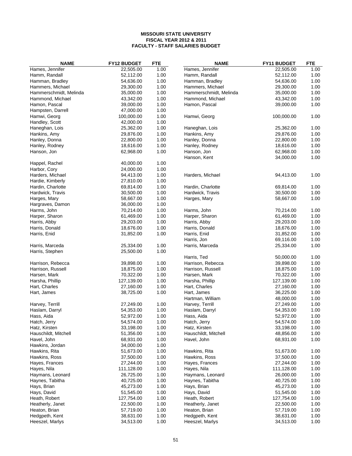| Hames, Jennifer<br>1.00<br>Hames, Jennifer<br>1.00<br>22,505.00<br>22,505.00<br>52,112.00<br>Hamm, Randall<br>1.00<br>Hamm, Randall<br>52,112.00<br>1.00<br>1.00<br>Hamman, Bradley<br>54,636.00<br>Hamman, Bradley<br>54,636.00<br>1.00<br>1.00<br>29,300.00<br>1.00<br>Hammers, Michael<br>29,300.00<br>Hammers, Michael<br>1.00<br>1.00<br>Hammerschmidt, Melinda<br>35,000.00<br>Hammerschmidt, Melinda<br>35,000.00<br>1.00<br>Hammond, Michael<br>43,342.00<br>Hammond, Michael<br>43,342.00<br>1.00<br>1.00<br>1.00<br>Hamon, Pascal<br>39,000.00<br>Hamon, Pascal<br>39,000.00<br>1.00<br>Hampsten, Darrell<br>47,000.00<br>1.00<br>100,000.00<br>Hamwi, Georg<br>100,000.00<br>Hamwi, Georg<br>1.00<br>1.00<br>Handley, Scott<br>42,000.00<br>1.00<br>Haneghan, Lois<br>25,362.00<br>Haneghan, Lois<br>25,362.00<br>1.00<br>1.00<br>1.00<br>Hankins, Amy<br>29,876.00<br>29,876.00<br>Hankins, Amy<br>1.00<br>1.00<br>Hanley, Donna<br>22,800.00<br>Hanley, Donna<br>22,800.00<br>18,616.00<br>1.00<br>18,616.00<br>1.00<br>Hanley, Rodney<br>Hanley, Rodney<br>1.00<br>Hanson, Jon<br>62,968.00<br>Hanson, Jon<br>62,968.00<br>1.00<br>Hanson, Kent<br>1.00<br>34,000.00<br>1.00<br>Happel, Rachel<br>40,000.00<br>24,000.00<br>1.00<br>Harbor, Cory<br>1.00<br>Harders, Michael<br>94,413.00<br>Harders, Michael<br>94,413.00<br>1.00<br>1.00<br>Hardie, Kimberly<br>27,810.00<br>1.00<br>1.00<br>Hardin, Charlotte<br>69,814.00<br>Hardin, Charlotte<br>69,814.00<br>1.00<br>30,500.00<br>1.00<br>Hardwick, Travis<br>30,500.00<br>Hardwick, Travis<br>1.00<br>1.00<br>58,667.00<br>58,667.00<br>Harges, Mary<br>Harges, Mary<br>1.00<br>Hargraves, Damon<br>36,000.00<br>1.00<br>Harms, John<br>70,214.00<br>Harms, John<br>70,214.00<br>1.00<br>1.00<br>Harper, Sharon<br>61,469.00<br>Harper, Sharon<br>61,469.00<br>1.00<br>1.00<br>29,203.00<br>1.00<br>Harris, Abby<br>29,203.00<br>Harris, Abby<br>1.00<br>Harris, Donald<br>18,676.00<br>Harris, Donald<br>18,676.00<br>1.00<br>1.00<br>Harris, Enid<br>31,852.00<br>Harris, Enid<br>31,852.00<br>1.00<br>1.00<br>Harris, Jon<br>69,116.00<br>1.00<br>Harris, Marceda<br>25,334.00<br>25,334.00<br>1.00<br>Harris, Marceda<br>1.00<br>Harris, Stephen<br>25,500.00<br>Harris, Ted<br>50,000.00<br>1.00<br>1.00<br>39,898.00<br>1.00<br>Harrison, Rebecca<br>39,898.00<br>Harrison, Rebecca<br>1.00<br>Harrison, Russell<br>18,875.00<br>Harrison, Russell<br>18,875.00<br>1.00<br>1.00<br>Harsen, Mark<br>70,322.00<br>Harsen, Mark<br>70,322.00<br>1.00<br>127,139.00<br>1.00<br>1.00<br>Harsha, Phillip<br>127,139.00<br>Harsha, Phillip<br>1.00<br>27,160.00<br>Hart, Charles<br>27,160.00<br>1.00<br>Hart, Charles<br>1.00<br>1.00<br>Hart, James<br>38,725.00<br>Hart, James<br>36,225.00<br>1.00<br>Hartman, William<br>48,000.00<br>1.00<br>27,249.00<br>Harvey, Terrill<br>27,249.00<br>1.00<br>Harvey, Terrill<br>54,353.00<br>1.00<br>54,353.00<br>1.00<br>Haslam, Darryl<br>Haslam, Darryl<br>1.00<br>1.00<br>Hass, Aida<br>52,972.00<br>52,972.00<br>Hass, Aida<br>54,574.00<br>1.00<br>Hatch, Jerry<br>54,574.00<br>1.00<br>Hatch, Jerry<br>1.00<br>Hatz, Kirsten<br>33,198.00<br>Hatz, Kirsten<br>33,198.00<br>1.00<br>1.00<br>Hauschildt, Mitchell<br>48,856.00<br>1.00<br>Hauschildt, Mitchell<br>51,356.00<br>1.00<br>68,931.00<br>68,931.00<br>1.00<br>Havel, John<br>Havel, John<br>1.00<br>34,000.00<br>Hawkins, Jordan<br>1.00<br>Hawkins, Rita<br>51,673.00<br>51,673.00<br>1.00<br>Hawkins, Rita<br>1.00<br>Hawkins, Ross<br>37,500.00<br>Hawkins, Ross<br>37,500.00<br>1.00<br>1.00<br>27,244.00<br>Hayes, Frances<br>27,244.00<br>1.00<br>Hayes, Frances<br>1.00<br>111,128.00<br>111,128.00<br>1.00<br>Hayes, Nila<br>Hayes, Nila<br>1.00<br>26,725.00<br>26,000.00<br>1.00<br>Haymans, Leonard<br>Haymans, Leonard<br>1.00<br>Haynes, Tabitha<br>40,725.00<br>Haynes, Tabitha<br>40,725.00<br>1.00<br>1.00<br>Hays, Brian<br>45,273.00<br>Hays, Brian<br>45,273.00<br>1.00<br>1.00<br>Hays, David<br>1.00<br>51,545.00<br>Hays, David<br>51,545.00<br>1.00<br>127,754.00<br>Heath, Robert<br>127,754.00<br>1.00<br>Heath, Robert<br>1.00<br>22,500.00<br>22,500.00<br>1.00<br>Heatherly, Janet<br>Heatherly, Janet | <b>NAME</b> | <b>FY12 BUDGET</b> | <b>FTE</b> | <b>NAME</b> | FY11 BUDGET | <b>FTE</b> |
|-------------------------------------------------------------------------------------------------------------------------------------------------------------------------------------------------------------------------------------------------------------------------------------------------------------------------------------------------------------------------------------------------------------------------------------------------------------------------------------------------------------------------------------------------------------------------------------------------------------------------------------------------------------------------------------------------------------------------------------------------------------------------------------------------------------------------------------------------------------------------------------------------------------------------------------------------------------------------------------------------------------------------------------------------------------------------------------------------------------------------------------------------------------------------------------------------------------------------------------------------------------------------------------------------------------------------------------------------------------------------------------------------------------------------------------------------------------------------------------------------------------------------------------------------------------------------------------------------------------------------------------------------------------------------------------------------------------------------------------------------------------------------------------------------------------------------------------------------------------------------------------------------------------------------------------------------------------------------------------------------------------------------------------------------------------------------------------------------------------------------------------------------------------------------------------------------------------------------------------------------------------------------------------------------------------------------------------------------------------------------------------------------------------------------------------------------------------------------------------------------------------------------------------------------------------------------------------------------------------------------------------------------------------------------------------------------------------------------------------------------------------------------------------------------------------------------------------------------------------------------------------------------------------------------------------------------------------------------------------------------------------------------------------------------------------------------------------------------------------------------------------------------------------------------------------------------------------------------------------------------------------------------------------------------------------------------------------------------------------------------------------------------------------------------------------------------------------------------------------------------------------------------------------------------------------------------------------------------------------------------------------------------------------------------------------------------------------------------------------------------------------------------------------------------------------------------------------------------------------------------------------------------------------------------------------------------------------------------------------------------------------------------------------------------------------------------------------------------------------------------------------------------------------------------------------------------------------------|-------------|--------------------|------------|-------------|-------------|------------|
|                                                                                                                                                                                                                                                                                                                                                                                                                                                                                                                                                                                                                                                                                                                                                                                                                                                                                                                                                                                                                                                                                                                                                                                                                                                                                                                                                                                                                                                                                                                                                                                                                                                                                                                                                                                                                                                                                                                                                                                                                                                                                                                                                                                                                                                                                                                                                                                                                                                                                                                                                                                                                                                                                                                                                                                                                                                                                                                                                                                                                                                                                                                                                                                                                                                                                                                                                                                                                                                                                                                                                                                                                                                                                                                                                                                                                                                                                                                                                                                                                                                                                                                                                                                                                   |             |                    |            |             |             |            |
|                                                                                                                                                                                                                                                                                                                                                                                                                                                                                                                                                                                                                                                                                                                                                                                                                                                                                                                                                                                                                                                                                                                                                                                                                                                                                                                                                                                                                                                                                                                                                                                                                                                                                                                                                                                                                                                                                                                                                                                                                                                                                                                                                                                                                                                                                                                                                                                                                                                                                                                                                                                                                                                                                                                                                                                                                                                                                                                                                                                                                                                                                                                                                                                                                                                                                                                                                                                                                                                                                                                                                                                                                                                                                                                                                                                                                                                                                                                                                                                                                                                                                                                                                                                                                   |             |                    |            |             |             |            |
|                                                                                                                                                                                                                                                                                                                                                                                                                                                                                                                                                                                                                                                                                                                                                                                                                                                                                                                                                                                                                                                                                                                                                                                                                                                                                                                                                                                                                                                                                                                                                                                                                                                                                                                                                                                                                                                                                                                                                                                                                                                                                                                                                                                                                                                                                                                                                                                                                                                                                                                                                                                                                                                                                                                                                                                                                                                                                                                                                                                                                                                                                                                                                                                                                                                                                                                                                                                                                                                                                                                                                                                                                                                                                                                                                                                                                                                                                                                                                                                                                                                                                                                                                                                                                   |             |                    |            |             |             |            |
|                                                                                                                                                                                                                                                                                                                                                                                                                                                                                                                                                                                                                                                                                                                                                                                                                                                                                                                                                                                                                                                                                                                                                                                                                                                                                                                                                                                                                                                                                                                                                                                                                                                                                                                                                                                                                                                                                                                                                                                                                                                                                                                                                                                                                                                                                                                                                                                                                                                                                                                                                                                                                                                                                                                                                                                                                                                                                                                                                                                                                                                                                                                                                                                                                                                                                                                                                                                                                                                                                                                                                                                                                                                                                                                                                                                                                                                                                                                                                                                                                                                                                                                                                                                                                   |             |                    |            |             |             |            |
|                                                                                                                                                                                                                                                                                                                                                                                                                                                                                                                                                                                                                                                                                                                                                                                                                                                                                                                                                                                                                                                                                                                                                                                                                                                                                                                                                                                                                                                                                                                                                                                                                                                                                                                                                                                                                                                                                                                                                                                                                                                                                                                                                                                                                                                                                                                                                                                                                                                                                                                                                                                                                                                                                                                                                                                                                                                                                                                                                                                                                                                                                                                                                                                                                                                                                                                                                                                                                                                                                                                                                                                                                                                                                                                                                                                                                                                                                                                                                                                                                                                                                                                                                                                                                   |             |                    |            |             |             |            |
|                                                                                                                                                                                                                                                                                                                                                                                                                                                                                                                                                                                                                                                                                                                                                                                                                                                                                                                                                                                                                                                                                                                                                                                                                                                                                                                                                                                                                                                                                                                                                                                                                                                                                                                                                                                                                                                                                                                                                                                                                                                                                                                                                                                                                                                                                                                                                                                                                                                                                                                                                                                                                                                                                                                                                                                                                                                                                                                                                                                                                                                                                                                                                                                                                                                                                                                                                                                                                                                                                                                                                                                                                                                                                                                                                                                                                                                                                                                                                                                                                                                                                                                                                                                                                   |             |                    |            |             |             |            |
|                                                                                                                                                                                                                                                                                                                                                                                                                                                                                                                                                                                                                                                                                                                                                                                                                                                                                                                                                                                                                                                                                                                                                                                                                                                                                                                                                                                                                                                                                                                                                                                                                                                                                                                                                                                                                                                                                                                                                                                                                                                                                                                                                                                                                                                                                                                                                                                                                                                                                                                                                                                                                                                                                                                                                                                                                                                                                                                                                                                                                                                                                                                                                                                                                                                                                                                                                                                                                                                                                                                                                                                                                                                                                                                                                                                                                                                                                                                                                                                                                                                                                                                                                                                                                   |             |                    |            |             |             |            |
|                                                                                                                                                                                                                                                                                                                                                                                                                                                                                                                                                                                                                                                                                                                                                                                                                                                                                                                                                                                                                                                                                                                                                                                                                                                                                                                                                                                                                                                                                                                                                                                                                                                                                                                                                                                                                                                                                                                                                                                                                                                                                                                                                                                                                                                                                                                                                                                                                                                                                                                                                                                                                                                                                                                                                                                                                                                                                                                                                                                                                                                                                                                                                                                                                                                                                                                                                                                                                                                                                                                                                                                                                                                                                                                                                                                                                                                                                                                                                                                                                                                                                                                                                                                                                   |             |                    |            |             |             |            |
|                                                                                                                                                                                                                                                                                                                                                                                                                                                                                                                                                                                                                                                                                                                                                                                                                                                                                                                                                                                                                                                                                                                                                                                                                                                                                                                                                                                                                                                                                                                                                                                                                                                                                                                                                                                                                                                                                                                                                                                                                                                                                                                                                                                                                                                                                                                                                                                                                                                                                                                                                                                                                                                                                                                                                                                                                                                                                                                                                                                                                                                                                                                                                                                                                                                                                                                                                                                                                                                                                                                                                                                                                                                                                                                                                                                                                                                                                                                                                                                                                                                                                                                                                                                                                   |             |                    |            |             |             |            |
|                                                                                                                                                                                                                                                                                                                                                                                                                                                                                                                                                                                                                                                                                                                                                                                                                                                                                                                                                                                                                                                                                                                                                                                                                                                                                                                                                                                                                                                                                                                                                                                                                                                                                                                                                                                                                                                                                                                                                                                                                                                                                                                                                                                                                                                                                                                                                                                                                                                                                                                                                                                                                                                                                                                                                                                                                                                                                                                                                                                                                                                                                                                                                                                                                                                                                                                                                                                                                                                                                                                                                                                                                                                                                                                                                                                                                                                                                                                                                                                                                                                                                                                                                                                                                   |             |                    |            |             |             |            |
|                                                                                                                                                                                                                                                                                                                                                                                                                                                                                                                                                                                                                                                                                                                                                                                                                                                                                                                                                                                                                                                                                                                                                                                                                                                                                                                                                                                                                                                                                                                                                                                                                                                                                                                                                                                                                                                                                                                                                                                                                                                                                                                                                                                                                                                                                                                                                                                                                                                                                                                                                                                                                                                                                                                                                                                                                                                                                                                                                                                                                                                                                                                                                                                                                                                                                                                                                                                                                                                                                                                                                                                                                                                                                                                                                                                                                                                                                                                                                                                                                                                                                                                                                                                                                   |             |                    |            |             |             |            |
|                                                                                                                                                                                                                                                                                                                                                                                                                                                                                                                                                                                                                                                                                                                                                                                                                                                                                                                                                                                                                                                                                                                                                                                                                                                                                                                                                                                                                                                                                                                                                                                                                                                                                                                                                                                                                                                                                                                                                                                                                                                                                                                                                                                                                                                                                                                                                                                                                                                                                                                                                                                                                                                                                                                                                                                                                                                                                                                                                                                                                                                                                                                                                                                                                                                                                                                                                                                                                                                                                                                                                                                                                                                                                                                                                                                                                                                                                                                                                                                                                                                                                                                                                                                                                   |             |                    |            |             |             |            |
|                                                                                                                                                                                                                                                                                                                                                                                                                                                                                                                                                                                                                                                                                                                                                                                                                                                                                                                                                                                                                                                                                                                                                                                                                                                                                                                                                                                                                                                                                                                                                                                                                                                                                                                                                                                                                                                                                                                                                                                                                                                                                                                                                                                                                                                                                                                                                                                                                                                                                                                                                                                                                                                                                                                                                                                                                                                                                                                                                                                                                                                                                                                                                                                                                                                                                                                                                                                                                                                                                                                                                                                                                                                                                                                                                                                                                                                                                                                                                                                                                                                                                                                                                                                                                   |             |                    |            |             |             |            |
|                                                                                                                                                                                                                                                                                                                                                                                                                                                                                                                                                                                                                                                                                                                                                                                                                                                                                                                                                                                                                                                                                                                                                                                                                                                                                                                                                                                                                                                                                                                                                                                                                                                                                                                                                                                                                                                                                                                                                                                                                                                                                                                                                                                                                                                                                                                                                                                                                                                                                                                                                                                                                                                                                                                                                                                                                                                                                                                                                                                                                                                                                                                                                                                                                                                                                                                                                                                                                                                                                                                                                                                                                                                                                                                                                                                                                                                                                                                                                                                                                                                                                                                                                                                                                   |             |                    |            |             |             |            |
|                                                                                                                                                                                                                                                                                                                                                                                                                                                                                                                                                                                                                                                                                                                                                                                                                                                                                                                                                                                                                                                                                                                                                                                                                                                                                                                                                                                                                                                                                                                                                                                                                                                                                                                                                                                                                                                                                                                                                                                                                                                                                                                                                                                                                                                                                                                                                                                                                                                                                                                                                                                                                                                                                                                                                                                                                                                                                                                                                                                                                                                                                                                                                                                                                                                                                                                                                                                                                                                                                                                                                                                                                                                                                                                                                                                                                                                                                                                                                                                                                                                                                                                                                                                                                   |             |                    |            |             |             |            |
|                                                                                                                                                                                                                                                                                                                                                                                                                                                                                                                                                                                                                                                                                                                                                                                                                                                                                                                                                                                                                                                                                                                                                                                                                                                                                                                                                                                                                                                                                                                                                                                                                                                                                                                                                                                                                                                                                                                                                                                                                                                                                                                                                                                                                                                                                                                                                                                                                                                                                                                                                                                                                                                                                                                                                                                                                                                                                                                                                                                                                                                                                                                                                                                                                                                                                                                                                                                                                                                                                                                                                                                                                                                                                                                                                                                                                                                                                                                                                                                                                                                                                                                                                                                                                   |             |                    |            |             |             |            |
|                                                                                                                                                                                                                                                                                                                                                                                                                                                                                                                                                                                                                                                                                                                                                                                                                                                                                                                                                                                                                                                                                                                                                                                                                                                                                                                                                                                                                                                                                                                                                                                                                                                                                                                                                                                                                                                                                                                                                                                                                                                                                                                                                                                                                                                                                                                                                                                                                                                                                                                                                                                                                                                                                                                                                                                                                                                                                                                                                                                                                                                                                                                                                                                                                                                                                                                                                                                                                                                                                                                                                                                                                                                                                                                                                                                                                                                                                                                                                                                                                                                                                                                                                                                                                   |             |                    |            |             |             |            |
|                                                                                                                                                                                                                                                                                                                                                                                                                                                                                                                                                                                                                                                                                                                                                                                                                                                                                                                                                                                                                                                                                                                                                                                                                                                                                                                                                                                                                                                                                                                                                                                                                                                                                                                                                                                                                                                                                                                                                                                                                                                                                                                                                                                                                                                                                                                                                                                                                                                                                                                                                                                                                                                                                                                                                                                                                                                                                                                                                                                                                                                                                                                                                                                                                                                                                                                                                                                                                                                                                                                                                                                                                                                                                                                                                                                                                                                                                                                                                                                                                                                                                                                                                                                                                   |             |                    |            |             |             |            |
|                                                                                                                                                                                                                                                                                                                                                                                                                                                                                                                                                                                                                                                                                                                                                                                                                                                                                                                                                                                                                                                                                                                                                                                                                                                                                                                                                                                                                                                                                                                                                                                                                                                                                                                                                                                                                                                                                                                                                                                                                                                                                                                                                                                                                                                                                                                                                                                                                                                                                                                                                                                                                                                                                                                                                                                                                                                                                                                                                                                                                                                                                                                                                                                                                                                                                                                                                                                                                                                                                                                                                                                                                                                                                                                                                                                                                                                                                                                                                                                                                                                                                                                                                                                                                   |             |                    |            |             |             |            |
|                                                                                                                                                                                                                                                                                                                                                                                                                                                                                                                                                                                                                                                                                                                                                                                                                                                                                                                                                                                                                                                                                                                                                                                                                                                                                                                                                                                                                                                                                                                                                                                                                                                                                                                                                                                                                                                                                                                                                                                                                                                                                                                                                                                                                                                                                                                                                                                                                                                                                                                                                                                                                                                                                                                                                                                                                                                                                                                                                                                                                                                                                                                                                                                                                                                                                                                                                                                                                                                                                                                                                                                                                                                                                                                                                                                                                                                                                                                                                                                                                                                                                                                                                                                                                   |             |                    |            |             |             |            |
|                                                                                                                                                                                                                                                                                                                                                                                                                                                                                                                                                                                                                                                                                                                                                                                                                                                                                                                                                                                                                                                                                                                                                                                                                                                                                                                                                                                                                                                                                                                                                                                                                                                                                                                                                                                                                                                                                                                                                                                                                                                                                                                                                                                                                                                                                                                                                                                                                                                                                                                                                                                                                                                                                                                                                                                                                                                                                                                                                                                                                                                                                                                                                                                                                                                                                                                                                                                                                                                                                                                                                                                                                                                                                                                                                                                                                                                                                                                                                                                                                                                                                                                                                                                                                   |             |                    |            |             |             |            |
|                                                                                                                                                                                                                                                                                                                                                                                                                                                                                                                                                                                                                                                                                                                                                                                                                                                                                                                                                                                                                                                                                                                                                                                                                                                                                                                                                                                                                                                                                                                                                                                                                                                                                                                                                                                                                                                                                                                                                                                                                                                                                                                                                                                                                                                                                                                                                                                                                                                                                                                                                                                                                                                                                                                                                                                                                                                                                                                                                                                                                                                                                                                                                                                                                                                                                                                                                                                                                                                                                                                                                                                                                                                                                                                                                                                                                                                                                                                                                                                                                                                                                                                                                                                                                   |             |                    |            |             |             |            |
|                                                                                                                                                                                                                                                                                                                                                                                                                                                                                                                                                                                                                                                                                                                                                                                                                                                                                                                                                                                                                                                                                                                                                                                                                                                                                                                                                                                                                                                                                                                                                                                                                                                                                                                                                                                                                                                                                                                                                                                                                                                                                                                                                                                                                                                                                                                                                                                                                                                                                                                                                                                                                                                                                                                                                                                                                                                                                                                                                                                                                                                                                                                                                                                                                                                                                                                                                                                                                                                                                                                                                                                                                                                                                                                                                                                                                                                                                                                                                                                                                                                                                                                                                                                                                   |             |                    |            |             |             |            |
|                                                                                                                                                                                                                                                                                                                                                                                                                                                                                                                                                                                                                                                                                                                                                                                                                                                                                                                                                                                                                                                                                                                                                                                                                                                                                                                                                                                                                                                                                                                                                                                                                                                                                                                                                                                                                                                                                                                                                                                                                                                                                                                                                                                                                                                                                                                                                                                                                                                                                                                                                                                                                                                                                                                                                                                                                                                                                                                                                                                                                                                                                                                                                                                                                                                                                                                                                                                                                                                                                                                                                                                                                                                                                                                                                                                                                                                                                                                                                                                                                                                                                                                                                                                                                   |             |                    |            |             |             |            |
|                                                                                                                                                                                                                                                                                                                                                                                                                                                                                                                                                                                                                                                                                                                                                                                                                                                                                                                                                                                                                                                                                                                                                                                                                                                                                                                                                                                                                                                                                                                                                                                                                                                                                                                                                                                                                                                                                                                                                                                                                                                                                                                                                                                                                                                                                                                                                                                                                                                                                                                                                                                                                                                                                                                                                                                                                                                                                                                                                                                                                                                                                                                                                                                                                                                                                                                                                                                                                                                                                                                                                                                                                                                                                                                                                                                                                                                                                                                                                                                                                                                                                                                                                                                                                   |             |                    |            |             |             |            |
|                                                                                                                                                                                                                                                                                                                                                                                                                                                                                                                                                                                                                                                                                                                                                                                                                                                                                                                                                                                                                                                                                                                                                                                                                                                                                                                                                                                                                                                                                                                                                                                                                                                                                                                                                                                                                                                                                                                                                                                                                                                                                                                                                                                                                                                                                                                                                                                                                                                                                                                                                                                                                                                                                                                                                                                                                                                                                                                                                                                                                                                                                                                                                                                                                                                                                                                                                                                                                                                                                                                                                                                                                                                                                                                                                                                                                                                                                                                                                                                                                                                                                                                                                                                                                   |             |                    |            |             |             |            |
|                                                                                                                                                                                                                                                                                                                                                                                                                                                                                                                                                                                                                                                                                                                                                                                                                                                                                                                                                                                                                                                                                                                                                                                                                                                                                                                                                                                                                                                                                                                                                                                                                                                                                                                                                                                                                                                                                                                                                                                                                                                                                                                                                                                                                                                                                                                                                                                                                                                                                                                                                                                                                                                                                                                                                                                                                                                                                                                                                                                                                                                                                                                                                                                                                                                                                                                                                                                                                                                                                                                                                                                                                                                                                                                                                                                                                                                                                                                                                                                                                                                                                                                                                                                                                   |             |                    |            |             |             |            |
|                                                                                                                                                                                                                                                                                                                                                                                                                                                                                                                                                                                                                                                                                                                                                                                                                                                                                                                                                                                                                                                                                                                                                                                                                                                                                                                                                                                                                                                                                                                                                                                                                                                                                                                                                                                                                                                                                                                                                                                                                                                                                                                                                                                                                                                                                                                                                                                                                                                                                                                                                                                                                                                                                                                                                                                                                                                                                                                                                                                                                                                                                                                                                                                                                                                                                                                                                                                                                                                                                                                                                                                                                                                                                                                                                                                                                                                                                                                                                                                                                                                                                                                                                                                                                   |             |                    |            |             |             |            |
|                                                                                                                                                                                                                                                                                                                                                                                                                                                                                                                                                                                                                                                                                                                                                                                                                                                                                                                                                                                                                                                                                                                                                                                                                                                                                                                                                                                                                                                                                                                                                                                                                                                                                                                                                                                                                                                                                                                                                                                                                                                                                                                                                                                                                                                                                                                                                                                                                                                                                                                                                                                                                                                                                                                                                                                                                                                                                                                                                                                                                                                                                                                                                                                                                                                                                                                                                                                                                                                                                                                                                                                                                                                                                                                                                                                                                                                                                                                                                                                                                                                                                                                                                                                                                   |             |                    |            |             |             |            |
|                                                                                                                                                                                                                                                                                                                                                                                                                                                                                                                                                                                                                                                                                                                                                                                                                                                                                                                                                                                                                                                                                                                                                                                                                                                                                                                                                                                                                                                                                                                                                                                                                                                                                                                                                                                                                                                                                                                                                                                                                                                                                                                                                                                                                                                                                                                                                                                                                                                                                                                                                                                                                                                                                                                                                                                                                                                                                                                                                                                                                                                                                                                                                                                                                                                                                                                                                                                                                                                                                                                                                                                                                                                                                                                                                                                                                                                                                                                                                                                                                                                                                                                                                                                                                   |             |                    |            |             |             |            |
|                                                                                                                                                                                                                                                                                                                                                                                                                                                                                                                                                                                                                                                                                                                                                                                                                                                                                                                                                                                                                                                                                                                                                                                                                                                                                                                                                                                                                                                                                                                                                                                                                                                                                                                                                                                                                                                                                                                                                                                                                                                                                                                                                                                                                                                                                                                                                                                                                                                                                                                                                                                                                                                                                                                                                                                                                                                                                                                                                                                                                                                                                                                                                                                                                                                                                                                                                                                                                                                                                                                                                                                                                                                                                                                                                                                                                                                                                                                                                                                                                                                                                                                                                                                                                   |             |                    |            |             |             |            |
|                                                                                                                                                                                                                                                                                                                                                                                                                                                                                                                                                                                                                                                                                                                                                                                                                                                                                                                                                                                                                                                                                                                                                                                                                                                                                                                                                                                                                                                                                                                                                                                                                                                                                                                                                                                                                                                                                                                                                                                                                                                                                                                                                                                                                                                                                                                                                                                                                                                                                                                                                                                                                                                                                                                                                                                                                                                                                                                                                                                                                                                                                                                                                                                                                                                                                                                                                                                                                                                                                                                                                                                                                                                                                                                                                                                                                                                                                                                                                                                                                                                                                                                                                                                                                   |             |                    |            |             |             |            |
|                                                                                                                                                                                                                                                                                                                                                                                                                                                                                                                                                                                                                                                                                                                                                                                                                                                                                                                                                                                                                                                                                                                                                                                                                                                                                                                                                                                                                                                                                                                                                                                                                                                                                                                                                                                                                                                                                                                                                                                                                                                                                                                                                                                                                                                                                                                                                                                                                                                                                                                                                                                                                                                                                                                                                                                                                                                                                                                                                                                                                                                                                                                                                                                                                                                                                                                                                                                                                                                                                                                                                                                                                                                                                                                                                                                                                                                                                                                                                                                                                                                                                                                                                                                                                   |             |                    |            |             |             |            |
|                                                                                                                                                                                                                                                                                                                                                                                                                                                                                                                                                                                                                                                                                                                                                                                                                                                                                                                                                                                                                                                                                                                                                                                                                                                                                                                                                                                                                                                                                                                                                                                                                                                                                                                                                                                                                                                                                                                                                                                                                                                                                                                                                                                                                                                                                                                                                                                                                                                                                                                                                                                                                                                                                                                                                                                                                                                                                                                                                                                                                                                                                                                                                                                                                                                                                                                                                                                                                                                                                                                                                                                                                                                                                                                                                                                                                                                                                                                                                                                                                                                                                                                                                                                                                   |             |                    |            |             |             |            |
|                                                                                                                                                                                                                                                                                                                                                                                                                                                                                                                                                                                                                                                                                                                                                                                                                                                                                                                                                                                                                                                                                                                                                                                                                                                                                                                                                                                                                                                                                                                                                                                                                                                                                                                                                                                                                                                                                                                                                                                                                                                                                                                                                                                                                                                                                                                                                                                                                                                                                                                                                                                                                                                                                                                                                                                                                                                                                                                                                                                                                                                                                                                                                                                                                                                                                                                                                                                                                                                                                                                                                                                                                                                                                                                                                                                                                                                                                                                                                                                                                                                                                                                                                                                                                   |             |                    |            |             |             |            |
|                                                                                                                                                                                                                                                                                                                                                                                                                                                                                                                                                                                                                                                                                                                                                                                                                                                                                                                                                                                                                                                                                                                                                                                                                                                                                                                                                                                                                                                                                                                                                                                                                                                                                                                                                                                                                                                                                                                                                                                                                                                                                                                                                                                                                                                                                                                                                                                                                                                                                                                                                                                                                                                                                                                                                                                                                                                                                                                                                                                                                                                                                                                                                                                                                                                                                                                                                                                                                                                                                                                                                                                                                                                                                                                                                                                                                                                                                                                                                                                                                                                                                                                                                                                                                   |             |                    |            |             |             |            |
|                                                                                                                                                                                                                                                                                                                                                                                                                                                                                                                                                                                                                                                                                                                                                                                                                                                                                                                                                                                                                                                                                                                                                                                                                                                                                                                                                                                                                                                                                                                                                                                                                                                                                                                                                                                                                                                                                                                                                                                                                                                                                                                                                                                                                                                                                                                                                                                                                                                                                                                                                                                                                                                                                                                                                                                                                                                                                                                                                                                                                                                                                                                                                                                                                                                                                                                                                                                                                                                                                                                                                                                                                                                                                                                                                                                                                                                                                                                                                                                                                                                                                                                                                                                                                   |             |                    |            |             |             |            |
|                                                                                                                                                                                                                                                                                                                                                                                                                                                                                                                                                                                                                                                                                                                                                                                                                                                                                                                                                                                                                                                                                                                                                                                                                                                                                                                                                                                                                                                                                                                                                                                                                                                                                                                                                                                                                                                                                                                                                                                                                                                                                                                                                                                                                                                                                                                                                                                                                                                                                                                                                                                                                                                                                                                                                                                                                                                                                                                                                                                                                                                                                                                                                                                                                                                                                                                                                                                                                                                                                                                                                                                                                                                                                                                                                                                                                                                                                                                                                                                                                                                                                                                                                                                                                   |             |                    |            |             |             |            |
|                                                                                                                                                                                                                                                                                                                                                                                                                                                                                                                                                                                                                                                                                                                                                                                                                                                                                                                                                                                                                                                                                                                                                                                                                                                                                                                                                                                                                                                                                                                                                                                                                                                                                                                                                                                                                                                                                                                                                                                                                                                                                                                                                                                                                                                                                                                                                                                                                                                                                                                                                                                                                                                                                                                                                                                                                                                                                                                                                                                                                                                                                                                                                                                                                                                                                                                                                                                                                                                                                                                                                                                                                                                                                                                                                                                                                                                                                                                                                                                                                                                                                                                                                                                                                   |             |                    |            |             |             |            |
|                                                                                                                                                                                                                                                                                                                                                                                                                                                                                                                                                                                                                                                                                                                                                                                                                                                                                                                                                                                                                                                                                                                                                                                                                                                                                                                                                                                                                                                                                                                                                                                                                                                                                                                                                                                                                                                                                                                                                                                                                                                                                                                                                                                                                                                                                                                                                                                                                                                                                                                                                                                                                                                                                                                                                                                                                                                                                                                                                                                                                                                                                                                                                                                                                                                                                                                                                                                                                                                                                                                                                                                                                                                                                                                                                                                                                                                                                                                                                                                                                                                                                                                                                                                                                   |             |                    |            |             |             |            |
|                                                                                                                                                                                                                                                                                                                                                                                                                                                                                                                                                                                                                                                                                                                                                                                                                                                                                                                                                                                                                                                                                                                                                                                                                                                                                                                                                                                                                                                                                                                                                                                                                                                                                                                                                                                                                                                                                                                                                                                                                                                                                                                                                                                                                                                                                                                                                                                                                                                                                                                                                                                                                                                                                                                                                                                                                                                                                                                                                                                                                                                                                                                                                                                                                                                                                                                                                                                                                                                                                                                                                                                                                                                                                                                                                                                                                                                                                                                                                                                                                                                                                                                                                                                                                   |             |                    |            |             |             |            |
|                                                                                                                                                                                                                                                                                                                                                                                                                                                                                                                                                                                                                                                                                                                                                                                                                                                                                                                                                                                                                                                                                                                                                                                                                                                                                                                                                                                                                                                                                                                                                                                                                                                                                                                                                                                                                                                                                                                                                                                                                                                                                                                                                                                                                                                                                                                                                                                                                                                                                                                                                                                                                                                                                                                                                                                                                                                                                                                                                                                                                                                                                                                                                                                                                                                                                                                                                                                                                                                                                                                                                                                                                                                                                                                                                                                                                                                                                                                                                                                                                                                                                                                                                                                                                   |             |                    |            |             |             |            |
|                                                                                                                                                                                                                                                                                                                                                                                                                                                                                                                                                                                                                                                                                                                                                                                                                                                                                                                                                                                                                                                                                                                                                                                                                                                                                                                                                                                                                                                                                                                                                                                                                                                                                                                                                                                                                                                                                                                                                                                                                                                                                                                                                                                                                                                                                                                                                                                                                                                                                                                                                                                                                                                                                                                                                                                                                                                                                                                                                                                                                                                                                                                                                                                                                                                                                                                                                                                                                                                                                                                                                                                                                                                                                                                                                                                                                                                                                                                                                                                                                                                                                                                                                                                                                   |             |                    |            |             |             |            |
|                                                                                                                                                                                                                                                                                                                                                                                                                                                                                                                                                                                                                                                                                                                                                                                                                                                                                                                                                                                                                                                                                                                                                                                                                                                                                                                                                                                                                                                                                                                                                                                                                                                                                                                                                                                                                                                                                                                                                                                                                                                                                                                                                                                                                                                                                                                                                                                                                                                                                                                                                                                                                                                                                                                                                                                                                                                                                                                                                                                                                                                                                                                                                                                                                                                                                                                                                                                                                                                                                                                                                                                                                                                                                                                                                                                                                                                                                                                                                                                                                                                                                                                                                                                                                   |             |                    |            |             |             |            |
|                                                                                                                                                                                                                                                                                                                                                                                                                                                                                                                                                                                                                                                                                                                                                                                                                                                                                                                                                                                                                                                                                                                                                                                                                                                                                                                                                                                                                                                                                                                                                                                                                                                                                                                                                                                                                                                                                                                                                                                                                                                                                                                                                                                                                                                                                                                                                                                                                                                                                                                                                                                                                                                                                                                                                                                                                                                                                                                                                                                                                                                                                                                                                                                                                                                                                                                                                                                                                                                                                                                                                                                                                                                                                                                                                                                                                                                                                                                                                                                                                                                                                                                                                                                                                   |             |                    |            |             |             |            |
|                                                                                                                                                                                                                                                                                                                                                                                                                                                                                                                                                                                                                                                                                                                                                                                                                                                                                                                                                                                                                                                                                                                                                                                                                                                                                                                                                                                                                                                                                                                                                                                                                                                                                                                                                                                                                                                                                                                                                                                                                                                                                                                                                                                                                                                                                                                                                                                                                                                                                                                                                                                                                                                                                                                                                                                                                                                                                                                                                                                                                                                                                                                                                                                                                                                                                                                                                                                                                                                                                                                                                                                                                                                                                                                                                                                                                                                                                                                                                                                                                                                                                                                                                                                                                   |             |                    |            |             |             |            |
|                                                                                                                                                                                                                                                                                                                                                                                                                                                                                                                                                                                                                                                                                                                                                                                                                                                                                                                                                                                                                                                                                                                                                                                                                                                                                                                                                                                                                                                                                                                                                                                                                                                                                                                                                                                                                                                                                                                                                                                                                                                                                                                                                                                                                                                                                                                                                                                                                                                                                                                                                                                                                                                                                                                                                                                                                                                                                                                                                                                                                                                                                                                                                                                                                                                                                                                                                                                                                                                                                                                                                                                                                                                                                                                                                                                                                                                                                                                                                                                                                                                                                                                                                                                                                   |             |                    |            |             |             |            |
|                                                                                                                                                                                                                                                                                                                                                                                                                                                                                                                                                                                                                                                                                                                                                                                                                                                                                                                                                                                                                                                                                                                                                                                                                                                                                                                                                                                                                                                                                                                                                                                                                                                                                                                                                                                                                                                                                                                                                                                                                                                                                                                                                                                                                                                                                                                                                                                                                                                                                                                                                                                                                                                                                                                                                                                                                                                                                                                                                                                                                                                                                                                                                                                                                                                                                                                                                                                                                                                                                                                                                                                                                                                                                                                                                                                                                                                                                                                                                                                                                                                                                                                                                                                                                   |             |                    |            |             |             |            |
|                                                                                                                                                                                                                                                                                                                                                                                                                                                                                                                                                                                                                                                                                                                                                                                                                                                                                                                                                                                                                                                                                                                                                                                                                                                                                                                                                                                                                                                                                                                                                                                                                                                                                                                                                                                                                                                                                                                                                                                                                                                                                                                                                                                                                                                                                                                                                                                                                                                                                                                                                                                                                                                                                                                                                                                                                                                                                                                                                                                                                                                                                                                                                                                                                                                                                                                                                                                                                                                                                                                                                                                                                                                                                                                                                                                                                                                                                                                                                                                                                                                                                                                                                                                                                   |             |                    |            |             |             |            |
|                                                                                                                                                                                                                                                                                                                                                                                                                                                                                                                                                                                                                                                                                                                                                                                                                                                                                                                                                                                                                                                                                                                                                                                                                                                                                                                                                                                                                                                                                                                                                                                                                                                                                                                                                                                                                                                                                                                                                                                                                                                                                                                                                                                                                                                                                                                                                                                                                                                                                                                                                                                                                                                                                                                                                                                                                                                                                                                                                                                                                                                                                                                                                                                                                                                                                                                                                                                                                                                                                                                                                                                                                                                                                                                                                                                                                                                                                                                                                                                                                                                                                                                                                                                                                   |             |                    |            |             |             |            |
|                                                                                                                                                                                                                                                                                                                                                                                                                                                                                                                                                                                                                                                                                                                                                                                                                                                                                                                                                                                                                                                                                                                                                                                                                                                                                                                                                                                                                                                                                                                                                                                                                                                                                                                                                                                                                                                                                                                                                                                                                                                                                                                                                                                                                                                                                                                                                                                                                                                                                                                                                                                                                                                                                                                                                                                                                                                                                                                                                                                                                                                                                                                                                                                                                                                                                                                                                                                                                                                                                                                                                                                                                                                                                                                                                                                                                                                                                                                                                                                                                                                                                                                                                                                                                   |             |                    |            |             |             |            |
|                                                                                                                                                                                                                                                                                                                                                                                                                                                                                                                                                                                                                                                                                                                                                                                                                                                                                                                                                                                                                                                                                                                                                                                                                                                                                                                                                                                                                                                                                                                                                                                                                                                                                                                                                                                                                                                                                                                                                                                                                                                                                                                                                                                                                                                                                                                                                                                                                                                                                                                                                                                                                                                                                                                                                                                                                                                                                                                                                                                                                                                                                                                                                                                                                                                                                                                                                                                                                                                                                                                                                                                                                                                                                                                                                                                                                                                                                                                                                                                                                                                                                                                                                                                                                   |             |                    |            |             |             |            |
|                                                                                                                                                                                                                                                                                                                                                                                                                                                                                                                                                                                                                                                                                                                                                                                                                                                                                                                                                                                                                                                                                                                                                                                                                                                                                                                                                                                                                                                                                                                                                                                                                                                                                                                                                                                                                                                                                                                                                                                                                                                                                                                                                                                                                                                                                                                                                                                                                                                                                                                                                                                                                                                                                                                                                                                                                                                                                                                                                                                                                                                                                                                                                                                                                                                                                                                                                                                                                                                                                                                                                                                                                                                                                                                                                                                                                                                                                                                                                                                                                                                                                                                                                                                                                   |             |                    |            |             |             |            |
|                                                                                                                                                                                                                                                                                                                                                                                                                                                                                                                                                                                                                                                                                                                                                                                                                                                                                                                                                                                                                                                                                                                                                                                                                                                                                                                                                                                                                                                                                                                                                                                                                                                                                                                                                                                                                                                                                                                                                                                                                                                                                                                                                                                                                                                                                                                                                                                                                                                                                                                                                                                                                                                                                                                                                                                                                                                                                                                                                                                                                                                                                                                                                                                                                                                                                                                                                                                                                                                                                                                                                                                                                                                                                                                                                                                                                                                                                                                                                                                                                                                                                                                                                                                                                   |             |                    |            |             |             |            |
|                                                                                                                                                                                                                                                                                                                                                                                                                                                                                                                                                                                                                                                                                                                                                                                                                                                                                                                                                                                                                                                                                                                                                                                                                                                                                                                                                                                                                                                                                                                                                                                                                                                                                                                                                                                                                                                                                                                                                                                                                                                                                                                                                                                                                                                                                                                                                                                                                                                                                                                                                                                                                                                                                                                                                                                                                                                                                                                                                                                                                                                                                                                                                                                                                                                                                                                                                                                                                                                                                                                                                                                                                                                                                                                                                                                                                                                                                                                                                                                                                                                                                                                                                                                                                   |             |                    |            |             |             |            |
|                                                                                                                                                                                                                                                                                                                                                                                                                                                                                                                                                                                                                                                                                                                                                                                                                                                                                                                                                                                                                                                                                                                                                                                                                                                                                                                                                                                                                                                                                                                                                                                                                                                                                                                                                                                                                                                                                                                                                                                                                                                                                                                                                                                                                                                                                                                                                                                                                                                                                                                                                                                                                                                                                                                                                                                                                                                                                                                                                                                                                                                                                                                                                                                                                                                                                                                                                                                                                                                                                                                                                                                                                                                                                                                                                                                                                                                                                                                                                                                                                                                                                                                                                                                                                   |             |                    |            |             |             |            |
|                                                                                                                                                                                                                                                                                                                                                                                                                                                                                                                                                                                                                                                                                                                                                                                                                                                                                                                                                                                                                                                                                                                                                                                                                                                                                                                                                                                                                                                                                                                                                                                                                                                                                                                                                                                                                                                                                                                                                                                                                                                                                                                                                                                                                                                                                                                                                                                                                                                                                                                                                                                                                                                                                                                                                                                                                                                                                                                                                                                                                                                                                                                                                                                                                                                                                                                                                                                                                                                                                                                                                                                                                                                                                                                                                                                                                                                                                                                                                                                                                                                                                                                                                                                                                   |             |                    |            |             |             |            |
| Heaton, Brian<br>57,719.00<br>Heaton, Brian<br>57,719.00<br>1.00                                                                                                                                                                                                                                                                                                                                                                                                                                                                                                                                                                                                                                                                                                                                                                                                                                                                                                                                                                                                                                                                                                                                                                                                                                                                                                                                                                                                                                                                                                                                                                                                                                                                                                                                                                                                                                                                                                                                                                                                                                                                                                                                                                                                                                                                                                                                                                                                                                                                                                                                                                                                                                                                                                                                                                                                                                                                                                                                                                                                                                                                                                                                                                                                                                                                                                                                                                                                                                                                                                                                                                                                                                                                                                                                                                                                                                                                                                                                                                                                                                                                                                                                                  |             |                    | 1.00       |             |             |            |
| 1.00<br>Hedgpeth, Kent<br>38,631.00<br>Hedgpeth, Kent<br>38,631.00<br>1.00                                                                                                                                                                                                                                                                                                                                                                                                                                                                                                                                                                                                                                                                                                                                                                                                                                                                                                                                                                                                                                                                                                                                                                                                                                                                                                                                                                                                                                                                                                                                                                                                                                                                                                                                                                                                                                                                                                                                                                                                                                                                                                                                                                                                                                                                                                                                                                                                                                                                                                                                                                                                                                                                                                                                                                                                                                                                                                                                                                                                                                                                                                                                                                                                                                                                                                                                                                                                                                                                                                                                                                                                                                                                                                                                                                                                                                                                                                                                                                                                                                                                                                                                        |             |                    |            |             |             |            |
| Heeszel, Marlys<br>34,513.00<br>1.00<br>Heeszel, Marlys<br>34,513.00<br>1.00                                                                                                                                                                                                                                                                                                                                                                                                                                                                                                                                                                                                                                                                                                                                                                                                                                                                                                                                                                                                                                                                                                                                                                                                                                                                                                                                                                                                                                                                                                                                                                                                                                                                                                                                                                                                                                                                                                                                                                                                                                                                                                                                                                                                                                                                                                                                                                                                                                                                                                                                                                                                                                                                                                                                                                                                                                                                                                                                                                                                                                                                                                                                                                                                                                                                                                                                                                                                                                                                                                                                                                                                                                                                                                                                                                                                                                                                                                                                                                                                                                                                                                                                      |             |                    |            |             |             |            |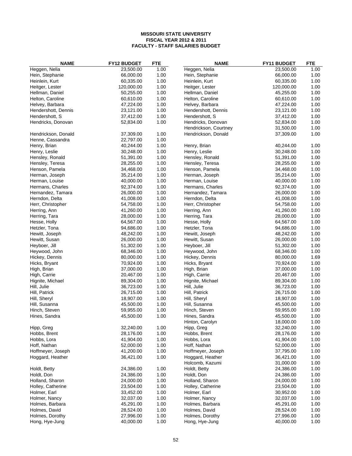| <b>NAME</b>         | <b>FY12 BUDGET</b> | <b>FTE</b> | <b>NAME</b>           | FY11 BUDGET | <b>FTE</b> |
|---------------------|--------------------|------------|-----------------------|-------------|------------|
| Heggen, Nelia       | 23,500.00          | 1.00       | Heggen, Nelia         | 23,500.00   | 1.00       |
| Hein, Stephanie     | 66,000.00          | 1.00       | Hein, Stephanie       | 66,000.00   | 1.00       |
| Heinlein, Kurt      | 60,335.00          | 1.00       | Heinlein, Kurt        | 60,335.00   | 1.00       |
| Heitger, Lester     | 120,000.00         | 1.00       | Heitger, Lester       | 120,000.00  | 1.00       |
| Hellman, Daniel     | 50,255.00          | 1.00       | Hellman, Daniel       | 45,255.00   | 1.00       |
| Helton, Caroline    | 60,610.00          | 1.00       | Helton, Caroline      | 60,610.00   | 1.00       |
| Helvey, Barbara     | 47,224.00          | 1.00       | Helvey, Barbara       | 47,224.00   | 1.00       |
| Hendershott, Dennis | 23,121.00          | 1.00       | Hendershott, Dennis   | 23,121.00   | 1.00       |
| Hendershott, S      | 37,412.00          | 1.00       | Hendershott, S        | 37,412.00   | 1.00       |
| Hendricks, Donovan  | 52,834.00          | 1.00       | Hendricks, Donovan    | 52,834.00   | 1.00       |
|                     |                    |            | Hendrickson, Courtney | 31,500.00   | 1.00       |
| Hendrickson, Donald | 37,309.00          | 1.00       | Hendrickson, Donald   | 37,309.00   | 1.00       |
| Henne, Cassandra    | 22,797.00          | 1.00       |                       |             |            |
| Henry, Brian        | 40,244.00          | 1.00       | Henry, Brian          | 40,244.00   | 1.00       |
| Henry, Leslie       | 30,248.00          | 1.00       | Henry, Leslie         | 30,248.00   | 1.00       |
| Hensley, Ronald     | 51,391.00          | 1.00       | Hensley, Ronald       | 51,391.00   | 1.00       |
| Hensley, Teresa     | 28,255.00          | 1.00       | Hensley, Teresa       | 28,255.00   | 1.00       |
| Henson, Pamela      | 34,468.00          | 1.00       | Henson, Pamela        | 34,468.00   | 1.00       |
| Herman, Joseph      | 35,214.00          | 1.00       | Herman, Joseph        | 35,214.00   | 1.00       |
| Herman, Louise      | 40,000.00          | 1.00       | Herman, Louise        | 40,000.00   | 1.00       |
| Hermans, Charles    | 92,374.00          | 1.00       | Hermans, Charles      | 92,374.00   | 1.00       |
| Hernandez, Tamara   | 26,000.00          | 1.00       | Hernandez, Tamara     | 26,000.00   | 1.00       |
| Herndon, Delta      | 41,008.00          | 1.00       | Herndon, Delta        |             | 1.00       |
|                     |                    |            |                       | 41,008.00   |            |
| Herr, Christopher   | 54,758.00          | 1.00       | Herr, Christopher     | 54,758.00   | 1.00       |
| Herring, Ann        | 41,260.00          | 1.00       | Herring, Ann          | 41,260.00   | 1.00       |
| Herring, Tara       | 28,000.00          | 1.00       | Herring, Tara         | 28,000.00   | 1.00       |
| Hesse, Holly        | 64,567.00          | 1.00       | Hesse, Holly          | 64,567.00   | 1.00       |
| Hetzler, Tona       | 94,686.00          | 1.00       | Hetzler, Tona         | 94,686.00   | 1.00       |
| Hewitt, Joseph      | 48,242.00          | 1.00       | Hewitt, Joseph        | 48,242.00   | 1.00       |
| Hewitt, Susan       | 26,000.00          | 1.00       | Hewitt, Susan         | 26,000.00   | 1.00       |
| Heyboer, Jill       | 51,302.00          | 1.00       | Heyboer, Jill         | 51,302.00   | 1.00       |
| Heywood, John       | 68,346.00          | 1.00       | Heywood, John         | 68,346.00   | 1.00       |
| Hickey, Dennis      | 80,000.00          | 1.00       | Hickey, Dennis        | 80,000.00   | 1.69       |
| Hicks, Bryant       | 70,924.00          | 1.00       | Hicks, Bryant         | 70,924.00   | 1.00       |
| High, Brian         | 37,000.00          | 1.00       | High, Brian           | 37,000.00   | 1.00       |
| High, Carrie        | 20,467.00          | 1.00       | High, Carrie          | 20,467.00   | 1.00       |
| Hignite, Michael    | 89,304.00          | 1.00       | Hignite, Michael      | 89,304.00   | 1.00       |
| Hill, Julie         | 36,723.00          | 1.00       | Hill, Julie           | 36,723.00   | 1.00       |
| Hill, Patrick       | 26,715.00          | 1.00       | Hill, Patrick         | 26,715.00   | 1.00       |
| Hill, Sheryl        | 18,907.00          | 1.00       | Hill, Sheryl          | 18,907.00   | 1.00       |
| Hill, Susanna       | 45,500.00          | 1.00       | Hill, Susanna         | 45,500.00   | 1.00       |
| Hinch, Steven       | 59,955.00          | 1.00       | Hinch, Steven         | 59,955.00   | 1.00       |
| Hines, Sandra       | 45,500.00          | 1.00       | Hines, Sandra         | 45,500.00   | 1.00       |
|                     |                    |            | Hinton, Carolyn       | 18,000.00   | 1.00       |
| Hipp, Greg          | 32,240.00          | 1.00       | Hipp, Greg            | 32,240.00   | 1.00       |
| Hobbs, Brent        | 28,176.00          | 1.00       | Hobbs, Brent          | 28,176.00   | 1.00       |
| Hobbs, Lora         | 41,904.00          | 1.00       | Hobbs, Lora           | 41,904.00   | 1.00       |
| Hoff, Nathan        | 52,000.00          | 1.00       | Hoff, Nathan          | 52,000.00   | 1.00       |
| Hoffmeyer, Joseph   | 41,200.00          | 1.00       | Hoffmeyer, Joseph     | 37,795.00   | 1.00       |
| Hoggard, Heather    | 36,421.00          | 1.00       | Hoggard, Heather      | 36,421.00   | 1.00       |
|                     |                    |            | Holcomb, Kazumi       | 31,000.00   | 1.00       |
| Holdt, Betty        | 24,386.00          | 1.00       | Holdt, Betty          | 24,386.00   | 1.00       |
| Holdt, Don          | 24,386.00          | 1.00       | Holdt, Don            | 24,386.00   | 1.00       |
| Holland, Sharon     | 24,000.00          | 1.00       | Holland, Sharon       | 24,000.00   | 1.00       |
| Holley, Catherine   | 23,504.00          | 1.00       | Holley, Catherine     | 23,504.00   | 1.00       |
| Holmer, Earl        | 33,452.00          | 1.00       | Holmer, Earl          | 30,952.00   | 1.00       |
| Holmer, Nancy       | 32,037.00          | 1.00       | Holmer, Nancy         | 32,037.00   | 1.00       |
| Holmes, Barbara     | 45,291.00          | 1.00       | Holmes, Barbara       | 45,291.00   | 1.00       |
| Holmes, David       | 28,524.00          | 1.00       | Holmes, David         | 28,524.00   | 1.00       |
| Holmes, Dorothy     | 27,996.00          | 1.00       | Holmes, Dorothy       | 27,996.00   | 1.00       |
| Hong, Hye-Jung      | 40,000.00          | 1.00       | Hong, Hye-Jung        | 40,000.00   | 1.00       |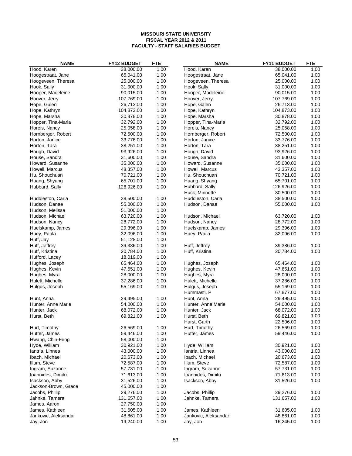| <b>NAME</b>          | <b>FY12 BUDGET</b> | <b>FTE</b> | <b>NAME</b>          | <b>FY11 BUDGET</b> | <b>FTE</b> |
|----------------------|--------------------|------------|----------------------|--------------------|------------|
| Hood, Karen          | 38,000.00          | 1.00       | Hood, Karen          | 38,000.00          | 1.00       |
| Hoogestraat, Jane    | 65,041.00          | 1.00       | Hoogestraat, Jane    | 65,041.00          | 1.00       |
| Hoogeveen, Theresa   | 25,000.00          | 1.00       | Hoogeveen, Theresa   | 25,000.00          | 1.00       |
| Hook, Sally          | 31,000.00          | 1.00       | Hook, Sally          | 31,000.00          | 1.00       |
| Hooper, Madeleine    | 90,015.00          | 1.00       | Hooper, Madeleine    | 90,015.00          | 1.00       |
| Hoover, Jerry        | 107,769.00         | 1.00       | Hoover, Jerry        | 107,769.00         | 1.00       |
| Hope, Galen          | 26,713.00          | 1.00       | Hope, Galen          | 26,713.00          | 1.00       |
| Hope, Kathryn        | 104,873.00         | 1.00       | Hope, Kathryn        | 104,873.00         | 1.00       |
| Hope, Marsha         | 30,878.00          | 1.00       | Hope, Marsha         | 30,878.00          | 1.00       |
| Hopper, Tina-Maria   | 32,792.00          | 1.00       | Hopper, Tina-Maria   | 32,792.00          | 1.00       |
| Horeis, Nancy        | 25,058.00          | 1.00       | Horeis, Nancy        | 25,058.00          | 1.00       |
| Hornberger, Robert   | 72,500.00          | 1.00       | Hornberger, Robert   | 72,500.00          | 1.00       |
| Horton, Janice       | 33,776.00          | 1.00       | Horton, Janice       | 33,776.00          | 1.00       |
| Horton, Tara         | 38,251.00          | 1.00       | Horton, Tara         | 38,251.00          | 1.00       |
| Hough, David         | 93,926.00          | 1.00       | Hough, David         | 93,926.00          | 1.00       |
| House, Sandra        | 31,600.00          | 1.00       | House, Sandra        | 31,600.00          | 1.00       |
| Howard, Susanne      | 35,000.00          | 1.00       | Howard, Susanne      | 35,000.00          | 1.00       |
| Howell, Marcus       | 48,357.00          | 1.00       | Howell, Marcus       | 43,357.00          | 1.00       |
| Hu, Shouchuan        | 70,721.00          | 1.00       | Hu, Shouchuan        | 70,721.00          | 1.00       |
| Huang, Shyang        | 65,701.00          | 1.00       | Huang, Shyang        | 65,701.00          | 1.00       |
| Hubbard, Sally       | 126,926.00         | 1.00       | Hubbard, Sally       | 126,926.00         | 1.00       |
|                      |                    |            | Huck, Minnette       | 30,500.00          | 1.00       |
| Huddleston, Carla    | 38,500.00          | 1.00       | Huddleston, Carla    | 38,500.00          | 1.00       |
| Hudson, Danae        | 55,000.00          | 1.00       | Hudson, Danae        | 55,000.00          | 1.00       |
| Hudson, Melissa      | 51,000.00          | 1.00       |                      |                    |            |
| Hudson, Michael      | 63,720.00          | 1.00       | Hudson, Michael      | 63,720.00          | 1.00       |
| Hudson, Nancy        | 28,772.00          | 1.00       | Hudson, Nancy        | 28,772.00          | 1.00       |
| Huelskamp, James     | 29,396.00          | 1.00       | Huelskamp, James     | 29,396.00          | 1.00       |
| Huey, Paula          | 32,096.00          | 1.00       | Huey, Paula          | 32,096.00          | 1.00       |
| Huff, Jay            | 51,128.00          | 1.00       |                      |                    |            |
| Huff, Jeffrey        | 39,386.00          | 1.00       | Huff, Jeffrey        | 39,386.00          | 1.00       |
| Huff, Kristina       | 20,784.00          | 1.00       | Huff, Kristina       | 20,784.00          | 1.00       |
| Hufford, Lacey       | 18,019.00          | 1.00       |                      |                    |            |
| Hughes, Joseph       | 65,464.00          | 1.00       | Hughes, Joseph       | 65,464.00          | 1.00       |
| Hughes, Kevin        | 47,651.00          | 1.00       | Hughes, Kevin        | 47,651.00          | 1.00       |
| Hughes, Myra         | 28,000.00          | 1.00       | Hughes, Myra         | 28,000.00          | 1.00       |
| Hulett, Michelle     | 37,286.00          | 1.00       | Hulett, Michelle     | 37,286.00          | 1.00       |
| Hulgus, Joseph       | 55,169.00          | 1.00       | Hulgus, Joseph       | 55,169.00          | 1.00       |
|                      |                    |            | Hummasti, P          | 67,877.00          | 1.00       |
| Hunt, Anna           | 29,495.00          | 1.00       | Hunt, Anna           | 29,495.00          | 1.00       |
| Hunter, Anne Marie   | 54,000.00          | 1.00       | Hunter, Anne Marie   | 54,000.00          | 1.00       |
| Hunter, Jack         | 68,072.00          | 1.00       | Hunter, Jack         | 68,072.00          | 1.00       |
| Hurst, Beth          | 69,821.00          | 1.00       | Hurst, Beth          | 69,821.00          | 1.00       |
|                      |                    |            | Hurst, Garth         | 22,506.00          | 1.00       |
| Hurt, Timothy        | 26,569.00          | 1.00       | Hurt, Timothy        | 26,569.00          | 1.00       |
| Hutter, James        | 59,446.00          | 1.00       | Hutter, James        | 59,446.00          | 1.00       |
| Hwang, Chin-Feng     | 58,000.00          | 1.00       |                      |                    |            |
| Hyde, William        | 30,921.00          | 1.00       | Hyde, William        | 30,921.00          | 1.00       |
| lantria, Linnea      | 43,000.00          | 1.00       | lantria, Linnea      | 43,000.00          | 1.00       |
| Ibach, Michael       | 20,673.00          | 1.00       | Ibach, Michael       | 20,673.00          | 1.00       |
| Illum, Steve         | 72,587.00          | 1.00       | Illum, Steve         | 72,587.00          | 1.00       |
| Ingram, Suzanne      | 57,731.00          | 1.00       | Ingram, Suzanne      | 57,731.00          | 1.00       |
| Ioannides, Dimitri   | 71,613.00          | 1.00       | Ioannides, Dimitri   | 71,613.00          | 1.00       |
| Isackson, Abby       | 31,526.00          | 1.00       | Isackson, Abby       | 31,526.00          | 1.00       |
| Jackson-Brown, Grace | 45,000.00          | 1.00       |                      |                    |            |
| Jacobs, Phillip      | 29,276.00          | 1.00       | Jacobs, Phillip      | 29,276.00          | 1.00       |
| Jahnke, Tamera       | 131,657.00         | 1.00       | Jahnke, Tamera       | 131,657.00         | 1.00       |
| James, Aaron         | 27,750.00          | 1.00       |                      |                    |            |
| James, Kathleen      | 31,605.00          | 1.00       | James, Kathleen      | 31,605.00          | 1.00       |
| Jankovic, Aleksandar | 48,861.00          | 1.00       | Jankovic, Aleksandar | 48,861.00          | 1.00       |
| Jay, Jon             | 19,240.00          | 1.00       | Jay, Jon             | 16,245.00          | 1.00       |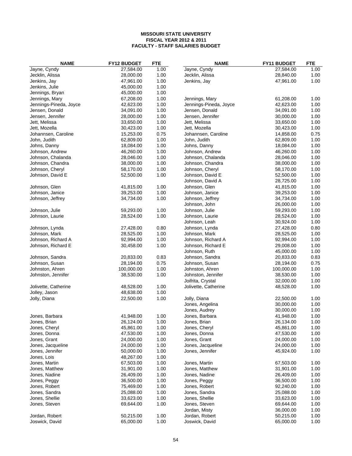| <b>NAME</b>                       | <b>FY12 BUDGET</b>     | <b>FTE</b>   | <b>NAME</b>                       | <b>FY11 BUDGET</b>     | <b>FTE</b>   |
|-----------------------------------|------------------------|--------------|-----------------------------------|------------------------|--------------|
| Jayne, Cyndy                      | 27,584.00              | 1.00         | Jayne, Cyndy                      | 27,584.00              | 1.00         |
| Jecklin, Alissa                   | 28,000.00              | 1.00         | Jecklin, Alissa                   | 28,840.00              | 1.00         |
| Jenkins, Jay                      | 47,961.00              | 1.00         | Jenkins, Jay                      | 47,961.00              | 1.00         |
| Jenkins, Julie                    | 45,000.00              | 1.00         |                                   |                        |              |
| Jennings, Bryan                   | 45,000.00              | 1.00         |                                   |                        |              |
| Jennings, Mary                    | 67,208.00              | 1.00         | Jennings, Mary                    | 61,208.00              | 1.00         |
| Jennings-Pineda, Joyce            | 42,623.00              | 1.00         | Jennings-Pineda, Joyce            | 42,623.00              | 1.00         |
| Jensen, Donald                    | 34,091.00              | 1.00         | Jensen, Donald                    | 34,091.00              | 1.00         |
| Jensen, Jennifer                  | 28,000.00              | 1.00         | Jensen, Jennifer                  | 30,000.00              | 1.00         |
| Jett, Melissa                     | 33,650.00              | 1.00         | Jett, Melissa                     | 33,650.00              | 1.00         |
| Jett, Mozella                     | 30,423.00              | 1.00         | Jett, Mozella                     | 30,423.00              | 1.00         |
| Johannsen, Caroline               | 15,253.00              | 0.75         | Johannsen, Caroline               | 14,858.00              | 0.75         |
| John, Judith                      | 62,809.00              | 1.00         | John, Judith                      | 62,809.00              | 1.00         |
| Johns, Danny                      | 18,084.00              | 1.00         | Johns, Danny                      | 18,084.00              | 1.00         |
| Johnson, Andrew                   | 46,260.00              | 1.00         | Johnson, Andrew                   | 46,260.00              | 1.00         |
| Johnson, Chalanda                 | 28,046.00              | 1.00         | Johnson, Chalanda                 | 28,046.00              | 1.00         |
| Johnson, Chandra                  | 38,000.00              | 1.00         | Johnson, Chandra                  | 38,000.00              | 1.00         |
| Johnson, Cheryl                   | 58,170.00              | 1.00         | Johnson, Cheryl                   | 58,170.00              | 1.00         |
| Johnson, David E                  | 52,500.00              | 1.00         | Johnson, David E                  | 52,500.00              | 1.00         |
|                                   |                        |              | Johnson, David A                  | 28,725.00              | 1.00         |
| Johnson, Glen                     | 41,815.00              | 1.00         | Johnson, Glen                     | 41,815.00              | 1.00         |
| Johnson, Janice                   | 39,253.00              | 1.00         | Johnson, Janice                   | 39,253.00              | 1.00         |
| Johnson, Jeffrey                  | 34,734.00              | 1.00         | Johnson, Jeffrey                  | 34,734.00              | 1.00         |
|                                   |                        |              | Johnson, John                     | 26,000.00              | 1.00         |
| Johnson, Julie                    | 59,293.00              | 1.00         | Johnson, Julie                    | 59,293.00              | 1.00         |
| Johnson, Laurie                   | 28,524.00              | 1.00         | Johnson, Laurie                   | 28,524.00              | 1.00         |
|                                   |                        |              | Johnson, Leah                     | 30,924.00              | 1.00         |
| Johnson, Lynda                    | 27,428.00              | 0.80         | Johnson, Lynda                    | 27,428.00              | 0.80         |
| Johnson, Mark                     | 28,525.00              | 1.00         | Johnson, Mark                     | 28,525.00              | 1.00         |
| Johnson, Richard A                | 92,994.00              | 1.00         | Johnson, Richard A                | 92,994.00              | 1.00         |
| Johnson, Richard E                | 30,458.00              | 1.00         | Johnson, Richard E                | 29,008.00              | 1.00         |
|                                   |                        |              | Johnson, Ruth                     | 45,000.00              | 1.00         |
| Johnson, Sandra                   | 20,833.00              | 0.83         | Johnson, Sandra                   | 20,833.00              | 0.83         |
| Johnson, Susan                    | 28,194.00              | 0.75         | Johnson, Susan                    | 28,194.00              | 0.75         |
| Johnston, Ahren                   | 100,000.00             | 1.00         | Johnston, Ahren                   | 100,000.00             | 1.00         |
| Johnston, Jennifer                | 38,530.00              | 1.00         | Johnston, Jennifer                | 38,530.00              | 1.00         |
|                                   |                        |              | Joifrita, Crystal                 | 32,000.00              | 1.00         |
| Jolivette, Catherine              | 48,528.00              | 1.00         | Jolivette, Catherine              | 48,528.00              | 1.00         |
| Jolley, Jason                     | 48,638.00              | 1.00         |                                   |                        |              |
| Jolly, Diana                      | 22,500.00              | 1.00         | Jolly, Diana                      | 22,500.00              | 1.00         |
|                                   |                        |              | Jones, Angelina                   | 30,000.00              | 1.00         |
|                                   | 41,948.00              |              | Jones, Audrey                     | 30,000.00              | 1.00         |
| Jones, Barbara                    |                        | 1.00         | Jones, Barbara                    | 41,948.00              | 1.00         |
| Jones, Brian                      | 26,124.00              | 1.00         | Jones, Brian                      | 26,134.00              | 1.00         |
| Jones, Cheryl<br>Jones, Donna     | 45,861.00<br>47,530.00 | 1.00         | Jones, Cheryl                     | 45,861.00<br>47,530.00 | 1.00         |
|                                   |                        | 1.00<br>1.00 | Jones, Donna                      |                        | 1.00<br>1.00 |
| Jones, Grant<br>Jones, Jacqueline | 24,000.00<br>24,000.00 | 1.00         | Jones, Grant<br>Jones, Jacqueline | 24,000.00<br>24,000.00 | 1.00         |
| Jones, Jennifer                   | 50,000.00              | 1.00         | Jones, Jennifer                   | 45,924.00              | 1.00         |
| Jones, Lois                       | 48,267.00              | 1.00         |                                   |                        |              |
| Jones, Martin                     | 67,503.00              | 1.00         | Jones, Martin                     | 67,503.00              | 1.00         |
| Jones, Matthew                    | 31,901.00              | 1.00         | Jones, Matthew                    | 31,901.00              | 1.00         |
| Jones, Nadine                     | 26,409.00              | 1.00         | Jones, Nadine                     | 26,409.00              | 1.00         |
| Jones, Peggy                      | 36,500.00              | 1.00         | Jones, Peggy                      | 36,500.00              | 1.00         |
| Jones, Robert                     | 75,469.00              | 1.00         | Jones, Robert                     | 92,240.00              | 1.00         |
| Jones, Sandra                     | 25,088.00              | 1.00         | Jones, Sandra                     | 25,088.00              | 1.00         |
| Jones, Shellie                    | 33,623.00              | 1.00         | Jones, Shellie                    | 33,623.00              | 1.00         |
| Jones, Steven                     | 69,644.00              | 1.00         | Jones, Steven                     | 69,644.00              | 1.00         |
|                                   |                        |              | Jordan, Misty                     | 36,000.00              | 1.00         |
| Jordan, Robert                    | 50,215.00              | 1.00         | Jordan, Robert                    | 50,215.00              | 1.00         |
| Joswick, David                    | 65,000.00              | 1.00         | Joswick, David                    | 65,000.00              | 1.00         |
|                                   |                        |              |                                   |                        |              |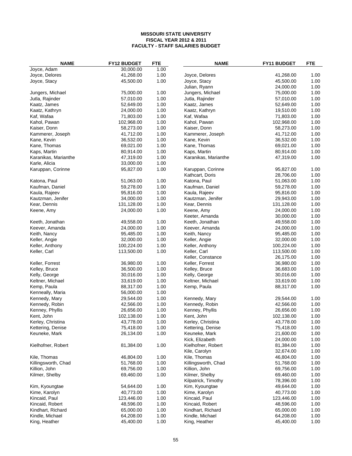| <b>NAME</b>                      | <b>FY12 BUDGET</b>     | <b>FTE</b>   | <b>NAME</b>                    | FY11 BUDGET            | <b>FTE</b>   |
|----------------------------------|------------------------|--------------|--------------------------------|------------------------|--------------|
| Joyce, Adam                      | 30,000.00              | 1.00         |                                |                        |              |
| Joyce, Delores                   | 41,268.00              | 1.00         | Joyce, Delores                 | 41,268.00              | 1.00         |
| Joyce, Stacy                     | 45,500.00              | 1.00         | Joyce, Stacy                   | 45,500.00              | 1.00         |
|                                  |                        |              | Julian, Ryann                  | 24,000.00              | 1.00         |
| Jungers, Michael                 | 75,000.00              | 1.00         | Jungers, Michael               | 75,000.00              | 1.00         |
| Jutla, Rajinder                  | 57,010.00              | 1.00         | Jutla, Rajinder                | 57,010.00              | 1.00         |
| Kaatz, James                     | 52,649.00              | 1.00         | Kaatz, James                   | 52,649.00              | 1.00         |
| Kaatz, Kathryn                   | 24,000.00              | 1.00         | Kaatz, Kathryn                 | 19,510.00              | 1.00         |
| Kaf, Wafaa                       | 71,803.00              | 1.00         | Kaf, Wafaa                     | 71,803.00              | 1.00         |
| Kahol, Pawan                     | 102,968.00             | 1.00         | Kahol, Pawan                   | 102,968.00             | 1.00         |
| Kaiser, Donn                     | 58,273.00              | 1.00         | Kaiser, Donn                   | 58,273.00              | 1.00         |
| Kammerer, Joseph                 | 41,712.00              | 1.00         | Kammerer, Joseph               | 41,712.00              | 1.00         |
| Kane, Kevin                      | 36,532.00              | 1.00         | Kane, Kevin                    | 36,532.00              | 1.00         |
| Kane, Thomas                     | 69,021.00              | 1.00         | Kane, Thomas                   | 69,021.00              | 1.00         |
| Kaps, Martin                     | 80,914.00              | 1.00         | Kaps, Martin                   | 80,914.00              | 1.00         |
| Karanikas, Marianthe             | 47,319.00              | 1.00         | Karanikas, Marianthe           | 47,319.00              | 1.00         |
| Karle, Alicia                    | 33,000.00              | 1.00         |                                |                        |              |
| Karuppan, Corinne                | 95,827.00              | 1.00         | Karuppan, Corinne              | 95,827.00              | 1.00         |
|                                  |                        |              | Kathcart, Doris                | 28,706.00              | 1.00         |
| Katona, Paul                     | 51,063.00              | 1.00         | Katona, Paul                   | 51,063.00              | 1.00         |
| Kaufman, Daniel                  | 59,278.00              | 1.00         | Kaufman, Daniel                | 59,278.00              | 1.00         |
| Kaula, Rajeev                    | 95,816.00              | 1.00         | Kaula, Rajeev                  | 95,816.00              | 1.00         |
| Kautzman, Jenifer                | 34,000.00              | 1.00         | Kautzman, Jenifer              | 29,943.00              | 1.00         |
| Kear, Dennis                     | 131,128.00             | 1.00         | Kear, Dennis                   | 131,128.00             | 1.00         |
| Keene, Amy                       | 24,000.00              | 1.00         | Keene, Amy                     | 24,000.00              | 1.00         |
|                                  |                        |              | Keeter, Amanda                 | 30,000.00              | 1.00         |
| Keeth, Jonathan                  | 49,558.00              | 1.00         | Keeth, Jonathan                | 49,558.00              | 1.00         |
| Keever, Amanda                   | 24,000.00              | 1.00         | Keever, Amanda                 | 24,000.00              | 1.00         |
| Keith, Nancy                     | 95,485.00              | 1.00         | Keith, Nancy                   | 95,485.00              | 1.00         |
| Keller, Angie                    | 32,000.00              | 1.00         | Keller, Angie                  | 32,000.00              | 1.00         |
| Keller, Anthony                  | 100,224.00             | 1.00         | Keller, Anthony                | 100,224.00             | 1.00         |
| Keller, Carl                     | 113,500.00             | 1.00         | Keller, Carl                   | 113,500.00             | 1.00         |
|                                  |                        |              | Keller, Constance              | 26,175.00              | 1.00<br>1.00 |
| Keller, Forrest<br>Kelley, Bruce | 36,980.00<br>36,500.00 | 1.00<br>1.00 | Keller, Forrest                | 36,980.00<br>36,683.00 | 1.00         |
| Kelly, George                    | 30,016.00              | 1.00         | Kelley, Bruce<br>Kelly, George | 30,016.00              | 1.00         |
| Keltner, Michael                 | 33,619.00              | 1.00         | Keltner, Michael               | 33,619.00              | 1.00         |
| Kemp, Paula                      | 88,317.00              | 1.00         | Kemp, Paula                    | 88,317.00              | 1.00         |
| Kenneally, Maria                 | 56,000.00              | 1.00         |                                |                        |              |
| Kennedy, Mary                    | 29,544.00              | 1.00         | Kennedy, Mary                  | 29,544.00              | 1.00         |
| Kennedy, Robin                   | 42,566.00              | 1.00         | Kennedy, Robin                 | 42,566.00              | 1.00         |
| Kenney, Phyllis                  | 26,656.00              | 1.00         | Kenney, Phyllis                | 26,656.00              | 1.00         |
| Kent, John                       | 102,138.00             | 1.00         | Kent, John                     | 102,138.00             | 1.00         |
| Kerley, Christina                | 43,778.00              | 1.00         | Kerley, Christina              | 43,778.00              | 1.00         |
| Kettering, Denise                | 75,418.00              | 1.00         | Kettering, Denise              | 75,418.00              | 1.00         |
| Keuneke, Mark                    | 26,134.00              | 1.00         | Keuneke, Mark                  | 21,600.00              | 1.00         |
|                                  |                        |              | Kick, Elizabeth                | 24,000.00              | 1.00         |
| Kielhofner, Robert               | 81,384.00              | 1.00         | Kielhofner, Robert             | 81,384.00              | 1.00         |
|                                  |                        |              | Kile, Carolyn                  | 32,674.00              | 1.00         |
| Kile, Thomas                     | 46,804.00              | 1.00         | Kile, Thomas                   | 46,804.00              | 1.00         |
| Killingsworth, Chad              | 51,768.00              | 1.00         | Killingsworth, Chad            | 51,768.00              | 1.00         |
| Killion, John                    | 69,756.00              | 1.00         | Killion, John                  | 69,756.00              | 1.00         |
| Kilmer, Shelby                   | 69,460.00              | 1.00         | Kilmer, Shelby                 | 69,460.00              | 1.00         |
|                                  |                        |              | Kilpatrick, Timothy            | 78,396.00              | 1.00         |
| Kim, Kyoungtae                   | 54,644.00              | 1.00         | Kim, Kyoungtae                 | 49,644.00              | 1.00         |
| Kime, Karolyn                    | 40,773.00              | 1.00         | Kime, Karolyn                  | 40,773.00              | 1.00         |
| Kincaid, Paul                    | 123,446.00             | 1.00         | Kincaid, Paul                  | 123,446.00             | 1.00         |
| Kincaid, Robert                  | 48,596.00              | 1.00         | Kincaid, Robert                | 48,596.00              | 1.00         |
| Kindhart, Richard                | 65,000.00              | 1.00         | Kindhart, Richard              | 65,000.00              | 1.00         |
| Kindle, Michael                  | 64,208.00              | 1.00         | Kindle, Michael                | 64,208.00              | 1.00         |
| King, Heather                    | 45,400.00              | 1.00         | King, Heather                  | 45,400.00              | 1.00         |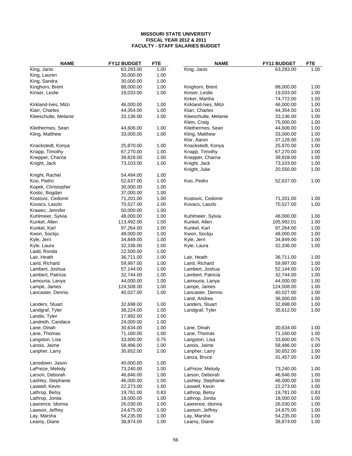| <b>NAME</b>          | <b>FY12 BUDGET</b> | <b>FTE</b> | <b>NAME</b>          | FY11 BUDGET | <b>FTE</b> |
|----------------------|--------------------|------------|----------------------|-------------|------------|
| King, Janis          | 63,293.00          | 1.00       | King, Janis          | 63,293.00   | 1.00       |
| King, Lauren         | 30,000.00          | 1.00       |                      |             |            |
| King, Sandra         | 30,000.00          | 1.00       |                      |             |            |
| Kinghorn, Brent      | 88,000.00          | 1.00       | Kinghorn, Brent      | 88,000.00   | 1.00       |
| Kinser, Leslie       | 19,033.00          | 1.00       | Kinser, Leslie       | 19,033.00   | 1.00       |
|                      |                    |            | Kirker, Martha       | 74,772.00   | 1.00       |
| Kirkland-Ives, Mitzi | 46,000.00          | 1.00       | Kirkland-Ives, Mitzi | 46,000.00   | 1.00       |
| Klarr, Charles       | 44,354.00          | 1.00       | Klarr, Charles       | 44,354.00   | 1.00       |
| Kleeschulte, Melanie | 33,136.00          | 1.00       | Kleeschulte, Melanie | 33,136.00   | 1.00       |
|                      |                    |            | Klein, Craig         | 75,000.00   | 1.00       |
| Kliethermes, Sean    | 44,606.00          | 1.00       | Kliethermes, Sean    | 44,606.00   | 1.00       |
| Kling, Matthew       | 33,000.00          | 1.00       | Kling, Matthew       | 33,000.00   | 1.00       |
|                      |                    |            | Klor, Aaron          | 37,128.00   | 1.00       |
| Knackstedt, Konya    | 25,870.00          | 1.00       | Knackstedt, Konya    | 25,870.00   | 1.00       |
| Knapp, Timothy       | 67,270.00          | 1.00       | Knapp, Timothy       | 67,270.00   | 1.00       |
| Knepper, Charna      | 39,828.00          | 1.00       | Knepper, Charna      | 39,828.00   | 1.00       |
| Knight, Jack         | 73,103.00          | 1.00       | Knight, Jack         | 73,103.00   | 1.00       |
|                      |                    |            | Knight, Julie        | 20,550.00   | 1.00       |
| Knight, Rachel       | 54,494.00          | 1.00       |                      |             |            |
| Koo, Pedro           | 52,637.00          | 1.00       | Koo, Pedro           | 52,637.00   | 1.00       |
| Kopek, Christopher   | 30,000.00          | 1.00       |                      |             |            |
| Kostic, Bogdan       | 37,000.00          | 1.00       |                      |             |            |
| Kostovic, Cedomir    | 71,201.00          | 1.00       | Kostovic, Cedomir    | 71,201.00   | 1.00       |
| Kovacs, Laszlo       | 70,527.00          | 1.00       | Kovacs, Laszlo       | 70,527.00   | 1.00       |
| Krawec, Jennifer     | 50,000.00          | 1.00       |                      |             |            |
| Kuhlmeier, Sylvia    | 48,000.00          | 1.00       | Kuhlmeier, Sylvia    | 48,000.00   | 1.00       |
| Kunkel, Allen        | 113,492.00         | 1.00       | Kunkel, Allen        | 105,992.01  | 1.00       |
| Kunkel, Karl         | 97,264.00          | 1.00       | Kunkel, Karl         | 97,264.00   | 1.00       |
| Kwon, Sockju         | 48,000.00          | 1.00       | Kwon, Sockju         | 48,000.00   | 1.00       |
| Kyle, Jerri          | 34,849.00          | 1.00       | Kyle, Jerri          | 34,849.00   | 1.00       |
| Kyle, Laura          | 32,336.00          | 1.00       | Kyle, Laura          | 32,336.00   | 1.00       |
| Ladd, Ronda          | 22,500.00          | 1.00       |                      |             |            |
| Lair, Heath          | 36,711.00          | 1.00       | Lair, Heath          | 36,711.00   | 1.00       |
| Laird, Richard       | 59,997.00          | 1.00       | Laird, Richard       | 59,997.00   | 1.00       |
| Lambert, Joshua      | 57,144.00          | 1.00       | Lambert, Joshua      | 52,144.00   | 1.00       |
| Lambert, Patricia    | 32,744.00          | 1.00       | Lambert, Patricia    | 32,744.00   | 1.00       |
| Lamouria, Lanya      | 44,000.00          | 1.00       | Lamouria, Lanya      | 44,000.00   | 1.00       |
| Lampe, James         | 124,508.00         | 1.00       | Lampe, James         | 124,508.00  | 1.00       |
| Lancaster, Dennis    | 40,027.00          | 1.00       | Lancaster, Dennis    | 40,027.00   | 1.00       |
|                      |                    |            | Land, Andrea         | 36,000.00   | 1.00       |
| Landers, Stuart      | 32,698.00          | 1.00       | Landers, Stuart      | 32,698.00   | 1.00       |
| Landgraf, Tyler      | 36,224.00          | 1.00       | Landgraf, Tyler      | 35,612.00   | 1.00       |
| Landis, Tyler        | 17,992.00          | 1.00       |                      |             |            |
| Landreth, Candace    | 24,000.00          | 1.00       |                      |             |            |
| Lane, Dinah          | 30,634.00          | 1.00       | Lane, Dinah          | 30,634.00   | 1.00       |
| Lane, Thomas         | 71,160.00          | 1.00       | Lane, Thomas         | 71,160.00   | 1.00       |
| Langston, Lisa       | 33,600.00          | 0.75       | Langston, Lisa       | 33,600.00   | 0.75       |
| Lanois, Jaime        | 58,486.00          | 1.00       | Lanois, Jaime        | 58,486.00   | 1.00       |
| Lanpher, Larry       | 30,652.00          | 1.00       | Lanpher, Larry       | 30,652.00   | 1.00       |
|                      |                    |            | Lanza, Bruce         | 31,457.00   | 1.00       |
| Lansdown, Jason      | 40,000.00          | 1.00       |                      |             |            |
| LaPreze, Melody      | 73,240.00          | 1.00       | LaPreze, Melody      | 73,240.00   | 1.00       |
| Larson, Deborah      | 46,646.00          | 1.00       | Larson, Deborah      | 46,646.00   | 1.00       |
| Lashley, Stephanie   | 46,000.00          | 1.00       | Lashley, Stephanie   | 46,000.00   | 1.00       |
| Laswell, Kevin       | 22,273.00          | 1.00       | Laswell, Kevin       | 22,273.00   | 1.00       |
| Lathrop, Betsy       | 19,781.00          | 0.83       | Lathrop, Betsy       | 19,781.00   | 0.83       |
| Lathrop, Jonita      | 18,000.00          | 1.00       | Lathrop, Jonita      | 18,000.00   | 1.00       |
| Lawrence, Idonna     | 26,030.00          | 1.00       | Lawrence, Idonna     | 26,030.00   | 1.00       |
| Lawson, Jeffrey      | 24,675.00          | 1.00       | Lawson, Jeffrey      | 24,675.00   | 1.00       |
| Lay, Marsha          | 54,235.00          | 1.00       | Lay, Marsha          | 54,235.00   | 1.00       |
| Leamy, Diane         | 38,874.00          | 1.00       | Leamy, Diane         | 38,874.00   | 1.00       |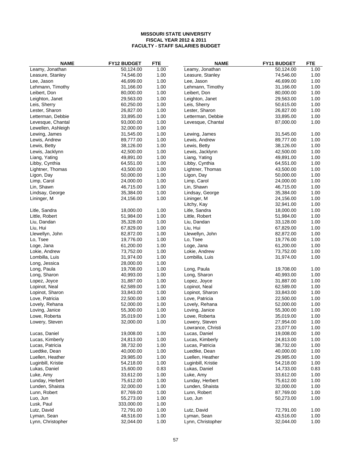| <b>NAME</b>        | <b>FY12 BUDGET</b>     | <b>FTE</b> | <b>NAME</b>                 | FY11 BUDGET | <b>FTE</b> |
|--------------------|------------------------|------------|-----------------------------|-------------|------------|
| Leamy, Jonathan    | 50,124.00              | 1.00       | Leamy, Jonathan             | 50,124.00   | 1.00       |
| Leasure, Stanley   | 74,546.00              | 1.00       | Leasure, Stanley            | 74,546.00   | 1.00       |
| Lee, Jason         | 46,699.00              | 1.00       | Lee, Jason                  | 46,699.00   | 1.00       |
| Lehmann, Timothy   | 31,166.00              | 1.00       | Lehmann, Timothy            | 31,166.00   | 1.00       |
| Leibert, Don       | 80,000.00              | 1.00       | Leibert, Don                | 80,000.00   | 1.00       |
| Leighton, Janet    | 29,563.00              | 1.00       | Leighton, Janet             | 29,563.00   | 1.00       |
| Leis, Sherry       | 60,250.00              | 1.00       | Leis, Sherry                | 50,615.00   | 1.00       |
| Lester, Sharon     | 26,827.00              | 1.00       | Lester, Sharon              | 26,827.00   | 1.00       |
| Letterman, Debbie  | 33,895.00              | 1.00       | Letterman, Debbie           | 33,895.00   | 1.00       |
| Levesque, Chantal  | 93,000.00              | 1.00       | Levesque, Chantal           | 87,000.00   | 1.00       |
| Lewellen, Ashleigh | 32,000.00              | 1.00       |                             |             |            |
| Lewing, James      | 31,545.00              | 1.00       | Lewing, James               | 31,545.00   | 1.00       |
| Lewis, Andrew      | 89,777.00              | 1.00       | Lewis, Andrew               | 89,777.00   | 1.00       |
| Lewis, Betty       | 38,126.00              | 1.00       | Lewis, Betty                | 38,126.00   | 1.00       |
| Lewis, Jacklynn    | 42,500.00              | 1.00       | Lewis, Jacklynn             | 42,500.00   | 1.00       |
| Liang, Yating      | 49,891.00              | 1.00       | Liang, Yating               | 49,891.00   | 1.00       |
| Libby, Cynthia     | 64,551.00              | 1.00       | Libby, Cynthia              | 64,551.00   | 1.00       |
| Lightner, Thomas   | 43,500.00              | 1.00       | Lightner, Thomas            | 43,500.00   | 1.00       |
| Ligon, Day         | 50,000.00              | 1.00       | Ligon, Day                  | 50,000.00   | 1.00       |
| Limp, Carol        | 24,000.00              | 1.00       | Limp, Carol                 | 24,000.00   | 1.00       |
| Lin, Shawn         | 46,715.00              | 1.00       | Lin, Shawn                  | 46,715.00   | 1.00       |
| Lindsay, George    | 35,384.00              | 1.00       | Lindsay, George             | 35,384.00   | 1.00       |
| Lininger, M        | 24,156.00              | 1.00       | Lininger, M                 | 24,156.00   | 1.00       |
|                    |                        |            | Litchy, Kay                 | 32,941.00   | 1.00       |
| Litle, Sandra      | 18,000.00              | 1.00       | Litle, Sandra               | 18,000.00   | 1.00       |
| Little, Robert     | 51,984.00              | 1.00       | Little, Robert              | 51,984.00   | 1.00       |
| Liu, Dandan        | 35,328.00              | 1.00       | Liu, Dandan                 | 33,128.00   | 1.00       |
| Liu, Hui           | 67,829.00              | 1.00       | Liu, Hui                    | 67,829.00   | 1.00       |
| Llewellyn, John    |                        | 1.00       |                             | 82,872.00   | 1.00       |
| Lo, Tsee           | 82,872.00<br>19,776.00 | 1.00       | Llewellyn, John<br>Lo, Tsee | 19,776.00   | 1.00       |
|                    |                        |            |                             |             |            |
| Loge, Jana         | 61,200.00              | 1.00       | Loge, Jana                  | 61,200.00   | 1.00       |
| Lokie, Andrew      | 73,752.00              | 1.00       | Lokie, Andrew               | 73,752.00   | 1.00       |
| Lombilla, Luis     | 31,974.00              | 1.00       | Lombilla, Luis              | 31,974.00   | 1.00       |
| Long, Jessica      | 28,000.00              | 1.00       |                             |             |            |
| Long, Paula        | 19,708.00              | 1.00       | Long, Paula                 | 19,708.00   | 1.00       |
| Long, Sharon       | 40,993.00              | 1.00       | Long, Sharon                | 40,993.00   | 1.00       |
| Lopez, Joyce       | 31,887.00              | 1.00       | Lopez, Joyce                | 31,887.00   | 1.00       |
| Lopinot, Neal      | 62,589.00              | 1.00       | Lopinot, Neal               | 62,589.00   | 1.00       |
| Lopinot, Sharon    | 33,843.00              | 1.00       | Lopinot, Sharon             | 33,843.00   | 1.00       |
| Love, Patricia     | 22,500.00              | 1.00       | Love, Patricia              | 22,500.00   | 1.00       |
| Lovely, Rehana     | 52,000.00              | 1.00       | Lovely, Rehana              | 52,000.00   | 1.00       |
| Loving, Janice     | 55,300.00              | 1.00       | Loving, Janice              | 55,300.00   | 1.00       |
| Lowe, Roberta      | 35,019.00              | 1.00       | Lowe, Roberta               | 35,019.00   | 1.00       |
| Lowery, Steven     | 32,000.00              | 1.00       | Lowery, Steven              | 27,954.00   | 1.00       |
|                    |                        |            | Lowrance, Christi           | 23,077.00   | 1.00       |
| Lucas, Daniel      | 19,008.00              | 1.00       | Lucas, Daniel               | 19,008.00   | 1.00       |
| Lucas, Kimberly    | 24,813.00              | 1.00       | Lucas, Kimberly             | 24,813.00   | 1.00       |
| Lucas, Patricia    | 38,732.00              | 1.00       | Lucas, Patricia             | 38,732.00   | 1.00       |
| Luedtke, Dean      | 40,000.00              | 1.00       | Luedtke, Dean               | 40,000.00   | 1.00       |
| Luellen, Heather   | 29,985.00              | 1.00       | Luellen, Heather            | 29,985.00   | 1.00       |
| Luginbill, Kristie | 54,218.00              | 1.00       | Luginbill, Kristie          | 54,218.00   | 1.00       |
| Lukas, Daniel      | 15,600.00              | 0.83       | Lukas, Daniel               | 14,733.00   | 0.83       |
| Luke, Amy          | 33,612.00              | 1.00       | Luke, Amy                   | 33,612.00   | 1.00       |
| Lunday, Herbert    | 75,612.00              | 1.00       | Lunday, Herbert             | 75,612.00   | 1.00       |
| Lunden, Shaista    | 32,000.00              | 1.00       | Lunden, Shaista             | 32,000.00   | 1.00       |
| Lunn, Robert       | 87,769.00              | 1.00       | Lunn, Robert                | 87,769.00   | 1.00       |
| Luo, Jun           | 55,273.00              | 1.00       | Luo, Jun                    | 50,273.00   | 1.00       |
| Lusk, Paul         | 333,000.00             | 1.00       |                             |             |            |
| Lutz, David        | 72,791.00              | 1.00       | Lutz, David                 | 72,791.00   | 1.00       |
| Lyman, Sean        | 48,516.00              | 1.00       | Lyman, Sean                 | 43,516.00   | 1.00       |
| Lynn, Christopher  | 32,044.00              | 1.00       | Lynn, Christopher           | 32,044.00   | 1.00       |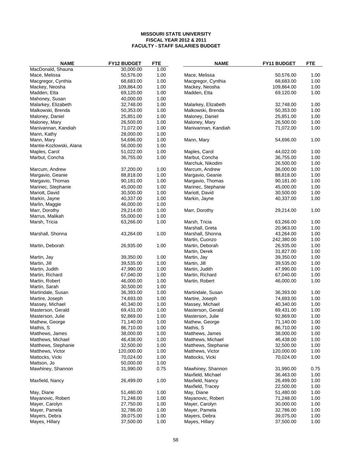| <b>NAME</b>                              | FY12 BUDGET | <b>FTE</b> | <b>NAME</b>                     | <b>FY11 BUDGET</b> | <b>FTE</b> |
|------------------------------------------|-------------|------------|---------------------------------|--------------------|------------|
| MacDonald, Shauna                        | 30,000.00   | 1.00       |                                 |                    |            |
| Mace, Melissa                            | 50,576.00   | 1.00       | Mace, Melissa                   | 50,576.00          | 1.00       |
| Macgregor, Cynthia                       | 68,683.00   | 1.00       | Macgregor, Cynthia              | 68,683.00          | 1.00       |
| Mackey, Neosha                           | 109,864.00  | 1.00       | Mackey, Neosha                  | 109,864.00         | 1.00       |
| Madden, Etta                             | 69,120.00   | 1.00       | Madden, Etta                    | 69,120.00          | 1.00       |
| Mahoney, Susan                           | 40,000.00   | 1.00       |                                 |                    |            |
| Malarkey, Elizabeth                      | 32,748.00   | 1.00       | Malarkey, Elizabeth             | 32,748.00          | 1.00       |
| Malkowski, Brenda                        | 50,353.00   | 1.00       | Malkowski, Brenda               | 50,353.00          | 1.00       |
| Maloney, Daniel                          | 25,851.00   | 1.00       | Maloney, Daniel                 | 25,851.00          | 1.00       |
| Maloney, Mary                            | 26,500.00   | 1.00       | Maloney, Mary                   | 26,500.00          | 1.00       |
| Manivannan, Kandiah                      | 71,072.00   | 1.00       | Manivannan, Kandiah             | 71,072.00          | 1.00       |
| Mann, Kathy                              | 28,000.00   | 1.00       |                                 |                    |            |
| Mann, Mary                               | 54,696.00   | 1.00       | Mann, Mary                      | 54,696.00          | 1.00       |
|                                          | 56,000.00   | 1.00       |                                 |                    |            |
| Mantie-Kozlowski, Alana<br>Maples, Carol | 51,022.00   | 1.00       |                                 | 44,022.00          | 1.00       |
|                                          | 36,755.00   | 1.00       | Maples, Carol<br>Marbut, Concha | 36,755.00          | 1.00       |
| Marbut, Concha                           |             |            |                                 | 26,500.00          | 1.00       |
|                                          |             |            | Marchuk, Nikodim                |                    |            |
| Marcum, Andrew                           | 37,200.00   | 1.00       | Marcum, Andrew                  | 36,000.00          | 1.00       |
| Margavio, Geanie                         | 88,818.00   | 1.00       | Margavio, Geanie                | 88,818.00          | 1.00       |
| Margavio, Thomas                         | 90,181.00   | 1.00       | Margavio, Thomas                | 90,181.00          | 1.00       |
| Marinec, Stephanie                       | 45,000.00   | 1.00       | Marinec, Stephanie              | 45,000.00          | 1.00       |
| Mariott, David                           | 30,500.00   | 1.00       | Mariott, David                  | 30,500.00          | 1.00       |
| Markin, Jayne                            | 40,337.00   | 1.00       | Markin, Jayne                   | 40,337.00          | 1.00       |
| Marlin, Maggie                           | 46,000.00   | 1.00       |                                 |                    |            |
| Marr, Dorothy                            | 29,214.00   | 1.00       | Marr, Dorothy                   | 29,214.00          | 1.00       |
| Marrus, Malikah                          | 55,000.00   | 1.00       |                                 |                    |            |
| Marsh, Tricia                            | 63,266.00   | 1.00       | Marsh, Tricia                   | 63,266.00          | 1.00       |
|                                          |             |            | Marshall, Greta                 | 20,963.00          | 1.00       |
| Marshall, Shonna                         | 43,264.00   | 1.00       | Marshall, Shonna                | 43,264.00          | 1.00       |
|                                          |             |            | Martin, Cuonzo                  | 242,380.00         | 1.00       |
| Martin, Deborah                          | 26,935.00   | 1.00       | Martin, Deborah                 | 26,935.00          | 1.00       |
|                                          |             |            | Martin, Derek                   | 31,827.00          | 1.00       |
| Martin, Jay                              | 39,350.00   | 1.00       | Martin, Jay                     | 39,350.00          | 1.00       |
| Martin, Jill                             | 39,535.00   | 1.00       | Martin, Jill                    | 39,535.00          | 1.00       |
| Martin, Judith                           | 47,990.00   | 1.00       | Martin, Judith                  | 47,990.00          | 1.00       |
| Martin, Richard                          | 67,040.00   | 1.00       | Martin, Richard                 | 67,040.00          | 1.00       |
| Martin, Robert                           | 46,000.00   | 1.00       | Martin, Robert                  | 46,000.00          | 1.00       |
| Martin, Sarah                            | 30,500.00   | 1.00       |                                 |                    |            |
| Martindale, Susan                        | 36,393.00   | 1.00       | Martindale, Susan               | 36,393.00          | 1.00       |
| Martire, Joseph                          | 74,693.00   | 1.00       | Martire, Joseph                 | 74,693.00          | 1.00       |
| Massey, Michael                          | 40,340.00   | 1.00       | Massey, Michael                 | 40,340.00          | 1.00       |
| Masterson, Gerald                        | 69,431.00   | 1.00       | Masterson, Gerald               | 69,431.00          | 1.00       |
| Masterson, Julie                         | 92,869.00   | 1.00       | Masterson, Julie                | 92,869.00          | 1.00       |
| Mathew, George                           | 71,140.00   | 1.00       | Mathew, George                  | 71,140.00          | 1.00       |
| Mathis, S                                | 86,710.00   | 1.00       | Mathis, S                       | 86,710.00          | 1.00       |
| Matthews, James                          | 38,000.00   | 1.00       | Matthews, James                 | 38,000.00          | 1.00       |
| Matthews, Michael                        | 46,438.00   | 1.00       | Matthews, Michael               | 46,438.00          | 1.00       |
| Matthews, Stephanie                      | 32,500.00   | 1.00       | Matthews, Stephanie             | 32,500.00          | 1.00       |
| Matthews, Victor                         | 120,000.00  | 1.00       | Matthews, Victor                | 120,000.00         | 1.00       |
| Mattocks, Vicki                          | 70,024.00   | 1.00       | Mattocks, Vicki                 | 70,024.00          | 1.00       |
| Mattson, Jo                              | 50,000.00   | 1.00       |                                 |                    |            |
| Mawhiney, Shannon                        | 31,990.00   | 0.75       | Mawhiney, Shannon               | 31,990.00          | 0.75       |
|                                          |             |            | Maxfield, Michael               | 36,463.00          | 1.00       |
| Maxfield, Nancy                          | 26,499.00   | 1.00       | Maxfield, Nancy                 | 26,499.00          | 1.00       |
|                                          |             |            | Maxfield, Tracey                | 22,500.00          | 1.00       |
| May, Diane                               | 51,480.00   | 1.00       | May, Diane                      | 51,480.00          | 1.00       |
| Mayanovic, Robert                        | 71,248.00   | 1.00       | Mayanovic, Robert               | 71,248.00          | 1.00       |
|                                          |             | 1.00       |                                 |                    |            |
| Mayer, Carolyn                           | 27,750.00   |            | Mayer, Carolyn                  | 30,000.00          | 1.00       |
| Mayer, Pamela                            | 32,786.00   | 1.00       | Mayer, Pamela                   | 32,786.00          | 1.00       |
| Mayers, Debra                            | 39,075.00   | 1.00       | Mayers, Debra                   | 39,075.00          | 1.00       |
| Mayes, Hillary                           | 37,500.00   | 1.00       | Mayes, Hillary                  | 37,500.00          | 1.00       |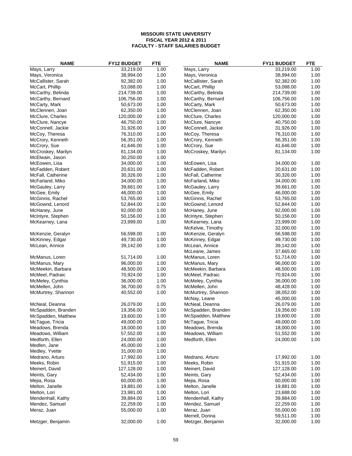| <b>NAME</b>        | <b>FY12 BUDGET</b> | <b>FTE</b> | <b>NAME</b>        | FY11 BUDGET | <b>FTE</b> |
|--------------------|--------------------|------------|--------------------|-------------|------------|
| Mays, Larry        | 33,219.00          | 1.00       | Mays, Larry        | 33,219.00   | 1.00       |
| Mays, Veronica     | 38,994.00          | 1.00       | Mays, Veronica     | 38,994.00   | 1.00       |
| McCallister, Sarah | 92,382.00          | 1.00       | McCallister, Sarah | 92,382.00   | 1.00       |
| McCart, Phillip    | 53,088.00          | 1.00       | McCart, Phillip    | 53,088.00   | 1.00       |
| McCarthy, Belinda  | 214,739.00         | 1.00       | McCarthy, Belinda  | 214,739.00  | 1.00       |
| McCarthy, Bernard  | 106,756.00         | 1.00       | McCarthy, Bernard  | 106,756.00  | 1.00       |
| McCarty, Mark      | 50,673.00          | 1.00       | McCarty, Mark      | 50,673.00   | 1.00       |
| McClennen, Joan    | 62,350.00          | 1.00       | McClennen, Joan    | 62,350.00   | 1.00       |
| McClure, Charles   | 120,000.00         | 1.00       | McClure, Charles   | 120,000.00  | 1.00       |
| McClure, Nancye    | 46,750.00          | 1.00       | McClure, Nancye    | 40,750.00   | 1.00       |
| McConnell, Jackie  | 31,926.00          | 1.00       | McConnell, Jackie  | 31,926.00   | 1.00       |
| McCoy, Theresa     | 76,310.00          | 1.00       | McCoy, Theresa     | 76,310.00   | 1.00       |
| McCrory, Kenneth   | 56,351.00          | 1.00       | McCrory, Kenneth   | 56,351.00   | 1.00       |
| McCrory, Sue       | 41,646.00          | 1.00       | McCrory, Sue       | 41,646.00   | 1.00       |
| McCroskey, Marilyn | 81,134.00          | 1.00       | McCroskey, Marilyn | 81,134.00   | 1.00       |
| McElwain, Jason    | 30,250.00          | 1.00       |                    |             |            |
| McEowen, Lisa      | 34,000.00          | 1.00       | McEowen, Lisa      | 34,000.00   | 1.00       |
| McFadden, Robert   | 20,631.00          | 1.00       | McFadden, Robert   | 20,631.00   | 1.00       |
| McFall, Catherine  | 30,326.00          | 1.00       | McFall, Catherine  | 30,326.00   | 1.00       |
| McFarland, Miko    | 34,000.00          | 1.00       | McFarland, Miko    | 34,000.00   | 1.00       |
| McGauley, Larry    | 39,661.00          | 1.00       | McGauley, Larry    | 39,661.00   | 1.00       |
| McGee, Emily       | 46,000.00          | 1.00       | McGee, Emily       | 46,000.00   | 1.00       |
| McGinnis, Rachel   | 53,765.00          | 1.00       | McGinnis, Rachel   | 53,765.00   | 1.00       |
| McGownd, Lenord    | 52,844.00          | 1.00       | McGownd, Lenord    | 52,844.00   | 1.00       |
| McHaney, June      | 92,000.00          | 1.00       | McHaney, June      | 92,000.00   | 1.00       |
| McIntyre, Stephen  | 50,156.00          | 1.00       | McIntyre, Stephen  | 50,156.00   | 1.00       |
| McKearney, Lana    | 23,999.00          | 1.00       | McKearney, Lana    | 23,999.00   | 1.00       |
|                    |                    |            | McKelvie, Timothy  | 32,000.00   | 1.00       |
| McKenzie, Geralyn  | 56,598.00          | 1.00       | McKenzie, Geralyn  | 56,598.00   | 1.00       |
| McKinney, Edgar    | 49,730.00          | 1.00       | McKinney, Edgar    | 49,730.00   | 1.00       |
| McLean, Annice     | 39,142.00          | 1.00       | McLean, Annice     | 39,142.00   | 1.00       |
|                    |                    |            | McLeane, James     | 37,665.00   | 1.00       |
| McManus, Loren     | 51,714.00          | 1.00       | McManus, Loren     | 51,714.00   | 1.00       |
| McManus, Mary      | 96,000.00          | 1.00       | McManus, Mary      | 96,000.00   | 1.00       |
| McMeekin, Barbara  | 48,500.00          | 1.00       | McMeekin, Barbara  | 48,500.00   | 1.00       |
| McMeel, Padraic    | 70,924.00          | 1.00       | McMeel, Padraic    | 70,924.00   | 1.00       |
| McMeley, Cynthia   | 36,000.00          | 1.00       | McMeley, Cynthia   | 36,000.00   | 1.00       |
| McMellen, John     | 36,700.00          | 0.75       | McMellen, John     | 48,428.00   | 1.00       |
| McMurtrey, Shannon | 40,552.00          | 1.00       | McMurtrey, Shannon | 38,052.00   | 1.00       |
|                    |                    |            | McNay, Leane       | 45,000.00   | 1.00       |
| McNeal, Deanna     | 26,079.00          | 1.00       | McNeal, Deanna     | 26,079.00   | 1.00       |
| McSpadden, Branden | 19,356.00          | 1.00       | McSpadden, Branden | 19,356.00   | 1.00       |
| McSpadden, Matthew | 19,600.00          | 1.00       | McSpadden, Matthew | 19,600.00   | 1.00       |
| McTague, Tricia    | 49,000.00          | 1.00       | McTague, Tricia    | 49,000.00   | 1.00       |
| Meadows, Brenda    | 18,000.00          | 1.00       | Meadows, Brenda    | 18,000.00   | 1.00       |
| Meadows, William   | 57,552.00          | 1.00       | Meadows, William   | 51,552.00   | 1.00       |
| Medforth, Ellen    | 24,000.00          | 1.00       | Medforth, Ellen    | 24,000.00   | 1.00       |
| Medlen, Jane       | 45,000.00          | 1.00       |                    |             |            |
| Medley, Yvette     | 31,000.00          | 1.00       |                    |             |            |
| Medrano, Arturo    | 17,992.00          | 1.00       | Medrano, Arturo    | 17,992.00   | 1.00       |
| Meeks, Robin       | 51,915.00          | 1.00       | Meeks, Robin       | 51,915.00   | 1.00       |
| Meinert, David     | 127,128.00         | 1.00       | Meinert, David     | 127,128.00  | 1.00       |
| Meints, Gary       | 52,434.00          | 1.00       | Meints, Gary       | 52,434.00   | 1.00       |
| Mejia, Rosa        | 60,000.00          | 1.00       | Mejia, Rosa        | 60,000.00   | 1.00       |
| Melton, Janelle    | 19,881.00          | 1.00       | Melton, Janelle    | 19,881.00   | 1.00       |
| Melton, Lori       | 23,981.00          | 1.00       | Melton, Lori       | 23,688.00   | 1.00       |
| Mendenhall, Kathy  | 39,884.00          | 1.00       | Mendenhall, Kathy  | 39,884.00   | 1.00       |
| Mendez, Samuel     | 22,259.00          | 1.00       | Mendez, Samuel     | 22,259.00   | 1.00       |
| Meraz, Juan        | 55,000.00          | 1.00       | Meraz, Juan        | 55,000.00   | 1.00       |
|                    |                    |            | Merrell, Donna     | 59,511.00   | 1.00       |
| Metzger, Benjamin  | 32,000.00          | 1.00       | Metzger, Benjamin  | 32,000.00   | 1.00       |
|                    |                    |            |                    |             |            |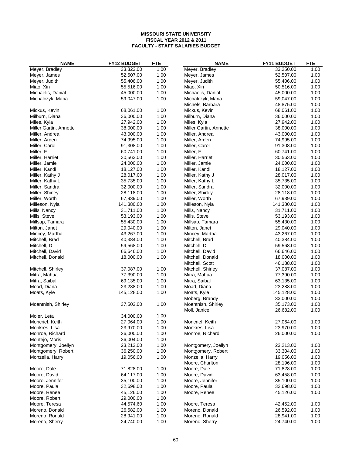| <b>NAME</b>            | FY12 BUDGET | <b>FTE</b> | <b>NAME</b>                          | FY11 BUDGET            | <b>FTE</b>   |
|------------------------|-------------|------------|--------------------------------------|------------------------|--------------|
| Meyer, Bradley         | 33,323.00   | 1.00       | Meyer, Bradley                       | 33,250.00              | 1.00         |
| Meyer, James           | 52,507.00   | 1.00       | Meyer, James                         | 52,507.00              | 1.00         |
| Meyer, Judith          | 55,406.00   | 1.00       | Meyer, Judith                        | 55,406.00              | 1.00         |
| Miao, Xin              | 55,516.00   | 1.00       | Miao, Xin                            | 50,516.00              | 1.00         |
| Michaelis, Danial      | 45,000.00   | 1.00       | Michaelis, Danial                    | 45,000.00              | 1.00         |
| Michalczyk, Maria      | 59,047.00   | 1.00       | Michalczyk, Maria                    | 59,047.00              | 1.00         |
|                        |             |            | Michels, Barbara                     | 48,875.00              | 1.00         |
| Mickus, Kevin          | 68,061.00   | 1.00       | Mickus, Kevin                        | 68,061.00              | 1.00         |
| Milburn, Diana         | 36,000.00   | 1.00       | Milburn, Diana                       | 36,000.00              | 1.00         |
| Miles, Kyla            | 27,942.00   | 1.00       | Miles, Kyla                          | 27,942.00              | 1.00         |
| Miller Gartin, Annette | 38,000.00   | 1.00       | Miller Gartin, Annette               | 38,000.00              | 1.00         |
| Miller, Andrea         | 43,000.00   | 1.00       | Miller, Andrea                       | 43,000.00              | 1.00         |
| Miller, Arden          | 74,995.00   | 1.00       | Miller, Arden                        | 74,995.00              | 1.00         |
| Miller, Carol          | 91,308.00   | 1.00       | Miller, Carol                        | 91,308.00              | 1.00         |
| Miller, F              | 60,741.00   | 1.00       | Miller, F                            | 60,741.00              | 1.00         |
| Miller, Harriet        | 30,563.00   | 1.00       | Miller, Harriet                      | 30,563.00              | 1.00         |
| Miller, Jamie          | 24,000.00   | 1.00       | Miller, Jamie                        | 24,000.00              | 1.00         |
| Miller, Kandi          | 18,127.00   | 1.00       | Miller, Kandi                        | 18,127.00              | 1.00         |
| Miller, Kathy J        | 28,017.00   | 1.00       | Miller, Kathy J                      | 28,017.00              | 1.00         |
| Miller, Kathy L        | 35,735.00   | 1.00       | Miller, Kathy L                      | 35,735.00              | 1.00         |
| Miller, Sandra         | 32,000.00   | 1.00       | Miller, Sandra                       | 32,000.00              | 1.00         |
| Miller, Shirley        | 28,118.00   | 1.00       | Miller, Shirley                      | 28,118.00              | 1.00         |
| Miller, Worth          | 67,939.00   | 1.00       | Miller, Worth                        | 67,939.00              | 1.00         |
| Milleson, Nyla         | 141,380.00  | 1.00       | Milleson, Nyla                       | 141,380.00             | 1.00         |
| Mills, Nancy           | 31,711.00   | 1.00       | Mills, Nancy                         | 31,711.00              | 1.00         |
| Mills, Steve           | 53,193.00   | 1.00       | Mills, Steve                         | 53,193.00              | 1.00         |
| Millsap, Tamara        | 55,430.00   | 1.00       | Millsap, Tamara                      | 55,430.00              | 1.00         |
| Milton, Janet          | 29,040.00   | 1.00       | Milton, Janet                        | 29,040.00              | 1.00         |
| Mincey, Martha         | 43,267.00   | 1.00       | Mincey, Martha                       | 43,267.00              | 1.00         |
| Mitchell, Brad         | 40,384.00   | 1.00       | Mitchell, Brad                       | 40,384.00              | 1.00         |
| Mitchell, D            | 59,568.00   | 1.00       | Mitchell, D                          | 59,568.00              | 1.00         |
| Mitchell, David        | 66,646.00   | 1.00       | Mitchell, David                      | 66,646.00              | 1.00         |
| Mitchell, Donald       | 18,000.00   | 1.00       | Mitchell, Donald                     | 18,000.00              | 1.00         |
|                        |             |            | Mitchell, Scott                      | 46,188.00              | 1.00         |
| Mitchell, Shirley      | 37,087.00   | 1.00       | Mitchell, Shirley                    | 37,087.00              | 1.00         |
| Mitra, Mahua           | 77,390.00   | 1.00       | Mitra, Mahua                         | 77,390.00              | 1.00         |
| Mitra, Saibal          | 69,135.00   | 1.00       | Mitra, Saibal                        | 63,135.00              | 1.00         |
| Moad, Diana            | 23,288.00   | 1.00       | Moad, Diana                          | 23,288.00              | 1.00         |
| Moats, Kyle            | 145,128.00  | 1.00       | Moats, Kyle                          | 145,128.00             | 1.00         |
| Moentnish, Shirley     | 37,503.00   | 1.00       | Moberg, Brandy<br>Moentnish, Shirley | 33,000.00<br>35,173.00 | 1.00<br>1.00 |
|                        |             |            |                                      | 26,682.00              | 1.00         |
| Moler, Leta            | 34,000.00   | 1.00       | Moll, Janice                         |                        |              |
| Moncrief, Keith        | 27,064.00   | 1.00       | Moncrief, Keith                      | 27,064.00              | 1.00         |
| Monkres, Lisa          | 23,970.00   | 1.00       | Monkres, Lisa                        | 23,970.00              | 1.00         |
| Monroe, Richard        | 26,000.00   | 1.00       | Monroe, Richard                      | 26,000.00              | 1.00         |
| Montejo, Moris         | 36,004.00   | 1.00       |                                      |                        |              |
| Montgomery, Joellyn    | 23,213.00   | 1.00       | Montgomery, Joellyn                  | 23,213.00              | 1.00         |
| Montgomery, Robert     | 36,250.00   | 1.00       | Montgomery, Robert                   | 33,304.00              | 1.00         |
| Monzella, Harry        | 19,056.00   | 1.00       | Monzella, Harry                      | 19,056.00              | 1.00         |
|                        |             |            | Moore, Charlton                      | 28,196.00              | 1.00         |
| Moore, Dale            | 71,828.00   | 1.00       | Moore, Dale                          | 71,828.00              | 1.00         |
| Moore, David           | 64,117.00   | 1.00       | Moore, David                         | 63,458.00              | 1.00         |
| Moore, Jennifer        | 35,100.00   | 1.00       | Moore, Jennifer                      | 35,100.00              | 1.00         |
| Moore, Paula           | 32,698.00   | 1.00       | Moore, Paula                         | 32,698.00              | 1.00         |
| Moore, Renee           | 45,126.00   | 1.00       | Moore, Renee                         | 45,126.00              | 1.00         |
| Moore, Robert          | 29,000.00   | 1.00       |                                      |                        |              |
| Moore, Teresa          | 44,574.60   | 1.00       | Moore, Teresa                        | 42,452.00              | 1.00         |
| Moreno, Donald         | 26,582.00   | 1.00       | Moreno, Donald                       | 26,592.00              | 1.00         |
| Moreno, Ronald         | 28,941.00   | 1.00       | Moreno, Ronald                       | 28,941.00              | 1.00         |
| Moreno, Sherry         | 24,740.00   | 1.00       | Moreno, Sherry                       | 24,740.00              | 1.00         |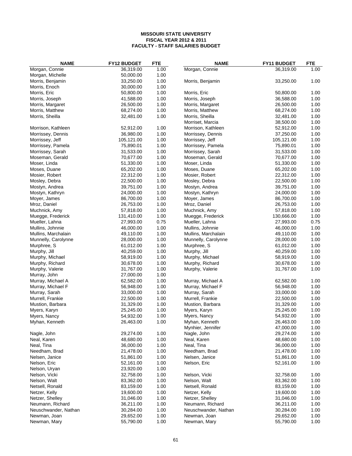| <b>NAME</b>                       | <b>FY12 BUDGET</b>     | <b>FTE</b>   | <b>NAME</b>          | <b>FY11 BUDGET</b> | <b>FTE</b> |
|-----------------------------------|------------------------|--------------|----------------------|--------------------|------------|
| Morgan, Connie                    | 36,319.00              | 1.00         | Morgan, Connie       | 36,319.00          | 1.00       |
| Morgan, Michelle                  | 50,000.00              | 1.00         |                      |                    |            |
| Morris, Benjamin                  | 33,250.00              | 1.00         | Morris, Benjamin     | 33,250.00          | 1.00       |
| Morris, Enoch                     | 30,000.00              | 1.00         |                      |                    |            |
| Morris, Eric                      | 50,800.00              | 1.00         | Morris, Eric         | 50,800.00          | 1.00       |
| Morris, Joseph                    | 41,588.00              | 1.00         | Morris, Joseph       | 36,588.00          | 1.00       |
| Morris, Margaret                  | 26,500.00              | 1.00         | Morris, Margaret     | 26,500.00          | 1.00       |
| Morris, Matthew                   | 68,274.00              | 1.00         | Morris, Matthew      | 68,274.00          | 1.00       |
| Morris, Sheilla                   | 32,481.00              | 1.00         | Morris, Sheilla      | 32,481.00          | 1.00       |
|                                   |                        |              | Morriset, Marcia     | 38,500.00          | 1.00       |
| Morrison, Kathleen                | 52,912.00              | 1.00         | Morrison, Kathleen   | 52,912.00          | 1.00       |
| Morrissey, Dennis                 | 36,980.00              | 1.00         | Morrissey, Dennis    | 37,250.00          | 1.00       |
| Morrissey, Jeff                   | 105,121.00             | 1.00         | Morrissey, Jeff      | 105,121.00         | 1.00       |
| Morrissey, Pamela                 | 75,890.01              | 1.00         | Morrissey, Pamela    | 75,890.01          | 1.00       |
| Morrissey, Sarah                  | 31,533.00              | 1.00         | Morrissey, Sarah     | 31,533.00          | 1.00       |
| Moseman, Gerald                   | 70,677.00              | 1.00         | Moseman, Gerald      | 70,677.00          | 1.00       |
| Moser, Linda                      | 51,330.00              | 1.00         | Moser, Linda         | 51,330.00          | 1.00       |
| Moses, Duane                      | 65,202.00              | 1.00         | Moses, Duane         | 65,202.00          | 1.00       |
| Mosier, Robert                    | 22,312.00              | 1.00         | Mosier, Robert       | 22,312.00          | 1.00       |
| Mosley, Debra                     | 22,500.00              | 1.00         | Mosley, Debra        | 22,500.00          | 1.00       |
| Mostyn, Andrea                    | 39,751.00              | 1.00         | Mostyn, Andrea       | 39,751.00          | 1.00       |
| Mostyn, Kathryn                   | 24,000.00              | 1.00         | Mostyn, Kathryn      | 24,000.00          | 1.00       |
| Moyer, James                      | 86,700.00              | 1.00         | Moyer, James         | 86,700.00          | 1.00       |
| Mroz, Daniel                      | 26,753.00              | 1.00         | Mroz, Daniel         | 26,753.00          | 1.00       |
| Muchnick, Amy                     | 57,818.00              | 1.00         | Muchnick, Amy        | 57,818.00          | 1.00       |
| Muegge, Frederick                 | 131,410.00             | 1.00         | Muegge, Frederick    | 130,666.00         | 1.00       |
| Mueller, Lahna                    | 27,993.00              | 0.75         | Mueller, Lahna       | 27,993.00          | 0.75       |
| Mullins, Johnnie                  | 46,000.00              | 1.00         | Mullins, Johnnie     | 46,000.00          | 1.00       |
| Mullins, Marchalain               | 49,110.00              | 1.00         | Mullins, Marchalain  | 49,110.00          | 1.00       |
| Munnelly, Carolynne               | 28,000.00              | 1.00         | Munnelly, Carolynne  | 28,000.00          | 1.00       |
| Murphree, S                       | 61,012.00              | 1.00         | Murphree, S          | 61,012.00          | 1.00       |
| Murphy, Jill                      | 40,259.00              | 1.00         | Murphy, Jill         | 40,259.00          | 1.00       |
| Murphy, Michael                   | 58,919.00              | 1.00         | Murphy, Michael      | 58,919.00          | 1.00       |
| Murphy, Richard                   | 30,678.00              | 1.00         | Murphy, Richard      | 30,678.00          | 1.00       |
| Murphy, Valerie                   | 31,767.00              | 1.00<br>1.00 | Murphy, Valerie      | 31,767.00          | 1.00       |
| Murray, John<br>Murray, Michael A | 27,000.00<br>62,582.00 | 1.00         | Murray, Michael A    | 62,582.00          | 1.00       |
| Murray, Michael F                 | 56,948.00              | 1.00         | Murray, Michael F    | 56,948.00          | 1.00       |
| Murray, Sarah                     | 33,000.00              | 1.00         | Murray, Sarah        | 33,000.00          | 1.00       |
| Murrell, Frankie                  | 22,500.00              | 1.00         | Murrell, Frankie     | 22,500.00          | 1.00       |
| Mustion, Barbara                  | 31,329.00              | 1.00         | Mustion, Barbara     | 31,329.00          | 1.00       |
| Myers, Karyn                      | 25,245.00              | 1.00         | Myers, Karyn         | 25,245.00          | 1.00       |
| Myers, Nancy                      | 54,932.00              | 1.00         | Myers, Nancy         | 54,932.00          | 1.00       |
| Myhan, Kenneth                    | 26,463.00              | 1.00         | Myhan, Kenneth       | 26,463.00          | 1.00       |
|                                   |                        |              | Mynhier, Jennifer    | 47,000.00          | 1.00       |
| Nagle, John                       | 29,274.00              | 1.00         | Nagle, John          | 29,274.00          | 1.00       |
| Neal, Karen                       | 48,680.00              | 1.00         | Neal, Karen          | 48,680.00          | 1.00       |
| Neal, Tina                        | 36,000.00              | 1.00         | Neal, Tina           | 36,000.00          | 1.00       |
| Needham, Brad                     | 21,478.00              | 1.00         | Needham, Brad        | 21,478.00          | 1.00       |
| Nelsen, Janice                    | 51,861.00              | 1.00         | Nelsen, Janice       | 51,861.00          | 1.00       |
| Nelson, Eric                      | 52,161.00              | 1.00         | Nelson, Eric         | 52,161.00          | 1.00       |
| Nelson, Uryan                     | 23,920.00              | 1.00         |                      |                    |            |
| Nelson, Vicki                     | 32,758.00              | 1.00         | Nelson, Vicki        | 32,758.00          | 1.00       |
| Nelson, Walt                      | 83,362.00              | 1.00         | Nelson, Walt         | 83,362.00          | 1.00       |
| Netsell, Ronald                   | 83,159.00              | 1.00         | Netsell, Ronald      | 83,159.00          | 1.00       |
| Netzer, Kelly                     | 19,600.00              | 1.00         | Netzer, Kelly        | 19,600.00          | 1.00       |
| Netzer, Shelley                   | 31,046.00              | 1.00         | Netzer, Shelley      | 31,046.00          | 1.00       |
| Neumann, Richard                  | 36,211.00              | 1.00         | Neumann, Richard     | 36,211.00          | 1.00       |
| Neuschwander, Nathan              | 30,284.00              | 1.00         | Neuschwander, Nathan | 30,284.00          | 1.00       |
| Newman, Joan                      | 29,652.00              | 1.00         | Newman, Joan         | 29,652.00          | 1.00       |
| Newman, Mary                      | 55,790.00              | 1.00         | Newman, Mary         | 55,790.00          | 1.00       |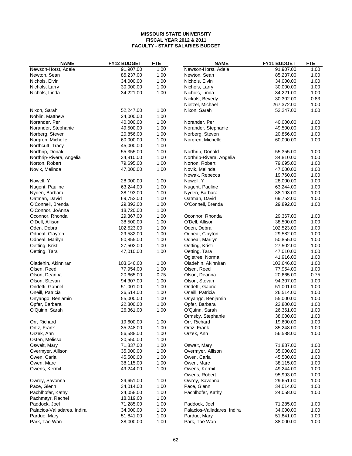| <b>NAME</b>                 | <b>FY12 BUDGET</b> | <b>FTE</b> | <b>NAME</b>                 | <b>FY11 BUDGET</b> | <b>FTE</b> |
|-----------------------------|--------------------|------------|-----------------------------|--------------------|------------|
| Newson-Horst, Adele         | 91,907.00          | 1.00       | Newson-Horst, Adele         | 91,907.00          | 1.00       |
| Newton, Sean                | 85,237.00          | 1.00       | Newton, Sean                | 85,237.00          | 1.00       |
| Nichols, Elvin              | 34,000.00          | 1.00       | Nichols, Elvin              | 34,000.00          | 1.00       |
| Nichols, Larry              | 30,000.00          | 1.00       | Nichols, Larry              | 30,000.00          | 1.00       |
| Nichols, Linda              | 34,221.00          | 1.00       | Nichols, Linda              | 34,221.00          | 1.00       |
|                             |                    |            | Nickols, Beverly            | 30,302.00          | 0.83       |
|                             |                    |            | Nietzel, Michael            | 267,372.00         | 1.00       |
| Nixon, Sarah                | 52,247.00          | 1.00       | Nixon, Sarah                | 52,247.00          | 1.00       |
| Noblin, Matthew             | 24,000.00          | 1.00       |                             |                    |            |
| Norander, Per               | 40,000.00          | 1.00       | Norander, Per               | 40,000.00          | 1.00       |
| Norander, Stephanie         | 49,500.00          | 1.00       | Norander, Stephanie         | 49,500.00          | 1.00       |
| Norberg, Steven             | 20,856.00          | 1.00       | Norberg, Steven             | 20,856.00          | 1.00       |
| Norgren, Michelle           | 60,000.00          | 1.00       | Norgren, Michelle           | 60,000.00          | 1.00       |
| Northcutt, Tracy            | 45,000.00          | 1.00       |                             |                    |            |
| Northrip, Donald            | 55,355.00          | 1.00       | Northrip, Donald            | 55,355.00          | 1.00       |
| Northrip-Rivera, Angelia    | 34,810.00          | 1.00       | Northrip-Rivera, Angelia    | 34,810.00          | 1.00       |
| Norton, Robert              | 79,695.00          | 1.00       | Norton, Robert              | 79,695.00          | 1.00       |
| Novik, Melinda              | 47,000.00          | 1.00       | Novik, Melinda              | 47,000.00          | 1.00       |
|                             |                    |            | Nowak, Rebecca              | 19,760.00          | 1.00       |
| Nowell, Y                   | 28,000.00          | 1.00       | Nowell, Y                   | 28,000.00          | 1.00       |
| Nugent, Pauline             | 63,244.00          | 1.00       | Nugent, Pauline             | 63,244.00          | 1.00       |
| Nyden, Barbara              | 38,193.00          | 1.00       | Nyden, Barbara              | 38,193.00          | 1.00       |
|                             |                    | 1.00       |                             | 69,752.00          | 1.00       |
| Oatman, David               | 69,752.00          |            | Oatman, David               |                    |            |
| O'Connell, Brenda           | 29,892.00          | 1.00       | O'Connell, Brenda           | 29,892.00          | 1.00       |
| O'Connor, JoAnna            | 18,720.00          | 1.00       |                             |                    |            |
| Oconnor, Rhonda             | 29,367.00          | 1.00       | Oconnor, Rhonda             | 29,367.00          | 1.00       |
| O'Dell, Allison             | 38,500.00          | 1.00       | O'Dell, Allison             | 38,500.00          | 1.00       |
| Oden, Debra                 | 102,523.00         | 1.00       | Oden, Debra                 | 102,523.00         | 1.00       |
| Odneal, Clayton             | 29,582.00          | 1.00       | Odneal, Clayton             | 29,582.00          | 1.00       |
| Odneal, Marilyn             | 50,855.00          | 1.00       | Odneal, Marilyn             | 50,855.00          | 1.00       |
| Oetting, Kristi             | 27,502.00          | 1.00       | Oetting, Kristi             | 27,502.00          | 1.00       |
| Oetting, Tara               | 47,010.00          | 1.00       | Oetting, Tara               | 47,010.00          | 1.00       |
|                             |                    |            | Ogletree, Norma             | 41,916.00          | 1.00       |
| Oladehin, Akinniran         | 103,646.00         | 1.00       | Oladehin, Akinniran         | 103,646.00         | 1.00       |
| Olsen, Reed                 | 77,954.00          | 1.00       | Olsen, Reed                 | 77,954.00          | 1.00       |
| Olson, Deanna               | 20,665.00          | 0.75       | Olson, Deanna               | 20,665.00          | 0.75       |
| Olson, Stevan               | 94,307.00          | 1.00       | Olson, Stevan               | 94,307.00          | 1.00       |
| Ondetti, Gabriel            | 51,001.00          | 1.00       | Ondetti, Gabriel            | 51,001.00          | 1.00       |
| Oneill, Patricia            | 26,514.00          | 1.00       | Oneill, Patricia            | 26,514.00          | 1.00       |
| Onyango, Benjamin           | 55,000.00          | 1.00       | Onyango, Benjamin           | 55,000.00          | 1.00       |
| Opfer, Barbara              | 22,800.00          | 1.00       | Opfer, Barbara              | 22,800.00          | 1.00       |
| O'Quinn, Sarah              | 26,361.00          | 1.00       | O'Quinn, Sarah              | 26,361.00          | 1.00       |
|                             |                    |            | Ormsby, Stephanie           | 38,000.00          | 1.00       |
| Orr, Richard                | 19,600.00          | 1.00       | Orr, Richard                | 19,600.00          | 1.00       |
| Ortiz, Frank                | 35,248.00          | 1.00       | Ortiz, Frank                | 35,248.00          | 1.00       |
| Orzek, Ann                  | 56,588.00          | 1.00       | Orzek, Ann                  | 56,588.00          | 1.00       |
| Osten, Melissa              | 20,550.00          | 1.00       |                             |                    |            |
| Oswalt, Mary                | 71,837.00          | 1.00       | Oswalt, Mary                | 71,837.00          | 1.00       |
| Overmyer, Allison           | 35,000.00          | 1.00       | Overmyer, Allison           | 35,000.00          | 1.00       |
| Owen, Carla                 | 45,500.00          | 1.00       | Owen, Carla                 | 45,500.00          | 1.00       |
| Owen, Marc                  | 38,115.00          | 1.00       | Owen, Marc                  | 38,115.00          | 1.00       |
| Owens, Kermit               | 49,244.00          | 1.00       | Owens, Kermit               | 49,244.00          | 1.00       |
|                             |                    |            | Owens, Robert               | 95,993.00          | 1.00       |
| Owrey, Savonna              | 29,651.00          | 1.00       | Owrey, Savonna              | 29,651.00          | 1.00       |
| Pace, Glenn                 | 34,014.00          | 1.00       | Pace, Glenn                 | 34,014.00          | 1.00       |
| Pachlhofer, Kathy           | 24,058.00          | 1.00       | Pachlhofer, Kathy           | 24,058.00          | 1.00       |
|                             |                    | 1.00       |                             |                    |            |
| Pachmayr, Rachel            | 18,019.00          | 1.00       | Paddock, Joel               |                    |            |
| Paddock, Joel               | 71,285.00          |            |                             | 71,285.00          | 1.00       |
| Palacios-Valladares, Indira | 34,000.00          | 1.00       | Palacios-Valladares, Indira | 34,000.00          | 1.00       |
| Pardue, Mary                | 51,841.00          | 1.00       | Pardue, Mary                | 51,841.00          | 1.00       |
| Park, Tae Wan               | 38,000.00          | 1.00       | Park, Tae Wan               | 38,000.00          | 1.00       |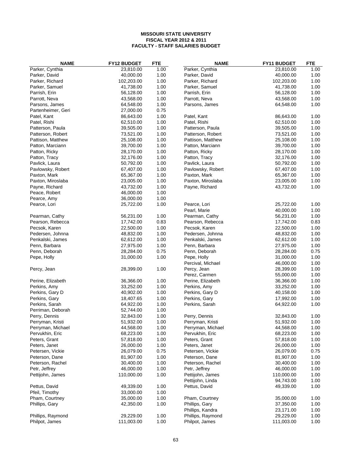| <b>NAME</b>        | FY12 BUDGET | <b>FTE</b> | <b>NAME</b>       | FY11 BUDGET | <b>FTE</b> |
|--------------------|-------------|------------|-------------------|-------------|------------|
| Parker, Cynthia    | 23,810.00   | 1.00       | Parker, Cynthia   | 23,810.00   | 1.00       |
| Parker, David      | 40,000.00   | 1.00       | Parker, David     | 40,000.00   | 1.00       |
| Parker, Richard    | 102,203.00  | 1.00       | Parker, Richard   | 102,203.00  | 1.00       |
| Parker, Samuel     | 41,738.00   | 1.00       | Parker, Samuel    | 41,738.00   | 1.00       |
| Parrish, Erin      | 56,128.00   | 1.00       | Parrish, Erin     | 56,128.00   | 1.00       |
| Parrott, Neva      | 43,568.00   | 1.00       | Parrott, Neva     | 43,568.00   | 1.00       |
| Parsons, James     | 64,548.00   | 1.00       | Parsons, James    | 64,548.00   | 1.00       |
| Partenheimer, Geri | 27,000.00   | 0.75       |                   |             |            |
| Patel, Kant        | 86,643.00   | 1.00       | Patel, Kant       | 86,643.00   | 1.00       |
| Patel, Rishi       | 62,510.00   | 1.00       | Patel, Rishi      | 62,510.00   | 1.00       |
| Patterson, Paula   | 39,505.00   | 1.00       | Patterson, Paula  | 39,505.00   | 1.00       |
| Patterson, Robert  | 73,521.00   | 1.00       | Patterson, Robert | 73,521.00   | 1.00       |
| Pattison, Matthew  | 25,108.00   | 1.00       | Pattison, Matthew | 25,108.00   | 1.00       |
| Patton, Marciann   | 39,700.00   | 1.00       | Patton, Marciann  | 39,700.00   | 1.00       |
| Patton, Ricky      | 28,170.00   | 1.00       | Patton, Ricky     | 28,170.00   | 1.00       |
| Patton, Tracy      | 32,176.00   | 1.00       | Patton, Tracy     | 32,176.00   | 1.00       |
| Pavlick, Laura     | 50,792.00   | 1.00       | Pavlick, Laura    | 50,792.00   | 1.00       |
| Pavlowsky, Robert  | 67,407.00   | 1.00       | Pavlowsky, Robert | 67,407.00   | 1.00       |
| Paxton, Mark       | 65,367.00   | 1.00       | Paxton, Mark      | 65,367.00   | 1.00       |
| Paxton, Miroslaba  | 23,005.00   | 1.00       | Paxton, Miroslaba | 23,005.00   | 1.00       |
| Payne, Richard     | 43,732.00   | 1.00       | Payne, Richard    | 43,732.00   | 1.00       |
| Peace, Robert      | 46,000.00   | 1.00       |                   |             |            |
| Pearce, Amy        | 36,000.00   | 1.00       |                   |             |            |
| Pearce, Lori       | 25,722.00   | 1.00       | Pearce, Lori      | 25,722.00   | 1.00       |
|                    |             |            | Pearl, Marie      | 40,000.00   | 1.00       |
| Pearman, Cathy     | 56,231.00   | 1.00       | Pearman, Cathy    | 56,231.00   | 1.00       |
| Pearson, Rebecca   | 17,742.00   | 0.83       | Pearson, Rebecca  | 17,742.00   | 0.83       |
| Pecsok, Karen      | 22,500.00   | 1.00       | Pecsok, Karen     | 22,500.00   | 1.00       |
| Pedersen, Johnna   | 48,832.00   | 1.00       | Pedersen, Johnna  | 48,832.00   | 1.00       |
| Penkalski, James   | 62,612.00   | 1.00       | Penkalski, James  | 62,612.00   | 1.00       |
| Penn, Barbara      | 27,975.00   | 1.00       | Penn, Barbara     | 27,975.00   | 1.00       |
| Penn, Deborah      | 28,284.00   | 0.75       | Penn, Deborah     | 28,284.00   | 0.75       |
| Pepe, Holly        | 31,000.00   | 1.00       | Pepe, Holly       | 31,000.00   | 1.00       |
|                    |             |            | Percival, Michael | 46,000.00   | 1.00       |
| Percy, Jean        | 28,399.00   | 1.00       | Percy, Jean       | 28,399.00   | 1.00       |
|                    |             |            | Perez, Carmen     | 55,000.00   | 1.00       |
| Perine, Elizabeth  | 36,366.00   | 1.00       | Perine, Elizabeth | 36,366.00   | 1.00       |
| Perkins, Amy       | 33,252.00   | 1.00       | Perkins, Amy      | 33,252.00   | 1.00       |
| Perkins, Gary D    | 40,902.00   | 1.00       | Perkins, Gary D   | 40,158.00   | 1.00       |
| Perkins, Gary      | 18,407.65   | 1.00       | Perkins, Gary     | 17,992.00   | 1.00       |
| Perkins, Sarah     | 64,922.00   | 1.00       | Perkins, Sarah    | 64,922.00   | 1.00       |
| Perriman, Deborah  | 52,744.00   | 1.00       |                   |             |            |
| Perry, Dennis      | 32,843.00   | 1.00       | Perry, Dennis     | 32,843.00   | 1.00       |
| Perryman, Kristi   | 51,932.00   | 1.00       | Perryman, Kristi  | 51,932.00   | 1.00       |
| Perryman, Michael  | 44,568.00   | 1.00       | Perryman, Michael | 44,568.00   | 1.00       |
| Pervukhin, Eric    | 68,223.00   | 1.00       | Pervukhin, Eric   | 68,223.00   | 1.00       |
| Peters, Grant      | 57,818.00   | 1.00       | Peters, Grant     | 57,818.00   | 1.00       |
| Peters, Janet      | 26,000.00   | 1.00       | Peters, Janet     | 26,000.00   | 1.00       |
| Petersen, Vickie   | 26,079.00   | 0.75       | Petersen, Vickie  | 26,079.00   | 0.75       |
| Peterson, Dane     | 81,907.00   | 1.00       | Peterson, Dane    | 81,907.00   | 1.00       |
| Peterson, Rachel   | 30,400.00   | 1.00       | Peterson, Rachel  | 30,400.00   | 1.00       |
| Petr, Jeffrey      | 46,000.00   | 1.00       | Petr, Jeffrey     | 46,000.00   | 1.00       |
| Pettijohn, James   | 110,000.00  | 1.00       | Pettijohn, James  | 110,000.00  | 1.00       |
|                    |             |            | Pettijohn, Linda  | 94,743.00   | 1.00       |
| Pettus, David      | 49,339.00   | 1.00       | Pettus, David     | 49,339.00   | 1.00       |
| Pfeil, Timothy     | 33,000.00   | 1.00       |                   |             |            |
| Pham, Courtney     | 35,000.00   | 1.00       | Pham, Courtney    | 35,000.00   | 1.00       |
| Phillips, Gary     | 42,350.00   | 1.00       | Phillips, Gary    | 37,350.00   | 1.00       |
|                    |             |            | Phillips, Kandra  | 23,171.00   | 1.00       |
| Phillips, Raymond  | 29,229.00   | 1.00       | Phillips, Raymond | 29,229.00   | 1.00       |
| Philpot, James     | 111,003.00  | 1.00       | Philpot, James    | 111,003.00  | 1.00       |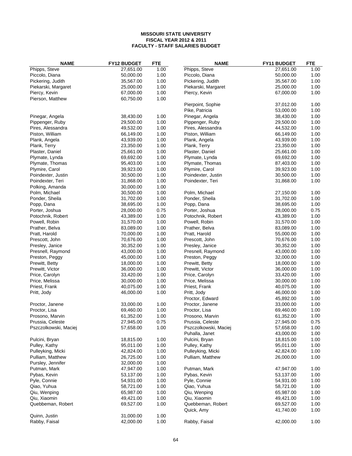| <b>NAME</b>                      | FY12 BUDGET            | <b>FTE</b>   | <b>NAME</b>                  | FY11 BUDGET            | <b>FTE</b>   |
|----------------------------------|------------------------|--------------|------------------------------|------------------------|--------------|
| Phipps, Steve                    | 27,651.00              | 1.00         | Phipps, Steve                | 27,651.00              | 1.00         |
| Piccolo, Diana                   | 50,000.00              | 1.00         | Piccolo, Diana               | 50,000.00              | 1.00         |
| Pickering, Judith                | 35,567.00              | 1.00         | Pickering, Judith            | 35,567.00              | 1.00         |
| Piekarski, Margaret              | 25,000.00              | 1.00         | Piekarski, Margaret          | 25,000.00              | 1.00         |
| Piercy, Kevin                    | 67,000.00              | 1.00         | Piercy, Kevin                | 67,000.00              | 1.00         |
| Pierson, Matthew                 | 60,750.00              | 1.00         |                              |                        |              |
|                                  |                        |              | Pierpoint, Sophie            | 37,012.00              | 1.00         |
|                                  |                        |              | Pike, Patricia               | 53,000.00              | 1.00         |
| Pinegar, Angela                  | 38,430.00              | 1.00         | Pinegar, Angela              | 38,430.00              | 1.00         |
| Pippenger, Ruby                  | 29,500.00              | 1.00         | Pippenger, Ruby              | 29,500.00              | 1.00         |
| Pires, Alessandra                | 49,532.00              | 1.00         | Pires, Alessandra            | 44,532.00              | 1.00         |
| Piston, William                  | 66,149.00              | 1.00         | Piston, William              | 66,149.00              | 1.00         |
| Plank, Angela                    | 43,939.00              | 1.00         | Plank, Angela                | 43,939.00              | 1.00         |
| Plank, Terry                     | 23,350.00              | 1.00         | Plank, Terry                 | 23,350.00              | 1.00         |
| Plaster, Daniel                  | 25,661.00              | 1.00         | Plaster, Daniel              | 25,661.00              | 1.00         |
| Plymate, Lynda                   | 69,692.00              | 1.00         | Plymate, Lynda               | 69,692.00              | 1.00         |
| Plymate, Thomas                  | 95,403.00              | 1.00         | Plymate, Thomas              | 87,403.00              | 1.00         |
| Plymire, Carol                   | 39,923.00              | 1.00         | Plymire, Carol               | 39,923.00              | 1.00         |
| Poindexter, Justin               | 30,500.00              | 1.00         | Poindexter, Justin           | 30,500.00              | 1.00         |
| Poindexter, Teri                 | 31,868.00              | 1.00         | Poindexter, Teri             | 31,868.00              | 1.00         |
| Polking, Amanda                  | 30,000.00              | 1.00         |                              |                        |              |
| Polm, Michael                    | 30,500.00              | 1.00         | Polm, Michael                | 27,150.00              | 1.00         |
| Ponder, Sheila                   | 31,702.00              | 1.00         | Ponder, Sheila               | 31,702.00              | 1.00         |
| Popp, Dana                       | 38,695.00              | 1.00         | Popp, Dana                   | 38,695.00              | 1.00         |
| Porter, Joshua                   | 28,000.00              | 0.75         | Porter, Joshua               | 28,000.00              | 0.75         |
| Potochnik, Robert                | 43,389.00              | 1.00         | Potochnik, Robert            | 43,389.00              | 1.00         |
| Powell, Robin                    | 31,570.00              | 1.00         | Powell, Robin                | 31,570.00              | 1.00         |
| Prather, Belva                   | 83,089.00              | 1.00         | Prather, Belva               | 83,089.00              | 1.00         |
| Pratt, Harold                    | 70,000.00              | 1.00         | Pratt, Harold                | 55,000.00              | 1.00         |
| Prescott, John                   | 70,676.00              | 1.00         | Prescott, John               | 70,676.00              | 1.00         |
| Presley, Janice                  | 30,352.00              | 1.00         | Presley, Janice              | 30,352.00              | 1.00         |
| Presnell, Raymond                | 43,000.00              | 1.00         | Presnell, Raymond            | 43,000.00              | 1.00         |
| Preston, Peggy                   | 45,000.00              | 1.00         | Preston, Peggy               | 32,000.00              | 1.00         |
| Prewitt, Betty                   | 18,000.00              | 1.00         | Prewitt, Betty               | 18,000.00              | 1.00         |
| Prewitt, Victor                  | 36,000.00              | 1.00         | Prewitt, Victor              | 36,000.00              | 1.00         |
| Price, Carolyn<br>Price, Melissa | 33,420.00<br>30,000.00 | 1.00<br>1.00 | Price, Carolyn               | 33,420.00<br>30,000.00 | 1.00<br>1.00 |
|                                  | 40,075.00              | 1.00         | Price, Melissa               | 40,075.00              | 1.00         |
| Priest, Frank<br>Pritt, Jody     | 46,000.00              | 1.00         | Priest, Frank<br>Pritt, Jody | 46,000.00              | 1.00         |
|                                  |                        |              | Proctor, Edward              | 45,892.00              | 1.00         |
| Proctor, Janene                  | 33,000.00              | 1.00         | Proctor, Janene              | 33,000.00              | 1.00         |
| Proctor, Lisa                    | 69,460.00              | 1.00         | Proctor, Lisa                | 69,460.00              | 1.00         |
| Prosono, Marvin                  | 61,352.00              | 1.00         | Prosono, Marvin              | 61,352.00              | 1.00         |
| Prussia, Celeste                 | 27,945.00              | 0.75         | Prussia, Celeste             | 27,945.00              | 0.75         |
| Pszczolkowski, Maciej            | 57,658.00              | 1.00         | Pszczolkowski, Maciej        | 57,658.00              | 1.00         |
|                                  |                        |              | Puhalla, Janet               | 43,000.00              | 1.00         |
| Pulcini, Bryan                   | 18,815.00              | 1.00         | Pulcini, Bryan               | 18,815.00              | 1.00         |
| Pulley, Kathy                    | 95,011.00              | 1.00         | Pulley, Kathy                | 95,011.00              | 1.00         |
| Pulleyking, Micki                | 42,824.00              | 1.00         | Pulleyking, Micki            | 42,824.00              | 1.00         |
| Pulliam, Matthew                 | 26,725.00              | 1.00         | Pulliam, Matthew             | 26,000.00              | 1.00         |
| Pursley, Jennifer                | 32,000.00              | 1.00         |                              |                        |              |
| Putman, Mark                     | 47,947.00              | 1.00         | Putman, Mark                 | 47,947.00              | 1.00         |
| Pybas, Kevin                     | 53,137.00              | 1.00         | Pybas, Kevin                 | 53,137.00              | 1.00         |
| Pyle, Connie                     | 54,931.00              | 1.00         | Pyle, Connie                 | 54,931.00              | 1.00         |
| Qiao, Yuhua                      | 58,721.00              | 1.00         | Qiao, Yuhua                  | 58,721.00              | 1.00         |
| Qiu, Wenping                     | 65,987.00              | 1.00         | Qiu, Wenping                 | 65,987.00              | 1.00         |
| Qiu, Xiaomin                     | 49,421.00              | 1.00         | Qiu, Xiaomin                 | 49,421.00              | 1.00         |
| Quebbeman, Robert                | 69,527.00              | 1.00         | Quebbeman, Robert            | 69,527.00              | 1.00         |
|                                  |                        |              | Quick, Amy                   | 41,740.00              | 1.00         |
| Quinn, Justin                    | 31,000.00              | 1.00         |                              |                        |              |
| Rabby, Faisal                    | 42,000.00              | 1.00         | Rabby, Faisal                | 42,000.00              | 1.00         |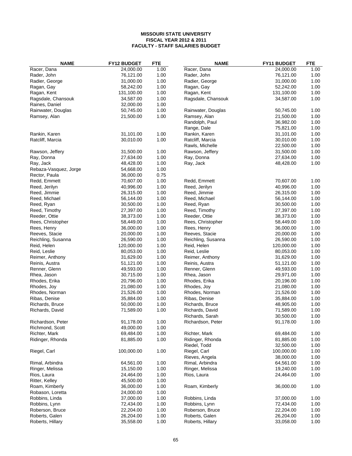| <b>NAME</b>           | FY12 BUDGET            | <b>FTE</b> | <b>NAME</b>        | FY11 BUDGET | <b>FTE</b> |
|-----------------------|------------------------|------------|--------------------|-------------|------------|
| Racer, Dana           | 24,000.00              | 1.00       | Racer, Dana        | 24,000.00   | 1.00       |
| Rader, John           | 76,121.00              | 1.00       | Rader, John        | 76,121.00   | 1.00       |
| Radier, George        | 31,000.00              | 1.00       | Radier, George     | 31,000.00   | 1.00       |
| Ragan, Gay            | 58,242.00              | 1.00       | Ragan, Gay         | 52,242.00   | 1.00       |
| Ragan, Kent           | 131,100.00             | 1.00       | Ragan, Kent        | 131,100.00  | 1.00       |
| Ragsdale, Chansouk    | 34,587.00              | 1.00       | Ragsdale, Chansouk | 34,587.00   | 1.00       |
| Raines, Daniel        | 32,000.00              | 1.00       |                    |             |            |
| Rainwater, Douglas    | 50,745.00              | 1.00       | Rainwater, Douglas | 50,745.00   | 1.00       |
| Ramsey, Alan          | 21,500.00              | 1.00       | Ramsey, Alan       | 21,500.00   | 1.00       |
|                       |                        |            | Randolph, Paul     | 36,982.00   | 1.00       |
|                       |                        |            | Range, Dale        | 75,821.00   | 1.00       |
| Rankin, Karen         | 31,101.00              | 1.00       | Rankin, Karen      | 31,101.00   | 1.00       |
| Ratcliff, Marcia      | 30,010.00              | 1.00       | Ratcliff, Marcia   | 30,010.00   | 1.00       |
|                       |                        |            | Rawls, Michelle    | 22,500.00   | 1.00       |
| Rawson, Jeffery       | 31,500.00              | 1.00       | Rawson, Jeffery    | 31,500.00   | 1.00       |
| Ray, Donna            | 27,634.00              | 1.00       | Ray, Donna         | 27,634.00   | 1.00       |
| Ray, Jack             | 48,428.00              | 1.00       | Ray, Jack          | 48,428.00   | 1.00       |
|                       |                        | 1.00       |                    |             |            |
| Rebaza-Vasquez, Jorge | 54,668.00<br>36,000.00 |            |                    |             |            |
| Rector, Paula         |                        | 0.75       |                    |             |            |
| Redd, Emmett          | 70,607.00              | 1.00       | Redd, Emmett       | 70,607.00   | 1.00       |
| Reed, Jerilyn         | 40,996.00              | 1.00       | Reed, Jerilyn      | 40,996.00   | 1.00       |
| Reed, Jimmie          | 26,315.00              | 1.00       | Reed, Jimmie       | 26,315.00   | 1.00       |
| Reed, Michael         | 56,144.00              | 1.00       | Reed, Michael      | 56,144.00   | 1.00       |
| Reed, Ryan            | 30,500.00              | 1.00       | Reed, Ryan         | 30,500.00   | 1.00       |
| Reed, Timothy         | 27,397.00              | 1.00       | Reed, Timothy      | 27,397.00   | 1.00       |
| Reeder, Ottie         | 38,373.00              | 1.00       | Reeder, Ottie      | 38,373.00   | 1.00       |
| Rees, Christopher     | 58,449.00              | 1.00       | Rees, Christopher  | 58,449.00   | 1.00       |
| Rees, Henry           | 36,000.00              | 1.00       | Rees, Henry        | 36,000.00   | 1.00       |
| Reeves, Stacie        | 20,000.00              | 1.00       | Reeves, Stacie     | 20,000.00   | 1.00       |
| Reichling, Susanna    | 26,590.00              | 1.00       | Reichling, Susanna | 26,590.00   | 1.00       |
| Reid, Helen           | 120,000.00             | 1.00       | Reid, Helen        | 120,000.00  | 1.00       |
| Reid, Leslie          | 80,053.00              | 1.00       | Reid, Leslie       | 80,053.00   | 1.00       |
| Reimer, Anthony       | 31,629.00              | 1.00       | Reimer, Anthony    | 31,629.00   | 1.00       |
| Reinis, Austra        | 51,121.00              | 1.00       | Reinis, Austra     | 51,121.00   | 1.00       |
| Renner, Glenn         | 49,593.00              | 1.00       | Renner, Glenn      | 49,593.00   | 1.00       |
| Rhea, Jason           | 30,715.00              | 1.00       | Rhea, Jason        | 29,971.00   | 1.00       |
| Rhodes, Erika         | 20,796.00              | 1.00       | Rhodes, Erika      | 20,196.00   | 1.00       |
| Rhodes, Joy           | 21,080.00              | 1.00       | Rhodes, Joy        | 21,080.00   | 1.00       |
| Rhodes, Norman        | 21,526.00              | 1.00       | Rhodes, Norman     | 21,526.00   | 1.00       |
| Ribas, Denise         | 35,884.00              | 1.00       | Ribas, Denise      | 35,884.00   | 1.00       |
| Richards, Bruce       | 50,000.00              | 1.00       | Richards, Bruce    | 48,905.00   | 1.00       |
| Richards, David       | 71,589.00              | 1.00       | Richards, David    | 71,589.00   | 1.00       |
|                       |                        |            | Richards, Sarah    | 30,500.00   | 1.00       |
| Richardson, Peter     | 91,178.00              | 1.00       | Richardson, Peter  | 91,178.00   | 1.00       |
| Richmond, Scott       | 49,000.00              | 1.00       |                    |             |            |
| Richter, Mark         | 69,484.00              | 1.00       | Richter, Mark      | 69,484.00   | 1.00       |
| Ridinger, Rhonda      | 81,885.00              | 1.00       | Ridinger, Rhonda   | 81,885.00   | 1.00       |
|                       |                        |            | Riedel, Todd       | 32,500.00   | 1.00       |
| Riegel, Carl          | 100,000.00             | 1.00       | Riegel, Carl       | 100,000.00  | 1.00       |
|                       |                        |            | Rieves, Angela     | 38,000.00   | 1.00       |
| Rimal, Arbindra       | 64,561.00              | 1.00       | Rimal, Arbindra    | 64,561.00   | 1.00       |
| Ringer, Melissa       | 15,150.00              | 1.00       | Ringer, Melissa    | 19,240.00   | 1.00       |
|                       |                        |            |                    |             |            |
| Rios, Laura           | 24,464.00              | 1.00       | Rios, Laura        | 24,464.00   | 1.00       |
| Ritter, Kelley        | 45,500.00              | 1.00       |                    |             |            |
| Roam, Kimberly        | 36,000.00              | 1.00       | Roam, Kimberly     | 36,000.00   | 1.00       |
| Robason, Loretta      | 24,000.00              | 1.00       |                    |             |            |
| Robbins, Linda        | 37,000.00              | 1.00       | Robbins, Linda     | 37,000.00   | 1.00       |
| Robbins, Lynn         | 72,434.00              | 1.00       | Robbins, Lynn      | 72,434.00   | 1.00       |
| Roberson, Bruce       | 22,204.00              | 1.00       | Roberson, Bruce    | 22,204.00   | 1.00       |
| Roberts, Galen        | 26,204.00              | 1.00       | Roberts, Galen     | 26,204.00   | 1.00       |
| Roberts, Hillary      | 35,558.00              | 1.00       | Roberts, Hillary   | 33,058.00   | 1.00       |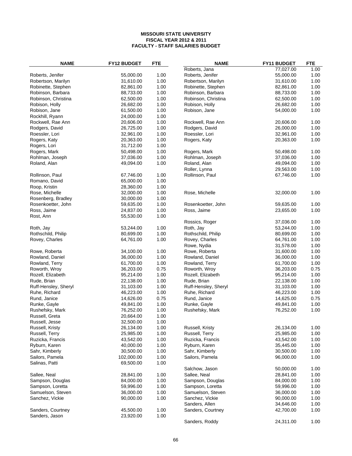| <b>NAME</b>          | FY12 BUDGET | <b>FTE</b> | <b>NAME</b>          | FY11 BUDGET | <b>FTE</b> |
|----------------------|-------------|------------|----------------------|-------------|------------|
|                      |             |            | Roberts, Jana        | 77,027.00   | 1.00       |
| Roberts, Jenifer     | 55,000.00   | 1.00       | Roberts, Jenifer     | 55,000.00   | 1.00       |
| Robertson, Marilyn   | 31,610.00   | 1.00       | Robertson, Marilyn   | 31,610.00   | 1.00       |
| Robinette, Stephen   | 82,861.00   | 1.00       | Robinette, Stephen   | 82,861.00   | 1.00       |
| Robinson, Barbara    | 88,733.00   | 1.00       | Robinson, Barbara    | 88,733.00   | 1.00       |
| Robinson, Christina  | 62,500.00   | 1.00       | Robinson, Christina  | 62,500.00   | 1.00       |
| Robison, Holly       | 26,682.00   | 1.00       | Robison, Holly       | 26,682.00   | 1.00       |
| Robison, Jane        | 61,500.00   | 1.00       | Robison, Jane        | 54,000.00   | 1.00       |
| Rockhill, Ryann      | 24,000.00   | 1.00       |                      |             |            |
| Rockwell, Rae Ann    | 20,606.00   | 1.00       | Rockwell, Rae Ann    | 20,606.00   | 1.00       |
| Rodgers, David       | 26,725.00   | 1.00       | Rodgers, David       | 26,000.00   | 1.00       |
| Roessler, Lori       | 32,961.00   | 1.00       | Roessler, Lori       | 32,961.00   | 1.00       |
| Rogers, Katy         | 20,363.00   | 1.00       | Rogers, Katy         | 20,363.00   | 1.00       |
| Rogers, Lori         | 31,712.00   | 1.00       |                      |             |            |
| Rogers, Mark         | 50,498.00   | 1.00       | Rogers, Mark         | 50,498.00   | 1.00       |
| Rohlman, Joseph      | 37,036.00   | 1.00       | Rohlman, Joseph      | 37,036.00   | 1.00       |
| Roland, Alan         | 49,094.00   | 1.00       | Roland, Alan         | 49,094.00   | 1.00       |
|                      |             |            | Roller, Lynna        | 29,563.00   | 1.00       |
| Rollinson, Paul      | 67,746.00   | 1.00       | Rollinson, Paul      | 67,746.00   | 1.00       |
| Romano, David        | 65,000.00   | 1.00       |                      |             |            |
| Roop, Kristin        | 28,360.00   | 1.00       |                      |             |            |
| Rose, Michelle       | 32,000.00   | 1.00       | Rose, Michelle       | 32,000.00   | 1.00       |
| Rosenberg, Bradley   | 30,000.00   | 1.00       |                      |             |            |
| Rosenkoetter, John   | 59,635.00   | 1.00       | Rosenkoetter, John   | 59,635.00   | 1.00       |
| Ross, Jaime          | 24,837.00   | 1.00       | Ross, Jaime          | 23,655.00   | 1.00       |
| Rost, Ann            | 55,530.00   | 1.00       |                      |             |            |
|                      |             |            | Rossics, Roger       | 37,036.00   | 1.00       |
| Roth, Jay            | 53,244.00   | 1.00       | Roth, Jay            | 53,244.00   | 1.00       |
| Rothschild, Philip   | 80,699.00   | 1.00       | Rothschild, Philip   | 80,699.00   | 1.00       |
|                      | 64,761.00   | 1.00       |                      | 64,761.00   | 1.00       |
| Rovey, Charles       |             |            | Rovey, Charles       | 31,578.00   | 1.00       |
|                      |             |            | Rowe, Nydia          |             |            |
| Rowe, Roberta        | 34,100.00   | 1.00       | Rowe, Roberta        | 31,600.00   | 1.00       |
| Rowland, Daniel      | 36,000.00   | 1.00       | Rowland, Daniel      | 36,000.00   | 1.00       |
| Rowland, Terry       | 61,700.00   | 1.00       | Rowland, Terry       | 61,700.00   | 1.00       |
| Roworth, Wroy        | 36,203.00   | 0.75       | Roworth, Wroy        | 36,203.00   | 0.75       |
| Rozell, Elizabeth    | 95,214.00   | 1.00       | Rozell, Elizabeth    | 95,214.00   | 1.00       |
| Rude, Brian          | 22,138.00   | 1.00       | Rude, Brian          | 22,138.00   | 1.00       |
| Ruff-Hensley, Sheryl | 31,103.00   | 1.00       | Ruff-Hensley, Sheryl | 31,103.00   | 1.00       |
| Ruhe, Richard        | 46,223.00   | 1.00       | Ruhe, Richard        | 46,223.00   | 1.00       |
| Rund, Janice         | 14,626.00   | 0.75       | Rund, Janice         | 14,625.00   | 0.75       |
| Runke, Gayle         | 49,841.00   | 1.00       | Runke, Gayle         | 49,841.00   | 1.00       |
| Rushefsky, Mark      | 76,252.00   | 1.00       | Rushefsky, Mark      | 76,252.00   | 1.00       |
| Russell, Greta       | 20,664.00   | 1.00       |                      |             |            |
| Russell, Jesse       | 32,500.00   | 1.00       |                      |             |            |
| Russell, Kristy      | 26,134.00   | 1.00       | Russell, Kristy      | 26,134.00   | 1.00       |
| Russell, Terry       | 25,985.00   | 1.00       | Russell, Terry       | 25,985.00   | 1.00       |
| Ruzicka, Francis     | 43,542.00   | 1.00       | Ruzicka, Francis     | 43,542.00   | 1.00       |
| Ryburn, Karen        | 40,000.00   | 1.00       | Ryburn, Karen        | 35,445.00   | 1.00       |
| Sahr, Kimberly       | 30,500.00   | 1.00       | Sahr, Kimberly       | 30,500.00   | 1.00       |
| Sailors, Pamela      | 102,000.00  | 1.00       | Sailors, Pamela      | 96,000.00   | 1.00       |
| Salinas, Patti       | 69,500.00   | 1.00       |                      |             |            |
|                      |             |            | Salchow, Jason       | 50,000.00   | 1.00       |
| Sallee, Neal         | 28,841.00   | 1.00       | Sallee, Neal         | 28,841.00   | 1.00       |
| Sampson, Douglas     | 84,000.00   | 1.00       | Sampson, Douglas     | 84,000.00   | 1.00       |
| Sampson, Loretta     | 59,996.00   | 1.00       | Sampson, Loretta     | 59,996.00   | 1.00       |
| Samuelson, Steven    | 36,000.00   | 1.00       | Samuelson, Steven    | 36,000.00   | 1.00       |
| Sanchez, Vickie      | 90,000.00   | 1.00       | Sanchez, Vickie      | 90,000.00   | 1.00       |
|                      |             |            | Sanders, Allen       | 34,646.00   | 1.00       |
| Sanders, Courtney    | 45,500.00   | 1.00       | Sanders, Courtney    | 42,700.00   | 1.00       |
| Sanders, Jason       | 23,920.00   | 1.00       |                      |             |            |
|                      |             |            | Sanders, Roddy       | 24,311.00   | 1.00       |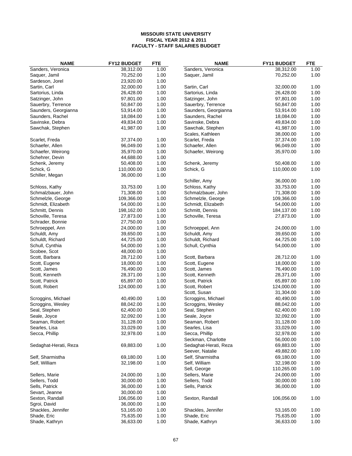| <b>NAME</b>           | FY12 BUDGET | <b>FTE</b> | <b>NAME</b>           | <b>FY11 BUDGET</b>      | <b>FTE</b> |
|-----------------------|-------------|------------|-----------------------|-------------------------|------------|
| Sanders, Veronica     | 38,312.00   | 1.00       | Sanders, Veronica     | 38,312.00               | 1.00       |
| Saquer, Jamil         | 70,252.00   | 1.00       | Saquer, Jamil         | 70,252.00               | 1.00       |
| Sardeson, Jorel       | 23,920.00   | 1.00       |                       |                         |            |
| Sartin, Carl          | 32,000.00   | 1.00       | Sartin, Carl          | 32,000.00               | 1.00       |
| Sartorius, Linda      | 26,428.00   | 1.00       | Sartorius, Linda      | 26,428.00               | 1.00       |
| Satzinger, John       | 97,801.00   | 1.00       | Satzinger, John       | 97,801.00               | 1.00       |
| Sauerbry, Terrence    | 50,847.00   | 1.00       | Sauerbry, Terrence    | 50,847.00               | 1.00       |
| Saunders, Georgianna  | 53,914.00   | 1.00       | Saunders, Georgianna  | 53,914.00               | 1.00       |
| Saunders, Rachel      | 18,084.00   | 1.00       | Saunders, Rachel      | 18,084.00               | 1.00       |
| Savinske, Debra       | 49,834.00   | 1.00       | Savinske, Debra       | 49,834.00               | 1.00       |
| Sawchak, Stephen      | 41,987.00   | 1.00       | Sawchak, Stephen      | 41,987.00               | 1.00       |
|                       |             |            | Scales, Kathleen      | 38,000.00               | 1.00       |
| Scarlet, Freda        | 37,374.00   | 1.00       | Scarlet, Freda        | 37,374.00               | 1.00       |
| Schaefer, Allen       | 96,049.00   | 1.00       | Schaefer, Allen       | 96,049.00               | 1.00       |
| Schaefer, Weirong     | 35,970.00   | 1.00       | Schaefer, Weirong     | 35,970.00               | 1.00       |
| Schehrer, Devin       | 44,688.00   | 1.00       |                       |                         |            |
|                       | 50,408.00   | 1.00       |                       | 50,408.00               | 1.00       |
| Schenk, Jeremy        |             |            | Schenk, Jeremy        |                         |            |
| Schick, G             | 110,000.00  | 1.00       | Schick, G             | 110,000.00              | 1.00       |
| Schiller, Megan       | 36,000.00   | 1.00       |                       |                         |            |
|                       |             |            | Schiller, Amy         | 36,000.00               | 1.00       |
| Schloss, Kathy        | 33,753.00   | 1.00       | Schloss, Kathy        | 33,753.00               | 1.00       |
| Schmalzbauer, John    | 71,308.00   | 1.00       | Schmalzbauer, John    | 71,308.00               | 1.00       |
| Schmelzle, George     | 109,366.00  | 1.00       | Schmelzle, George     | 109,366.00              | 1.00       |
| Schmidt, Elizabeth    | 54,000.00   | 1.00       | Schmidt, Elizabeth    | 54,000.00               | 1.00       |
| Schmitt, Dennis       | 198,162.00  | 1.00       | Schmitt, Dennis       | 184,137.00              | 1.00       |
| Schoville, Teresa     | 27,873.00   | 1.00       | Schoville, Teresa     | 27,873.00               | 1.00       |
| Schrader, Bonnie      | 27,750.00   | 1.00       |                       |                         |            |
| Schroeppel, Ann       | 24,000.00   | 1.00       | Schroeppel, Ann       | 24,000.00               | 1.00       |
| Schuldt, Amy          | 39,650.00   | 1.00       | Schuldt, Amy          | 39,650.00               | 1.00       |
| Schuldt, Richard      | 44,725.00   | 1.00       | Schuldt, Richard      | 44,725.00               | 1.00       |
| Schull, Cynthia       | 54,000.00   | 1.00       | Schull, Cynthia       | 54,000.00               | 1.00       |
| Scobee, Scot          | 48,000.00   | 1.00       |                       |                         |            |
| Scott, Barbara        | 28,712.00   | 1.00       | Scott, Barbara        | 28,712.00               | 1.00       |
| Scott, Eugene         | 18,000.00   | 1.00       | Scott, Eugene         | 18,000.00               | 1.00       |
| Scott, James          | 76,490.00   | 1.00       | Scott, James          | 76,490.00               | 1.00       |
| Scott, Kenneth        | 28,371.00   | 1.00       | Scott, Kenneth        | 28,371.00               | 1.00       |
| Scott, Patrick        | 65,897.00   | 1.00       | Scott, Patrick        | 65,897.00               | 1.00       |
| Scott, Robert         | 124,000.00  | 1.00       | Scott, Robert         | 124,000.00              | 1.00       |
|                       |             |            | Scott, Susan          | 31,304.00               | 1.00       |
| Scroggins, Michael    | 40,490.00   | 1.00       | Scroggins, Michael    | 40,490.00               | 1.00       |
| Scroggins, Wesley     | 88,042.00   | 1.00       | Scroggins, Wesley     | 88,042.00               | 1.00       |
| Seal, Stephen         | 62,400.00   | 1.00       | Seal, Stephen         | 62,400.00               | 1.00       |
| Seale, Joyce          | 32,092.00   | 1.00       | Seale, Joyce          | 32,092.00               | 1.00       |
| Seaman, Robert        | 31,128.00   | 1.00       | Seaman, Robert        | 31,128.00               | 1.00       |
| Searles, Lisa         | 33,029.00   | 1.00       | Searles, Lisa         | 33,029.00               | 1.00       |
| Secca, Phillip        | 32,978.00   | 1.00       | Secca, Phillip        | 32,978.00               | 1.00       |
|                       |             |            | Seckman, Charlotte    | 56,000.00               | 1.00       |
| Sedaghat-Herati, Reza | 69,883.00   | 1.00       | Sedaghat-Herati, Reza | 69,883.00               | 1.00       |
|                       |             |            | Seever, Natalie       | 49,882.00               | 1.00       |
| Self, Sharmistha      | 69,180.00   | 1.00       | Self, Sharmistha      | 69,180.00               | 1.00       |
| Self, William         | 32,198.00   | 1.00       | Self, William         | 32,198.00               | 1.00       |
|                       |             |            |                       |                         |            |
|                       |             |            | Sell, George          | 110,265.00<br>24,000.00 | 1.00       |
| Sellers, Marie        | 24,000.00   | 1.00       | Sellers, Marie        |                         | 1.00       |
| Sellers, Todd         | 30,000.00   | 1.00       | Sellers, Todd         | 30,000.00               | 1.00       |
| Sells, Patrick        | 36,000.00   | 1.00       | Sells, Patrick        | 36,000.00               | 1.00       |
| Sevart, Jeanne        | 30,000.00   | 1.00       |                       |                         |            |
| Sexton, Randall       | 106,056.00  | 1.00       | Sexton, Randall       | 106,056.00              | 1.00       |
| Sgroi, David          | 36,000.00   | 1.00       |                       |                         |            |
| Shackles, Jennifer    | 53,165.00   | 1.00       | Shackles, Jennifer    | 53,165.00               | 1.00       |
| Shade, Eric           | 75,635.00   | 1.00       | Shade, Eric           | 75,635.00               | 1.00       |
| Shade, Kathryn        | 36,633.00   | 1.00       | Shade, Kathryn        | 36,633.00               | 1.00       |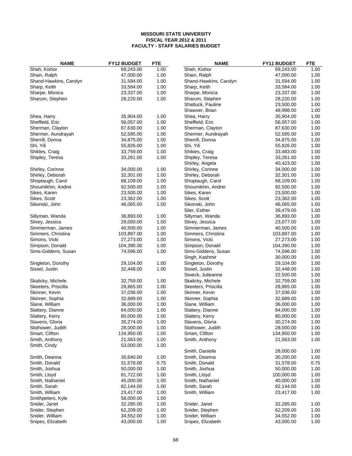| <b>NAME</b>            | <b>FY12 BUDGET</b> | <b>FTE</b> | <b>NAME</b>            | FY11 BUDGET | <b>FTE</b> |
|------------------------|--------------------|------------|------------------------|-------------|------------|
| Shah, Kishor           | 69,243.00          | 1.00       | Shah, Kishor           | 69,243.00   | 1.00       |
| Shain, Ralph           | 47,000.00          | 1.00       | Shain, Ralph           | 47,000.00   | 1.00       |
| Shand-Hawkins, Carolyn | 31,594.00          | 1.00       | Shand-Hawkins, Carolyn | 31,594.00   | 1.00       |
| Sharp, Keith           | 33,584.00          | 1.00       | Sharp, Keith           | 33,584.00   | 1.00       |
| Sharpe, Monica         | 23,337.00          | 1.00       | Sharpe, Monica         | 23,337.00   | 1.00       |
| Sharum, Stephen        | 28,220.00          | 1.00       | Sharum, Stephen        | 28,220.00   | 1.00       |
|                        |                    |            | Shattuck, Pauline      | 23,500.00   | 1.00       |
|                        |                    |            | Shawver, Brian         | 48,998.00   | 1.00       |
| Shea, Harry            | 35,904.00          | 1.00       | Shea, Harry            | 35,904.00   | 1.00       |
| Sheffield, Eric        | 56,057.00          | 1.00       | Sheffield, Eric        | 56,057.00   | 1.00       |
| Sherman, Clayton       | 87,630.00          | 1.00       | Sherman, Clayton       | 87,630.00   | 1.00       |
| Shermer, Aundrayah     | 52,585.00          | 1.00       | Shermer, Aundrayah     | 52,585.00   | 1.00       |
| Sherrill, Donna        | 34,875.00          | 1.00       | Sherrill, Donna        | 34,875.00   | 1.00       |
| Shi, Yili              | 55,826.00          | 1.00       | Shi, Yili              | 55,826.00   | 1.00       |
| Shikles, Craig         | 33,759.00          | 1.00       | Shikles, Craig         | 33,483.00   | 1.00       |
| Shipley, Teresa        | 33,261.00          | 1.00       | Shipley, Teresa        | 33,261.00   | 1.00       |
|                        |                    |            | Shirley, Angela        | 40,423.00   | 1.00       |
| Shirley, Corinne       | 34,000.00          | 1.00       | Shirley, Corinne       | 34,000.00   | 1.00       |
| Shirley, Deborah       | 32,301.00          | 1.00       | Shirley, Deborah       | 32,301.00   | 1.00       |
| Shoptaugh, Carol       | 68,109.00          | 1.00       | Shoptaugh, Carol       | 68,109.00   | 1.00       |
| Shoumikhin, Andrei     | 92,500.00          | 1.00       | Shoumikhin, Andrei     | 92,500.00   | 1.00       |
| Sikes, Karen           | 23,500.00          | 1.00       | Sikes, Karen           | 23,500.00   | 1.00       |
| Sikes, Scott           | 23,362.00          | 1.00       | Sikes, Scott           | 23,362.00   | 1.00       |
| Sikonski, John         | 46,065.00          | 1.00       | Sikonski, John         | 46,065.00   | 1.00       |
|                        |                    |            | Siler, Esther          | 39,479.00   | 1.00       |
| Sillyman, Wanda        | 36,893.00          | 1.00       | Sillyman, Wanda        | 36,893.00   | 1.00       |
| Silvey, Jessica        | 29,000.00          | 1.00       | Silvey, Jessica        | 23,077.00   | 1.00       |
| Simmerman, James       | 40,500.00          | 1.00       | Simmerman, James       | 40,500.00   | 1.00       |
| Simmers, Christina     | 103,897.00         | 1.00       | Simmers, Christina     | 103,897.00  | 1.00       |
| Simons, Vicki          | 27,273.00          | 1.00       | Simons, Vicki          | 27,273.00   | 1.00       |
| Simpson, Donald        | 104,390.00         | 1.00       | Simpson, Donald        | 104,390.00  | 1.00       |
| Sims-Giddens, Susan    | 74,596.00          | 1.00       | Sims-Giddens, Susan    | 74,596.00   | 1.00       |
|                        |                    |            | Singh, Kashmir         | 30,000.00   | 1.00       |
| Singleton, Dorothy     | 29,104.00          | 1.00       | Singleton, Dorothy     | 29,104.00   | 1.00       |
| Sissel, Justin         | 32,448.00          | 1.00       | Sissel, Justin         | 32,448.00   | 1.00       |
|                        |                    |            | Siweck, Julieanne      | 22,500.00   | 1.00       |
| Skalicky, Michele      | 32,759.00          | 1.00       | Skalicky, Michele      | 32,759.00   | 1.00       |
| Skeeters, Priscilla    | 28,865.00          | 1.00       | Skeeters, Priscilla    | 28,865.00   | 1.00       |
| Skinner, Kevin         | 37,036.00          | 1.00       | Skinner, Kevin         | 37,036.00   | 1.00       |
| Skinner, Sophia        | 32,689.00          | 1.00       | Skinner, Sophia        | 32,689.00   | 1.00       |
| Slane, William         | 36,000.00          | 1.00       | Slane, William         | 36,000.00   | 1.00       |
| Slattery, Dianne       | 84,000.00          | 1.00       | Slattery, Dianne       | 84,000.00   | 1.00       |
| Slattery, Kerry        | 80,000.00          | 1.00       | Slattery, Kerry        | 80,000.00   | 1.00       |
| Slavens, Gloria        | 30,274.00          | 1.00       | Slavens, Gloria        | 30,274.00   | 1.00       |
| Slothower, Judith      | 28,000.00          | 1.00       | Slothower, Judith      | 28,000.00   | 1.00       |
| Smart, Clifton         | 134,950.00         | 1.00       | Smart, Clifton         | 134,950.00  | 1.00       |
| Smith, Anthony         | 21,563.00          | 1.00       | Smith, Anthony         | 21,563.00   | 1.00       |
| Smith, Cindy           | 53,000.00          | 1.00       |                        |             |            |
|                        |                    |            | Smith, Danielle        | 28,000.00   | 1.00       |
| Smith, Deanna          | 30,640.00          | 1.00       | Smith, Deanna          | 30,200.00   | 1.00       |
| Smith, Donald          | 31,578.00          | 0.75       | Smith, Donald          | 31,578.00   | 0.75       |
| Smith, Joshua          | 50,000.00          | 1.00       | Smith, Joshua          | 50,000.00   | 1.00       |
| Smith, Lloyd           | 81,722.00          | 1.00       | Smith, Lloyd           | 100,000.00  | 1.00       |
| Smith, Nathaniel       | 45,000.00          | 1.00       | Smith, Nathaniel       | 40,000.00   | 1.00       |
| Smith, Sarah           | 82,144.00          | 1.00       | Smith, Sarah           | 82,144.00   | 1.00       |
| Smith, William         | 23,417.00          | 1.00       | Smith, William         | 23,417.00   | 1.00       |
| Smithpeters, Kyle      | 58,000.00          | 1.00       |                        |             |            |
| Snider, Janet          | 32,285.00          | 1.00       | Snider, Janet          | 32,285.00   | 1.00       |
| Snider, Stephen        | 62,209.00          | 1.00       | Snider, Stephen        | 62,209.00   | 1.00       |
| Snider, William        | 34,552.00          | 1.00       | Snider, William        | 34,552.00   | 1.00       |
| Snipes, Elizabeth      | 43,000.00          | 1.00       | Snipes, Elizabeth      | 43,000.00   | 1.00       |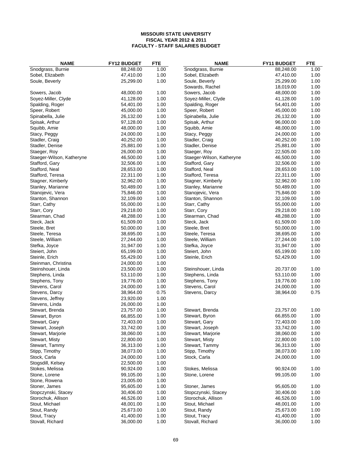| Snodgrass, Burnie<br>1.00<br>88,248.00<br>1.00<br>88,248.00<br>Sobel, Elizabeth<br>47,410.00<br>1.00<br>Sobel, Elizabeth<br>47,410.00<br>1.00<br>1.00<br>1.00<br>Soule, Beverly<br>25,299.00<br>Soule, Beverly<br>25,299.00<br>1.00<br>Sowards, Rachel<br>18,019.00<br>Sowers, Jacob<br>48,000.00<br>1.00<br>Sowers, Jacob<br>48,000.00<br>1.00<br>Soyez-Miller, Clyde<br>1.00<br>1.00<br>41,128.00<br>Soyez-Miller, Clyde<br>41,128.00<br>1.00<br>Spalding, Roger<br>54,401.00<br>Spalding, Roger<br>54,401.00<br>1.00<br>1.00<br>1.00<br>Speer, Robert<br>45,000.00<br>Speer, Robert<br>45,000.00<br>1.00<br>1.00<br>Spinabella, Julie<br>26,132.00<br>Spinabella, Julie<br>26,132.00<br>1.00<br>96,000.00<br>1.00<br>Spisak, Arthur<br>97,128.00<br>Spisak, Arthur<br>1.00<br>1.00<br>Squibb, Amie<br>48,000.00<br>Squibb, Amie<br>48,000.00<br>Stacy, Peggy<br>24,000.00<br>1.00<br>Stacy, Peggy<br>24,000.00<br>1.00<br>1.00<br>1.00<br>Stadler, Craig<br>40,252.00<br>Stadler, Craig<br>40,252.00<br>1.00<br>1.00<br>Stadler, Denise<br>25,881.00<br>Stadler, Denise<br>25,881.00<br>1.00<br>1.00<br>Staeger, Roy<br>26,000.00<br>Staeger, Roy<br>22,505.00<br>1.00<br>1.00<br>Staeger-Wilson, Katheryne<br>46,500.00<br>Staeger-Wilson, Katheryne<br>46,500.00<br>1.00<br>Stafford, Gary<br>32,506.00<br>Stafford, Gary<br>32,506.00<br>1.00<br>1.00<br>Stafford, Neal<br>28,653.00<br>Stafford, Neal<br>28,653.00<br>1.00<br>1.00<br>1.00<br>Stafford, Teresa<br>22,311.00<br>Stafford, Teresa<br>22,311.00<br>1.00<br>1.00<br>Stagner, Kimberly<br>32,962.00<br>Stagner, Kimberly<br>32,962.00<br>1.00<br>1.00<br>Stanley, Marianne<br>50,489.00<br>Stanley, Marianne<br>50,489.00<br>Stanojevic, Vera<br>1.00<br>Stanojevic, Vera<br>75,846.00<br>1.00<br>75,846.00<br>1.00<br>1.00<br>Stanton, Shannon<br>Stanton, Shannon<br>32,109.00<br>32,109.00<br>1.00<br>Starr, Cathy<br>55,000.00<br>Starr, Cathy<br>55,000.00<br>1.00<br>Starr, Cory<br>1.00<br>29,218.00<br>Starr, Cory<br>29,218.00<br>1.00<br>1.00<br>1.00<br>Stearman, Chad<br>48,288.00<br>Stearman, Chad<br>48,288.00<br>1.00<br>Steck, Jack<br>61,509.00<br>Steck, Jack<br>61,509.00<br>1.00<br>1.00<br>Steele, Bret<br>50,000.00<br>Steele, Bret<br>50,000.00<br>1.00<br>1.00<br>1.00<br>Steele, Teresa<br>38,695.00<br>Steele, Teresa<br>38,695.00<br>1.00<br>1.00<br>Steele, William<br>27,244.00<br>Steele, William<br>27,244.00<br>1.00<br>1.00<br>Stefka, Joyce<br>31,947.00<br>Stefka, Joyce<br>31,947.00<br>Steiert, John<br>65,199.00<br>1.00<br>Steiert, John<br>65,199.00<br>1.00<br>1.00<br>1.00<br>Steinle, Erich<br>55,429.00<br>Steinle, Erich<br>52,429.00<br>1.00<br>Steinman, Christina<br>24,000.00<br>1.00<br>Steinshouer, Linda<br>23,500.00<br>Steinshouer, Linda<br>20,737.00<br>1.00<br>1.00<br>1.00<br>Stephens, Linda<br>Stephens, Linda<br>53,110.00<br>53,110.00<br>19,776.00<br>1.00<br>Stephens, Tony<br>19,776.00<br>1.00<br>Stephens, Tony<br>1.00<br>1.00<br>Stevens, Carol<br>24,000.00<br>Stevens, Carol<br>24,000.00<br>0.75<br>0.75<br>Stevens, Darcy<br>Stevens, Darcy<br>38,964.00<br>38,964.00<br>1.00<br>Stevens, Jeffrey<br>23,920.00<br>1.00<br>Stevens, Linda<br>26,000.00<br>1.00<br>23,757.00<br>Stewart, Brenda<br>23,757.00<br>Stewart, Brenda<br>1.00<br>1.00<br>1.00<br>66,855.00<br>66,855.00<br>Stewart, Byron<br>Stewart, Byron<br>1.00<br>72,403.00<br>Stewart, Gary<br>72,403.00<br>1.00<br>Stewart, Gary<br>33,742.00<br>1.00<br>Stewart, Joseph<br>Stewart, Joseph<br>33,742.00<br>1.00<br>1.00<br>Stewart, Marjorie<br>38,060.00<br>Stewart, Marjorie<br>38,060.00<br>1.00<br>Stewart, Misty<br>22,800.00<br>1.00<br>Stewart, Misty<br>22,800.00<br>1.00<br>1.00<br>36,313.00<br>36,313.00<br>1.00<br>Stewart, Tammy<br>Stewart, Tammy<br>1.00<br>Stipp, Timothy<br>38,073.00<br>Stipp, Timothy<br>38,073.00<br>1.00<br>1.00<br>Stock, Carla<br>Stock, Carla<br>24,000.00<br>24,000.00<br>1.00<br>1.00<br>Stogsdill, Kelsey<br>22,500.00<br>Stokes, Melissa<br>90,924.00<br>1.00<br>Stokes, Melissa<br>90,924.00<br>1.00<br>1.00<br>1.00<br>Stone, Lorene<br>99,105.00<br>Stone, Lorene<br>99,105.00<br>1.00<br>Stone, Rowena<br>23,005.00<br>1.00<br>Stoner, James<br>95,605.00<br>Stoner, James<br>95,605.00<br>1.00<br>1.00<br>30,406.00<br>Stopczynski, Stacey<br>30,406.00<br>1.00<br>Stopczynski, Stacey<br>1.00<br>Storochuk, Allison<br>46,526.00<br>Storochuk, Allison<br>46,526.00<br>1.00<br>1.00<br>Stout, Michael<br>Stout, Michael<br>48,001.00<br>1.00<br>48,001.00<br>1.00<br>Stout, Randy<br>25,673.00<br>Stout, Randy<br>25,673.00<br>1.00<br>1.00<br>41,400.00<br>Stout, Tracy<br>41,400.00<br>Stout, Tracy<br>1.00<br>1.00 | <b>NAME</b>      | <b>FY12 BUDGET</b> | <b>FTE</b> | <b>NAME</b>       | FY11 BUDGET | <b>FTE</b> |
|-------------------------------------------------------------------------------------------------------------------------------------------------------------------------------------------------------------------------------------------------------------------------------------------------------------------------------------------------------------------------------------------------------------------------------------------------------------------------------------------------------------------------------------------------------------------------------------------------------------------------------------------------------------------------------------------------------------------------------------------------------------------------------------------------------------------------------------------------------------------------------------------------------------------------------------------------------------------------------------------------------------------------------------------------------------------------------------------------------------------------------------------------------------------------------------------------------------------------------------------------------------------------------------------------------------------------------------------------------------------------------------------------------------------------------------------------------------------------------------------------------------------------------------------------------------------------------------------------------------------------------------------------------------------------------------------------------------------------------------------------------------------------------------------------------------------------------------------------------------------------------------------------------------------------------------------------------------------------------------------------------------------------------------------------------------------------------------------------------------------------------------------------------------------------------------------------------------------------------------------------------------------------------------------------------------------------------------------------------------------------------------------------------------------------------------------------------------------------------------------------------------------------------------------------------------------------------------------------------------------------------------------------------------------------------------------------------------------------------------------------------------------------------------------------------------------------------------------------------------------------------------------------------------------------------------------------------------------------------------------------------------------------------------------------------------------------------------------------------------------------------------------------------------------------------------------------------------------------------------------------------------------------------------------------------------------------------------------------------------------------------------------------------------------------------------------------------------------------------------------------------------------------------------------------------------------------------------------------------------------------------------------------------------------------------------------------------------------------------------------------------------------------------------------------------------------------------------------------------------------------------------------------------------------------------------------------------------------------------------------------------------------------------------------------------------------------------------------------------------------------------------------------------------------------------------------------------------------------------------------------------------------------------------------------------------------------------------------------------------------------------------------------------------------------------------------------------------------------------------------------------------------------------------------------------------------------------------------------------------------------------------------------------------------------------------|------------------|--------------------|------------|-------------------|-------------|------------|
|                                                                                                                                                                                                                                                                                                                                                                                                                                                                                                                                                                                                                                                                                                                                                                                                                                                                                                                                                                                                                                                                                                                                                                                                                                                                                                                                                                                                                                                                                                                                                                                                                                                                                                                                                                                                                                                                                                                                                                                                                                                                                                                                                                                                                                                                                                                                                                                                                                                                                                                                                                                                                                                                                                                                                                                                                                                                                                                                                                                                                                                                                                                                                                                                                                                                                                                                                                                                                                                                                                                                                                                                                                                                                                                                                                                                                                                                                                                                                                                                                                                                                                                                                                                                                                                                                                                                                                                                                                                                                                                                                                                                                                                                                     |                  |                    |            | Snodgrass, Burnie |             |            |
|                                                                                                                                                                                                                                                                                                                                                                                                                                                                                                                                                                                                                                                                                                                                                                                                                                                                                                                                                                                                                                                                                                                                                                                                                                                                                                                                                                                                                                                                                                                                                                                                                                                                                                                                                                                                                                                                                                                                                                                                                                                                                                                                                                                                                                                                                                                                                                                                                                                                                                                                                                                                                                                                                                                                                                                                                                                                                                                                                                                                                                                                                                                                                                                                                                                                                                                                                                                                                                                                                                                                                                                                                                                                                                                                                                                                                                                                                                                                                                                                                                                                                                                                                                                                                                                                                                                                                                                                                                                                                                                                                                                                                                                                                     |                  |                    |            |                   |             |            |
|                                                                                                                                                                                                                                                                                                                                                                                                                                                                                                                                                                                                                                                                                                                                                                                                                                                                                                                                                                                                                                                                                                                                                                                                                                                                                                                                                                                                                                                                                                                                                                                                                                                                                                                                                                                                                                                                                                                                                                                                                                                                                                                                                                                                                                                                                                                                                                                                                                                                                                                                                                                                                                                                                                                                                                                                                                                                                                                                                                                                                                                                                                                                                                                                                                                                                                                                                                                                                                                                                                                                                                                                                                                                                                                                                                                                                                                                                                                                                                                                                                                                                                                                                                                                                                                                                                                                                                                                                                                                                                                                                                                                                                                                                     |                  |                    |            |                   |             |            |
|                                                                                                                                                                                                                                                                                                                                                                                                                                                                                                                                                                                                                                                                                                                                                                                                                                                                                                                                                                                                                                                                                                                                                                                                                                                                                                                                                                                                                                                                                                                                                                                                                                                                                                                                                                                                                                                                                                                                                                                                                                                                                                                                                                                                                                                                                                                                                                                                                                                                                                                                                                                                                                                                                                                                                                                                                                                                                                                                                                                                                                                                                                                                                                                                                                                                                                                                                                                                                                                                                                                                                                                                                                                                                                                                                                                                                                                                                                                                                                                                                                                                                                                                                                                                                                                                                                                                                                                                                                                                                                                                                                                                                                                                                     |                  |                    |            |                   |             |            |
|                                                                                                                                                                                                                                                                                                                                                                                                                                                                                                                                                                                                                                                                                                                                                                                                                                                                                                                                                                                                                                                                                                                                                                                                                                                                                                                                                                                                                                                                                                                                                                                                                                                                                                                                                                                                                                                                                                                                                                                                                                                                                                                                                                                                                                                                                                                                                                                                                                                                                                                                                                                                                                                                                                                                                                                                                                                                                                                                                                                                                                                                                                                                                                                                                                                                                                                                                                                                                                                                                                                                                                                                                                                                                                                                                                                                                                                                                                                                                                                                                                                                                                                                                                                                                                                                                                                                                                                                                                                                                                                                                                                                                                                                                     |                  |                    |            |                   |             |            |
|                                                                                                                                                                                                                                                                                                                                                                                                                                                                                                                                                                                                                                                                                                                                                                                                                                                                                                                                                                                                                                                                                                                                                                                                                                                                                                                                                                                                                                                                                                                                                                                                                                                                                                                                                                                                                                                                                                                                                                                                                                                                                                                                                                                                                                                                                                                                                                                                                                                                                                                                                                                                                                                                                                                                                                                                                                                                                                                                                                                                                                                                                                                                                                                                                                                                                                                                                                                                                                                                                                                                                                                                                                                                                                                                                                                                                                                                                                                                                                                                                                                                                                                                                                                                                                                                                                                                                                                                                                                                                                                                                                                                                                                                                     |                  |                    |            |                   |             |            |
|                                                                                                                                                                                                                                                                                                                                                                                                                                                                                                                                                                                                                                                                                                                                                                                                                                                                                                                                                                                                                                                                                                                                                                                                                                                                                                                                                                                                                                                                                                                                                                                                                                                                                                                                                                                                                                                                                                                                                                                                                                                                                                                                                                                                                                                                                                                                                                                                                                                                                                                                                                                                                                                                                                                                                                                                                                                                                                                                                                                                                                                                                                                                                                                                                                                                                                                                                                                                                                                                                                                                                                                                                                                                                                                                                                                                                                                                                                                                                                                                                                                                                                                                                                                                                                                                                                                                                                                                                                                                                                                                                                                                                                                                                     |                  |                    |            |                   |             |            |
|                                                                                                                                                                                                                                                                                                                                                                                                                                                                                                                                                                                                                                                                                                                                                                                                                                                                                                                                                                                                                                                                                                                                                                                                                                                                                                                                                                                                                                                                                                                                                                                                                                                                                                                                                                                                                                                                                                                                                                                                                                                                                                                                                                                                                                                                                                                                                                                                                                                                                                                                                                                                                                                                                                                                                                                                                                                                                                                                                                                                                                                                                                                                                                                                                                                                                                                                                                                                                                                                                                                                                                                                                                                                                                                                                                                                                                                                                                                                                                                                                                                                                                                                                                                                                                                                                                                                                                                                                                                                                                                                                                                                                                                                                     |                  |                    |            |                   |             |            |
|                                                                                                                                                                                                                                                                                                                                                                                                                                                                                                                                                                                                                                                                                                                                                                                                                                                                                                                                                                                                                                                                                                                                                                                                                                                                                                                                                                                                                                                                                                                                                                                                                                                                                                                                                                                                                                                                                                                                                                                                                                                                                                                                                                                                                                                                                                                                                                                                                                                                                                                                                                                                                                                                                                                                                                                                                                                                                                                                                                                                                                                                                                                                                                                                                                                                                                                                                                                                                                                                                                                                                                                                                                                                                                                                                                                                                                                                                                                                                                                                                                                                                                                                                                                                                                                                                                                                                                                                                                                                                                                                                                                                                                                                                     |                  |                    |            |                   |             |            |
|                                                                                                                                                                                                                                                                                                                                                                                                                                                                                                                                                                                                                                                                                                                                                                                                                                                                                                                                                                                                                                                                                                                                                                                                                                                                                                                                                                                                                                                                                                                                                                                                                                                                                                                                                                                                                                                                                                                                                                                                                                                                                                                                                                                                                                                                                                                                                                                                                                                                                                                                                                                                                                                                                                                                                                                                                                                                                                                                                                                                                                                                                                                                                                                                                                                                                                                                                                                                                                                                                                                                                                                                                                                                                                                                                                                                                                                                                                                                                                                                                                                                                                                                                                                                                                                                                                                                                                                                                                                                                                                                                                                                                                                                                     |                  |                    |            |                   |             |            |
|                                                                                                                                                                                                                                                                                                                                                                                                                                                                                                                                                                                                                                                                                                                                                                                                                                                                                                                                                                                                                                                                                                                                                                                                                                                                                                                                                                                                                                                                                                                                                                                                                                                                                                                                                                                                                                                                                                                                                                                                                                                                                                                                                                                                                                                                                                                                                                                                                                                                                                                                                                                                                                                                                                                                                                                                                                                                                                                                                                                                                                                                                                                                                                                                                                                                                                                                                                                                                                                                                                                                                                                                                                                                                                                                                                                                                                                                                                                                                                                                                                                                                                                                                                                                                                                                                                                                                                                                                                                                                                                                                                                                                                                                                     |                  |                    |            |                   |             |            |
|                                                                                                                                                                                                                                                                                                                                                                                                                                                                                                                                                                                                                                                                                                                                                                                                                                                                                                                                                                                                                                                                                                                                                                                                                                                                                                                                                                                                                                                                                                                                                                                                                                                                                                                                                                                                                                                                                                                                                                                                                                                                                                                                                                                                                                                                                                                                                                                                                                                                                                                                                                                                                                                                                                                                                                                                                                                                                                                                                                                                                                                                                                                                                                                                                                                                                                                                                                                                                                                                                                                                                                                                                                                                                                                                                                                                                                                                                                                                                                                                                                                                                                                                                                                                                                                                                                                                                                                                                                                                                                                                                                                                                                                                                     |                  |                    |            |                   |             |            |
|                                                                                                                                                                                                                                                                                                                                                                                                                                                                                                                                                                                                                                                                                                                                                                                                                                                                                                                                                                                                                                                                                                                                                                                                                                                                                                                                                                                                                                                                                                                                                                                                                                                                                                                                                                                                                                                                                                                                                                                                                                                                                                                                                                                                                                                                                                                                                                                                                                                                                                                                                                                                                                                                                                                                                                                                                                                                                                                                                                                                                                                                                                                                                                                                                                                                                                                                                                                                                                                                                                                                                                                                                                                                                                                                                                                                                                                                                                                                                                                                                                                                                                                                                                                                                                                                                                                                                                                                                                                                                                                                                                                                                                                                                     |                  |                    |            |                   |             |            |
|                                                                                                                                                                                                                                                                                                                                                                                                                                                                                                                                                                                                                                                                                                                                                                                                                                                                                                                                                                                                                                                                                                                                                                                                                                                                                                                                                                                                                                                                                                                                                                                                                                                                                                                                                                                                                                                                                                                                                                                                                                                                                                                                                                                                                                                                                                                                                                                                                                                                                                                                                                                                                                                                                                                                                                                                                                                                                                                                                                                                                                                                                                                                                                                                                                                                                                                                                                                                                                                                                                                                                                                                                                                                                                                                                                                                                                                                                                                                                                                                                                                                                                                                                                                                                                                                                                                                                                                                                                                                                                                                                                                                                                                                                     |                  |                    |            |                   |             |            |
|                                                                                                                                                                                                                                                                                                                                                                                                                                                                                                                                                                                                                                                                                                                                                                                                                                                                                                                                                                                                                                                                                                                                                                                                                                                                                                                                                                                                                                                                                                                                                                                                                                                                                                                                                                                                                                                                                                                                                                                                                                                                                                                                                                                                                                                                                                                                                                                                                                                                                                                                                                                                                                                                                                                                                                                                                                                                                                                                                                                                                                                                                                                                                                                                                                                                                                                                                                                                                                                                                                                                                                                                                                                                                                                                                                                                                                                                                                                                                                                                                                                                                                                                                                                                                                                                                                                                                                                                                                                                                                                                                                                                                                                                                     |                  |                    |            |                   |             |            |
|                                                                                                                                                                                                                                                                                                                                                                                                                                                                                                                                                                                                                                                                                                                                                                                                                                                                                                                                                                                                                                                                                                                                                                                                                                                                                                                                                                                                                                                                                                                                                                                                                                                                                                                                                                                                                                                                                                                                                                                                                                                                                                                                                                                                                                                                                                                                                                                                                                                                                                                                                                                                                                                                                                                                                                                                                                                                                                                                                                                                                                                                                                                                                                                                                                                                                                                                                                                                                                                                                                                                                                                                                                                                                                                                                                                                                                                                                                                                                                                                                                                                                                                                                                                                                                                                                                                                                                                                                                                                                                                                                                                                                                                                                     |                  |                    |            |                   |             |            |
|                                                                                                                                                                                                                                                                                                                                                                                                                                                                                                                                                                                                                                                                                                                                                                                                                                                                                                                                                                                                                                                                                                                                                                                                                                                                                                                                                                                                                                                                                                                                                                                                                                                                                                                                                                                                                                                                                                                                                                                                                                                                                                                                                                                                                                                                                                                                                                                                                                                                                                                                                                                                                                                                                                                                                                                                                                                                                                                                                                                                                                                                                                                                                                                                                                                                                                                                                                                                                                                                                                                                                                                                                                                                                                                                                                                                                                                                                                                                                                                                                                                                                                                                                                                                                                                                                                                                                                                                                                                                                                                                                                                                                                                                                     |                  |                    |            |                   |             |            |
|                                                                                                                                                                                                                                                                                                                                                                                                                                                                                                                                                                                                                                                                                                                                                                                                                                                                                                                                                                                                                                                                                                                                                                                                                                                                                                                                                                                                                                                                                                                                                                                                                                                                                                                                                                                                                                                                                                                                                                                                                                                                                                                                                                                                                                                                                                                                                                                                                                                                                                                                                                                                                                                                                                                                                                                                                                                                                                                                                                                                                                                                                                                                                                                                                                                                                                                                                                                                                                                                                                                                                                                                                                                                                                                                                                                                                                                                                                                                                                                                                                                                                                                                                                                                                                                                                                                                                                                                                                                                                                                                                                                                                                                                                     |                  |                    |            |                   |             |            |
|                                                                                                                                                                                                                                                                                                                                                                                                                                                                                                                                                                                                                                                                                                                                                                                                                                                                                                                                                                                                                                                                                                                                                                                                                                                                                                                                                                                                                                                                                                                                                                                                                                                                                                                                                                                                                                                                                                                                                                                                                                                                                                                                                                                                                                                                                                                                                                                                                                                                                                                                                                                                                                                                                                                                                                                                                                                                                                                                                                                                                                                                                                                                                                                                                                                                                                                                                                                                                                                                                                                                                                                                                                                                                                                                                                                                                                                                                                                                                                                                                                                                                                                                                                                                                                                                                                                                                                                                                                                                                                                                                                                                                                                                                     |                  |                    |            |                   |             |            |
|                                                                                                                                                                                                                                                                                                                                                                                                                                                                                                                                                                                                                                                                                                                                                                                                                                                                                                                                                                                                                                                                                                                                                                                                                                                                                                                                                                                                                                                                                                                                                                                                                                                                                                                                                                                                                                                                                                                                                                                                                                                                                                                                                                                                                                                                                                                                                                                                                                                                                                                                                                                                                                                                                                                                                                                                                                                                                                                                                                                                                                                                                                                                                                                                                                                                                                                                                                                                                                                                                                                                                                                                                                                                                                                                                                                                                                                                                                                                                                                                                                                                                                                                                                                                                                                                                                                                                                                                                                                                                                                                                                                                                                                                                     |                  |                    |            |                   |             |            |
|                                                                                                                                                                                                                                                                                                                                                                                                                                                                                                                                                                                                                                                                                                                                                                                                                                                                                                                                                                                                                                                                                                                                                                                                                                                                                                                                                                                                                                                                                                                                                                                                                                                                                                                                                                                                                                                                                                                                                                                                                                                                                                                                                                                                                                                                                                                                                                                                                                                                                                                                                                                                                                                                                                                                                                                                                                                                                                                                                                                                                                                                                                                                                                                                                                                                                                                                                                                                                                                                                                                                                                                                                                                                                                                                                                                                                                                                                                                                                                                                                                                                                                                                                                                                                                                                                                                                                                                                                                                                                                                                                                                                                                                                                     |                  |                    |            |                   |             |            |
|                                                                                                                                                                                                                                                                                                                                                                                                                                                                                                                                                                                                                                                                                                                                                                                                                                                                                                                                                                                                                                                                                                                                                                                                                                                                                                                                                                                                                                                                                                                                                                                                                                                                                                                                                                                                                                                                                                                                                                                                                                                                                                                                                                                                                                                                                                                                                                                                                                                                                                                                                                                                                                                                                                                                                                                                                                                                                                                                                                                                                                                                                                                                                                                                                                                                                                                                                                                                                                                                                                                                                                                                                                                                                                                                                                                                                                                                                                                                                                                                                                                                                                                                                                                                                                                                                                                                                                                                                                                                                                                                                                                                                                                                                     |                  |                    |            |                   |             |            |
|                                                                                                                                                                                                                                                                                                                                                                                                                                                                                                                                                                                                                                                                                                                                                                                                                                                                                                                                                                                                                                                                                                                                                                                                                                                                                                                                                                                                                                                                                                                                                                                                                                                                                                                                                                                                                                                                                                                                                                                                                                                                                                                                                                                                                                                                                                                                                                                                                                                                                                                                                                                                                                                                                                                                                                                                                                                                                                                                                                                                                                                                                                                                                                                                                                                                                                                                                                                                                                                                                                                                                                                                                                                                                                                                                                                                                                                                                                                                                                                                                                                                                                                                                                                                                                                                                                                                                                                                                                                                                                                                                                                                                                                                                     |                  |                    |            |                   |             |            |
|                                                                                                                                                                                                                                                                                                                                                                                                                                                                                                                                                                                                                                                                                                                                                                                                                                                                                                                                                                                                                                                                                                                                                                                                                                                                                                                                                                                                                                                                                                                                                                                                                                                                                                                                                                                                                                                                                                                                                                                                                                                                                                                                                                                                                                                                                                                                                                                                                                                                                                                                                                                                                                                                                                                                                                                                                                                                                                                                                                                                                                                                                                                                                                                                                                                                                                                                                                                                                                                                                                                                                                                                                                                                                                                                                                                                                                                                                                                                                                                                                                                                                                                                                                                                                                                                                                                                                                                                                                                                                                                                                                                                                                                                                     |                  |                    |            |                   |             |            |
|                                                                                                                                                                                                                                                                                                                                                                                                                                                                                                                                                                                                                                                                                                                                                                                                                                                                                                                                                                                                                                                                                                                                                                                                                                                                                                                                                                                                                                                                                                                                                                                                                                                                                                                                                                                                                                                                                                                                                                                                                                                                                                                                                                                                                                                                                                                                                                                                                                                                                                                                                                                                                                                                                                                                                                                                                                                                                                                                                                                                                                                                                                                                                                                                                                                                                                                                                                                                                                                                                                                                                                                                                                                                                                                                                                                                                                                                                                                                                                                                                                                                                                                                                                                                                                                                                                                                                                                                                                                                                                                                                                                                                                                                                     |                  |                    |            |                   |             |            |
|                                                                                                                                                                                                                                                                                                                                                                                                                                                                                                                                                                                                                                                                                                                                                                                                                                                                                                                                                                                                                                                                                                                                                                                                                                                                                                                                                                                                                                                                                                                                                                                                                                                                                                                                                                                                                                                                                                                                                                                                                                                                                                                                                                                                                                                                                                                                                                                                                                                                                                                                                                                                                                                                                                                                                                                                                                                                                                                                                                                                                                                                                                                                                                                                                                                                                                                                                                                                                                                                                                                                                                                                                                                                                                                                                                                                                                                                                                                                                                                                                                                                                                                                                                                                                                                                                                                                                                                                                                                                                                                                                                                                                                                                                     |                  |                    |            |                   |             |            |
|                                                                                                                                                                                                                                                                                                                                                                                                                                                                                                                                                                                                                                                                                                                                                                                                                                                                                                                                                                                                                                                                                                                                                                                                                                                                                                                                                                                                                                                                                                                                                                                                                                                                                                                                                                                                                                                                                                                                                                                                                                                                                                                                                                                                                                                                                                                                                                                                                                                                                                                                                                                                                                                                                                                                                                                                                                                                                                                                                                                                                                                                                                                                                                                                                                                                                                                                                                                                                                                                                                                                                                                                                                                                                                                                                                                                                                                                                                                                                                                                                                                                                                                                                                                                                                                                                                                                                                                                                                                                                                                                                                                                                                                                                     |                  |                    |            |                   |             |            |
|                                                                                                                                                                                                                                                                                                                                                                                                                                                                                                                                                                                                                                                                                                                                                                                                                                                                                                                                                                                                                                                                                                                                                                                                                                                                                                                                                                                                                                                                                                                                                                                                                                                                                                                                                                                                                                                                                                                                                                                                                                                                                                                                                                                                                                                                                                                                                                                                                                                                                                                                                                                                                                                                                                                                                                                                                                                                                                                                                                                                                                                                                                                                                                                                                                                                                                                                                                                                                                                                                                                                                                                                                                                                                                                                                                                                                                                                                                                                                                                                                                                                                                                                                                                                                                                                                                                                                                                                                                                                                                                                                                                                                                                                                     |                  |                    |            |                   |             |            |
|                                                                                                                                                                                                                                                                                                                                                                                                                                                                                                                                                                                                                                                                                                                                                                                                                                                                                                                                                                                                                                                                                                                                                                                                                                                                                                                                                                                                                                                                                                                                                                                                                                                                                                                                                                                                                                                                                                                                                                                                                                                                                                                                                                                                                                                                                                                                                                                                                                                                                                                                                                                                                                                                                                                                                                                                                                                                                                                                                                                                                                                                                                                                                                                                                                                                                                                                                                                                                                                                                                                                                                                                                                                                                                                                                                                                                                                                                                                                                                                                                                                                                                                                                                                                                                                                                                                                                                                                                                                                                                                                                                                                                                                                                     |                  |                    |            |                   |             |            |
|                                                                                                                                                                                                                                                                                                                                                                                                                                                                                                                                                                                                                                                                                                                                                                                                                                                                                                                                                                                                                                                                                                                                                                                                                                                                                                                                                                                                                                                                                                                                                                                                                                                                                                                                                                                                                                                                                                                                                                                                                                                                                                                                                                                                                                                                                                                                                                                                                                                                                                                                                                                                                                                                                                                                                                                                                                                                                                                                                                                                                                                                                                                                                                                                                                                                                                                                                                                                                                                                                                                                                                                                                                                                                                                                                                                                                                                                                                                                                                                                                                                                                                                                                                                                                                                                                                                                                                                                                                                                                                                                                                                                                                                                                     |                  |                    |            |                   |             |            |
|                                                                                                                                                                                                                                                                                                                                                                                                                                                                                                                                                                                                                                                                                                                                                                                                                                                                                                                                                                                                                                                                                                                                                                                                                                                                                                                                                                                                                                                                                                                                                                                                                                                                                                                                                                                                                                                                                                                                                                                                                                                                                                                                                                                                                                                                                                                                                                                                                                                                                                                                                                                                                                                                                                                                                                                                                                                                                                                                                                                                                                                                                                                                                                                                                                                                                                                                                                                                                                                                                                                                                                                                                                                                                                                                                                                                                                                                                                                                                                                                                                                                                                                                                                                                                                                                                                                                                                                                                                                                                                                                                                                                                                                                                     |                  |                    |            |                   |             |            |
|                                                                                                                                                                                                                                                                                                                                                                                                                                                                                                                                                                                                                                                                                                                                                                                                                                                                                                                                                                                                                                                                                                                                                                                                                                                                                                                                                                                                                                                                                                                                                                                                                                                                                                                                                                                                                                                                                                                                                                                                                                                                                                                                                                                                                                                                                                                                                                                                                                                                                                                                                                                                                                                                                                                                                                                                                                                                                                                                                                                                                                                                                                                                                                                                                                                                                                                                                                                                                                                                                                                                                                                                                                                                                                                                                                                                                                                                                                                                                                                                                                                                                                                                                                                                                                                                                                                                                                                                                                                                                                                                                                                                                                                                                     |                  |                    |            |                   |             |            |
|                                                                                                                                                                                                                                                                                                                                                                                                                                                                                                                                                                                                                                                                                                                                                                                                                                                                                                                                                                                                                                                                                                                                                                                                                                                                                                                                                                                                                                                                                                                                                                                                                                                                                                                                                                                                                                                                                                                                                                                                                                                                                                                                                                                                                                                                                                                                                                                                                                                                                                                                                                                                                                                                                                                                                                                                                                                                                                                                                                                                                                                                                                                                                                                                                                                                                                                                                                                                                                                                                                                                                                                                                                                                                                                                                                                                                                                                                                                                                                                                                                                                                                                                                                                                                                                                                                                                                                                                                                                                                                                                                                                                                                                                                     |                  |                    |            |                   |             |            |
|                                                                                                                                                                                                                                                                                                                                                                                                                                                                                                                                                                                                                                                                                                                                                                                                                                                                                                                                                                                                                                                                                                                                                                                                                                                                                                                                                                                                                                                                                                                                                                                                                                                                                                                                                                                                                                                                                                                                                                                                                                                                                                                                                                                                                                                                                                                                                                                                                                                                                                                                                                                                                                                                                                                                                                                                                                                                                                                                                                                                                                                                                                                                                                                                                                                                                                                                                                                                                                                                                                                                                                                                                                                                                                                                                                                                                                                                                                                                                                                                                                                                                                                                                                                                                                                                                                                                                                                                                                                                                                                                                                                                                                                                                     |                  |                    |            |                   |             |            |
|                                                                                                                                                                                                                                                                                                                                                                                                                                                                                                                                                                                                                                                                                                                                                                                                                                                                                                                                                                                                                                                                                                                                                                                                                                                                                                                                                                                                                                                                                                                                                                                                                                                                                                                                                                                                                                                                                                                                                                                                                                                                                                                                                                                                                                                                                                                                                                                                                                                                                                                                                                                                                                                                                                                                                                                                                                                                                                                                                                                                                                                                                                                                                                                                                                                                                                                                                                                                                                                                                                                                                                                                                                                                                                                                                                                                                                                                                                                                                                                                                                                                                                                                                                                                                                                                                                                                                                                                                                                                                                                                                                                                                                                                                     |                  |                    |            |                   |             |            |
|                                                                                                                                                                                                                                                                                                                                                                                                                                                                                                                                                                                                                                                                                                                                                                                                                                                                                                                                                                                                                                                                                                                                                                                                                                                                                                                                                                                                                                                                                                                                                                                                                                                                                                                                                                                                                                                                                                                                                                                                                                                                                                                                                                                                                                                                                                                                                                                                                                                                                                                                                                                                                                                                                                                                                                                                                                                                                                                                                                                                                                                                                                                                                                                                                                                                                                                                                                                                                                                                                                                                                                                                                                                                                                                                                                                                                                                                                                                                                                                                                                                                                                                                                                                                                                                                                                                                                                                                                                                                                                                                                                                                                                                                                     |                  |                    |            |                   |             |            |
|                                                                                                                                                                                                                                                                                                                                                                                                                                                                                                                                                                                                                                                                                                                                                                                                                                                                                                                                                                                                                                                                                                                                                                                                                                                                                                                                                                                                                                                                                                                                                                                                                                                                                                                                                                                                                                                                                                                                                                                                                                                                                                                                                                                                                                                                                                                                                                                                                                                                                                                                                                                                                                                                                                                                                                                                                                                                                                                                                                                                                                                                                                                                                                                                                                                                                                                                                                                                                                                                                                                                                                                                                                                                                                                                                                                                                                                                                                                                                                                                                                                                                                                                                                                                                                                                                                                                                                                                                                                                                                                                                                                                                                                                                     |                  |                    |            |                   |             |            |
|                                                                                                                                                                                                                                                                                                                                                                                                                                                                                                                                                                                                                                                                                                                                                                                                                                                                                                                                                                                                                                                                                                                                                                                                                                                                                                                                                                                                                                                                                                                                                                                                                                                                                                                                                                                                                                                                                                                                                                                                                                                                                                                                                                                                                                                                                                                                                                                                                                                                                                                                                                                                                                                                                                                                                                                                                                                                                                                                                                                                                                                                                                                                                                                                                                                                                                                                                                                                                                                                                                                                                                                                                                                                                                                                                                                                                                                                                                                                                                                                                                                                                                                                                                                                                                                                                                                                                                                                                                                                                                                                                                                                                                                                                     |                  |                    |            |                   |             |            |
|                                                                                                                                                                                                                                                                                                                                                                                                                                                                                                                                                                                                                                                                                                                                                                                                                                                                                                                                                                                                                                                                                                                                                                                                                                                                                                                                                                                                                                                                                                                                                                                                                                                                                                                                                                                                                                                                                                                                                                                                                                                                                                                                                                                                                                                                                                                                                                                                                                                                                                                                                                                                                                                                                                                                                                                                                                                                                                                                                                                                                                                                                                                                                                                                                                                                                                                                                                                                                                                                                                                                                                                                                                                                                                                                                                                                                                                                                                                                                                                                                                                                                                                                                                                                                                                                                                                                                                                                                                                                                                                                                                                                                                                                                     |                  |                    |            |                   |             |            |
|                                                                                                                                                                                                                                                                                                                                                                                                                                                                                                                                                                                                                                                                                                                                                                                                                                                                                                                                                                                                                                                                                                                                                                                                                                                                                                                                                                                                                                                                                                                                                                                                                                                                                                                                                                                                                                                                                                                                                                                                                                                                                                                                                                                                                                                                                                                                                                                                                                                                                                                                                                                                                                                                                                                                                                                                                                                                                                                                                                                                                                                                                                                                                                                                                                                                                                                                                                                                                                                                                                                                                                                                                                                                                                                                                                                                                                                                                                                                                                                                                                                                                                                                                                                                                                                                                                                                                                                                                                                                                                                                                                                                                                                                                     |                  |                    |            |                   |             |            |
|                                                                                                                                                                                                                                                                                                                                                                                                                                                                                                                                                                                                                                                                                                                                                                                                                                                                                                                                                                                                                                                                                                                                                                                                                                                                                                                                                                                                                                                                                                                                                                                                                                                                                                                                                                                                                                                                                                                                                                                                                                                                                                                                                                                                                                                                                                                                                                                                                                                                                                                                                                                                                                                                                                                                                                                                                                                                                                                                                                                                                                                                                                                                                                                                                                                                                                                                                                                                                                                                                                                                                                                                                                                                                                                                                                                                                                                                                                                                                                                                                                                                                                                                                                                                                                                                                                                                                                                                                                                                                                                                                                                                                                                                                     |                  |                    |            |                   |             |            |
|                                                                                                                                                                                                                                                                                                                                                                                                                                                                                                                                                                                                                                                                                                                                                                                                                                                                                                                                                                                                                                                                                                                                                                                                                                                                                                                                                                                                                                                                                                                                                                                                                                                                                                                                                                                                                                                                                                                                                                                                                                                                                                                                                                                                                                                                                                                                                                                                                                                                                                                                                                                                                                                                                                                                                                                                                                                                                                                                                                                                                                                                                                                                                                                                                                                                                                                                                                                                                                                                                                                                                                                                                                                                                                                                                                                                                                                                                                                                                                                                                                                                                                                                                                                                                                                                                                                                                                                                                                                                                                                                                                                                                                                                                     |                  |                    |            |                   |             |            |
|                                                                                                                                                                                                                                                                                                                                                                                                                                                                                                                                                                                                                                                                                                                                                                                                                                                                                                                                                                                                                                                                                                                                                                                                                                                                                                                                                                                                                                                                                                                                                                                                                                                                                                                                                                                                                                                                                                                                                                                                                                                                                                                                                                                                                                                                                                                                                                                                                                                                                                                                                                                                                                                                                                                                                                                                                                                                                                                                                                                                                                                                                                                                                                                                                                                                                                                                                                                                                                                                                                                                                                                                                                                                                                                                                                                                                                                                                                                                                                                                                                                                                                                                                                                                                                                                                                                                                                                                                                                                                                                                                                                                                                                                                     |                  |                    |            |                   |             |            |
|                                                                                                                                                                                                                                                                                                                                                                                                                                                                                                                                                                                                                                                                                                                                                                                                                                                                                                                                                                                                                                                                                                                                                                                                                                                                                                                                                                                                                                                                                                                                                                                                                                                                                                                                                                                                                                                                                                                                                                                                                                                                                                                                                                                                                                                                                                                                                                                                                                                                                                                                                                                                                                                                                                                                                                                                                                                                                                                                                                                                                                                                                                                                                                                                                                                                                                                                                                                                                                                                                                                                                                                                                                                                                                                                                                                                                                                                                                                                                                                                                                                                                                                                                                                                                                                                                                                                                                                                                                                                                                                                                                                                                                                                                     |                  |                    |            |                   |             |            |
|                                                                                                                                                                                                                                                                                                                                                                                                                                                                                                                                                                                                                                                                                                                                                                                                                                                                                                                                                                                                                                                                                                                                                                                                                                                                                                                                                                                                                                                                                                                                                                                                                                                                                                                                                                                                                                                                                                                                                                                                                                                                                                                                                                                                                                                                                                                                                                                                                                                                                                                                                                                                                                                                                                                                                                                                                                                                                                                                                                                                                                                                                                                                                                                                                                                                                                                                                                                                                                                                                                                                                                                                                                                                                                                                                                                                                                                                                                                                                                                                                                                                                                                                                                                                                                                                                                                                                                                                                                                                                                                                                                                                                                                                                     |                  |                    |            |                   |             |            |
|                                                                                                                                                                                                                                                                                                                                                                                                                                                                                                                                                                                                                                                                                                                                                                                                                                                                                                                                                                                                                                                                                                                                                                                                                                                                                                                                                                                                                                                                                                                                                                                                                                                                                                                                                                                                                                                                                                                                                                                                                                                                                                                                                                                                                                                                                                                                                                                                                                                                                                                                                                                                                                                                                                                                                                                                                                                                                                                                                                                                                                                                                                                                                                                                                                                                                                                                                                                                                                                                                                                                                                                                                                                                                                                                                                                                                                                                                                                                                                                                                                                                                                                                                                                                                                                                                                                                                                                                                                                                                                                                                                                                                                                                                     |                  |                    |            |                   |             |            |
|                                                                                                                                                                                                                                                                                                                                                                                                                                                                                                                                                                                                                                                                                                                                                                                                                                                                                                                                                                                                                                                                                                                                                                                                                                                                                                                                                                                                                                                                                                                                                                                                                                                                                                                                                                                                                                                                                                                                                                                                                                                                                                                                                                                                                                                                                                                                                                                                                                                                                                                                                                                                                                                                                                                                                                                                                                                                                                                                                                                                                                                                                                                                                                                                                                                                                                                                                                                                                                                                                                                                                                                                                                                                                                                                                                                                                                                                                                                                                                                                                                                                                                                                                                                                                                                                                                                                                                                                                                                                                                                                                                                                                                                                                     |                  |                    |            |                   |             |            |
|                                                                                                                                                                                                                                                                                                                                                                                                                                                                                                                                                                                                                                                                                                                                                                                                                                                                                                                                                                                                                                                                                                                                                                                                                                                                                                                                                                                                                                                                                                                                                                                                                                                                                                                                                                                                                                                                                                                                                                                                                                                                                                                                                                                                                                                                                                                                                                                                                                                                                                                                                                                                                                                                                                                                                                                                                                                                                                                                                                                                                                                                                                                                                                                                                                                                                                                                                                                                                                                                                                                                                                                                                                                                                                                                                                                                                                                                                                                                                                                                                                                                                                                                                                                                                                                                                                                                                                                                                                                                                                                                                                                                                                                                                     |                  |                    |            |                   |             |            |
|                                                                                                                                                                                                                                                                                                                                                                                                                                                                                                                                                                                                                                                                                                                                                                                                                                                                                                                                                                                                                                                                                                                                                                                                                                                                                                                                                                                                                                                                                                                                                                                                                                                                                                                                                                                                                                                                                                                                                                                                                                                                                                                                                                                                                                                                                                                                                                                                                                                                                                                                                                                                                                                                                                                                                                                                                                                                                                                                                                                                                                                                                                                                                                                                                                                                                                                                                                                                                                                                                                                                                                                                                                                                                                                                                                                                                                                                                                                                                                                                                                                                                                                                                                                                                                                                                                                                                                                                                                                                                                                                                                                                                                                                                     |                  |                    |            |                   |             |            |
|                                                                                                                                                                                                                                                                                                                                                                                                                                                                                                                                                                                                                                                                                                                                                                                                                                                                                                                                                                                                                                                                                                                                                                                                                                                                                                                                                                                                                                                                                                                                                                                                                                                                                                                                                                                                                                                                                                                                                                                                                                                                                                                                                                                                                                                                                                                                                                                                                                                                                                                                                                                                                                                                                                                                                                                                                                                                                                                                                                                                                                                                                                                                                                                                                                                                                                                                                                                                                                                                                                                                                                                                                                                                                                                                                                                                                                                                                                                                                                                                                                                                                                                                                                                                                                                                                                                                                                                                                                                                                                                                                                                                                                                                                     |                  |                    |            |                   |             |            |
|                                                                                                                                                                                                                                                                                                                                                                                                                                                                                                                                                                                                                                                                                                                                                                                                                                                                                                                                                                                                                                                                                                                                                                                                                                                                                                                                                                                                                                                                                                                                                                                                                                                                                                                                                                                                                                                                                                                                                                                                                                                                                                                                                                                                                                                                                                                                                                                                                                                                                                                                                                                                                                                                                                                                                                                                                                                                                                                                                                                                                                                                                                                                                                                                                                                                                                                                                                                                                                                                                                                                                                                                                                                                                                                                                                                                                                                                                                                                                                                                                                                                                                                                                                                                                                                                                                                                                                                                                                                                                                                                                                                                                                                                                     |                  |                    |            |                   |             |            |
|                                                                                                                                                                                                                                                                                                                                                                                                                                                                                                                                                                                                                                                                                                                                                                                                                                                                                                                                                                                                                                                                                                                                                                                                                                                                                                                                                                                                                                                                                                                                                                                                                                                                                                                                                                                                                                                                                                                                                                                                                                                                                                                                                                                                                                                                                                                                                                                                                                                                                                                                                                                                                                                                                                                                                                                                                                                                                                                                                                                                                                                                                                                                                                                                                                                                                                                                                                                                                                                                                                                                                                                                                                                                                                                                                                                                                                                                                                                                                                                                                                                                                                                                                                                                                                                                                                                                                                                                                                                                                                                                                                                                                                                                                     |                  |                    |            |                   |             |            |
|                                                                                                                                                                                                                                                                                                                                                                                                                                                                                                                                                                                                                                                                                                                                                                                                                                                                                                                                                                                                                                                                                                                                                                                                                                                                                                                                                                                                                                                                                                                                                                                                                                                                                                                                                                                                                                                                                                                                                                                                                                                                                                                                                                                                                                                                                                                                                                                                                                                                                                                                                                                                                                                                                                                                                                                                                                                                                                                                                                                                                                                                                                                                                                                                                                                                                                                                                                                                                                                                                                                                                                                                                                                                                                                                                                                                                                                                                                                                                                                                                                                                                                                                                                                                                                                                                                                                                                                                                                                                                                                                                                                                                                                                                     |                  |                    |            |                   |             |            |
|                                                                                                                                                                                                                                                                                                                                                                                                                                                                                                                                                                                                                                                                                                                                                                                                                                                                                                                                                                                                                                                                                                                                                                                                                                                                                                                                                                                                                                                                                                                                                                                                                                                                                                                                                                                                                                                                                                                                                                                                                                                                                                                                                                                                                                                                                                                                                                                                                                                                                                                                                                                                                                                                                                                                                                                                                                                                                                                                                                                                                                                                                                                                                                                                                                                                                                                                                                                                                                                                                                                                                                                                                                                                                                                                                                                                                                                                                                                                                                                                                                                                                                                                                                                                                                                                                                                                                                                                                                                                                                                                                                                                                                                                                     |                  |                    |            |                   |             |            |
|                                                                                                                                                                                                                                                                                                                                                                                                                                                                                                                                                                                                                                                                                                                                                                                                                                                                                                                                                                                                                                                                                                                                                                                                                                                                                                                                                                                                                                                                                                                                                                                                                                                                                                                                                                                                                                                                                                                                                                                                                                                                                                                                                                                                                                                                                                                                                                                                                                                                                                                                                                                                                                                                                                                                                                                                                                                                                                                                                                                                                                                                                                                                                                                                                                                                                                                                                                                                                                                                                                                                                                                                                                                                                                                                                                                                                                                                                                                                                                                                                                                                                                                                                                                                                                                                                                                                                                                                                                                                                                                                                                                                                                                                                     |                  |                    |            |                   |             |            |
|                                                                                                                                                                                                                                                                                                                                                                                                                                                                                                                                                                                                                                                                                                                                                                                                                                                                                                                                                                                                                                                                                                                                                                                                                                                                                                                                                                                                                                                                                                                                                                                                                                                                                                                                                                                                                                                                                                                                                                                                                                                                                                                                                                                                                                                                                                                                                                                                                                                                                                                                                                                                                                                                                                                                                                                                                                                                                                                                                                                                                                                                                                                                                                                                                                                                                                                                                                                                                                                                                                                                                                                                                                                                                                                                                                                                                                                                                                                                                                                                                                                                                                                                                                                                                                                                                                                                                                                                                                                                                                                                                                                                                                                                                     |                  |                    |            |                   |             |            |
|                                                                                                                                                                                                                                                                                                                                                                                                                                                                                                                                                                                                                                                                                                                                                                                                                                                                                                                                                                                                                                                                                                                                                                                                                                                                                                                                                                                                                                                                                                                                                                                                                                                                                                                                                                                                                                                                                                                                                                                                                                                                                                                                                                                                                                                                                                                                                                                                                                                                                                                                                                                                                                                                                                                                                                                                                                                                                                                                                                                                                                                                                                                                                                                                                                                                                                                                                                                                                                                                                                                                                                                                                                                                                                                                                                                                                                                                                                                                                                                                                                                                                                                                                                                                                                                                                                                                                                                                                                                                                                                                                                                                                                                                                     |                  |                    |            |                   |             |            |
|                                                                                                                                                                                                                                                                                                                                                                                                                                                                                                                                                                                                                                                                                                                                                                                                                                                                                                                                                                                                                                                                                                                                                                                                                                                                                                                                                                                                                                                                                                                                                                                                                                                                                                                                                                                                                                                                                                                                                                                                                                                                                                                                                                                                                                                                                                                                                                                                                                                                                                                                                                                                                                                                                                                                                                                                                                                                                                                                                                                                                                                                                                                                                                                                                                                                                                                                                                                                                                                                                                                                                                                                                                                                                                                                                                                                                                                                                                                                                                                                                                                                                                                                                                                                                                                                                                                                                                                                                                                                                                                                                                                                                                                                                     |                  |                    |            |                   |             |            |
|                                                                                                                                                                                                                                                                                                                                                                                                                                                                                                                                                                                                                                                                                                                                                                                                                                                                                                                                                                                                                                                                                                                                                                                                                                                                                                                                                                                                                                                                                                                                                                                                                                                                                                                                                                                                                                                                                                                                                                                                                                                                                                                                                                                                                                                                                                                                                                                                                                                                                                                                                                                                                                                                                                                                                                                                                                                                                                                                                                                                                                                                                                                                                                                                                                                                                                                                                                                                                                                                                                                                                                                                                                                                                                                                                                                                                                                                                                                                                                                                                                                                                                                                                                                                                                                                                                                                                                                                                                                                                                                                                                                                                                                                                     |                  |                    |            |                   |             |            |
|                                                                                                                                                                                                                                                                                                                                                                                                                                                                                                                                                                                                                                                                                                                                                                                                                                                                                                                                                                                                                                                                                                                                                                                                                                                                                                                                                                                                                                                                                                                                                                                                                                                                                                                                                                                                                                                                                                                                                                                                                                                                                                                                                                                                                                                                                                                                                                                                                                                                                                                                                                                                                                                                                                                                                                                                                                                                                                                                                                                                                                                                                                                                                                                                                                                                                                                                                                                                                                                                                                                                                                                                                                                                                                                                                                                                                                                                                                                                                                                                                                                                                                                                                                                                                                                                                                                                                                                                                                                                                                                                                                                                                                                                                     | Stovall, Richard | 36,000.00          | 1.00       | Stovall, Richard  | 36,000.00   |            |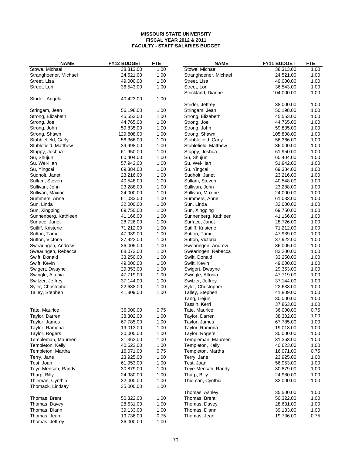| <b>NAME</b>                               | <b>FY12 BUDGET</b>     | <b>FTE</b>   | <b>NAME</b>                               | FY11 BUDGET            | <b>FTE</b>   |
|-------------------------------------------|------------------------|--------------|-------------------------------------------|------------------------|--------------|
| Stowe, Michael                            | 38,313.00              | 1.00         | Stowe, Michael                            | 38,313.00              | 1.00         |
| Stranghoener, Michael                     | 24,521.00              | 1.00         | Stranghoener, Michael                     | 24,521.00              | 1.00         |
| Street, Lisa                              | 49,000.00              | 1.00         | Street, Lisa                              | 49,000.00              | 1.00         |
| Street, Lori                              | 36,543.00              | 1.00         | Street, Lori                              | 36,543.00              | 1.00         |
|                                           |                        |              | Strickland, Dianne                        | 104,000.00             | 1.00         |
| Strider, Angela                           | 40,423.00              | 1.00         |                                           |                        |              |
|                                           |                        |              | Strider, Jeffrey                          | 38,000.00              | 1.00         |
| Stringam, Jean                            | 56,198.00              | 1.00         | Stringam, Jean                            | 50,198.00              | 1.00         |
| Strong, Elizabeth                         | 45,553.00              | 1.00         | Strong, Elizabeth                         | 45,553.00              | 1.00         |
| Strong, Joe                               | 44,765.00              | 1.00         | Strong, Joe                               | 44,765.00              | 1.00         |
| Strong, John                              | 59,835.00              | 1.00         | Strong, John                              | 59,835.00              | 1.00         |
| Strong, Shawn                             | 129,808.00             | 1.00         | Strong, Shawn                             | 105,808.00             | 1.00         |
| Stubblefield, Carly                       | 56,366.00              | 1.00         | Stubblefield, Carly                       | 56,366.00              | 1.00         |
| Stublefield, Matthew                      | 39,998.00              | 1.00         | Stublefield, Matthew                      | 36,000.00              | 1.00         |
| Stuppy, Joshua                            | 61,950.00              | 1.00         | Stuppy, Joshua                            | 61,950.00              | 1.00         |
| Su, Shujun                                | 60,404.00              | 1.00         | Su, Shujun                                | 60,404.00              | 1.00         |
| Su, Wei-Han                               | 57,942.00              | 1.00         | Su, Wei-Han                               | 51,942.00              | 1.00         |
| Su, Yingcai                               | 69,384.00              | 1.00         | Su, Yingcai                               | 69,384.00              | 1.00         |
| Sudholt, Janet                            | 23,216.00              | 1.00         | Sudholt, Janet                            | 23,216.00              | 1.00         |
| Sullam, Steven                            | 40,548.00              | 1.00         | Sullam, Steven                            | 40,548.00              | 1.00         |
| Sullivan, John                            | 23,288.00              | 1.00         | Sullivan, John                            | 23,288.00              | 1.00         |
| Sullivan, Maxine                          | 24,000.00              | 1.00         | Sullivan, Maxine                          | 24,000.00              | 1.00         |
| Summers, Anne                             | 61,033.00              | 1.00         | Summers, Anne                             | 61,033.00              | 1.00         |
| Sun, Linda                                | 32,000.00              | 1.00         | Sun, Linda                                | 32,000.00              | 1.00         |
| Sun, Xingping                             | 69,750.00              | 1.00         | Sun, Xingping                             | 69,750.00              | 1.00         |
| Sunnenberg, Kathleen                      | 41,166.00              | 1.00         | Sunnenberg, Kathleen                      | 41,166.00              | 1.00         |
| Surface, Janet                            | 28,726.00              | 1.00         | Surface, Janet                            | 28,726.00              | 1.00         |
| Sutliff, Kristene                         | 71,212.00              | 1.00         | Sutliff, Kristene                         | 71,212.00              | 1.00         |
| Sutton, Tami                              | 47,939.00              | 1.00         | Sutton, Tami                              | 47,939.00              | 1.00         |
| Sutton, Victoria                          | 37,922.00<br>36,005.00 | 1.00<br>1.00 | Sutton, Victoria                          | 37,922.00<br>36,005.00 | 1.00<br>1.00 |
| Swearingen, Andrew<br>Swearingen, Rebecca | 68,073.00              | 1.00         | Swearingen, Andrew<br>Swearingen, Rebecca | 83,200.00              | 1.00         |
| Swift, Donald                             | 33,250.00              | 1.00         | Swift, Donald                             | 33,250.00              | 1.00         |
| Swift, Kevin                              | 49,000.00              | 1.00         | Swift, Kevin                              | 49,000.00              | 1.00         |
| Swigert, Dwayne                           | 29,353.00              | 1.00         | Swigert, Dwayne                           | 29,353.00              | 1.00         |
| Swingle, Altonia                          | 47,719.00              | 1.00         | Swingle, Altonia                          | 47,719.00              | 1.00         |
| Switzer, Jeffrey                          | 37,144.00              | 1.00         | Switzer, Jeffrey                          | 37,144.00              | 1.00         |
| Syler, Christopher                        | 22,638.00              | 1.00         | Syler, Christopher                        | 22,638.00              | 1.00         |
| Talley, Stephen                           | 41,809.00              | 1.00         | Talley, Stephen                           | 41,809.00              | 1.00         |
|                                           |                        |              | Tang, Liejun                              | 30,000.00              | 1.00         |
|                                           |                        |              | Tassin, Kerri                             | 37,863.00              | 1.00         |
| Tate, Maurice                             | 36,000.00              | 0.75         | Tate, Maurice                             | 36,000.00              | 0.75         |
| Taylor, Darren                            | 38,302.00              | 1.00         | Taylor, Darren                            | 38,302.00              | 1.00         |
| Taylor, James                             | 67,785.00              | 1.00         | Taylor, James                             | 67,785.00              | 1.00         |
| Taylor, Ramona                            | 19,013.00              | 1.00         | Taylor, Ramona                            | 19,013.00              | 1.00         |
| Taylor, Rogers                            | 30,000.00              | 1.00         | Taylor, Rogers                            | 30,000.00              | 1.00         |
| Templeman, Maureen                        | 31,363.00              | 1.00         | Templeman, Maureen                        | 31,363.00              | 1.00         |
| Templeton, Kelly                          | 40,623.00              | 1.00         | Templeton, Kelly                          | 40,623.00              | 1.00         |
| Templeton, Martha                         | 16,071.00              | 0.75         | Templeton, Martha                         | 16,071.00              | 0.75         |
| Terry, Jane                               | 23,925.00              | 1.00         | Terry, Jane                               | 23,925.00              | 1.00         |
| Test, Joan                                | 61,953.00              | 1.00         | Test, Joan                                | 56,953.00              | 1.00         |
| Teye-Mensah, Randy                        | 30,879.00              | 1.00         | Teye-Mensah, Randy                        | 30,879.00              | 1.00         |
| Tharp, Billy                              | 24,980.00              | 1.00         | Tharp, Billy                              | 24,980.00              | 1.00         |
| Thieman, Cynthia                          | 32,000.00              | 1.00         | Thieman, Cynthia                          | 32,000.00              | 1.00         |
| Thomack, Lindsay                          | 35,000.00              | 1.00         | Thomas, Ashley                            | 35,500.00              | 1.00         |
| Thomas, Brent                             | 50,322.00              | 1.00         | Thomas, Brent                             | 50,322.00              | 1.00         |
| Thomas, Davey                             | 28,631.00              | 1.00         | Thomas, Davey                             | 28,631.00              | 1.00         |
| Thomas, Diann                             | 39,133.00              | 1.00         | Thomas, Diann                             | 39,133.00              | 1.00         |
| Thomas, Jean                              | 19,736.00              | 0.75         | Thomas, Jean                              | 19,736.00              | 0.75         |
| Thomas, Jeffrey                           | 36,000.00              | 1.00         |                                           |                        |              |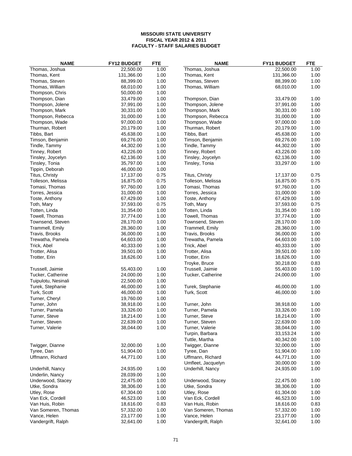| <b>NAME</b>         | <b>FY12 BUDGET</b> | <b>FTE</b> | <b>NAME</b>         | <b>FY11 BUDGET</b> | <b>FTE</b> |
|---------------------|--------------------|------------|---------------------|--------------------|------------|
| Thomas, Joshua      | 22,500.00          | 1.00       | Thomas, Joshua      | 22,500.00          | 1.00       |
| Thomas, Kent        | 131,366.00         | 1.00       | Thomas, Kent        | 131,366.00         | 1.00       |
| Thomas, Steven      | 88,399.00          | 1.00       | Thomas, Steven      | 88,399.00          | 1.00       |
| Thomas, William     | 68,010.00          | 1.00       | Thomas, William     | 68,010.00          | 1.00       |
| Thompson, Chris     | 50,000.00          | 1.00       |                     |                    |            |
| Thompson, Dian      | 33,479.00          | 1.00       | Thompson, Dian      | 33,479.00          | 1.00       |
| Thompson, Jolene    | 37,991.00          | 1.00       | Thompson, Jolene    | 37,991.00          | 1.00       |
| Thompson, Mark      | 30,331.00          | 1.00       | Thompson, Mark      | 30,331.00          | 1.00       |
| Thompson, Rebecca   | 31,000.00          | 1.00       | Thompson, Rebecca   | 31,000.00          | 1.00       |
| Thompson, Wade      | 97,000.00          | 1.00       | Thompson, Wade      | 97,000.00          | 1.00       |
| Thurman, Robert     | 20,179.00          | 1.00       | Thurman, Robert     | 20,179.00          | 1.00       |
| Tibbs, Bart         | 45,638.00          | 1.00       | Tibbs, Bart         | 45,638.00          | 1.00       |
| Timson, Benjamin    | 69,276.00          | 1.00       | Timson, Benjamin    | 69,276.00          | 1.00       |
| Tindle, Tammy       | 44,302.00          | 1.00       | Tindle, Tammy       | 44,302.00          | 1.00       |
| Tinney, Robert      | 43,226.00          | 1.00       | Tinney, Robert      | 43,226.00          | 1.00       |
| Tinsley, Joycelyn   | 62,136.00          | 1.00       | Tinsley, Joycelyn   | 62,136.00          | 1.00       |
| Tinsley, Tonia      | 35,797.00          | 1.00       | Tinsley, Tonia      | 33,297.00          | 1.00       |
| Tippin, Deborah     | 46,000.00          | 1.00       |                     |                    |            |
| Titus, Christy      | 17,137.00          | 0.75       | Titus, Christy      | 17,137.00          | 0.75       |
| Tolleson, Melissa   | 16,875.00          | 0.75       | Tolleson, Melissa   | 16,875.00          | 0.75       |
| Tomasi, Thomas      | 97,760.00          | 1.00       | Tomasi, Thomas      | 97,760.00          | 1.00       |
| Torres, Jessica     | 31,000.00          | 1.00       | Torres, Jessica     | 31,000.00          | 1.00       |
| Toste, Anthony      | 67,429.00          | 1.00       | Toste, Anthony      | 67,429.00          | 1.00       |
| Toth, Mary          | 37,593.00          | 0.75       | Toth, Mary          | 37,593.00          | 0.75       |
| Totten, Linda       | 31,354.00          | 1.00       | Totten, Linda       | 31,354.00          | 1.00       |
| Towell, Thomas      | 37,774.00          | 1.00       | Towell, Thomas      | 37,774.00          | 1.00       |
| Townsend, Steven    | 28,170.00          | 1.00       | Townsend, Steven    | 28,170.00          | 1.00       |
| Trammell, Emily     | 28,360.00          | 1.00       | Trammell, Emily     | 28,360.00          | 1.00       |
| Travis, Brooks      | 36,000.00          | 1.00       | Travis, Brooks      | 36,000.00          | 1.00       |
| Trewatha, Pamela    | 64,603.00          | 1.00       | Trewatha, Pamela    | 64,603.00          | 1.00       |
| Trick, Abel         | 40,333.00          | 1.00       | Trick, Abel         | 40,333.00          | 1.00       |
| Trotter, Alisa      | 39,501.00          | 1.00       | Trotter, Alisa      | 39,501.00          | 1.00       |
| Trotter, Erin       | 18,626.00          | 1.00       | Trotter, Erin       | 18,626.00          | 1.00       |
|                     |                    |            | Troyke, Bruce       | 30,218.00          | 0.83       |
| Trussell, Jaimie    | 55,403.00          | 1.00       | Trussell, Jaimie    | 55,403.00          | 1.00       |
| Tucker, Catherine   | 24,000.00          | 1.00       | Tucker, Catherine   | 24,000.00          | 1.00       |
| Tuipulotu, Nesinali | 22,500.00          | 1.00       |                     |                    |            |
| Turek, Stephanie    | 46,000.00          | 1.00       | Turek, Stephanie    | 46,000.00          | 1.00       |
| Turk, Scott         | 46,000.00          | 1.00       | Turk, Scott         | 46,000.00          | 1.00       |
| Turner, Cheryl      | 19,760.00          | 1.00       |                     |                    |            |
| Turner, John        | 38,918.00          | 1.00       | Turner, John        | 38,918.00          | 1.00       |
| Turner, Pamela      | 33,326.00          | 1.00       | Turner, Pamela      | 33,326.00          | 1.00       |
| Turner, Steve       | 18,214.00          | 1.00       | Turner, Steve       | 18,214.00          | 1.00       |
| Turner, Steven      | 22,639.00          | 1.00       | Turner, Steven      | 22,639.00          | 1.00       |
| Turner, Valerie     | 38,044.00          | 1.00       | Turner, Valerie     | 38,044.00          | 1.00       |
|                     |                    |            | Turpin, Barbara     | 33,153.24          | 1.00       |
|                     |                    |            | Tuttle, Martha      | 40,342.00          | 1.00       |
| Twigger, Dianne     | 32,000.00          | 1.00       | Twigger, Dianne     | 32,000.00          | 1.00       |
| Tyree, Dan          | 51,904.00          | 1.00       | Tyree, Dan          | 51,904.00          | 1.00       |
| Uffmann, Richard    | 44,771.00          | 1.00       | Uffmann, Richard    | 44,771.00          | 1.00       |
|                     |                    |            | Umfleet, Jacquelyn  | 30,000.00          | 1.00       |
| Underhill, Nancy    | 24,935.00          | 1.00       | Underhill, Nancy    | 24,935.00          | 1.00       |
| Underlin, Nancy     | 28,039.00          | 1.00       |                     |                    |            |
| Underwood, Stacey   | 22,475.00          | 1.00       | Underwood, Stacey   | 22,475.00          | 1.00       |
| Utke, Sondra        | 38,306.00          | 1.00       | Utke, Sondra        | 38,306.00          | 1.00       |
| Utley, Rose         | 67,304.00          | 1.00       | Utley, Rose         | 61,304.00          | 1.00       |
| Van Eck, Cordell    | 46,523.00          | 1.00       | Van Eck, Cordell    | 46,523.00          | 1.00       |
| Van Huis, Robin     | 18,616.00          | 0.83       | Van Huis, Robin     | 18,616.00          | 0.83       |
| Van Someren, Thomas | 57,332.00          | 1.00       | Van Someren, Thomas | 57,332.00          | 1.00       |
| Vance, Helen        | 23,177.00          | 1.00       | Vance, Helen        | 23,177.00          | 1.00       |
| Vandergrift, Ralph  | 32,641.00          | 1.00       | Vandergrift, Ralph  | 32,641.00          | 1.00       |
|                     |                    |            |                     |                    |            |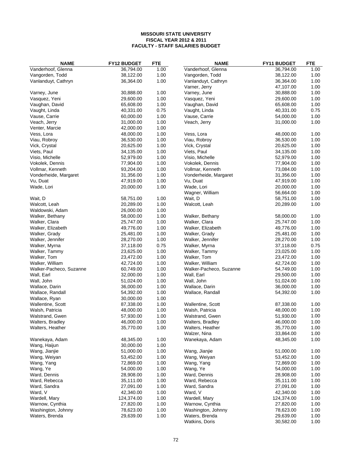| <b>NAME</b>                   | <b>FY12 BUDGET</b>     | <b>FTE</b>   | <b>NAME</b>                      | FY11 BUDGET            | <b>FTE</b>   |
|-------------------------------|------------------------|--------------|----------------------------------|------------------------|--------------|
| Vanderhoof, Glenna            | 36,794.00              | 1.00         | Vanderhoof, Glenna               | 36,794.00              | 1.00         |
| Vangorden, Todd               | 38,122.00              | 1.00         | Vangorden, Todd                  | 38,122.00              | 1.00         |
| Vanlanduyt, Cathryn           | 36,364.00              | 1.00         | Vanlanduyt, Cathryn              | 36,364.00              | 1.00         |
|                               |                        |              | Varner, Jerry                    | 47,107.00              | 1.00         |
| Varney, June                  | 30,888.00              | 1.00         | Varney, June                     | 30,888.00              | 1.00         |
| Vasquez, Yeni                 | 29,600.00              | 1.00         | Vasquez, Yeni                    | 29,600.00              | 1.00         |
| Vaughan, David                | 65,608.00              | 1.00         | Vaughan, David                   | 65,608.00              | 1.00         |
| Vaught, Linda                 | 40,331.00              | 0.75         | Vaught, Linda                    | 40,331.00              | 0.75         |
| Vause, Carrie                 | 60,000.00              | 1.00         | Vause, Carrie                    | 54,000.00              | 1.00         |
| Veach, Jerry                  | 31,000.00              | 1.00         | Veach, Jerry                     | 31,000.00              | 1.00         |
| Venter, Marcie                | 42,000.00              | 1.00         |                                  |                        |              |
| Vess, Lora                    | 48,000.00              | 1.00         | Vess, Lora                       | 48,000.00              | 1.00         |
| Viau, Robroy                  | 36,530.00              | 1.00         | Viau, Robroy                     | 36,530.00              | 1.00         |
| Vick, Crystal                 | 20,625.00              | 1.00         | Vick, Crystal                    | 20,625.00              | 1.00         |
| Viets, Paul                   | 34,135.00              | 1.00         | Viets, Paul                      | 34,135.00              | 1.00         |
| Visio, Michelle               | 52,979.00              | 1.00         | Visio, Michelle                  | 52,979.00              | 1.00         |
| Vokolek, Dennis               | 77,904.00              | 1.00         | Vokolek, Dennis                  | 77,904.00              | 1.00         |
| Vollmar, Kenneth              | 93,204.00              | 1.00         | Vollmar, Kenneth                 | 73,084.00              | 1.00         |
| Vonderheide, Margaret         | 31,356.00              | 1.00         | Vonderheide, Margaret            | 31,356.00              | 1.00         |
| Vu, Duat                      | 47,919.00              | 1.00         | Vu, Duat                         | 47,919.00              | 1.00         |
| Wade, Lori                    | 20,000.00              | 1.00         | Wade, Lori                       | 20,000.00              | 1.00         |
|                               |                        |              | Wagner, William                  | 56,664.00              | 1.00         |
| Wait, D                       | 58,751.00              | 1.00         | Wait, D                          | 58,751.00              | 1.00         |
| Walcott, Leah                 | 20,289.00              | 1.00         | Walcott, Leah                    | 20,289.00              | 1.00         |
| Waldowski, Adam               | 26,000.00              | 1.00         |                                  |                        |              |
| Walker, Bethany               | 58,000.00              | 1.00         | Walker, Bethany                  | 58,000.00              | 1.00         |
| Walker, Clara                 | 25,747.00              | 1.00         | Walker, Clara                    | 25,747.00              | 1.00         |
| Walker, Elizabeth             | 49,776.00              | 1.00         | Walker, Elizabeth                | 49,776.00              | 1.00         |
| Walker, Grady                 | 25,481.00              | 1.00         | Walker, Grady                    | 25,481.00              | 1.00         |
| Walker, Jennifer              | 28,270.00              | 1.00         | Walker, Jennifer                 | 28,270.00              | 1.00         |
| Walker, Myrna                 | 37,118.00              | 0.75         | Walker, Myrna                    | 37,118.00              | 0.75         |
| Walker, Tammy                 | 23,625.00              | 1.00         | Walker, Tammy                    | 23,025.00              | 1.00         |
| Walker, Tom                   | 23,472.00              | 1.00         | Walker, Tom                      | 23,472.00              | 1.00         |
| Walker, William               | 42,724.00              | 1.00         | Walker, William                  | 42,724.00              | 1.00         |
| Walker-Pacheco, Suzanne       | 60,749.00              | 1.00         | Walker-Pacheco, Suzanne          | 54,749.00              | 1.00         |
| Wall, Earl                    | 32,000.00              | 1.00         | Wall, Earl                       | 29,500.00              | 1.00         |
| Wall, John                    | 51,024.00              | 1.00         | Wall, John                       | 51,024.00              | 1.00         |
| Wallace, Darin                | 36,000.00              | 1.00         | Wallace, Darin                   | 36,000.00              | 1.00         |
| Wallace, Randall              | 54,392.00              | 1.00         | Wallace, Randall                 | 54,392.00              | 1.00         |
| Wallace, Ryan                 | 30,000.00              | 1.00         |                                  |                        |              |
| Wallentine, Scott             | 87,338.00              | 1.00         | Wallentine, Scott                | 87,338.00              | 1.00         |
| Walsh, Patricia               | 48,000.00              | 1.00         | Walsh, Patricia                  | 48,000.00              | 1.00         |
| Walstrand, Gwen               | 57,930.00              | 1.00         | Walstrand, Gwen                  | 51,930.00              | 1.00         |
| Walters, Bradley              | 46,000.00              | 1.00         | Walters, Bradley                 | 46,000.00              | 1.00         |
| Walters, Heather              | 35,770.00              | 1.00         | Walters, Heather<br>Walzer, Nina | 35,770.00              | 1.00         |
| Wanekaya, Adam                | 48,345.00              |              |                                  | 33,864.00<br>48,345.00 | 1.00<br>1.00 |
|                               |                        | 1.00<br>1.00 | Wanekaya, Adam                   |                        |              |
| Wang, Haijun<br>Wang, Jianjie | 30,000.00<br>51,000.00 | 1.00         |                                  | 51,000.00              | 1.00         |
|                               |                        | 1.00         | Wang, Jianjie                    |                        | 1.00         |
| Wang, Weiyan<br>Wang, Yang    | 53,452.00<br>72,869.00 | 1.00         | Wang, Weiyan<br>Wang, Yang       | 53,452.00<br>72,869.00 | 1.00         |
| Wang, Ye                      | 54,000.00              | 1.00         | Wang, Ye                         | 54,000.00              | 1.00         |
| Ward, Dennis                  | 28,908.00              | 1.00         | Ward, Dennis                     | 28,908.00              | 1.00         |
| Ward, Rebecca                 | 35,111.00              | 1.00         | Ward, Rebecca                    | 35,111.00              | 1.00         |
| Ward, Sandra                  | 27,091.00              | 1.00         | Ward, Sandra                     | 27,091.00              | 1.00         |
| Ward, V                       | 42,340.00              | 1.00         | Ward, V                          | 42,340.00              | 1.00         |
| Wardell, Mary                 | 124,374.00             | 1.00         | Wardell, Mary                    | 124,374.00             | 1.00         |
| Warnow, Cynthia               | 27,820.00              | 1.00         | Warnow, Cynthia                  | 27,820.00              | 1.00         |
| Washington, Johnny            | 78,623.00              | 1.00         | Washington, Johnny               | 78,623.00              | 1.00         |
| Waters, Brenda                | 29,639.00              | 1.00         | Waters, Brenda                   | 29,639.00              | 1.00         |
|                               |                        |              | Watkins, Doris                   | 30,582.00              | 1.00         |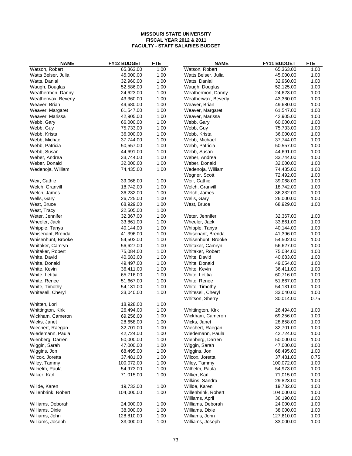| <b>NAME</b>         | <b>FY12 BUDGET</b> | <b>FTE</b> | <b>NAME</b>         | <b>FY11 BUDGET</b> | <b>FTE</b> |
|---------------------|--------------------|------------|---------------------|--------------------|------------|
| Watson, Robert      | 65,363.00          | 1.00       | Watson, Robert      | 65,363.00          | 1.00       |
| Watts Belser, Julia | 45,000.00          | 1.00       | Watts Belser, Julia | 45,000.00          | 1.00       |
| Watts, Danial       | 32,960.00          | 1.00       | Watts, Danial       | 32,960.00          | 1.00       |
| Waugh, Douglas      | 52,586.00          | 1.00       | Waugh, Douglas      | 52,125.00          | 1.00       |
| Weathermon, Danny   | 24,623.00          | 1.00       | Weathermon, Danny   | 24,623.00          | 1.00       |
| Weatherwax, Beverly | 43,360.00          | 1.00       | Weatherwax, Beverly | 43,360.00          | 1.00       |
| Weaver, Brian       | 49,680.00          | 1.00       | Weaver, Brian       | 49,680.00          | 1.00       |
| Weaver, Margaret    | 61,547.00          | 1.00       | Weaver, Margaret    | 61,547.00          | 1.00       |
| Weaver, Marissa     | 42,905.00          | 1.00       | Weaver, Marissa     | 42,905.00          | 1.00       |
| Webb, Gary          | 66,000.00          | 1.00       | Webb, Gary          | 60,000.00          | 1.00       |
| Webb, Guy           | 75,733.00          | 1.00       | Webb, Guy           | 75,733.00          | 1.00       |
| Webb, Krista        | 36,000.00          | 1.00       | Webb, Krista        | 36,000.00          | 1.00       |
| Webb, Michael       | 37,744.00          | 1.00       | Webb, Michael       | 37,744.00          | 1.00       |
| Webb, Patricia      | 50,557.00          | 1.00       | Webb, Patricia      | 50,557.00          | 1.00       |
| Webb, Susan         | 44,691.00          | 1.00       | Webb, Susan         | 44,691.00          | 1.00       |
| Weber, Andrea       | 33,744.00          | 1.00       | Weber, Andrea       | 33,744.00          | 1.00       |
| Weber, Donald       | 32,000.00          | 1.00       | Weber, Donald       | 32,000.00          | 1.00       |
| Wedenoja, William   | 74,435.00          | 1.00       | Wedenoja, William   | 74,435.00          | 1.00       |
|                     |                    |            | Wegner, Scott       | 72,492.00          | 1.00       |
| Weir, Cathie        | 39,068.00          | 1.00       | Weir, Cathie        | 39,068.00          | 1.00       |
| Welch, Granvill     | 18,742.00          | 1.00       |                     | 18,742.00          | 1.00       |
| Welch, James        |                    |            | Welch, Granvill     |                    |            |
|                     | 36,232.00          | 1.00       | Welch, James        | 36,232.00          | 1.00       |
| Wells, Gary         | 26,725.00          | 1.00       | Wells, Gary         | 26,000.00          | 1.00       |
| West, Bruce         | 68,929.00          | 1.00       | West, Bruce         | 68,929.00          | 1.00       |
| West, Tracy         | 22,505.00          | 1.00       |                     |                    |            |
| Weter, Jennifer     | 32,367.00          | 1.00       | Weter, Jennifer     | 32,367.00          | 1.00       |
| Wheeler, Jack       | 33,861.00          | 1.00       | Wheeler, Jack       | 33,861.00          | 1.00       |
| Whipple, Tanya      | 40,144.00          | 1.00       | Whipple, Tanya      | 40,144.00          | 1.00       |
| Whisenant, Brenda   | 41,396.00          | 1.00       | Whisenant, Brenda   | 41,396.00          | 1.00       |
| Whisenhunt, Brooke  | 54,502.00          | 1.00       | Whisenhunt, Brooke  | 54,502.00          | 1.00       |
| Whitaker, Camryn    | 56,627.00          | 1.00       | Whitaker, Camryn    | 56,627.00          | 1.00       |
| Whitaker, Robert    | 75,084.00          | 1.00       | Whitaker, Robert    | 75,084.00          | 1.00       |
| White, David        | 40,683.00          | 1.00       | White, David        | 40,683.00          | 1.00       |
| White, Donald       | 49,497.00          | 1.00       | White, Donald       | 49,054.00          | 1.00       |
| White, Kevin        | 36,411.00          | 1.00       | White, Kevin        | 36,411.00          | 1.00       |
| White, Letitia      | 65,716.00          | 1.00       | White, Letitia      | 60,716.00          | 1.00       |
| White, Renee        | 51,667.00          | 1.00       | White, Renee        | 51,667.00          | 1.00       |
| White, Timothy      | 54,131.00          | 1.00       | White, Timothy      | 54,131.00          | 1.00       |
| Whitesell, Cheryl   | 33,040.00          | 1.00       | Whitesell, Cheryl   | 33,040.00          | 1.00       |
|                     |                    |            | Whitson, Sherry     | 30,014.00          | 0.75       |
| Whitten, Lori       | 18,928.00          | 1.00       |                     |                    |            |
| Whittington, Kirk   | 26,494.00          | 1.00       | Whittington, Kirk   | 26,494.00          | 1.00       |
| Wickham, Cameron    | 69,256.00          | 1.00       | Wickham, Cameron    | 69,256.00          | 1.00       |
| Wicks, Janet        | 28,658.00          | 1.00       | Wicks, Janet        | 28,658.00          | 1.00       |
| Wiechert, Raegan    | 32,701.00          | 1.00       | Wiechert, Raegan    | 32,701.00          | 1.00       |
| Wiedemann, Paula    | 42,724.00          | 1.00       | Wiedemann, Paula    | 42,724.00          | 1.00       |
| Wienberg, Darren    | 50,000.00          | 1.00       | Wienberg, Darren    | 50,000.00          | 1.00       |
| Wiggin, Sarah       | 47,000.00          | 1.00       | Wiggin, Sarah       | 47,000.00          | 1.00       |
| Wiggins, Jon        | 68,495.00          | 1.00       | Wiggins, Jon        | 68,495.00          | 1.00       |
| Wilcox, Joretta     | 37,481.00          | 1.00       | Wilcox, Joretta     | 37,481.00          | 0.75       |
| Wiley, Tammy        | 100,072.00         | 1.00       | Wiley, Tammy        | 100,072.00         | 1.00       |
| Wilhelm, Paula      | 54,973.00          | 1.00       | Wilhelm, Paula      | 54,973.00          | 1.00       |
| Wilker, Karl        | 71,015.00          | 1.00       | Wilker, Karl        | 71,015.00          | 1.00       |
|                     |                    |            | Wilkins, Sandra     | 29,823.00          | 1.00       |
| Willde, Karen       | 19,732.00          | 1.00       | Willde, Karen       | 19,732.00          | 1.00       |
| Willenbrink, Robert | 104,000.00         | 1.00       | Willenbrink, Robert | 104,000.00         | 1.00       |
|                     |                    |            | Williams, April     | 36,190.00          | 1.00       |
|                     |                    | 1.00       |                     | 24,000.00          | 1.00       |
| Williams, Deborah   | 24,000.00          |            | Williams, Deborah   |                    |            |
| Williams, Dixie     | 38,000.00          | 1.00       | Williams, Dixie     | 38,000.00          | 1.00       |
| Williams, John      | 128,810.00         | 1.00       | Williams, John      | 127,610.00         | 1.00       |
| Williams, Joseph    | 33,000.00          | 1.00       | Williams, Joseph    | 33,000.00          | 1.00       |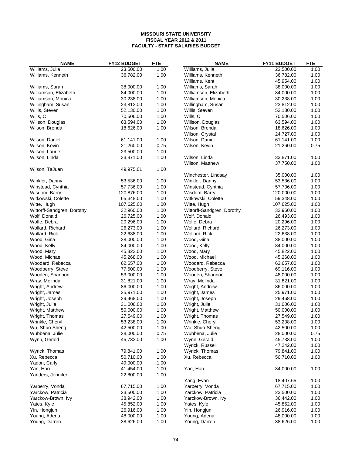| <b>NAME</b>                | FY12 BUDGET | <b>FTE</b>   | <b>NAME</b>                         | <b>FY11 BUDGET</b> | <b>FTE</b> |
|----------------------------|-------------|--------------|-------------------------------------|--------------------|------------|
| Williams, Julia            | 23,500.00   | 1.00         | Williams, Julia                     | 23,500.00          | 1.00       |
| Williams, Kenneth          | 36,782.00   | 1.00         | Williams, Kenneth                   | 36,782.00          | 1.00       |
|                            |             |              | Williams, Kent                      | 45,954.00          | 1.00       |
| Williams, Sarah            | 38,000.00   | 1.00         | Williams, Sarah                     | 38,000.00          | 1.00       |
| Williamson, Elizabeth      | 84,000.00   | 1.00         | Williamson, Elizabeth               | 84,000.00          | 1.00       |
| Williamson, Monica         | 30,238.00   | 1.00         | Williamson, Monica                  | 30,238.00          | 1.00       |
| Willingham, Susan          | 23,812.00   | 1.00         | Willingham, Susan                   | 23,812.00          | 1.00       |
| Willis, Steven             | 52,130.00   | 1.00         | Willis, Steven                      | 52,130.00          | 1.00       |
| Wills, C                   | 70,506.00   | 1.00         | Wills, C                            | 70,506.00          | 1.00       |
| Willson, Douglas           | 63,594.00   | 1.00         | Willson, Douglas                    | 63,594.00          | 1.00       |
| Wilson, Brenda             | 18,626.00   | 1.00         | Wilson, Brenda                      | 18,626.00          | 1.00       |
|                            |             |              | Wilson, Crystal                     | 24,727.00          | 1.00       |
| Wilson, Daniel             | 61,141.00   | 1.00         | Wilson, Daniel                      | 61,141.00          | 1.00       |
| Wilson, Kevin              | 21,260.00   | 0.75         | Wilson, Kevin                       | 21,260.00          | 0.75       |
| Wilson, Laurie             | 23,500.00   | 1.00         |                                     |                    |            |
| Wilson, Linda              | 33,871.00   | 1.00         | Wilson, Linda                       | 33,871.00          | 1.00       |
|                            |             |              | Wilson, Matthew                     | 37,750.00          | 1.00       |
| Wilson, TaJuan             | 49,975.01   | 1.00         |                                     |                    |            |
|                            |             |              | Winchester, Lindsay                 | 35,000.00          | 1.00       |
| Winkler, Danny             | 53,536.00   | 1.00         | Winkler, Danny                      | 53,536.00          | 1.00       |
| Winstead, Cynthia          | 57,736.00   | 1.00         | Winstead, Cynthia                   | 57,736.00          | 1.00       |
| Wisdom, Barry              | 120,876.00  |              |                                     | 120,000.00         | 1.00       |
| Witkowski, Colette         | 65,348.00   | 1.00<br>1.00 | Wisdom, Barry<br>Witkowski, Colette | 59,348.00          | 1.00       |
|                            |             |              |                                     | 107,625.00         |            |
| Witte, Hugh                | 107,625.00  | 1.00         | Witte, Hugh                         |                    | 1.00       |
| Wittorff-Sandgren, Dorothy | 32,960.00   | 1.00         | Wittorff-Sandgren, Dorothy          | 32,960.00          | 1.00       |
| Wolf, Donald               | 26,725.00   | 1.00         | Wolf, Donald                        | 26,493.00          | 1.00       |
| Wolfe, Debra               | 20,296.00   | 1.00         | Wolfe, Debra                        | 20,296.00          | 1.00       |
| Wollard, Richard           | 26,273.00   | 1.00         | Wollard, Richard                    | 26,273.00          | 1.00       |
| Wollard, Rick              | 22,638.00   | 1.00         | Wollard, Rick                       | 22,638.00          | 1.00       |
| Wood, Gina                 | 38,000.00   | 1.00         | Wood, Gina                          | 38,000.00          | 1.00       |
| Wood, Kelly                | 84,000.00   | 1.00         | Wood, Kelly                         | 84,000.00          | 1.00       |
| Wood, Mary                 | 45,822.00   | 1.00         | Wood, Mary                          | 45,822.00          | 1.00       |
| Wood, Michael              | 45,268.00   | 1.00         | Wood, Michael                       | 45,268.00          | 1.00       |
| Woodard, Rebecca           | 62,657.00   | 1.00         | Woodard, Rebecca                    | 62,657.00          | 1.00       |
| Woodberry, Steve           | 77,500.00   | 1.00         | Woodberry, Steve                    | 69,116.00          | 1.00       |
| Wooden, Shannon            | 53,000.00   | 1.00         | Wooden, Shannon                     | 48,000.00          | 1.00       |
| Wray, Melinda              | 31,821.00   | 1.00         | Wray, Melinda                       | 31,821.00          | 1.00       |
| Wright, Andrew             | 86,000.00   | 1.00         | Wright, Andrew                      | 86,000.00          | 1.00       |
| Wright, James              | 25,971.00   | 1.00         | Wright, James                       | 25,971.00          | 1.00       |
| Wright, Joseph             | 29,468.00   | 1.00         | Wright, Joseph                      | 29,468.00          | 1.00       |
| Wright, Julie              | 31,006.00   | 1.00         | Wright, Julie                       | 31,006.00          | 1.00       |
| Wright, Matthew            | 50,000.00   | 1.00         | Wright, Matthew                     | 50,000.00          | 1.00       |
| Wright, Thomas             | 27,549.00   | 1.00         | Wright, Thomas                      | 27,549.00          | 1.00       |
| Wrinkle, Cheryl            | 53,238.00   | 1.00         | Wrinkle, Cheryl                     | 53,238.00          | 1.00       |
| Wu, Shuo-Sheng             | 42,500.00   | 1.00         | Wu, Shuo-Sheng                      | 42,500.00          | 1.00       |
| Wubbena, Julie             | 28,000.00   | 0.75         | Wubbena, Julie                      | 28,000.00          | 0.75       |
| Wynn, Gerald               | 45,733.00   | 1.00         | Wynn, Gerald                        | 45,733.00          | 1.00       |
|                            |             |              | Wyrick, Russell                     | 47,242.00          | 1.00       |
| Wyrick, Thomas             | 79,841.00   | 1.00         | Wyrick, Thomas                      | 79,841.00          | 1.00       |
| Xu, Rebecca                | 50,710.00   | 1.00         | Xu, Rebecca                         | 50,710.00          | 1.00       |
| Yadon, Carly               | 49,000.00   | 1.00         |                                     |                    |            |
| Yan, Hao                   | 41,454.00   | 1.00         | Yan, Hao                            | 34,000.00          | 1.00       |
| Yanders, Jennifer          | 22,800.00   | 1.00         |                                     |                    |            |
|                            |             |              |                                     | 18,407.65          | 1.00       |
|                            |             |              | Yang, Evan                          |                    |            |
| Yarberry, Vonda            | 67,715.00   | 1.00         | Yarberry, Vonda                     | 67,715.00          | 1.00       |
| Yarckow, Patricia          | 23,500.00   | 1.00         | Yarckow, Patricia                   | 23,500.00          | 1.00       |
| Yarckow-Brown, Ivy         | 38,942.00   | 1.00         | Yarckow-Brown, Ivy                  | 36,442.00          | 1.00       |
| Yates, Kyle                | 45,852.00   | 1.00         | Yates, Kyle                         | 45,852.00          | 1.00       |
| Yin, Hongjun               | 26,916.00   | 1.00         | Yin, Hongjun                        | 26,916.00          | 1.00       |
| Young, Adena               | 48,000.00   | 1.00         | Young, Adena                        | 48,000.00          | 1.00       |
| Young, Darren              | 38,626.00   | 1.00         | Young, Darren                       | 38,626.00          | 1.00       |